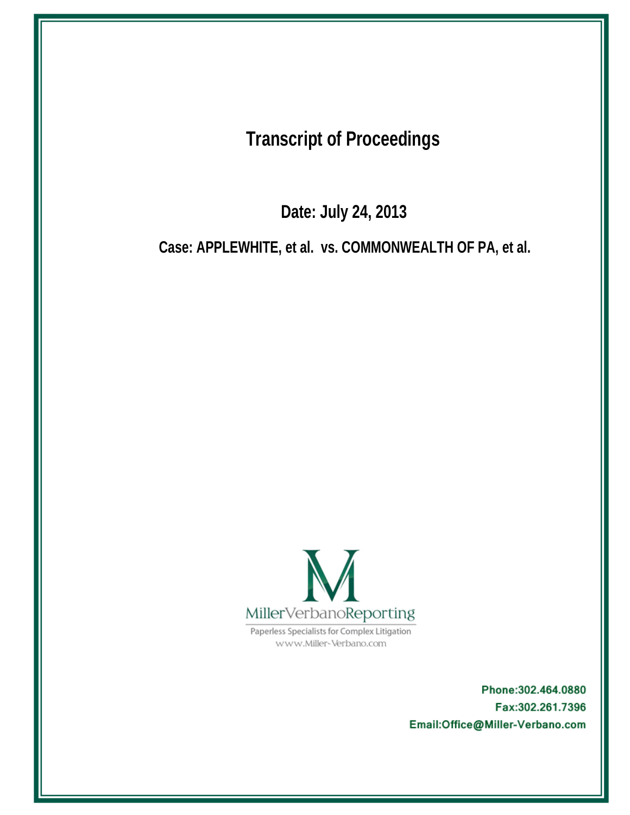**Transcript of Proceedings** 

Date: July 24, 2013

Case: APPLEWHITE, et al. vs. COMMONWEALTH OF PA, et al.



Paperless Specialists for Complex Litigation www.Miller-Verbano.com

> Phone: 302.464.0880 Fax:302.261.7396 Email:Office@Miller-Verbano.com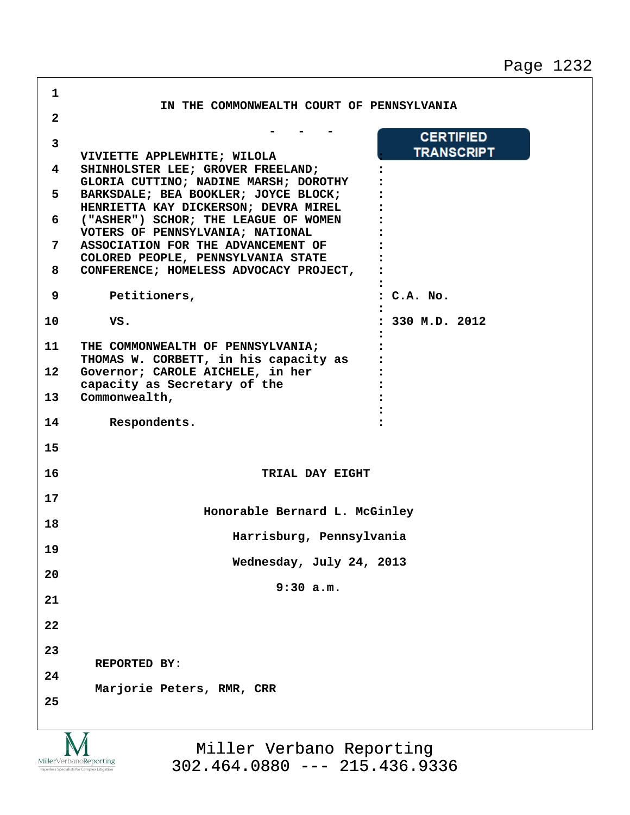Page 1232

٦

| 1            |                                                                               |                     |
|--------------|-------------------------------------------------------------------------------|---------------------|
| $\mathbf{2}$ | IN THE COMMONWEALTH COURT OF PENNSYLVANIA                                     |                     |
| 3            |                                                                               | <b>CERTIFIED</b>    |
| 4            | VIVIETTE APPLEWHITE; WILOLA<br>SHINHOLSTER LEE; GROVER FREELAND;              | <b>TRANSCRIPT</b>   |
| 5            | GLORIA CUTTINO; NADINE MARSH; DOROTHY<br>BARKSDALE; BEA BOOKLER; JOYCE BLOCK; |                     |
| 6            | HENRIETTA KAY DICKERSON; DEVRA MIREL<br>("ASHER") SCHOR; THE LEAGUE OF WOMEN  |                     |
|              | VOTERS OF PENNSYLVANIA; NATIONAL                                              |                     |
| 7            | ASSOCIATION FOR THE ADVANCEMENT OF<br>COLORED PEOPLE, PENNSYLVANIA STATE      |                     |
| 8            | CONFERENCE; HOMELESS ADVOCACY PROJECT,                                        |                     |
| 9            | Petitioners,                                                                  | : C.A. No.          |
| 10           | VS.                                                                           | $: 330$ M.D. $2012$ |
| 11           | THE COMMONWEALTH OF PENNSYLVANIA;                                             |                     |
|              | THOMAS W. CORBETT, in his capacity as                                         |                     |
| $12 \,$      | Governor; CAROLE AICHELE, in her<br>capacity as Secretary of the              |                     |
| 13           | Commonwealth,                                                                 |                     |
| 14           | Respondents.                                                                  |                     |
| 15           |                                                                               |                     |
| 16           | TRIAL DAY EIGHT                                                               |                     |
| 17           |                                                                               |                     |
| 18           | Honorable Bernard L. McGinley                                                 |                     |
|              | Harrisburg, Pennsylvania                                                      |                     |
| 19           | Wednesday, July 24, 2013                                                      |                     |
| 20           | 9:30 a.m.                                                                     |                     |
| 21           |                                                                               |                     |
| 22           |                                                                               |                     |
| 23           |                                                                               |                     |
| 24           | REPORTED BY:                                                                  |                     |
| 25           | Marjorie Peters, RMR, CRR                                                     |                     |
|              |                                                                               |                     |
|              | $\overline{X}$ $\overline{Y}$                                                 |                     |

IVI  $\underset{\text{Paperless Specialists for Complex Litigation}}{\text{MillerVerbanoReporting}}$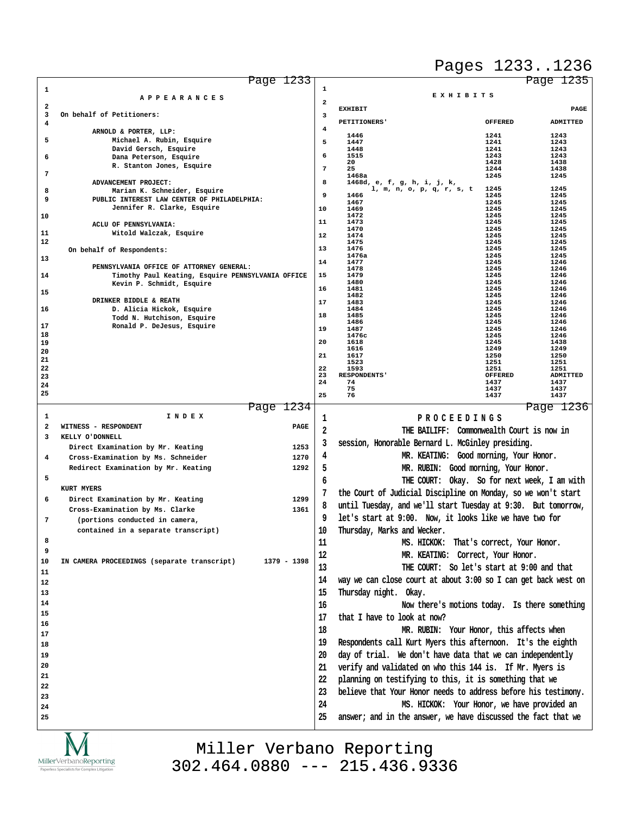## Pages 1233..1236

|                              | Page 1233                                                                  |                |                                                                |                                               | Page 1235    |
|------------------------------|----------------------------------------------------------------------------|----------------|----------------------------------------------------------------|-----------------------------------------------|--------------|
| 1                            |                                                                            | 1              |                                                                | EXHIBITS                                      |              |
|                              | APPEARANCES                                                                | $\mathbf{2}$   |                                                                |                                               |              |
| $\overline{\mathbf{2}}$<br>3 | On behalf of Petitioners:                                                  | 3              | <b>EXHIBIT</b>                                                 |                                               | PAGE         |
| 4                            |                                                                            |                | PETITIONERS'                                                   | <b>OFFERED</b>                                | ADMITTED     |
|                              | ARNOLD & PORTER, LLP:                                                      | 4              |                                                                |                                               |              |
| 5                            | Michael A. Rubin, Esquire                                                  | 5              | 1446<br>1447                                                   | 1241<br>1241                                  | 1243<br>1243 |
|                              | David Gersch, Esquire                                                      |                | 1448                                                           | 1241                                          | 1243         |
| 6                            | Dana Peterson, Esquire                                                     | 6              | 1515                                                           | 1243                                          | 1243         |
|                              | R. Stanton Jones, Esquire                                                  | $\overline{7}$ | 20<br>25                                                       | 1428<br>1244                                  | 1438<br>1438 |
| 7                            |                                                                            |                | 1468a                                                          | 1245                                          | 1245         |
|                              | ADVANCEMENT PROJECT:                                                       | 8              | 1468d, e, f, g, h, i, j, k,<br>1, m, n, o, p, q, r, s, t       | 1245                                          | 1245         |
| 8                            | Marian K. Schneider, Esquire                                               | 9              | 1466                                                           | 1245                                          | 1245         |
| 9                            | PUBLIC INTEREST LAW CENTER OF PHILADELPHIA:<br>Jennifer R. Clarke, Esquire |                | 1467                                                           | 1245                                          | 1245         |
| 10                           |                                                                            | 10             | 1469<br>1472                                                   | 1245<br>1245                                  | 1245<br>1245 |
|                              | ACLU OF PENNSYLVANIA:                                                      | 11             | 1473                                                           | 1245                                          | 1245         |
| 11                           | Witold Walczak, Esquire                                                    |                | 1470                                                           | 1245                                          | 1245         |
| 12                           |                                                                            | 12             | 1474<br>1475                                                   | 1245<br>1245                                  | 1245<br>1245 |
|                              | On behalf of Respondents:                                                  | 13             | 1476                                                           | 1245                                          | 1245         |
| 13                           |                                                                            |                | 1476a                                                          | 1245                                          | 1245         |
|                              | PENNSYLVANIA OFFICE OF ATTORNEY GENERAL:                                   | 14             | 1477<br>1478                                                   | 1245<br>1245                                  | 1246<br>1246 |
| 14                           | Timothy Paul Keating, Esquire PENNSYLVANIA OFFICE                          | 15             | 1479                                                           | 1245                                          | 1246         |
|                              | Kevin P. Schmidt, Esquire                                                  |                | 1480<br>1481                                                   | 1245<br>1245                                  | 1246         |
| 15                           |                                                                            | 16             | 1482                                                           | 1245                                          | 1246<br>1246 |
|                              | DRINKER BIDDLE & REATH                                                     | 17             | 1483                                                           | 1245                                          | 1246         |
| 16                           | D. Alicia Hickok, Esquire                                                  | 18             | 1484<br>1485                                                   | 1245<br>1245                                  | 1246         |
|                              | Todd N. Hutchison, Esquire                                                 |                | 1486                                                           | 1245                                          | 1246<br>1246 |
| 17                           | Ronald P. DeJesus, Esquire                                                 | 19             | 1487                                                           | 1245                                          | 1246         |
| 18<br>19                     |                                                                            | 20             | 1476c<br>1618                                                  | 1245<br>1245                                  | 1246<br>1438 |
| 20                           |                                                                            |                | 1616                                                           | 1249                                          | 1249         |
| 21                           |                                                                            | 21             | 1617                                                           | 1250                                          | 1250         |
| 22                           |                                                                            | 22             | 1523<br>1593                                                   | 1251<br>1251                                  | 1251<br>1251 |
| 23                           |                                                                            | 23             | <b>RESPONDENTS'</b>                                            | <b>OFFERED</b>                                | ADMITTED     |
| 24                           |                                                                            | 24             | 74                                                             | 1437                                          | 1437         |
| 25                           |                                                                            | 25             | 75<br>76                                                       | 1437<br>1437                                  | 1437<br>1437 |
|                              |                                                                            |                |                                                                |                                               |              |
| 1                            | Page 1234<br>I N D E X                                                     |                |                                                                |                                               | Page 1236    |
|                              |                                                                            | 1              |                                                                | PROCEEDINGS                                   |              |
| $\overline{\mathbf{2}}$      | WITNESS - RESPONDENT<br>PAGE                                               | 2              |                                                                | THE BAILIFF: Commonwealth Court is now in     |              |
| 3                            | KELLY O'DONNELL                                                            | 3              | session, Honorable Bernard L. McGinley presiding.              |                                               |              |
|                              | Direct Examination by Mr. Keating<br>1253                                  |                |                                                                |                                               |              |
| 4                            | 1270<br>Cross-Examination by Ms. Schneider                                 | 4              |                                                                | MR. KEATING: Good morning, Your Honor.        |              |
|                              | Redirect Examination by Mr. Keating<br>1292                                | 5              |                                                                | MR. RUBIN: Good morning, Your Honor.          |              |
| 5                            |                                                                            | 6              |                                                                | THE COURT: Okay. So for next week, I am with  |              |
|                              | <b>KURT MYERS</b>                                                          |                |                                                                |                                               |              |
| 6                            | 1299<br>Direct Examination by Mr. Keating                                  |                | the Court of Judicial Discipline on Monday, so we won't start  |                                               |              |
|                              |                                                                            | 8              | until Tuesday, and we'll start Tuesday at 9:30. But tomorrow,  |                                               |              |
|                              | 1361<br>Cross-Examination by Ms. Clarke                                    | 9              | let's start at 9:00. Now, it looks like we have two for        |                                               |              |
| 7                            | (portions conducted in camera,                                             |                |                                                                |                                               |              |
|                              | contained in a separate transcript)                                        | 10             | Thursday, Marks and Wecker.                                    |                                               |              |
| 8                            |                                                                            | 11             |                                                                |                                               |              |
| 9                            |                                                                            |                |                                                                | MS. HICKOK: That's correct, Your Honor.       |              |
|                              |                                                                            |                |                                                                |                                               |              |
| 10                           | 1379 - 1398<br>IN CAMERA PROCEEDINGS (separate transcript)                 | 12             |                                                                | MR. KEATING: Correct, Your Honor.             |              |
|                              |                                                                            | 13             |                                                                | THE COURT: So let's start at 9:00 and that    |              |
| 11                           |                                                                            |                |                                                                |                                               |              |
| 12                           |                                                                            | 14             | way we can close court at about 3:00 so I can get back west on |                                               |              |
| 13                           |                                                                            | 15             | Thursday night. Okay.                                          |                                               |              |
| 14                           |                                                                            | 16             |                                                                | Now there's motions today. Is there something |              |
| 15                           |                                                                            |                |                                                                |                                               |              |
| 16                           |                                                                            | 17             | that I have to look at now?                                    |                                               |              |
| 17                           |                                                                            | 18             |                                                                | MR. RUBIN: Your Honor, this affects when      |              |
| 18                           |                                                                            | 19             | Respondents call Kurt Myers this afternoon. It's the eighth    |                                               |              |
|                              |                                                                            |                |                                                                |                                               |              |
| 19                           |                                                                            | 20             | day of trial. We don't have data that we can independently     |                                               |              |
| 20                           |                                                                            | 21             | verify and validated on who this 144 is. If Mr. Myers is       |                                               |              |
| 21                           |                                                                            | 22             | planning on testifying to this, it is something that we        |                                               |              |
| 22                           |                                                                            |                |                                                                |                                               |              |
| 23                           |                                                                            | 23             | believe that Your Honor needs to address before his testimony. |                                               |              |
| 24                           |                                                                            | 24             |                                                                | MS. HICKOK: Your Honor, we have provided an   |              |
| 25                           |                                                                            | 25             | answer; and in the answer, we have discussed the fact that we  |                                               |              |

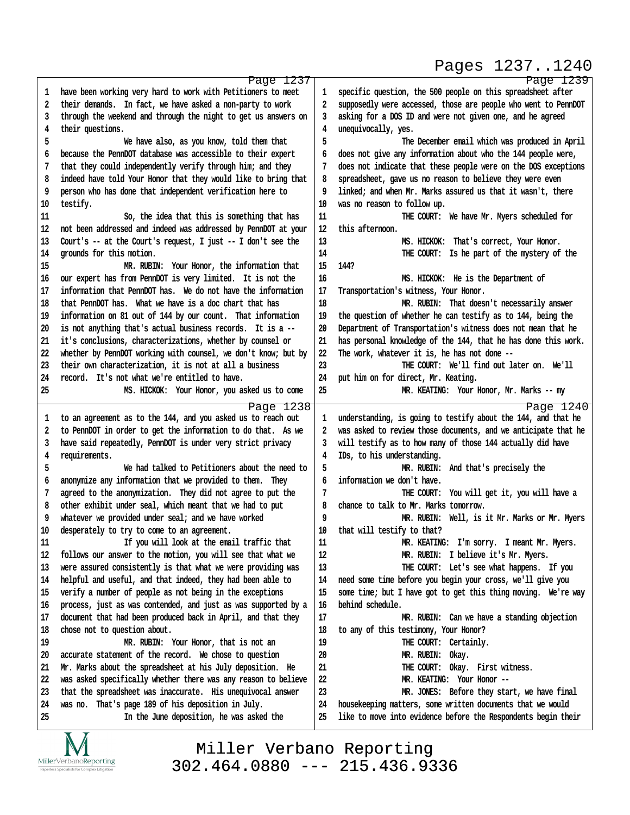## Pages 1237..1240

http://www.yeslaw.net/help

|    | Page 1237                                                                                                         |          | Page 1239                                                                                                                   |
|----|-------------------------------------------------------------------------------------------------------------------|----------|-----------------------------------------------------------------------------------------------------------------------------|
| 1  | have been working very hard to work with Petitioners to meet                                                      | 1        | specific question, the 500 people on this spreadsheet after                                                                 |
| 2  | their demands. In fact, we have asked a non-party to work                                                         | 2        | supposedly were accessed, those are people who went to PennDOT                                                              |
| 3  | through the weekend and through the night to get us answers on                                                    | 3        | asking for a DOS ID and were not given one, and he agreed                                                                   |
| 4  | their questions.                                                                                                  | 4        | unequivocally, yes.                                                                                                         |
| 5  | We have also, as you know, told them that                                                                         | 5        | The December email which was produced in April                                                                              |
| 6  | because the PennDOT database was accessible to their expert                                                       | 6        | does not give any information about who the 144 people were,                                                                |
| 7  | that they could independently verify through him; and they                                                        | 7        | does not indicate that these people were on the DOS exceptions                                                              |
| 8  | indeed have told Your Honor that they would like to bring that                                                    | 8        | spreadsheet, gave us no reason to believe they were even                                                                    |
| 9  | person who has done that independent verification here to                                                         | 9        | linked; and when Mr. Marks assured us that it wasn't, there                                                                 |
| 10 | testify.                                                                                                          | 10       | was no reason to follow up.                                                                                                 |
| 11 | So, the idea that this is something that has                                                                      | 11       |                                                                                                                             |
|    |                                                                                                                   |          | THE COURT: We have Mr. Myers scheduled for<br>this afternoon.                                                               |
| 12 | not been addressed and indeed was addressed by PennDOT at your                                                    | 12       |                                                                                                                             |
| 13 | Court's -- at the Court's request, I just -- I don't see the                                                      | 13       | MS. HICKOK: That's correct, Your Honor.                                                                                     |
| 14 | grounds for this motion.                                                                                          | $14\,$   | THE COURT: Is he part of the mystery of the                                                                                 |
| 15 | MR. RUBIN: Your Honor, the information that                                                                       | 15       | 144?                                                                                                                        |
| 16 | our expert has from PennDOT is very limited. It is not the                                                        | 16       | MS. HICKOK: He is the Department of                                                                                         |
| 17 | information that PennDOT has. We do not have the information                                                      | 17       | Transportation's witness, Your Honor.                                                                                       |
| 18 | that PennDOT has. What we have is a doc chart that has                                                            | 18       | MR. RUBIN: That doesn't necessarily answer                                                                                  |
| 19 | information on 81 out of 144 by our count. That information                                                       | 19       | the question of whether he can testify as to 144, being the                                                                 |
| 20 | is not anything that's actual business records. It is a --                                                        | 20       | Department of Transportation's witness does not mean that he                                                                |
| 21 | it's conclusions, characterizations, whether by counsel or                                                        | 21       | has personal knowledge of the 144, that he has done this work.                                                              |
| 22 | whether by PennDOT working with counsel, we don't know; but by                                                    | 22       | The work, whatever it is, he has not done --                                                                                |
| 23 | their own characterization, it is not at all a business                                                           | 23       | THE COURT: We'll find out later on. We'll                                                                                   |
| 24 | record. It's not what we're entitled to have.                                                                     | 24       | put him on for direct, Mr. Keating.                                                                                         |
| 25 | MS. HICKOK: Your Honor, you asked us to come                                                                      | 25       | MR. KEATING: Your Honor, Mr. Marks -- my                                                                                    |
|    |                                                                                                                   |          |                                                                                                                             |
|    |                                                                                                                   |          |                                                                                                                             |
|    | Page 1238                                                                                                         |          | Page 1240                                                                                                                   |
| 1  | to an agreement as to the 144, and you asked us to reach out                                                      | 1        | understanding, is going to testify about the 144, and that he                                                               |
| 2  | to PennDOT in order to get the information to do that. As we                                                      | 2        | was asked to review those documents, and we anticipate that he                                                              |
| 3  | have said repeatedly, PennDOT is under very strict privacy                                                        | 3        | will testify as to how many of those 144 actually did have                                                                  |
| 4  | requirements.                                                                                                     | 4        | IDs, to his understanding.                                                                                                  |
| 5  | We had talked to Petitioners about the need to                                                                    | 5        | MR. RUBIN: And that's precisely the                                                                                         |
| 6  | anonymize any information that we provided to them. They                                                          | 6        | information we don't have.                                                                                                  |
| 7  | agreed to the anonymization. They did not agree to put the                                                        | 7        | THE COURT: You will get it, you will have a                                                                                 |
| 8  | other exhibit under seal, which meant that we had to put                                                          | 8        | chance to talk to Mr. Marks tomorrow.                                                                                       |
| 9  | whatever we provided under seal; and we have worked                                                               | 9        | MR. RUBIN: Well, is it Mr. Marks or Mr. Myers                                                                               |
| 10 | desperately to try to come to an agreement.                                                                       | 10       | that will testify to that?                                                                                                  |
| 11 | If you will look at the email traffic that                                                                        | 11       | MR. KEATING: I'm sorry. I meant Mr. Myers.                                                                                  |
| 12 | follows our answer to the motion, you will see that what we                                                       | 12       | MR. RUBIN: I believe it's Mr. Myers.                                                                                        |
| 13 | were assured consistently is that what we were providing was                                                      | 13       | THE COURT: Let's see what happens. If you                                                                                   |
| 14 | helpful and useful, and that indeed, they had been able to                                                        | 14       | need some time before you begin your cross, we'll give you                                                                  |
| 15 | verify a number of people as not being in the exceptions                                                          | 15       | some time; but I have got to get this thing moving. We're way                                                               |
| 16 | process, just as was contended, and just as was supported by a                                                    | 16       | behind schedule.                                                                                                            |
| 17 | document that had been produced back in April, and that they                                                      | 17       | MR. RUBIN: Can we have a standing objection                                                                                 |
| 18 | chose not to question about.                                                                                      | 18       | to any of this testimony, Your Honor?                                                                                       |
| 19 | MR. RUBIN: Your Honor, that is not an                                                                             | 19       | THE COURT: Certainly.                                                                                                       |
| 20 | accurate statement of the record. We chose to question                                                            | 20       | MR. RUBIN: Okay.                                                                                                            |
| 21 | Mr. Marks about the spreadsheet at his July deposition. He                                                        | 21       | THE COURT: Okay. First witness.                                                                                             |
| 22 | was asked specifically whether there was any reason to believe                                                    | 22       | MR. KEATING: Your Honor --                                                                                                  |
| 23 |                                                                                                                   |          |                                                                                                                             |
| 24 | that the spreadsheet was inaccurate. His unequivocal answer<br>was no. That's page 189 of his deposition in July. | 23       | MR. JONES: Before they start, we have final                                                                                 |
| 25 | In the June deposition, he was asked the                                                                          | 24<br>25 | housekeeping matters, some written documents that we would<br>like to move into evidence before the Respondents begin their |

IVI  $\underset{\text{Paperless Specialists for Complex Litigation}}{\text{MillerVerbanoReporting}}$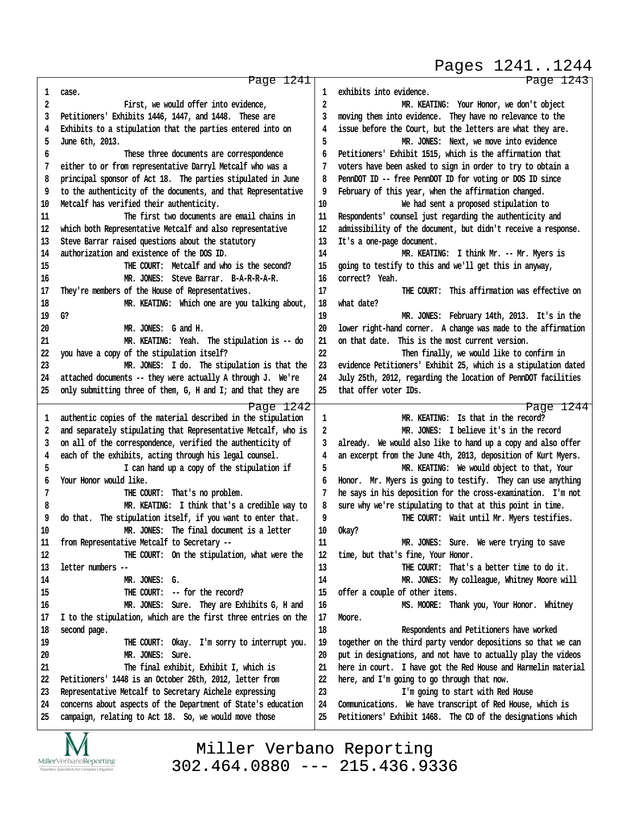Page 1241 1 case. **·2· · · · · · · · · ·First, we would offer into evidence, ·3· ·Petitioners' Exhibits 1446, 1447, and 1448.· These are ·4· ·Exhibits to a stipulation that the parties entered into on ·5· ·June 6th, 2013. ·6· · · · · · · · · ·These three documents are correspondence ·7· ·either to or from representative Darryl Metcalf who was a ·8· ·principal sponsor of Act 18.· The parties stipulated in June ·9· ·to the authenticity of the documents, and that Representative** 10 Metcalf has verified their authenticity. **11· · · · · · · · · ·The first two documents are email chains in 12· ·which both Representative Metcalf and also representative** 13 Steve Barrar raised questions about the statutory 14 authorization and existence of the DOS ID. 15 **15 15 115 115 115 115 115 115 115 115 115 115 115 115 115 115 115 115 115 115 115 115 115 115 115 115 115 115 115 115 115 115 115 115 115 115 115** 16 MR. JONES: Steve Barrar. B-A-R-R-A-R. 17 They're members of the House of Representatives. 18 **ILLET INC:** Which one are you talking about, 19 G? 20 **MR. JONES:** G and H. **21· · · · · · · · · ·MR. KEATING:· Yeah.· The stipulation is -- do 22· ·you have a copy of the stipulation itself? 23· · · · · · · · · ·MR. JONES:· I do.· The stipulation is that the 24· ·attached documents -- they were actually A through J.· We're 25· ·only submitting three of them, G, H and I; and that they are** Page 1242 1 authentic copies of the material described in the stipulation **·2· ·and separately stipulating that Representative Metcalf, who is ·3· ·on all of the correspondence, verified the authenticity of ·4· ·each of the exhibits, acting through his legal counsel. ·5· · · · · · · · · ·I can hand up a copy of the stipulation if ·6· ·Your Honor would like.** <sup>7</sup> **THE COURT:** That's no problem. **·8· · · · · · · · · ·MR. KEATING:· I think that's a credible way to ·9· ·do that.· The stipulation itself, if you want to enter that.** 10 **IDER.** JONES: The final document is a letter 11 from Representative Metcalf to Secretary --12 **ILCOURT:** On the stipulation, what were the **13· ·letter numbers -- 14· · · · · · · · · ·MR. JONES:· G. 15 THE COURT:** -- for the record? **16· · · · · · · · · ·MR. JONES:· Sure.· They are Exhibits G, H and 17· ·I to the stipulation, which are the first three entries on the** 18 **second** page. 19 **• THE COURT:** Okay. I'm sorry to interrupt you. 20 **MR. JONES:** Sure. **21· · · · · · · · · ·The final exhibit, Exhibit I, which is** 22 Petitioners' 1448 is an October 26th, 2012, letter from 23 Representative Metcalf to Secretary Aichele expressing **24· ·concerns about aspects of the Department of State's education** 25 campaign, relating to Act 18. So, we would move those Page 1243 1 exhibits into evidence. **·2· · · · · · · · · ·MR. KEATING:· Your Honor, we don't object ·3· ·moving them into evidence.· They have no relevance to the ·4· ·issue before the Court, but the letters are what they are. 5** *MR. JONES:* **Next, we move into evidence ·6· ·Petitioners' Exhibit 1515, which is the affirmation that ·7· ·voters have been asked to sign in order to try to obtain a ·8· ·PennDOT ID -- free PennDOT ID for voting or DOS ID since ·9· ·February of this year, when the affirmation changed. 10· · · · · · · · · ·We had sent a proposed stipulation to** 11 Respondents' counsel just regarding the authenticity and 12 admissibility of the document, but didn't receive a response. 13 It's a one-page document. 14 MR. KEATING: I think Mr. -- Mr. Myers is **15· ·going to testify to this and we'll get this in anyway,** 16 *correct?* Yeah. **17· · · · · · · · · ·THE COURT:· This affirmation was effective on** 18 what date? 19 **MR. JONES: February 14th, 2013.** It's in the **20· ·lower right-hand corner.· A change was made to the affirmation** 21 on that date. This is the most current version. **22· · · · · · · · · ·Then finally, we would like to confirm in** 23 evidence Petitioners' Exhibit 25, which is a stipulation dated **24· ·July 25th, 2012, regarding the location of PennDOT facilities 25· ·that offer voter IDs.** Page 1244 **1** *MR. KEATING:* **Is that in the record? ·2· · · · · · · · · ·MR. JONES:· I believe it's in the record ·3· ·already.· We would also like to hand up a copy and also offer ·4· ·an excerpt from the June 4th, 2013, deposition of Kurt Myers. ·5· · · · · · · · · ·MR. KEATING:· We would object to that, Your ·6· ·Honor.· Mr. Myers is going to testify.· They can use anything ·7· ·he says in his deposition for the cross-examination.· I'm not ·8· ·sure why we're stipulating to that at this point in time. ·9· · · · · · · · · ·THE COURT:· Wait until Mr. Myers testifies.** 10 Okay? 11 **In Section MR. JONES:** Sure. We were trying to save 12 time, but that's fine, Your Honor. 13 **ILLE COURT:** That's a better time to do it. 14 **MR. JONES:** My colleague, Whitney Moore will **15· ·offer a couple of other items. 16· · · · · · · · · ·MS. MOORE:· Thank you, Your Honor.· Whitney** 17 Moore. **18· · · · · · · · · ·Respondents and Petitioners have worked 19· ·together on the third party vendor depositions so that we can 20· ·put in designations, and not have to actually play the videos 21· ·here in court.· I have got the Red House and Harmelin material 22· ·here, and I'm going to go through that now. 23· · · · · · · · · ·I'm going to start with Red House** 24 Communications. We have transcript of Red House, which is **25· ·Petitioners' Exhibit 1468.· The CD of the designations which** Pages 1241..1244



Miller Verbano Reporting [302.464.0880 --- 215.436.9336](http://www.miller-verbano.com) http://www.yeslaw.net/help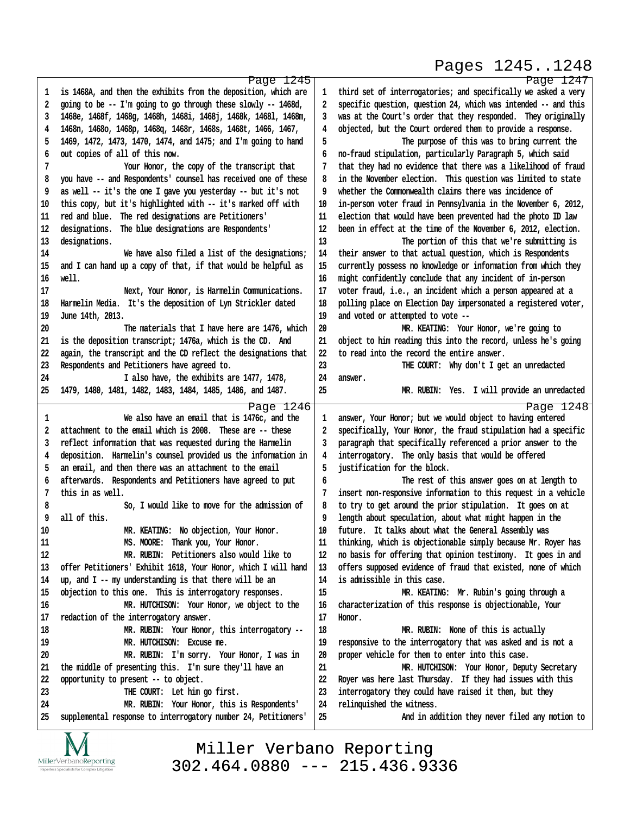## Pages 1245..1248

http://www.yeslaw.net/help

/www.yeslaw.net/help

|    | Page 1245                                                      |    | Page 1247                                                      |
|----|----------------------------------------------------------------|----|----------------------------------------------------------------|
| 1  | is 1468A, and then the exhibits from the deposition, which are | 1  | third set of interrogatories; and specifically we asked a very |
| 2  | going to be -- I'm going to go through these slowly -- 1468d,  | 2  | specific question, question 24, which was intended -- and this |
| 3  | 1468e, 1468f, 1468g, 1468h, 1468i, 1468j, 1468k, 1468l, 1468m, | 3  | was at the Court's order that they responded. They originally  |
| 4  | 1468n, 1468o, 1468p, 1468q, 1468r, 1468s, 1468t, 1466, 1467,   | 4  | objected, but the Court ordered them to provide a response.    |
| 5  | 1469, 1472, 1473, 1470, 1474, and 1475; and I'm going to hand  | 5  | The purpose of this was to bring current the                   |
| 6  | out copies of all of this now.                                 | 6  | no-fraud stipulation, particularly Paragraph 5, which said     |
| 7  | Your Honor, the copy of the transcript that                    | 7  | that they had no evidence that there was a likelihood of fraud |
|    |                                                                |    |                                                                |
| 8  | you have -- and Respondents' counsel has received one of these | 8  | in the November election. This question was limited to state   |
| 9  | as well -- it's the one I gave you yesterday -- but it's not   | 9  | whether the Commonwealth claims there was incidence of         |
| 10 | this copy, but it's highlighted with -- it's marked off with   | 10 | in-person voter fraud in Pennsylvania in the November 6, 2012, |
| 11 | red and blue. The red designations are Petitioners'            | 11 | election that would have been prevented had the photo ID law   |
| 12 | designations. The blue designations are Respondents'           | 12 | been in effect at the time of the November 6, 2012, election.  |
| 13 | designations.                                                  | 13 | The portion of this that we're submitting is                   |
| 14 | We have also filed a list of the designations;                 | 14 | their answer to that actual question, which is Respondents     |
| 15 | and I can hand up a copy of that, if that would be helpful as  | 15 | currently possess no knowledge or information from which they  |
| 16 | well.                                                          | 16 | might confidently conclude that any incident of in-person      |
| 17 | Next, Your Honor, is Harmelin Communications.                  | 17 | voter fraud, i.e., an incident which a person appeared at a    |
| 18 | Harmelin Media. It's the deposition of Lyn Strickler dated     | 18 | polling place on Election Day impersonated a registered voter, |
| 19 | June 14th, 2013.                                               | 19 | and voted or attempted to vote --                              |
| 20 | The materials that I have here are 1476, which                 | 20 | MR. KEATING: Your Honor, we're going to                        |
| 21 | is the deposition transcript; 1476a, which is the CD. And      | 21 | object to him reading this into the record, unless he's going  |
| 22 | again, the transcript and the CD reflect the designations that | 22 | to read into the record the entire answer.                     |
| 23 |                                                                | 23 | THE COURT: Why don't I get an unredacted                       |
|    | Respondents and Petitioners have agreed to.                    |    |                                                                |
| 24 | I also have, the exhibits are 1477, 1478,                      | 24 | answer.                                                        |
| 25 | 1479, 1480, 1481, 1482, 1483, 1484, 1485, 1486, and 1487.      | 25 | MR. RUBIN: Yes. I will provide an unredacted                   |
|    | Page 1246                                                      |    | Page 1248                                                      |
| 1  | We also have an email that is 1476c, and the                   | 1  | answer, Your Honor; but we would object to having entered      |
| 2  | attachment to the email which is 2008. These are -- these      | 2  | specifically, Your Honor, the fraud stipulation had a specific |
| 3  | reflect information that was requested during the Harmelin     | 3  | paragraph that specifically referenced a prior answer to the   |
| 4  | deposition. Harmelin's counsel provided us the information in  | 4  | interrogatory. The only basis that would be offered            |
| 5  | an email, and then there was an attachment to the email        | 5  | justification for the block.                                   |
| 6  | afterwards. Respondents and Petitioners have agreed to put     | 6  | The rest of this answer goes on at length to                   |
| 7  | this in as well.                                               | 7  | insert non-responsive information to this request in a vehicle |
| 8  | So, I would like to move for the admission of                  | 8  | to try to get around the prior stipulation. It goes on at      |
| 9  | all of this.                                                   | 9  | length about speculation, about what might happen in the       |
| 10 | MR. KEATING: No objection, Your Honor.                         | 10 | future. It talks about what the General Assembly was           |
| 11 | MS. MOORE: Thank you, Your Honor.                              | 11 | thinking, which is objectionable simply because Mr. Royer has  |
| 12 | MR. RUBIN: Petitioners also would like to                      | 12 | no basis for offering that opinion testimony. It goes in and   |
|    |                                                                |    |                                                                |
| 13 | offer Petitioners' Exhibit 1618, Your Honor, which I will hand | 13 | offers supposed evidence of fraud that existed, none of which  |
| 14 | up, and I -- my understanding is that there will be an         | 14 | is admissible in this case.                                    |
| 15 | objection to this one. This is interrogatory responses.        | 15 | MR. KEATING: Mr. Rubin's going through a                       |
| 16 | MR. HUTCHISON: Your Honor, we object to the                    | 16 | characterization of this response is objectionable, Your       |
| 17 | redaction of the interrogatory answer.                         | 17 | Honor.                                                         |
| 18 | MR. RUBIN: Your Honor, this interrogatory --                   | 18 | MR. RUBIN: None of this is actually                            |
| 19 | MR. HUTCHISON: Excuse me.                                      | 19 | responsive to the interrogatory that was asked and is not a    |
| 20 | MR. RUBIN: I'm sorry. Your Honor, I was in                     | 20 | proper vehicle for them to enter into this case.               |
| 21 | the middle of presenting this. I'm sure they'll have an        | 21 | MR. HUTCHISON: Your Honor, Deputy Secretary                    |
| 22 | opportunity to present -- to object.                           | 22 | Royer was here last Thursday. If they had issues with this     |
| 23 | THE COURT: Let him go first.                                   | 23 | interrogatory they could have raised it then, but they         |
| 24 | MR. RUBIN: Your Honor, this is Respondents'                    | 24 | relinquished the witness.                                      |
| 25 | supplemental response to interrogatory number 24, Petitioners' | 25 | And in addition they never filed any motion to                 |
|    |                                                                |    |                                                                |
|    | $\overline{X}$                                                 |    |                                                                |

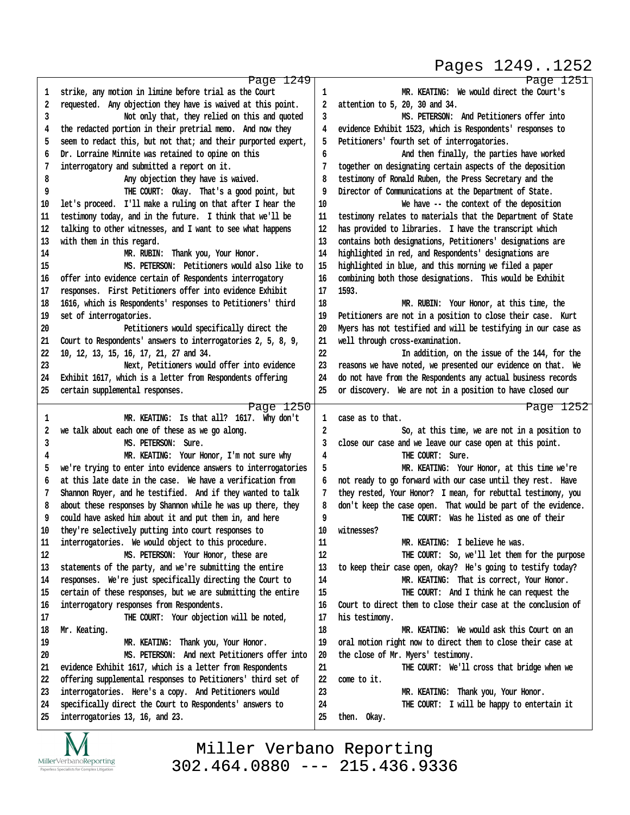# Pages 1249..1252

http://www.yeslaw.net/help

|                | Page 1249                                                                                   |             | Page 1251                                                     |
|----------------|---------------------------------------------------------------------------------------------|-------------|---------------------------------------------------------------|
| 1              | strike, any motion in limine before trial as the Court                                      | $\mathbf 1$ | MR. KEATING: We would direct the Court's                      |
| $\overline{2}$ | requested. Any objection they have is waived at this point.                                 | 2           | attention to 5, 20, 30 and 34.                                |
| 3              | Not only that, they relied on this and quoted                                               | 3           | MS. PETERSON: And Petitioners offer into                      |
| 4              | the redacted portion in their pretrial memo. And now they                                   | 4           | evidence Exhibit 1523, which is Respondents' responses to     |
| 5              | seem to redact this, but not that; and their purported expert,                              | 5           | Petitioners' fourth set of interrogatories.                   |
| 6              | Dr. Lorraine Minnite was retained to opine on this                                          | 6           | And then finally, the parties have worked                     |
| 7              | interrogatory and submitted a report on it.                                                 | 7           | together on designating certain aspects of the deposition     |
| 8              | Any objection they have is waived.                                                          | 8           | testimony of Ronald Ruben, the Press Secretary and the        |
| 9              | THE COURT: Okay. That's a good point, but                                                   | 9           | Director of Communications at the Department of State.        |
| 10             | let's proceed. I'll make a ruling on that after I hear the                                  | 10          | We have -- the context of the deposition                      |
| 11             | testimony today, and in the future. I think that we'll be                                   | 11          | testimony relates to materials that the Department of State   |
| 12             | talking to other witnesses, and I want to see what happens                                  | 12          | has provided to libraries. I have the transcript which        |
| 13             | with them in this regard.                                                                   | 13          | contains both designations, Petitioners' designations are     |
| 14             | MR. RUBIN: Thank you, Your Honor.                                                           | 14          | highlighted in red, and Respondents' designations are         |
| 15             | MS. PETERSON: Petitioners would also like to                                                | 15          | highlighted in blue, and this morning we filed a paper        |
| 16             | offer into evidence certain of Respondents interrogatory                                    | 16          | combining both those designations. This would be Exhibit      |
| 17             | responses. First Petitioners offer into evidence Exhibit                                    | 17          | 1593.                                                         |
| 18             | 1616, which is Respondents' responses to Petitioners' third                                 | 18          | MR. RUBIN: Your Honor, at this time, the                      |
| 19             | set of interrogatories.                                                                     | 19          | Petitioners are not in a position to close their case. Kurt   |
| 20             | Petitioners would specifically direct the                                                   | 20          | Myers has not testified and will be testifying in our case as |
| 21             | Court to Respondents' answers to interrogatories 2, 5, 8, 9,                                | 21          | well through cross-examination.                               |
| 22             | 10, 12, 13, 15, 16, 17, 21, 27 and 34.                                                      | 22          | In addition, on the issue of the 144, for the                 |
| 23             | Next, Petitioners would offer into evidence                                                 | 23          | reasons we have noted, we presented our evidence on that. We  |
| 24             | Exhibit 1617, which is a letter from Respondents offering                                   | 24          | do not have from the Respondents any actual business records  |
| 25             | certain supplemental responses.                                                             | 25          | or discovery. We are not in a position to have closed our     |
|                |                                                                                             |             |                                                               |
|                |                                                                                             |             |                                                               |
|                | Page 1250                                                                                   |             | Page 1252                                                     |
| 1              | MR. KEATING: Is that all? 1617. Why don't                                                   | 1           | case as to that.                                              |
| 2              | we talk about each one of these as we go along.                                             | 2           | So, at this time, we are not in a position to                 |
| 3              | MS. PETERSON: Sure.                                                                         | 3           | close our case and we leave our case open at this point.      |
| 4              | MR. KEATING: Your Honor, I'm not sure why                                                   | 4           | THE COURT: Sure.                                              |
| 5              | we're trying to enter into evidence answers to interrogatories                              | 5           | MR. KEATING: Your Honor, at this time we're                   |
| 6              | at this late date in the case. We have a verification from                                  | 6           | not ready to go forward with our case until they rest. Have   |
| 7              | Shannon Royer, and he testified. And if they wanted to talk                                 | 7           | they rested, Your Honor? I mean, for rebuttal testimony, you  |
| 8              | about these responses by Shannon while he was up there, they                                | 8           | don't keep the case open. That would be part of the evidence. |
| 9              | could have asked him about it and put them in, and here                                     | 9           | THE COURT: Was he listed as one of their                      |
| 10             | they're selectively putting into court responses to                                         | 10          | witnesses?                                                    |
| 11             | interrogatories. We would object to this procedure.                                         | 11          | MR. KEATING: I believe he was.                                |
| 12             | MS. PETERSON: Your Honor, these are                                                         | 12          | THE COURT: So, we'll let them for the purpose                 |
| 13             | statements of the party, and we're submitting the entire                                    | 13          | to keep their case open, okay? He's going to testify today?   |
| 14             | responses. We're just specifically directing the Court to                                   | 14          | MR. KEATING: That is correct, Your Honor.                     |
| 15             | certain of these responses, but we are submitting the entire                                | 15          | THE COURT: And I think he can request the                     |
| 16             | interrogatory responses from Respondents.                                                   | 16          | Court to direct them to close their case at the conclusion of |
| 17             | THE COURT: Your objection will be noted,                                                    | 17          | his testimony.                                                |
| 18             | Mr. Keating.                                                                                | 18          | MR. KEATING: We would ask this Court on an                    |
| 19             | MR. KEATING: Thank you, Your Honor.                                                         | 19          | oral motion right now to direct them to close their case at   |
| 20             | MS. PETERSON: And next Petitioners offer into                                               | 20          | the close of Mr. Myers' testimony.                            |
| 21             | evidence Exhibit 1617, which is a letter from Respondents                                   | 21          | THE COURT: We'll cross that bridge when we                    |
| 22             | offering supplemental responses to Petitioners' third set of                                | 22          | come to it.                                                   |
| 23             | interrogatories. Here's a copy. And Petitioners would                                       | 23          | MR. KEATING: Thank you, Your Honor.                           |
| 24<br>25       | specifically direct the Court to Respondents' answers to<br>interrogatories 13, 16, and 23. | 24<br>25    | THE COURT: I will be happy to entertain it<br>then. Okay.     |

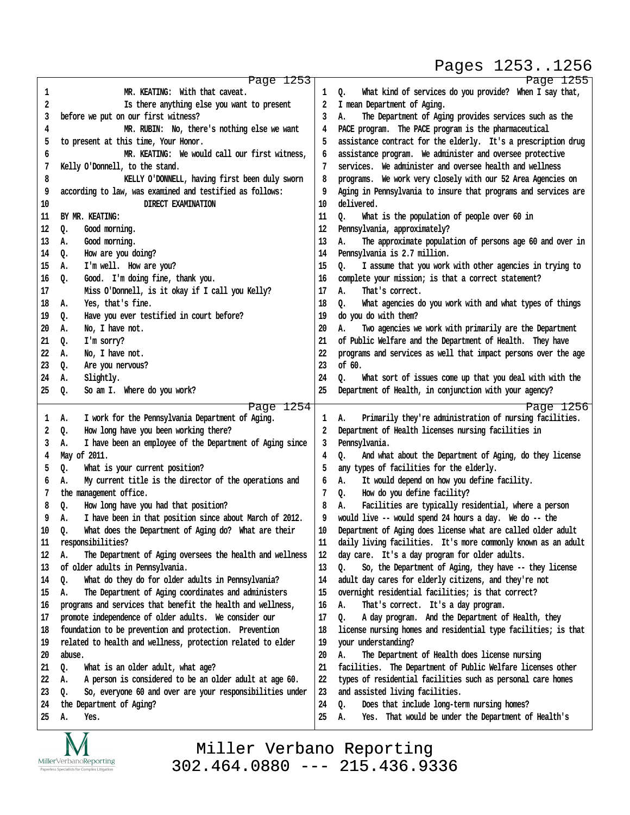#### Pages 1253..1256

|                  | Page 1253                                                           |          | Page 1255                                                                                                        |
|------------------|---------------------------------------------------------------------|----------|------------------------------------------------------------------------------------------------------------------|
| 1                | MR. KEATING: With that caveat.                                      | 1        | What kind of services do you provide? When I say that,<br>0.                                                     |
| 2                | Is there anything else you want to present                          | 2        | I mean Department of Aging.                                                                                      |
| 3                | before we put on our first witness?                                 | 3        | The Department of Aging provides services such as the<br>А.                                                      |
| 4                | MR. RUBIN: No, there's nothing else we want                         | 4        | PACE program. The PACE program is the pharmaceutical                                                             |
| 5                | to present at this time, Your Honor.                                | 5        | assistance contract for the elderly. It's a prescription drug                                                    |
| 6                | MR. KEATING: We would call our first witness,                       | 6        | assistance program. We administer and oversee protective                                                         |
| 7                | Kelly O'Donnell, to the stand.                                      | 7        | services. We administer and oversee health and wellness                                                          |
| 8                | KELLY O'DONNELL, having first been duly sworn                       | 8        | programs. We work very closely with our 52 Area Agencies on                                                      |
| 9                | according to law, was examined and testified as follows:            | 9        | Aging in Pennsylvania to insure that programs and services are                                                   |
| 10               | DIRECT EXAMINATION                                                  | 10       | delivered.                                                                                                       |
| $11\phantom{.0}$ | BY MR. KEATING:                                                     | 11       | What is the population of people over 60 in<br>Q.                                                                |
| 12               | Q.<br>Good morning.                                                 | 12       | Pennsylvania, approximately?                                                                                     |
| 13               | Good morning.<br>А.                                                 | 13       | The approximate population of persons age 60 and over in<br>А.                                                   |
| 14               | How are you doing?<br>Q.                                            | 14       | Pennsylvania is 2.7 million.                                                                                     |
| 15               | I'm well. How are you?<br>А.                                        | 15       | I assume that you work with other agencies in trying to<br>Q.                                                    |
| 16               | Good. I'm doing fine, thank you.<br>Q.                              | 16       | complete your mission; is that a correct statement?                                                              |
| 17               | Miss O'Donnell, is it okay if I call you Kelly?                     | 17       | That's correct.<br>А.                                                                                            |
| 18               | Yes, that's fine.<br>А.                                             | 18       | Q.<br>What agencies do you work with and what types of things                                                    |
| 19               | Have you ever testified in court before?<br>Q.                      | 19       | do you do with them?                                                                                             |
| 20               | No, I have not.<br>А.                                               | 20       | Two agencies we work with primarily are the Department<br>А.                                                     |
| 21               | I'm sorry?<br>Q.                                                    | 21       | of Public Welfare and the Department of Health. They have                                                        |
| 22               | No, I have not.<br>А.                                               | 22       | programs and services as well that impact persons over the age                                                   |
| 23               | Are you nervous?<br>Q.                                              | 23       | of 60.                                                                                                           |
| 24               | Slightly.<br>А.                                                     | 24       | What sort of issues come up that you deal with with the<br>0.                                                    |
| 25               | So am I. Where do you work?<br>Q.                                   | 25       | Department of Health, in conjunction with your agency?                                                           |
|                  |                                                                     |          |                                                                                                                  |
| 1                | Page 1254<br>I work for the Pennsylvania Department of Aging.<br>А. | 1        | Page 1256<br>Primarily they're administration of nursing facilities.<br>А.                                       |
| 2                | How long have you been working there?<br>Q.                         | 2        | Department of Health licenses nursing facilities in                                                              |
| 3                | I have been an employee of the Department of Aging since<br>А.      | 3        | Pennsylvania.                                                                                                    |
| 4                | May of 2011.                                                        | 4        | And what about the Department of Aging, do they license<br>Q.                                                    |
| 5                | Q.<br>What is your current position?                                | 5        | any types of facilities for the elderly.                                                                         |
| 6                | My current title is the director of the operations and<br>А.        | 6        | It would depend on how you define facility.<br>А.                                                                |
| 7                | the management office.                                              | 7        | How do you define facility?<br>Q.                                                                                |
| 8                | How long have you had that position?<br>Q.                          | 8        | Facilities are typically residential, where a person<br>Α.                                                       |
| 9                | I have been in that position since about March of 2012.<br>А.       | 9        | would live -- would spend 24 hours a day. We do -- the                                                           |
| 10               | What does the Department of Aging do? What are their<br>Q.          |          |                                                                                                                  |
|                  |                                                                     |          |                                                                                                                  |
|                  |                                                                     | 10       | Department of Aging does license what are called older adult                                                     |
| $11\,$           | responsibilities?                                                   | $11\,$   | daily living facilities. It's more commonly known as an adult                                                    |
| $12\,$           | А.<br>The Department of Aging oversees the health and wellness      | 12       | day care. It's a day program for older adults.                                                                   |
| 13               | of older adults in Pennsylvania.                                    | 13       | So, the Department of Aging, they have -- they license<br>Q.                                                     |
| 14               | What do they do for older adults in Pennsylvania?<br>Q.             | 14       | adult day cares for elderly citizens, and they're not                                                            |
| 15               | The Department of Aging coordinates and administers<br>А.           | 15       | overnight residential facilities; is that correct?                                                               |
| 16               | programs and services that benefit the health and wellness,         | 16       | А.<br>That's correct. It's a day program.                                                                        |
| 17               | promote independence of older adults. We consider our               | 17       | A day program. And the Department of Health, they<br>Q.                                                          |
| 18               | foundation to be prevention and protection. Prevention              | 18       | license nursing homes and residential type facilities; is that                                                   |
| 19               | related to health and wellness, protection related to elder         | 19       | your understanding?                                                                                              |
| 20               | abuse.                                                              | 20       | The Department of Health does license nursing<br>А.                                                              |
| 21               | What is an older adult, what age?<br>Q.                             | 21       | facilities. The Department of Public Welfare licenses other                                                      |
| 22               | A person is considered to be an older adult at age 60.<br>А.        | 22       | types of residential facilities such as personal care homes                                                      |
| 23               | So, everyone 60 and over are your responsibilities under<br>0.      | 23       | and assisted living facilities.                                                                                  |
| 24<br>25         | the Department of Aging?<br>А.<br>Yes.                              | 24<br>25 | Does that include long-term nursing homes?<br>Q.<br>That would be under the Department of Health's<br>А.<br>Yes. |



Miller Verbano Reporting [302.464.0880 --- 215.436.9336](http://www.miller-verbano.com) http://www.yeslaw.net/help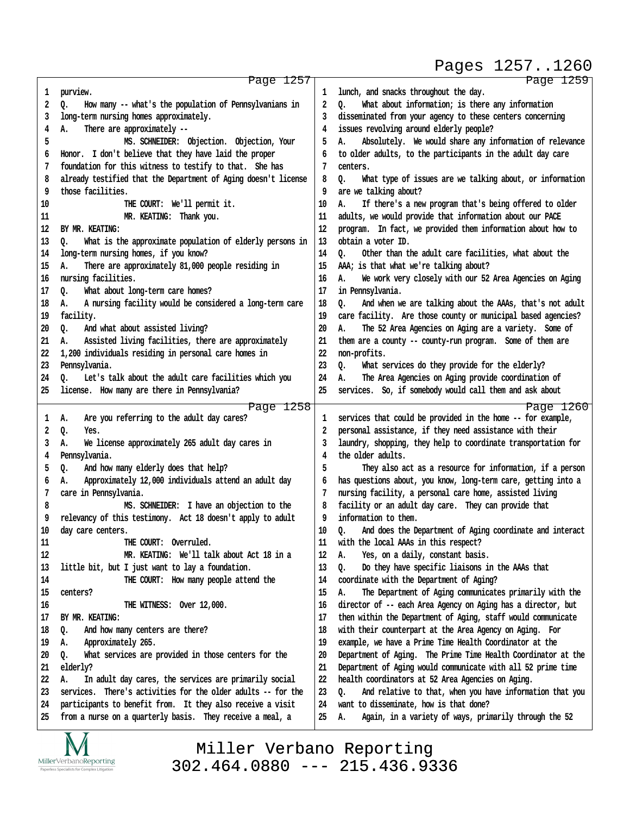Pages 1257..1260

|          | Page 1257                                                                                                               |          | Page 1259                                                                                             |
|----------|-------------------------------------------------------------------------------------------------------------------------|----------|-------------------------------------------------------------------------------------------------------|
| 1        | purview.                                                                                                                | 1        | lunch, and snacks throughout the day.                                                                 |
| 2        | How many -- what's the population of Pennsylvanians in<br>Q.                                                            | 2        | What about information; is there any information<br>Q.                                                |
| 3        | long-term nursing homes approximately.                                                                                  | 3        | disseminated from your agency to these centers concerning                                             |
| 4        | There are approximately --<br>А.                                                                                        | 4        | issues revolving around elderly people?                                                               |
| 5        | MS. SCHNEIDER: Objection. Objection, Your                                                                               | 5        | Absolutely. We would share any information of relevance<br>А.                                         |
| 6        | Honor. I don't believe that they have laid the proper                                                                   | 6        | to older adults, to the participants in the adult day care                                            |
| 7        | foundation for this witness to testify to that. She has                                                                 | 7        | centers.                                                                                              |
| 8        | already testified that the Department of Aging doesn't license                                                          | 8        | What type of issues are we talking about, or information<br>o.                                        |
| 9        | those facilities.                                                                                                       | 9        | are we talking about?                                                                                 |
| 10       | THE COURT: We'll permit it.                                                                                             | 10       | If there's a new program that's being offered to older<br>Α.                                          |
| 11       | MR. KEATING: Thank you.                                                                                                 | 11       | adults, we would provide that information about our PACE                                              |
| 12       | BY MR. KEATING:                                                                                                         | 12       | program. In fact, we provided them information about how to                                           |
| 13       | What is the approximate population of elderly persons in<br>Q.                                                          | 13       | obtain a voter ID.                                                                                    |
| 14       | long-term nursing homes, if you know?                                                                                   | 14       | Other than the adult care facilities, what about the<br>٥.                                            |
| 15       | There are approximately 81,000 people residing in<br>Α.                                                                 | 15       | AAA; is that what we're talking about?                                                                |
| 16       | nursing facilities.                                                                                                     | 16       | We work very closely with our 52 Area Agencies on Aging<br>А.                                         |
| 17       | What about long-term care homes?<br>Q.                                                                                  | 17       | in Pennsylvania.                                                                                      |
| 18       | A nursing facility would be considered a long-term care<br>А.                                                           | 18       | And when we are talking about the AAAs, that's not adult<br>o.                                        |
| 19       | facility.                                                                                                               | 19       | care facility. Are those county or municipal based agencies?                                          |
| 20       | And what about assisted living?<br>o.                                                                                   | 20       | The 52 Area Agencies on Aging are a variety. Some of<br>А.                                            |
| 21       | Assisted living facilities, there are approximately<br>А.                                                               | 21       | them are a county -- county-run program. Some of them are                                             |
| 22       | 1,200 individuals residing in personal care homes in                                                                    | 22       | non-profits.                                                                                          |
| 23       | Pennsylvania.                                                                                                           | 23       | What services do they provide for the elderly?<br>o.                                                  |
| 24       | Let's talk about the adult care facilities which you<br>о.                                                              | 24       | The Area Agencies on Aging provide coordination of<br>Α.                                              |
| 25       | license. How many are there in Pennsylvania?                                                                            | 25       | services. So, if somebody would call them and ask about                                               |
|          |                                                                                                                         |          |                                                                                                       |
|          |                                                                                                                         |          |                                                                                                       |
|          | Page 1258                                                                                                               |          | Page 1260                                                                                             |
| 1        | Are you referring to the adult day cares?<br>Α.                                                                         | 1        | services that could be provided in the home -- for example,                                           |
| 2        | Q.<br>Yes.                                                                                                              | 2        | personal assistance, if they need assistance with their                                               |
| 3        | We license approximately 265 adult day cares in<br>А.                                                                   | 3        | laundry, shopping, they help to coordinate transportation for                                         |
| 4        | Pennsylvania.                                                                                                           | 4        | the older adults.                                                                                     |
| 5        | And how many elderly does that help?<br>Q.                                                                              | 5        | They also act as a resource for information, if a person                                              |
| 6        | Approximately 12,000 individuals attend an adult day<br>А.                                                              | 6        | has questions about, you know, long-term care, getting into a                                         |
| 7        | care in Pennsylvania.                                                                                                   | 7        | nursing facility, a personal care home, assisted living                                               |
| 8        | MS. SCHNEIDER: I have an objection to the                                                                               | 8        | facility or an adult day care. They can provide that                                                  |
| 9        | relevancy of this testimony. Act 18 doesn't apply to adult                                                              | 9        | information to them.                                                                                  |
| 10       | day care centers.                                                                                                       | 10       | And does the Department of Aging coordinate and interact<br>Q.                                        |
| 11       | THE COURT: Overruled.                                                                                                   | 11       | with the local AAAs in this respect?                                                                  |
| 12       | MR. KEATING: We'll talk about Act 18 in a                                                                               | 12       | Yes, on a daily, constant basis.<br>А.                                                                |
| 13       | little bit, but I just want to lay a foundation.                                                                        | 13       | Do they have specific liaisons in the AAAs that<br>Q.                                                 |
| 14       | THE COURT: How many people attend the                                                                                   | 14       | coordinate with the Department of Aging?                                                              |
| 15       | centers?                                                                                                                | 15       | The Department of Aging communicates primarily with the<br>А.                                         |
| 16       | THE WITNESS: Over 12,000.                                                                                               | 16       | director of -- each Area Agency on Aging has a director, but                                          |
| 17       | BY MR. KEATING:                                                                                                         | 17       | then within the Department of Aging, staff would communicate                                          |
| 18       | And how many centers are there?<br>Q.                                                                                   | 18       | with their counterpart at the Area Agency on Aging. For                                               |
| 19       | А.<br>Approximately 265.                                                                                                | 19       | example, we have a Prime Time Health Coordinator at the                                               |
| 20       | What services are provided in those centers for the<br>Q.                                                               | 20       | Department of Aging. The Prime Time Health Coordinator at the                                         |
| 21       | elderly?                                                                                                                | 21       | Department of Aging would communicate with all 52 prime time                                          |
| 22       | In adult day cares, the services are primarily social<br>А.                                                             | 22       | health coordinators at 52 Area Agencies on Aging.                                                     |
| 23       | services. There's activities for the older adults -- for the                                                            | 23       | And relative to that, when you have information that you<br>o.                                        |
| 24<br>25 | participants to benefit from. It they also receive a visit<br>from a nurse on a quarterly basis. They receive a meal, a | 24<br>25 | want to disseminate, how is that done?<br>Again, in a variety of ways, primarily through the 52<br>А. |

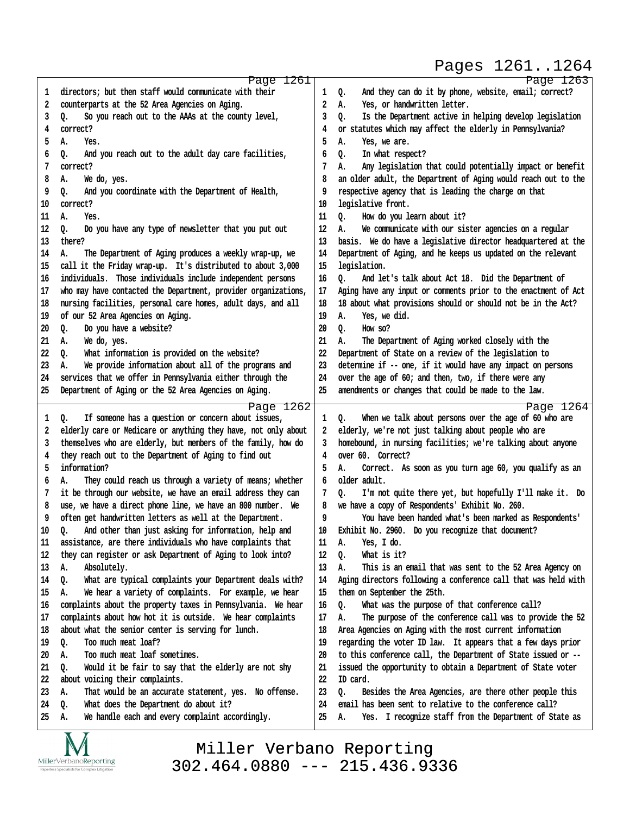Pages 1261..1264

http://www.yeslaw.net/help

www.yeslaw.net/help

|          | Page 1261                                                                                            |          | Page 1263                                                                                                               |
|----------|------------------------------------------------------------------------------------------------------|----------|-------------------------------------------------------------------------------------------------------------------------|
| 1        | directors; but then staff would communicate with their                                               | 1        | And they can do it by phone, website, email; correct?<br>Q.                                                             |
| 2        | counterparts at the 52 Area Agencies on Aging.                                                       | 2        | Yes, or handwritten letter.<br>А.                                                                                       |
| 3        | So you reach out to the AAAs at the county level,<br>Q.                                              | 3        | Is the Department active in helping develop legislation<br>0.                                                           |
| 4        | correct?                                                                                             | 4        | or statutes which may affect the elderly in Pennsylvania?                                                               |
| 5        | А.<br>Yes.                                                                                           | 5        | Yes, we are.<br>А.                                                                                                      |
| 6        | And you reach out to the adult day care facilities,<br>Q.                                            | 6        | 0.<br>In what respect?                                                                                                  |
| 7        | correct?                                                                                             | 7        | Any legislation that could potentially impact or benefit<br>А.                                                          |
| 8        | А.<br>We do, yes.                                                                                    | 8        | an older adult, the Department of Aging would reach out to the                                                          |
| 9        | And you coordinate with the Department of Health,<br>Q.                                              | 9        | respective agency that is leading the charge on that                                                                    |
| 10       | correct?                                                                                             | 10       | legislative front.                                                                                                      |
| 11       | А.<br>Yes.                                                                                           | 11       | 0.<br>How do you learn about it?                                                                                        |
| 12       | Do you have any type of newsletter that you put out<br>Q.                                            | 12       | We communicate with our sister agencies on a regular<br>А.                                                              |
| 13       | there?                                                                                               | 13       | basis. We do have a legislative director headquartered at the                                                           |
| 14       | The Department of Aging produces a weekly wrap-up, we<br>А.                                          | 14       | Department of Aging, and he keeps us updated on the relevant                                                            |
| 15       | call it the Friday wrap-up. It's distributed to about 3,000                                          | 15       | legislation.                                                                                                            |
| 16       | individuals. Those individuals include independent persons                                           | 16       | 0.<br>And let's talk about Act 18. Did the Department of                                                                |
| 17       | who may have contacted the Department, provider organizations,                                       | 17       | Aging have any input or comments prior to the enactment of Act                                                          |
| 18       | nursing facilities, personal care homes, adult days, and all                                         | 18       | 18 about what provisions should or should not be in the Act?                                                            |
| 19       | of our 52 Area Agencies on Aging.                                                                    | 19       | Yes, we did.<br>А.                                                                                                      |
| 20       | Do you have a website?<br>Q.                                                                         | 20       | 0.<br>How so?                                                                                                           |
| 21       | We do, yes.<br>А.                                                                                    | 21       | А.<br>The Department of Aging worked closely with the                                                                   |
| 22       | What information is provided on the website?<br>o.                                                   | 22       | Department of State on a review of the legislation to                                                                   |
| 23       | We provide information about all of the programs and<br>А.                                           | 23       | determine if -- one, if it would have any impact on persons                                                             |
| 24       | services that we offer in Pennsylvania either through the                                            | 24       | over the age of 60; and then, two, if there were any                                                                    |
| 25       | Department of Aging or the 52 Area Agencies on Aging.                                                | 25       | amendments or changes that could be made to the law.                                                                    |
|          |                                                                                                      |          |                                                                                                                         |
|          | Page 1262                                                                                            |          | Page 1264                                                                                                               |
| 1        | If someone has a question or concern about issues,<br>Q.                                             | 1        | When we talk about persons over the age of 60 who are<br>o.                                                             |
| 2        | elderly care or Medicare or anything they have, not only about                                       | 2        | elderly, we're not just talking about people who are                                                                    |
| 3        | themselves who are elderly, but members of the family, how do                                        | 3        | homebound, in nursing facilities; we're talking about anyone                                                            |
| 4        | they reach out to the Department of Aging to find out                                                | 4        | over 60. Correct?                                                                                                       |
| 5        | information?                                                                                         | 5        | Correct. As soon as you turn age 60, you qualify as an<br>А.                                                            |
| 6        | They could reach us through a variety of means; whether<br>А.                                        | 6        | older adult.                                                                                                            |
| 7        | it be through our website, we have an email address they can                                         | 7        | I'm not quite there yet, but hopefully I'll make it. Do<br>Q.                                                           |
| 8        | use, we have a direct phone line, we have an 800 number. We                                          | 8        | we have a copy of Respondents' Exhibit No. 260.                                                                         |
| 9        | often get handwritten letters as well at the Department.                                             | 9        | You have been handed what's been marked as Respondents'                                                                 |
| 10       | And other than just asking for information, help and<br>٥.                                           | 10       | Exhibit No. 2960. Do you recognize that document?                                                                       |
| 11       | assistance, are there individuals who have complaints that                                           | 11       | Yes, I do.<br>А.                                                                                                        |
| 12       | they can register or ask Department of Aging to look into?                                           | 12       | Q.<br>What is it?                                                                                                       |
| 13       | Absolutely.<br>А.                                                                                    | 13       | Α.<br>This is an email that was sent to the 52 Area Agency on                                                           |
| 14       | What are typical complaints your Department deals with?<br>Q.                                        | 14       | Aging directors following a conference call that was held with                                                          |
| 15       | We hear a variety of complaints. For example, we hear<br>А.                                          | 15       | them on September the 25th.                                                                                             |
| 16       | complaints about the property taxes in Pennsylvania. We hear                                         | 16       | What was the purpose of that conference call?<br>Q.                                                                     |
| 17       | complaints about how hot it is outside. We hear complaints                                           | 17       | The purpose of the conference call was to provide the 52<br>А.                                                          |
| 18       | about what the senior center is serving for lunch.                                                   | 18       | Area Agencies on Aging with the most current information                                                                |
| 19       | Too much meat loaf?<br>Q.                                                                            | 19       | regarding the voter ID law. It appears that a few days prior                                                            |
| 20       | Too much meat loaf sometimes.<br>А.                                                                  | 20       | to this conference call, the Department of State issued or --                                                           |
| 21       | Would it be fair to say that the elderly are not shy<br>Q.                                           | 21       | issued the opportunity to obtain a Department of State voter                                                            |
| 22       | about voicing their complaints.                                                                      | 22       | ID card.                                                                                                                |
| 23       | That would be an accurate statement, yes. No offense.<br>А.                                          | 23<br>24 | Besides the Area Agencies, are there other people this<br>Q.<br>email has been sent to relative to the conference call? |
| 24<br>25 | What does the Department do about it?<br>Q.<br>We handle each and every complaint accordingly.<br>А. | 25       | Yes. I recognize staff from the Department of State as<br>А.                                                            |
|          |                                                                                                      |          |                                                                                                                         |

Miller Verbano Reporting [302.464.0880 --- 215.436.9336](http://www.miller-verbano.com)

**IVI**  $\underset{\text{Paperless Specialists for Complex Litigation}}{\text{MillerVerbanoReporting}}$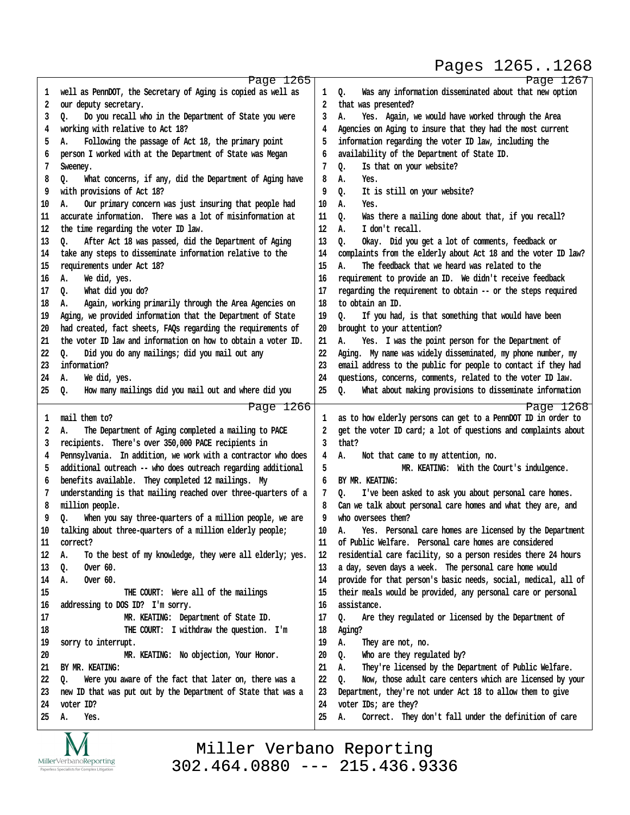Pages 1265..1268

http://www.yeslaw.net/help

www.yeslaw.net/help

|          | Page 1265                                                      |          | Page 1267                                                      |
|----------|----------------------------------------------------------------|----------|----------------------------------------------------------------|
| 1        | well as PennDOT, the Secretary of Aging is copied as well as   | 1        | Was any information disseminated about that new option<br>Q.   |
| 2        | our deputy secretary.                                          | 2        | that was presented?                                            |
| 3        | Do you recall who in the Department of State you were<br>о.    | 3        | Yes. Again, we would have worked through the Area<br>А.        |
| 4        | working with relative to Act 18?                               | 4        | Agencies on Aging to insure that they had the most current     |
| 5        | Following the passage of Act 18, the primary point<br>А.       | 5        | information regarding the voter ID law, including the          |
| 6        | person I worked with at the Department of State was Megan      | 6        | availability of the Department of State ID.                    |
| 7        | Sweeney.                                                       | 7        | Is that on your website?<br>Q.                                 |
| 8        | What concerns, if any, did the Department of Aging have<br>Q.  | 8        | А.<br>Yes.                                                     |
| 9        | with provisions of Act 18?                                     | 9        | It is still on your website?<br>Q.                             |
| 10       | Our primary concern was just insuring that people had<br>А.    | 10       | А.<br>Yes.                                                     |
|          | accurate information. There was a lot of misinformation at     |          |                                                                |
| 11       |                                                                | 11       | Was there a mailing done about that, if you recall?<br>o.      |
| 12       | the time regarding the voter ID law.                           | 12       | I don't recall.<br>А.                                          |
| 13       | After Act 18 was passed, did the Department of Aging<br>Q.     | 13       | o.<br>Okay. Did you get a lot of comments, feedback or         |
| 14       | take any steps to disseminate information relative to the      | 14       | complaints from the elderly about Act 18 and the voter ID law? |
| 15       | requirements under Act 18?                                     | 15       | А.<br>The feedback that we heard was related to the            |
| 16       | We did, yes.<br>А.                                             | 16       | requirement to provide an ID. We didn't receive feedback       |
| 17       | What did you do?<br>0.                                         | 17       | regarding the requirement to obtain -- or the steps required   |
| 18       | Again, working primarily through the Area Agencies on<br>А.    | 18       | to obtain an ID.                                               |
| 19       | Aging, we provided information that the Department of State    | 19       | o.<br>If you had, is that something that would have been       |
| 20       | had created, fact sheets, FAQs regarding the requirements of   | 20       | brought to your attention?                                     |
| 21       | the voter ID law and information on how to obtain a voter ID.  | 21       | А.<br>Yes. I was the point person for the Department of        |
| 22       | Did you do any mailings; did you mail out any<br>о.            | 22       | Aging. My name was widely disseminated, my phone number, my    |
| 23       | information?                                                   | 23       | email address to the public for people to contact if they had  |
| 24       | We did, yes.<br>А.                                             | 24       | questions, concerns, comments, related to the voter ID law.    |
| 25       | How many mailings did you mail out and where did you<br>Q.     | 25       | What about making provisions to disseminate information<br>Q.  |
|          | Page 1266                                                      |          | Page 1268                                                      |
| 1        | mail them to?                                                  | 1        | as to how elderly persons can get to a PennDOT ID in order to  |
| 2        | The Department of Aging completed a mailing to PACE<br>А.      | 2        | get the voter ID card; a lot of questions and complaints about |
| 3        | recipients. There's over 350,000 PACE recipients in            | 3        | that?                                                          |
| 4        | Pennsylvania. In addition, we work with a contractor who does  | 4        | Not that came to my attention, no.<br>А.                       |
| 5        | additional outreach -- who does outreach regarding additional  | 5        | MR. KEATING: With the Court's indulgence.                      |
| 6        | benefits available. They completed 12 mailings. My             | 6        | BY MR. KEATING:                                                |
| 7        | understanding is that mailing reached over three-quarters of a | 7        | I've been asked to ask you about personal care homes.<br>o.    |
| 8        | million people.                                                | 8        | Can we talk about personal care homes and what they are, and   |
| 9        | When you say three-quarters of a million people, we are<br>o.  | 9        | who oversees them?                                             |
| 10       | talking about three-quarters of a million elderly people;      | 10       | Yes. Personal care homes are licensed by the Department<br>А.  |
| 11       | correct?                                                       | 11       | of Public Welfare. Personal care homes are considered          |
| 12       | To the best of my knowledge, they were all elderly; yes.<br>А. | 12       | residential care facility, so a person resides there 24 hours  |
| 13       | Over 60.<br>Q.                                                 | 13       | a day, seven days a week. The personal care home would         |
| 14       | Over $60.$<br>А.                                               | 14       | provide for that person's basic needs, social, medical, all of |
| 15       | THE COURT: Were all of the mailings                            | 15       | their meals would be provided, any personal care or personal   |
| 16       | addressing to DOS ID? I'm sorry.                               | 16       | assistance.                                                    |
| 17       | MR. KEATING: Department of State ID.                           | 17       | Are they regulated or licensed by the Department of<br>Q.      |
| 18       |                                                                | 18       | Aging?                                                         |
|          | THE COURT: I withdraw the question. I'm                        |          |                                                                |
| 19<br>20 | sorry to interrupt.                                            | 19<br>20 | А.<br>They are not, no.<br>Who are they regulated by?          |
|          | MR. KEATING: No objection, Your Honor.                         |          | Q.                                                             |
| 21       | BY MR. KEATING:                                                | 21       | They're licensed by the Department of Public Welfare.<br>А.    |
| 22       | Were you aware of the fact that later on, there was a<br>Q.    | 22       | Now, those adult care centers which are licensed by your<br>o. |
| 23       | new ID that was put out by the Department of State that was a  | 23       | Department, they're not under Act 18 to allow them to give     |
| 24       | voter ID?                                                      | 24       | voter IDs; are they?                                           |
| 25       | Yes.<br>А.                                                     | 25       | Correct. They don't fall under the definition of care<br>А.    |
|          |                                                                |          |                                                                |

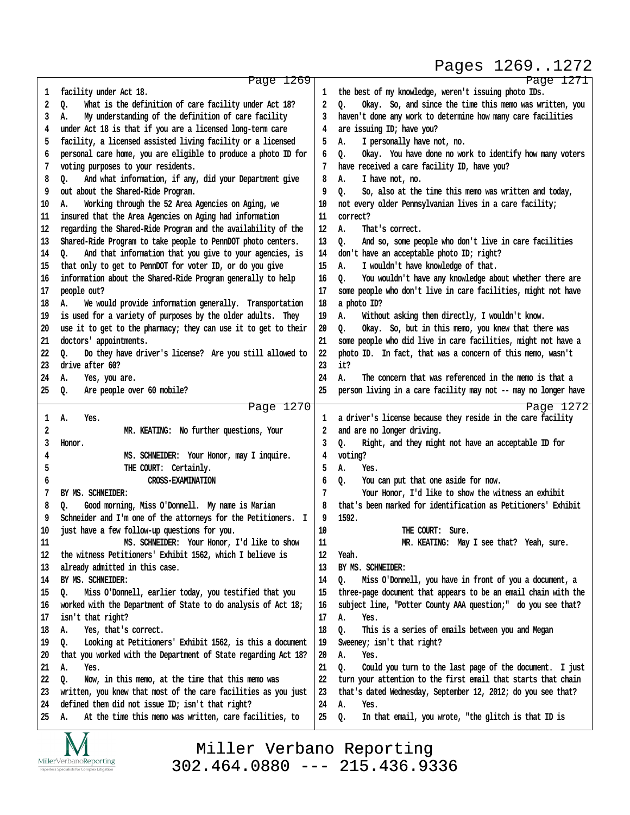#### Pages 1269..1272

http://www.yeslaw.net/help

http://www.yeslaw.net/help

|    | Page 1269                                                        |    |                                                                   |
|----|------------------------------------------------------------------|----|-------------------------------------------------------------------|
| 1  | facility under Act 18.                                           | 1  | Page 1271<br>the best of my knowledge, weren't issuing photo IDs. |
| 2  | What is the definition of care facility under Act 18?<br>Q.      | 2  | Okay. So, and since the time this memo was written, you<br>Q.     |
| 3  | My understanding of the definition of care facility<br>А.        | 3  | haven't done any work to determine how many care facilities       |
| 4  | under Act 18 is that if you are a licensed long-term care        | 4  | are issuing ID; have you?                                         |
| 5  | facility, a licensed assisted living facility or a licensed      | 5  | А.                                                                |
|    |                                                                  |    | I personally have not, no.                                        |
| 6  | personal care home, you are eligible to produce a photo ID for   | 6  | Okay. You have done no work to identify how many voters<br>o.     |
| 7  | voting purposes to your residents.                               | 7  | have received a care facility ID, have you?                       |
| 8  | And what information, if any, did your Department give<br>o.     | 8  | I have not, no.<br>А.                                             |
| 9  | out about the Shared-Ride Program.                               | 9  | So, also at the time this memo was written and today,<br>٥.       |
| 10 | Working through the 52 Area Agencies on Aging, we<br>А.          | 10 | not every older Pennsylvanian lives in a care facility;           |
| 11 | insured that the Area Agencies on Aging had information          | 11 | correct?                                                          |
| 12 | regarding the Shared-Ride Program and the availability of the    | 12 | А.<br>That's correct.                                             |
| 13 | Shared-Ride Program to take people to PennDOT photo centers.     | 13 | And so, some people who don't live in care facilities<br>о.       |
| 14 | And that information that you give to your agencies, is<br>ο.    | 14 | don't have an acceptable photo ID; right?                         |
| 15 | that only to get to PennDOT for voter ID, or do you give         | 15 | I wouldn't have knowledge of that.<br>А.                          |
| 16 | information about the Shared-Ride Program generally to help      | 16 | You wouldn't have any knowledge about whether there are<br>0.     |
| 17 | people out?                                                      | 17 | some people who don't live in care facilities, might not have     |
| 18 | We would provide information generally. Transportation<br>А.     | 18 | a photo ID?                                                       |
| 19 | is used for a variety of purposes by the older adults. They      | 19 | Without asking them directly, I wouldn't know.<br>А.              |
| 20 | use it to get to the pharmacy; they can use it to get to their   | 20 | Okay. So, but in this memo, you knew that there was<br>Q.         |
| 21 | doctors' appointments.                                           | 21 | some people who did live in care facilities, might not have a     |
| 22 | Do they have driver's license? Are you still allowed to<br>о.    | 22 | photo ID. In fact, that was a concern of this memo, wasn't        |
| 23 | drive after 60?                                                  | 23 | it?                                                               |
| 24 | А.<br>Yes, you are.                                              | 24 | The concern that was referenced in the memo is that a<br>Α.       |
| 25 | Q.<br>Are people over 60 mobile?                                 | 25 | person living in a care facility may not -- may no longer have    |
|    |                                                                  |    |                                                                   |
|    |                                                                  |    |                                                                   |
|    | Page 1270                                                        |    | Page 1272                                                         |
| 1  | Yes.<br>А.                                                       | 1  | a driver's license because they reside in the care facility       |
| 2  | MR. KEATING: No further questions, Your                          | 2  | and are no longer driving.                                        |
| 3  | Honor.                                                           | 3  | Right, and they might not have an acceptable ID for<br>Q.         |
| 4  | MS. SCHNEIDER: Your Honor, may I inquire.                        | 4  | voting?                                                           |
| 5  | THE COURT: Certainly.                                            | 5  | А.<br>Yes.                                                        |
| 6  | <b>CROSS-EXAMINATION</b>                                         | 6  | You can put that one aside for now.<br>Q.                         |
| 7  | BY MS. SCHNEIDER:                                                | 7  | Your Honor, I'd like to show the witness an exhibit               |
| 8  | Good morning, Miss O'Donnell. My name is Marian<br>о.            | 8  | that's been marked for identification as Petitioners' Exhibit     |
| 9  | Schneider and I'm one of the attorneys for the Petitioners.<br>I | 9  | 1592.                                                             |
| 10 | just have a few follow-up questions for you.                     | 10 | THE COURT:<br>Sure                                                |
| 11 | MS. SCHNEIDER: Your Honor, I'd like to show                      | 11 | MR. KEATING: May I see that? Yeah, sure.                          |
| 12 | the witness Petitioners' Exhibit 1562, which I believe is        | 12 | Yeah.                                                             |
| 13 | already admitted in this case.                                   | 13 | BY MS. SCHNEIDER:                                                 |
| 14 | BY MS. SCHNEIDER:                                                | 14 | Miss O'Donnell, you have in front of you a document, a<br>o.      |
| 15 | Miss O'Donnell, earlier today, you testified that you<br>o.      | 15 | three-page document that appears to be an email chain with the    |
| 16 | worked with the Department of State to do analysis of Act 18;    | 16 | subject line, "Potter County AAA question;" do you see that?      |
| 17 | isn't that right?                                                | 17 | А.<br>Yes.                                                        |
| 18 | Yes, that's correct.<br>А.                                       | 18 | This is a series of emails between you and Megan<br>Q.            |
| 19 | Looking at Petitioners' Exhibit 1562, is this a document<br>о.   | 19 | Sweeney; isn't that right?                                        |
| 20 | that you worked with the Department of State regarding Act 18?   | 20 | А.<br>Yes.                                                        |
| 21 | А.<br>Yes.                                                       | 21 | Could you turn to the last page of the document. I just<br>о.     |
| 22 | Now, in this memo, at the time that this memo was<br>о.          | 22 | turn your attention to the first email that starts that chain     |
| 23 | written, you knew that most of the care facilities as you just   | 23 | that's dated Wednesday, September 12, 2012; do you see that?      |
| 24 | defined them did not issue ID; isn't that right?                 | 24 | А.<br>Yes.                                                        |
| 25 | At the time this memo was written, care facilities, to<br>А.     | 25 | In that email, you wrote, "the glitch is that ID is<br>Q.         |

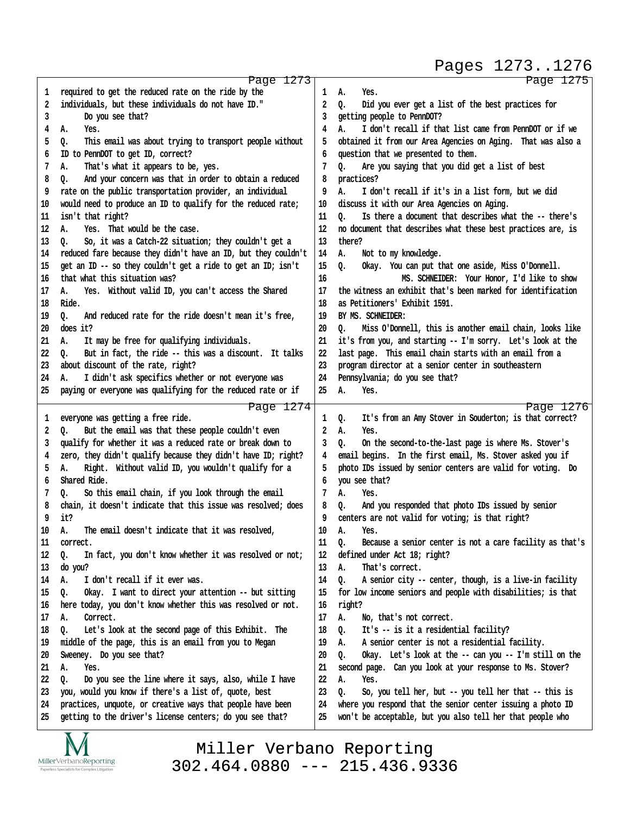Pages 1273..1276

http://www.yeslaw.net/help

http://www.yeslaw.net/help

|    | Page 1273                                                      |    | Page 1275                                                      |
|----|----------------------------------------------------------------|----|----------------------------------------------------------------|
| 1  | required to get the reduced rate on the ride by the            | 1  | А.<br>Yes.                                                     |
| 2  | individuals, but these individuals do not have ID."            | 2  | Did you ever get a list of the best practices for<br>Q.        |
| 3  | Do you see that?                                               | 3  | getting people to PennDOT?                                     |
| 4  | Yes.<br>А.                                                     | 4  | I don't recall if that list came from PennDOT or if we<br>А.   |
| 5  | This email was about trying to transport people without<br>Q.  | 5  | obtained it from our Area Agencies on Aging. That was also a   |
| 6  | ID to PennDOT to get ID, correct?                              | 6  | question that we presented to them.                            |
| 7  | That's what it appears to be, yes.<br>А.                       | 7  | Are you saying that you did get a list of best<br>Q.           |
| 8  | And your concern was that in order to obtain a reduced         | 8  | practices?                                                     |
|    | Q.                                                             |    |                                                                |
| 9  | rate on the public transportation provider, an individual      | 9  | I don't recall if it's in a list form, but we did<br>А.        |
| 10 | would need to produce an ID to qualify for the reduced rate;   | 10 | discuss it with our Area Agencies on Aging.                    |
| 11 | isn't that right?                                              | 11 | Is there a document that describes what the -- there's<br>0.   |
| 12 | Yes. That would be the case.<br>А.                             | 12 | no document that describes what these best practices are, is   |
| 13 | So, it was a Catch-22 situation; they couldn't get a<br>o.     | 13 | there?                                                         |
| 14 | reduced fare because they didn't have an ID, but they couldn't | 14 | Α.<br>Not to my knowledge.                                     |
| 15 | get an ID -- so they couldn't get a ride to get an ID; isn't   | 15 | Okay. You can put that one aside, Miss O'Donnell.<br>o.        |
| 16 | that what this situation was?                                  | 16 | MS. SCHNEIDER: Your Honor, I'd like to show                    |
| 17 | Yes. Without valid ID, you can't access the Shared<br>А.       | 17 | the witness an exhibit that's been marked for identification   |
| 18 | Ride.                                                          | 18 | as Petitioners' Exhibit 1591.                                  |
| 19 | And reduced rate for the ride doesn't mean it's free,<br>Q.    | 19 | BY MS. SCHNEIDER:                                              |
| 20 | does it?                                                       | 20 | Miss O'Donnell, this is another email chain, looks like<br>٥.  |
| 21 | It may be free for qualifying individuals.<br>А.               | 21 | it's from you, and starting -- I'm sorry. Let's look at the    |
| 22 | But in fact, the ride -- this was a discount. It talks<br>o.   | 22 | last page. This email chain starts with an email from a        |
| 23 | about discount of the rate, right?                             | 23 | program director at a senior center in southeastern            |
| 24 | I didn't ask specifics whether or not everyone was<br>А.       | 24 | Pennsylvania; do you see that?                                 |
| 25 | paying or everyone was qualifying for the reduced rate or if   | 25 | А.<br>Yes.                                                     |
|    |                                                                |    |                                                                |
|    | Page 1274                                                      |    | Page 1276                                                      |
| 1  | everyone was getting a free ride.                              | 1  | It's from an Amy Stover in Souderton; is that correct?<br>Q.   |
| 2  | But the email was that these people couldn't even<br>Q.        | 2  | Yes.<br>А.                                                     |
| 3  | qualify for whether it was a reduced rate or break down to     | 3  | On the second-to-the-last page is where Ms. Stover's<br>Q.     |
| 4  | zero, they didn't qualify because they didn't have ID; right?  | 4  | email begins. In the first email, Ms. Stover asked you if      |
| 5  | Right. Without valid ID, you wouldn't qualify for a<br>А.      | 5  | photo IDs issued by senior centers are valid for voting. Do    |
| 6  | Shared Ride.                                                   | 6  | you see that?                                                  |
| 7  | So this email chain, if you look through the email<br>Q.       | 7  | А.<br>Yes.                                                     |
| 8  | chain, it doesn't indicate that this issue was resolved; does  | 8  | And you responded that photo IDs issued by senior<br>Q.        |
| 9  | it?                                                            | 9  | centers are not valid for voting; is that right?               |
| 10 | The email doesn't indicate that it was resolved,<br>А.         | 10 | Yes.<br>А.                                                     |
| 11 | correct.                                                       | 11 | Q.<br>Because a senior center is not a care facility as that's |
| 12 | In fact, you don't know whether it was resolved or not;<br>Q.  | 12 | defined under Act 18; right?                                   |
| 13 | do you?                                                        | 13 | А.<br>That's correct.                                          |
| 14 | I don't recall if it ever was.<br>А.                           | 14 | A senior city -- center, though, is a live-in facility<br>о.   |
| 15 | Okay. I want to direct your attention -- but sitting<br>0.     | 15 | for low income seniors and people with disabilities; is that   |
| 16 | here today, you don't know whether this was resolved or not.   | 16 | right?                                                         |
| 17 | Α.<br>Correct.                                                 | 17 | А.<br>No, that's not correct.                                  |
| 18 | Let's look at the second page of this Exhibit. The<br>Q.       | 18 | It's -- is it a residential facility?<br>0.                    |
| 19 | middle of the page, this is an email from you to Megan         | 19 | A senior center is not a residential facility.<br>А.           |
| 20 | Sweeney. Do you see that?                                      | 20 | Okay. Let's look at the -- can you -- I'm still on the<br>Q.   |
|    |                                                                | 21 |                                                                |
| 21 | Α.<br>Yes.                                                     |    | second page. Can you look at your response to Ms. Stover?      |
| 22 | Do you see the line where it says, also, while I have<br>o.    | 22 | А.<br>Yes.                                                     |
|    |                                                                |    |                                                                |
| 23 | you, would you know if there's a list of, quote, best          | 23 | So, you tell her, but -- you tell her that -- this is<br>о.    |
| 24 | practices, unquote, or creative ways that people have been     | 24 | where you respond that the senior center issuing a photo ID    |
| 25 | getting to the driver's license centers; do you see that?      | 25 | won't be acceptable, but you also tell her that people who     |

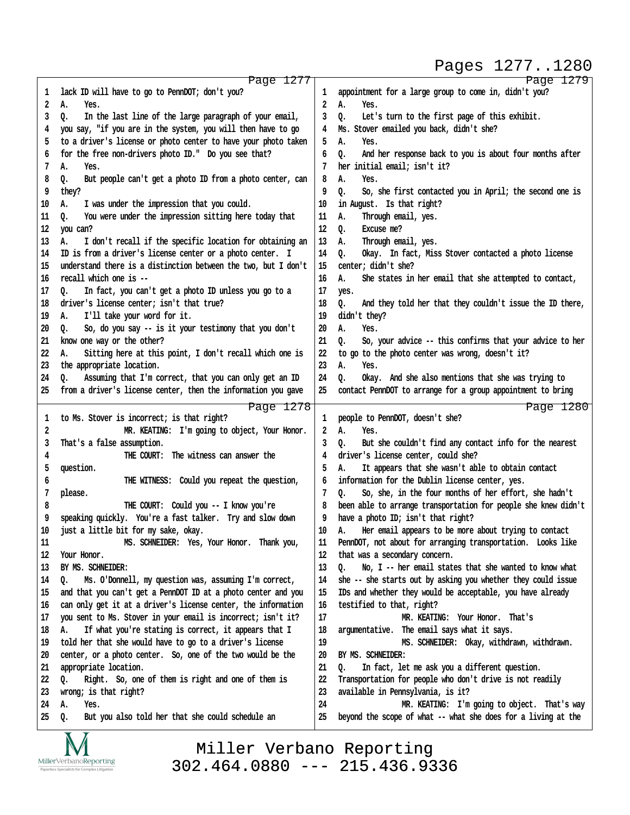# Pages 1277..1280

http://www.yeslaw.net/help

//www.yeslaw.net/help

http:

| 1        | Page 1277                                                            |          | Page 1279                                                                                                     |
|----------|----------------------------------------------------------------------|----------|---------------------------------------------------------------------------------------------------------------|
|          | lack ID will have to go to PennDOT; don't you?                       | 1        | appointment for a large group to come in, didn't you?                                                         |
| 2        | А.<br>Yes.                                                           | 2        | А.<br>Yes.                                                                                                    |
| 3        | In the last line of the large paragraph of your email,<br>Q.         | 3        | Let's turn to the first page of this exhibit.<br>Q.                                                           |
| 4        | you say, "if you are in the system, you will then have to go         | 4        | Ms. Stover emailed you back, didn't she?                                                                      |
| 5        | to a driver's license or photo center to have your photo taken       | 5        | А.<br>Yes.                                                                                                    |
| 6        | for the free non-drivers photo ID." Do you see that?                 | 6        | And her response back to you is about four months after<br>Q.                                                 |
| 7        | Α.<br>Yes.                                                           | 7        | her initial email; isn't it?                                                                                  |
| 8        | But people can't get a photo ID from a photo center, can<br>Q.       | 8        | А.<br>Yes.                                                                                                    |
|          | they?                                                                | 9        |                                                                                                               |
| 9        |                                                                      |          | So, she first contacted you in April; the second one is<br>o.                                                 |
| 10       | I was under the impression that you could.<br>А.                     | 10       | in August. Is that right?                                                                                     |
| 11       | You were under the impression sitting here today that<br>Q.          | 11       | Through email, yes.<br>Α.                                                                                     |
| 12       | you can?                                                             | 12       | Excuse me?<br>Q.                                                                                              |
| 13       | А.<br>I don't recall if the specific location for obtaining an       | 13       | Through email, yes.<br>А.                                                                                     |
| 14       | ID is from a driver's license center or a photo center. I            | 14       | Okay. In fact, Miss Stover contacted a photo license<br>Q.                                                    |
| 15       | understand there is a distinction between the two, but I don't       | 15       | center; didn't she?                                                                                           |
| 16       | recall which one is --                                               | 16       | А.<br>She states in her email that she attempted to contact,                                                  |
| 17       | In fact, you can't get a photo ID unless you go to a<br>0.           | 17       | yes.                                                                                                          |
| 18       | driver's license center; isn't that true?                            | 18       | Q.<br>And they told her that they couldn't issue the ID there,                                                |
| 19       | I'll take your word for it.<br>А.                                    | 19       | didn't they?                                                                                                  |
| 20       | So, do you say -- is it your testimony that you don't<br>0.          | 20       | Α.<br>Yes.                                                                                                    |
| 21       | know one way or the other?                                           | 21       | So, your advice -- this confirms that your advice to her<br>o.                                                |
| 22       | Sitting here at this point, I don't recall which one is<br>А.        | 22       | to go to the photo center was wrong, doesn't it?                                                              |
| 23       | the appropriate location.                                            | 23       | А.<br>Yes.                                                                                                    |
| 24       | Assuming that I'm correct, that you can only get an ID<br>Q.         | 24       | Okay. And she also mentions that she was trying to<br>o.                                                      |
| 25       | from a driver's license center, then the information you gave        | 25       | contact PennDOT to arrange for a group appointment to bring                                                   |
|          |                                                                      |          |                                                                                                               |
| 1        | Page 1278<br>to Ms. Stover is incorrect; is that right?              | 1        | Page 1280<br>people to PennDOT, doesn't she?                                                                  |
| 2        | MR. KEATING: I'm going to object, Your Honor.                        | 2        | Α.<br>Yes.                                                                                                    |
|          |                                                                      | 3        |                                                                                                               |
| 3        | That's a false assumption.                                           |          | But she couldn't find any contact info for the nearest<br>Q.                                                  |
| 4        | THE COURT: The witness can answer the                                | 4        | driver's license center, could she?                                                                           |
|          | question.                                                            |          |                                                                                                               |
| 5        |                                                                      | 5        | It appears that she wasn't able to obtain contact<br>А.                                                       |
| 6        | THE WITNESS: Could you repeat the question,                          | 6        | information for the Dublin license center, yes.                                                               |
| 7        | please.                                                              | 7        | So, she, in the four months of her effort, she hadn't<br>o.                                                   |
| 8        | THE COURT: Could you -- I know you're                                | 8        | been able to arrange transportation for people she knew didn't                                                |
| 9        | speaking quickly. You're a fast talker. Try and slow down            | 9        | have a photo ID; isn't that right?                                                                            |
| 10       | just a little bit for my sake, okay.                                 | 10       | Her email appears to be more about trying to contact<br>А.                                                    |
| $11\,$   | MS. SCHNEIDER: Yes, Your Honor. Thank you,                           | 11       | PennDOT, not about for arranging transportation. Looks like                                                   |
| 12       | Your Honor.                                                          | 12       | that was a secondary concern.                                                                                 |
| 13       | BY MS. SCHNEIDER:                                                    | 13       | No, $I -$ her email states that she wanted to know what<br>o.                                                 |
| 14       | Ms. O'Donnell, my question was, assuming I'm correct,<br>Q.          | 14       | she -- she starts out by asking you whether they could issue                                                  |
| 15       | and that you can't get a PennDOT ID at a photo center and you        | 15       | IDs and whether they would be acceptable, you have already                                                    |
| 16       | can only get it at a driver's license center, the information        | 16       | testified to that, right?                                                                                     |
| 17       | you sent to Ms. Stover in your email is incorrect; isn't it?         | 17       | MR. KEATING: Your Honor. That's                                                                               |
| 18       | If what you're stating is correct, it appears that I<br>А.           | 18       | argumentative. The email says what it says.                                                                   |
| 19       | told her that she would have to go to a driver's license             | 19       | MS. SCHNEIDER: Okay, withdrawn, withdrawn.                                                                    |
| 20       | center, or a photo center. So, one of the two would be the           | 20       | BY MS. SCHNEIDER:                                                                                             |
| 21       |                                                                      | 21       | ٥.                                                                                                            |
|          | appropriate location.<br>о.                                          | 22       | In fact, let me ask you a different question.                                                                 |
| 22<br>23 | Right. So, one of them is right and one of them is                   | 23       | Transportation for people who don't drive is not readily                                                      |
|          | wrong; is that right?                                                |          | available in Pennsylvania, is it?                                                                             |
| 24<br>25 | А.<br>Yes.<br>But you also told her that she could schedule an<br>Q. | 24<br>25 | MR. KEATING: I'm going to object. That's way<br>beyond the scope of what -- what she does for a living at the |

Miller Verbano Reporting [302.464.0880 --- 215.436.9336](http://www.miller-verbano.com)

TAT  $\underset{\text{Paperless Specialists for Complex Litigation}}{\text{MillerVerbanoReporting}}$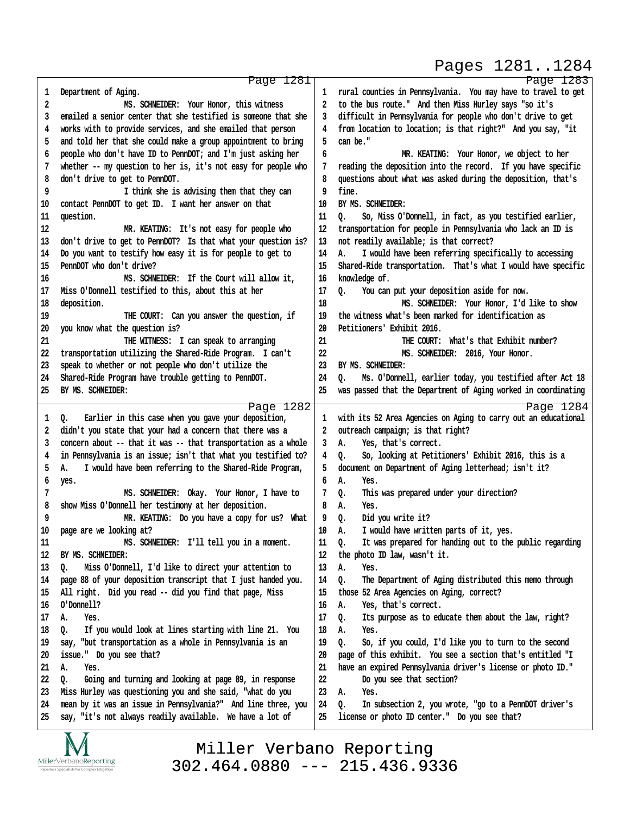## Pages 1281..1284

http://www.yeslaw.net/help

/www.yeslaw.net/help

|          | Page 1281                                                                              |    | Page 1283                                                      |
|----------|----------------------------------------------------------------------------------------|----|----------------------------------------------------------------|
| 1        | Department of Aging.                                                                   | 1  | rural counties in Pennsylvania. You may have to travel to get  |
| 2        | MS. SCHNEIDER: Your Honor, this witness                                                | 2  | to the bus route." And then Miss Hurley says "so it's          |
| 3        | emailed a senior center that she testified is someone that she                         | 3  | difficult in Pennsylvania for people who don't drive to get    |
| 4        | works with to provide services, and she emailed that person                            | 4  | from location to location; is that right?" And you say, "it    |
| 5        | and told her that she could make a group appointment to bring                          | 5  | can be."                                                       |
| 6        | people who don't have ID to PennDOT; and I'm just asking her                           | 6  | MR. KEATING: Your Honor, we object to her                      |
| 7        | whether -- my question to her is, it's not easy for people who                         | 7  | reading the deposition into the record. If you have specific   |
| 8        | don't drive to get to PennDOT.                                                         | 8  | questions about what was asked during the deposition, that's   |
| 9        | I think she is advising them that they can                                             | 9  | fine.                                                          |
| 10       | contact PennDOT to get ID. I want her answer on that                                   | 10 | BY MS. SCHNEIDER:                                              |
| 11       | question.                                                                              | 11 | So, Miss O'Donnell, in fact, as you testified earlier,<br>o.   |
| 12       | MR. KEATING: It's not easy for people who                                              | 12 | transportation for people in Pennsylvania who lack an ID is    |
| 13       | don't drive to get to PennDOT? Is that what your question is?                          | 13 | not readily available; is that correct?                        |
|          |                                                                                        | 14 | Α.                                                             |
| 14       | Do you want to testify how easy it is for people to get to<br>PennDOT who don't drive? | 15 | I would have been referring specifically to accessing          |
| 15       |                                                                                        |    | Shared-Ride transportation. That's what I would have specific  |
| 16       | MS. SCHNEIDER: If the Court will allow it,                                             | 16 | knowledge of.                                                  |
| 17       | Miss O'Donnell testified to this, about this at her                                    | 17 | You can put your deposition aside for now.<br>Q.               |
| 18       | deposition.                                                                            | 18 | MS. SCHNEIDER: Your Honor, I'd like to show                    |
| 19       | THE COURT: Can you answer the question, if                                             | 19 | the witness what's been marked for identification as           |
| 20       | you know what the question is?                                                         | 20 | Petitioners' Exhibit 2016.                                     |
| 21       | THE WITNESS: I can speak to arranging                                                  | 21 | THE COURT: What's that Exhibit number?                         |
| 22       | transportation utilizing the Shared-Ride Program. I can't                              | 22 | MS. SCHNEIDER: 2016, Your Honor.                               |
| 23       | speak to whether or not people who don't utilize the                                   | 23 | BY MS. SCHNEIDER:                                              |
| 24       | Shared-Ride Program have trouble getting to PennDOT.                                   | 24 | Ms. O'Donnell, earlier today, you testified after Act 18<br>o. |
| 25       | BY MS. SCHNEIDER:                                                                      | 25 | was passed that the Department of Aging worked in coordinating |
|          | Page 1282                                                                              |    | Page 1284                                                      |
| 1        | Earlier in this case when you gave your deposition,<br>Q.                              | 1  | with its 52 Area Agencies on Aging to carry out an educational |
| 2        | didn't you state that your had a concern that there was a                              | 2  | outreach campaign; is that right?                              |
| 3        | concern about -- that it was -- that transportation as a whole                         | 3  | А.<br>Yes, that's correct.                                     |
| 4        | in Pennsylvania is an issue; isn't that what you testified to?                         | 4  | So, looking at Petitioners' Exhibit 2016, this is a<br>Q.      |
| 5        | I would have been referring to the Shared-Ride Program,<br>А.                          | 5  | document on Department of Aging letterhead; isn't it?          |
| 6        | yes.                                                                                   | 6  | А.<br>Yes.                                                     |
| 7        | MS. SCHNEIDER: Okay. Your Honor, I have to                                             | 7  | This was prepared under your direction?<br>Q.                  |
| 8        | show Miss O'Donnell her testimony at her deposition.                                   | 8  | Α.<br>Yes.                                                     |
| 9        | MR. KEATING: Do you have a copy for us? What                                           | 9  | Did you write it?<br>o.                                        |
| 10       | page are we looking at?                                                                | 10 | I would have written parts of it, yes.<br>А.                   |
| 11       | MS. SCHNEIDER: I'll tell you in a moment.                                              | 11 | Q.<br>It was prepared for handing out to the public regarding  |
| 12       | BY MS. SCHNEIDER:                                                                      | 12 | the photo ID law, wasn't it.                                   |
| 13       | Miss O'Donnell, I'd like to direct your attention to<br>Q.                             | 13 | Α.<br>Yes.                                                     |
| 14       | page 88 of your deposition transcript that I just handed you.                          | 14 | Q.<br>The Department of Aging distributed this memo through    |
| 15       | All right. Did you read -- did you find that page, Miss                                | 15 | those 52 Area Agencies on Aging, correct?                      |
| 16       | O'Donnell?                                                                             | 16 | Yes, that's correct.<br>А.                                     |
| 17       | А.<br>Yes.                                                                             | 17 | Its purpose as to educate them about the law, right?<br>Q.     |
| 18       | If you would look at lines starting with line 21. You<br>о.                            | 18 | А.<br>Yes.                                                     |
| 19       | say, "but transportation as a whole in Pennsylvania is an                              | 19 | Q.<br>So, if you could, I'd like you to turn to the second     |
| 20       | issue." Do you see that?                                                               | 20 | page of this exhibit. You see a section that's entitled "I     |
|          | Yes.<br>А.                                                                             | 21 | have an expired Pennsylvania driver's license or photo ID."    |
| 21<br>22 | Going and turning and looking at page 89, in response                                  | 22 | Do you see that section?                                       |
|          | o.                                                                                     |    |                                                                |
| 23       | Miss Hurley was questioning you and she said, "what do you                             | 23 | Α.<br>Yes.                                                     |
| 24       | mean by it was an issue in Pennsylvania?" And line three, you                          | 24 | In subsection 2, you wrote, "go to a PennDOT driver's<br>Q.    |
| 25       | say, "it's not always readily available. We have a lot of                              | 25 | license or photo ID center." Do you see that?                  |

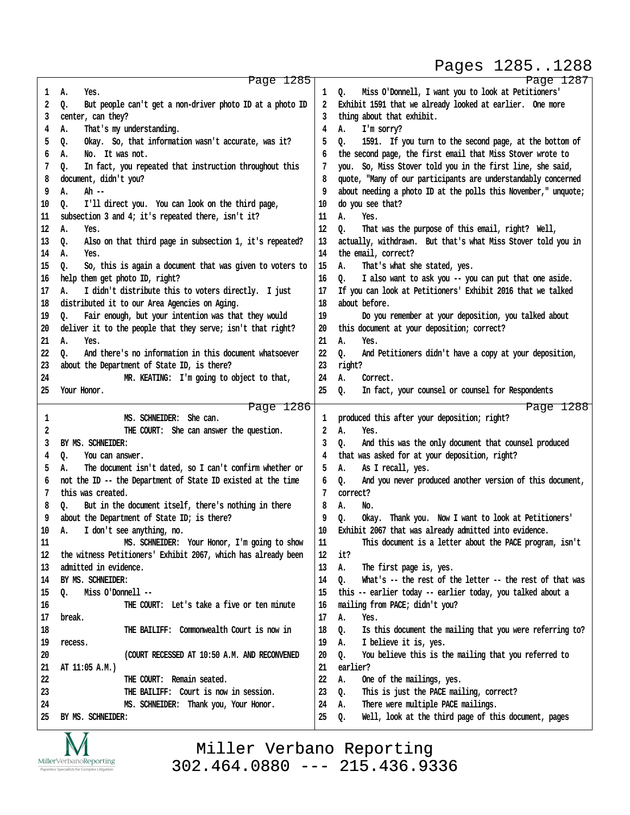## Pages 1285..1288

|    | Page 1285                                                             |    | Page 1287                                                      |
|----|-----------------------------------------------------------------------|----|----------------------------------------------------------------|
| 1  | А.<br>Yes.                                                            | 1  | Miss O'Donnell, I want you to look at Petitioners'<br>o.       |
| 2  | But people can't get a non-driver photo ID at a photo ID<br>Q.        | 2  | Exhibit 1591 that we already looked at earlier. One more       |
| 3  | center, can they?                                                     | 3  | thing about that exhibit.                                      |
| 4  | That's my understanding.<br>А.                                        | 4  | I'm sorry?<br>А.                                               |
|    | Okay. So, that information wasn't accurate, was it?                   | 5  | 1591. If you turn to the second page, at the bottom of         |
| 5  | Q.                                                                    |    | 0.                                                             |
| 6  | No. It was not.<br>А.                                                 | 6  | the second page, the first email that Miss Stover wrote to     |
| 7  | In fact, you repeated that instruction throughout this<br>Q.          | 7  | you. So, Miss Stover told you in the first line, she said,     |
| 8  | document, didn't you?                                                 | 8  | quote, "Many of our participants are understandably concerned  |
| 9  | Α.<br>Ah --                                                           | 9  | about needing a photo ID at the polls this November," unquote; |
| 10 | I'll direct you. You can look on the third page,<br>Q.                | 10 | do you see that?                                               |
| 11 | subsection 3 and 4; it's repeated there, isn't it?                    | 11 | А.<br>Yes.                                                     |
| 12 | А.<br>Yes.                                                            | 12 | That was the purpose of this email, right? Well,<br>o.         |
| 13 | Also on that third page in subsection 1, it's repeated?<br>Q.         | 13 | actually, withdrawn. But that's what Miss Stover told you in   |
|    |                                                                       | 14 | the email, correct?                                            |
| 14 | А.<br>Yes.                                                            |    |                                                                |
| 15 | So, this is again a document that was given to voters to<br>Q.        | 15 | А.<br>That's what she stated, yes.                             |
| 16 | help them get photo ID, right?                                        | 16 | I also want to ask you -- you can put that one aside.<br>0.    |
| 17 | I didn't distribute this to voters directly. I just<br>А.             | 17 | If you can look at Petitioners' Exhibit 2016 that we talked    |
| 18 | distributed it to our Area Agencies on Aging.                         | 18 | about before.                                                  |
| 19 | Fair enough, but your intention was that they would<br>o.             | 19 | Do you remember at your deposition, you talked about           |
| 20 | deliver it to the people that they serve; isn't that right?           | 20 | this document at your deposition; correct?                     |
| 21 | А.<br>Yes.                                                            | 21 | Α.<br>Yes.                                                     |
| 22 | And there's no information in this document whatsoever<br>o.          | 22 | o.<br>And Petitioners didn't have a copy at your deposition,   |
| 23 | about the Department of State ID, is there?                           | 23 | right?                                                         |
| 24 | MR. KEATING: I'm going to object to that,                             | 24 | А.<br>Correct.                                                 |
|    |                                                                       |    |                                                                |
| 25 | Your Honor.                                                           | 25 | In fact, your counsel or counsel for Respondents<br>Q.         |
|    |                                                                       |    |                                                                |
|    | Page 1286                                                             |    | Page 1288                                                      |
| 1  | MS. SCHNEIDER: She can.                                               | 1  | produced this after your deposition; right?                    |
| 2  | THE COURT: She can answer the question.                               | 2  | Α.<br>Yes.                                                     |
| 3  | BY MS. SCHNEIDER:                                                     | 3  | And this was the only document that counsel produced<br>0.     |
| 4  | You can answer.                                                       | 4  |                                                                |
|    | Q.                                                                    |    | that was asked for at your deposition, right?                  |
| 5  | The document isn't dated, so I can't confirm whether or<br>А.         | 5  | As I recall, yes.<br>А.                                        |
| 6  | not the ID -- the Department of State ID existed at the time          | 6  | And you never produced another version of this document,<br>о. |
| 7  | this was created.                                                     | 7  | correct?                                                       |
| 8  | But in the document itself, there's nothing in there<br>Q.            | 8  | А.<br>No.                                                      |
| 9  | about the Department of State ID; is there?                           | 9  | Okay. Thank you. Now I want to look at Petitioners'<br>о.      |
| 10 | I don't see anything, no.<br>А.                                       | 10 | Exhibit 2067 that was already admitted into evidence.          |
| 11 | MS. SCHNEIDER: Your Honor, I'm going to show                          | 11 | This document is a letter about the PACE program, isn't        |
| 12 | the witness Petitioners' Exhibit 2067, which has already been         | 12 | it?                                                            |
| 13 | admitted in evidence.                                                 | 13 | Α.<br>The first page is, yes.                                  |
| 14 | BY MS. SCHNEIDER:                                                     | 14 | Q.<br>What's -- the rest of the letter -- the rest of that was |
|    |                                                                       |    |                                                                |
| 15 | Miss O'Donnell --<br>Q.<br>THE COURT: Let's take a five or ten minute | 15 | this -- earlier today -- earlier today, you talked about a     |
| 16 |                                                                       | 16 | mailing from PACE; didn't you?                                 |
| 17 | break.                                                                | 17 | Α.<br>Yes.                                                     |
| 18 | THE BAILIFF: Commonwealth Court is now in                             | 18 | Is this document the mailing that you were referring to?<br>Q. |
| 19 | recess.                                                               | 19 | Α.<br>I believe it is, yes.                                    |
| 20 | (COURT RECESSED AT 10:50 A.M. AND RECONVENED                          | 20 | You believe this is the mailing that you referred to<br>o.     |
| 21 | AT 11:05 A.M.)                                                        | 21 | earlier?                                                       |
| 22 | THE COURT: Remain seated.                                             | 22 | Α.<br>One of the mailings, yes.                                |
| 23 | THE BAILIFF: Court is now in session.                                 | 23 | This is just the PACE mailing, correct?<br>Q.                  |
| 24 | MS. SCHNEIDER: Thank you, Your Honor.                                 | 24 | There were multiple PACE mailings.<br>Α.                       |
| 25 | BY MS. SCHNEIDER:                                                     | 25 | Well, look at the third page of this document, pages<br>o.     |



Miller Verbano Reporting [302.464.0880 --- 215.436.9336](http://www.miller-verbano.com) www.yeslaw.net/help http://www.yeslaw.net/help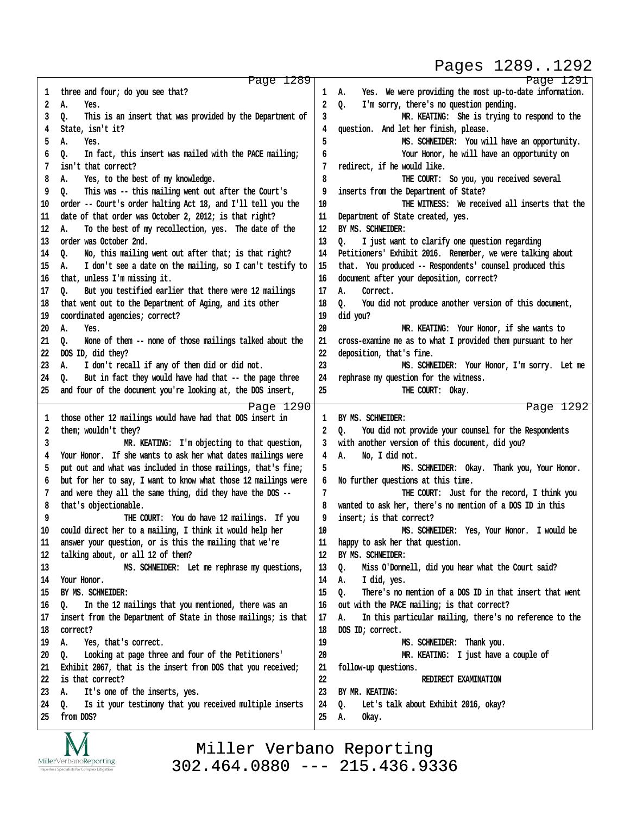## Pages 1289..1292

http://www.yeslaw.net/help

www.yeslaw.net/help

|    | Page 1289                                                      |    | Page 1291                                                     |
|----|----------------------------------------------------------------|----|---------------------------------------------------------------|
| 1  | three and four; do you see that?                               | 1  | Yes. We were providing the most up-to-date information.<br>А. |
| 2  | Α.<br>Yes.                                                     | 2  | I'm sorry, there's no question pending.<br>o.                 |
| 3  | This is an insert that was provided by the Department of<br>0. | 3  | MR. KEATING: She is trying to respond to the                  |
| 4  | State, isn't it?                                               | 4  | question. And let her finish, please.                         |
| 5  | А.<br>Yes.                                                     | 5  | MS. SCHNEIDER: You will have an opportunity.                  |
| 6  | In fact, this insert was mailed with the PACE mailing;<br>о.   | 6  | Your Honor, he will have an opportunity on                    |
| 7  | isn't that correct?                                            | 7  | redirect, if he would like.                                   |
| 8  | Yes, to the best of my knowledge.<br>А.                        | 8  | THE COURT: So you, you received several                       |
| 9  | This was -- this mailing went out after the Court's<br>0.      | 9  | inserts from the Department of State?                         |
| 10 | order -- Court's order halting Act 18, and I'll tell you the   | 10 | THE WITNESS: We received all inserts that the                 |
| 11 | date of that order was October 2, 2012; is that right?         | 11 | Department of State created, yes.                             |
| 12 | To the best of my recollection, yes. The date of the<br>Α.     | 12 | BY MS. SCHNEIDER:                                             |
| 13 | order was October 2nd.                                         | 13 | I just want to clarify one question regarding<br>o.           |
| 14 | No, this mailing went out after that; is that right?<br>0.     | 14 | Petitioners' Exhibit 2016. Remember, we were talking about    |
| 15 | I don't see a date on the mailing, so I can't testify to<br>А. | 15 | that. You produced -- Respondents' counsel produced this      |
| 16 | that, unless I'm missing it.                                   | 16 | document after your deposition, correct?                      |
| 17 | But you testified earlier that there were 12 mailings<br>٥.    | 17 | Correct.<br>А.                                                |
| 18 | that went out to the Department of Aging, and its other        | 18 | You did not produce another version of this document,<br>0.   |
| 19 | coordinated agencies; correct?                                 | 19 | did you?                                                      |
| 20 | А.<br>Yes.                                                     | 20 | MR. KEATING: Your Honor, if she wants to                      |
| 21 | None of them -- none of those mailings talked about the<br>٥.  | 21 | cross-examine me as to what I provided them pursuant to her   |
| 22 | DOS ID, did they?                                              | 22 | deposition, that's fine.                                      |
| 23 | I don't recall if any of them did or did not.<br>А.            | 23 | MS. SCHNEIDER: Your Honor, I'm sorry. Let me                  |
| 24 | But in fact they would have had that -- the page three<br>Q.   | 24 | rephrase my question for the witness.                         |
| 25 | and four of the document you're looking at, the DOS insert,    | 25 | THE COURT: Okay.                                              |
|    | Page 1290                                                      |    | Page 1292                                                     |
| 1  | those other 12 mailings would have had that DOS insert in      | 1  | BY MS. SCHNEIDER:                                             |
| 2  | them; wouldn't they?                                           | 2  | You did not provide your counsel for the Respondents<br>o.    |
| 3  | MR. KEATING: I'm objecting to that question,                   | 3  | with another version of this document, did you?               |
| 4  | Your Honor. If she wants to ask her what dates mailings were   | 4  | Α.<br>No, I did not.                                          |
| 5  | put out and what was included in those mailings, that's fine;  | 5  | MS. SCHNEIDER: Okay. Thank you, Your Honor.                   |
| 6  | but for her to say, I want to know what those 12 mailings were | 6  | No further questions at this time.                            |
| 7  | and were they all the same thing, did they have the DOS --     | 7  | THE COURT: Just for the record, I think you                   |
| 8  | that's objectionable.                                          | 8  | wanted to ask her, there's no mention of a DOS ID in this     |
| 9  | THE COURT: You do have 12 mailings. If you                     | 9  | insert; is that correct?                                      |
| 10 | could direct her to a mailing, I think it would help her       | 10 | MS. SCHNEIDER: Yes, Your Honor. I would be                    |
| 11 | answer your question, or is this the mailing that we're        | 11 | happy to ask her that question.                               |
| 12 | talking about, or all 12 of them?                              | 12 | BY MS. SCHNEIDER:                                             |
| 13 | MS. SCHNEIDER: Let me rephrase my questions,                   | 13 | Miss O'Donnell, did you hear what the Court said?<br>o.       |
| 14 | Your Honor.                                                    | 14 | Α.<br>I did, yes.                                             |
| 15 | BY MS. SCHNEIDER:                                              | 15 | There's no mention of a DOS ID in that insert that went<br>o. |
| 16 | In the 12 mailings that you mentioned, there was an<br>ο.      | 16 | out with the PACE mailing; is that correct?                   |
| 17 | insert from the Department of State in those mailings; is that | 17 | In this particular mailing, there's no reference to the<br>А. |
| 18 | correct?                                                       | 18 | DOS ID; correct.                                              |
| 19 | Yes, that's correct.<br>А.                                     | 19 | MS. SCHNEIDER: Thank you.                                     |
| 20 | Looking at page three and four of the Petitioners'<br>٥.       | 20 | MR. KEATING: I just have a couple of                          |
| 21 | Exhibit 2067, that is the insert from DOS that you received;   | 21 | follow-up questions.                                          |
| 22 | is that correct?                                               | 22 | REDIRECT EXAMINATION                                          |
| 23 | It's one of the inserts, yes.<br>А.                            | 23 | BY MR. KEATING:                                               |
| 24 | Is it your testimony that you received multiple inserts<br>٥.  | 24 | Let's talk about Exhibit 2016, okay?<br>0.                    |
| 25 | from DOS?                                                      | 25 | Okay.<br>А.                                                   |
|    |                                                                |    |                                                               |

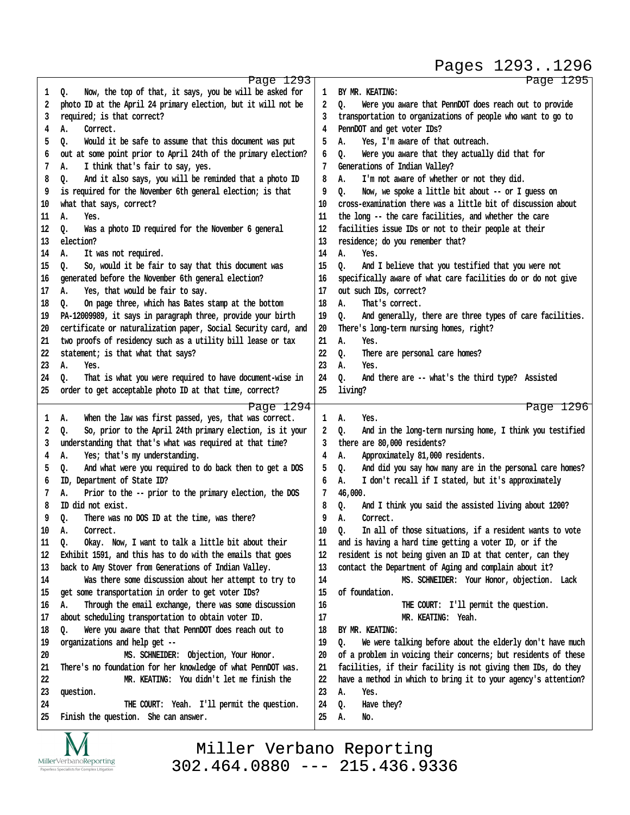Pages 1293..1296

http://www.yeslaw.net/help

//www.yeslaw.net/help

http:

|          | Page 1293                                                                          |          | Page 1295                                                      |
|----------|------------------------------------------------------------------------------------|----------|----------------------------------------------------------------|
| 1        | Now, the top of that, it says, you be will be asked for<br>Q.                      | 1        | BY MR. KEATING:                                                |
| 2        | photo ID at the April 24 primary election, but it will not be                      | 2        | Were you aware that PennDOT does reach out to provide<br>Q.    |
| 3        | required; is that correct?                                                         | 3        | transportation to organizations of people who want to go to    |
| 4        | Correct.<br>А.                                                                     | 4        | PennDOT and get voter IDs?                                     |
| 5        | Q.<br>Would it be safe to assume that this document was put                        | 5        | Yes, I'm aware of that outreach.<br>А.                         |
| 6        | out at some point prior to April 24th of the primary election?                     | 6        | Were you aware that they actually did that for<br>Q.           |
| 7        | I think that's fair to say, yes.<br>А.                                             | 7        | Generations of Indian Valley?                                  |
| 8        | And it also says, you will be reminded that a photo ID<br>о.                       | 8        | I'm not aware of whether or not they did.<br>А.                |
| 9        | is required for the November 6th general election; is that                         | 9        | o.<br>Now, we spoke a little bit about -- or I quess on        |
| 10       | what that says, correct?                                                           | 10       | cross-examination there was a little bit of discussion about   |
| 11       | А.<br>Yes.                                                                         | 11       | the long -- the care facilities, and whether the care          |
| 12       | Was a photo ID required for the November 6 general<br>Q.                           | 12       | facilities issue IDs or not to their people at their           |
| 13       | election?                                                                          | 13       | residence; do you remember that?                               |
| 14       | It was not required.<br>А.                                                         | 14       | Α.<br>Yes.                                                     |
| 15       | So, would it be fair to say that this document was<br>Q.                           | 15       | And I believe that you testified that you were not<br>o.       |
| 16       | generated before the November 6th general election?                                | 16       | specifically aware of what care facilities do or do not give   |
| 17       | Yes, that would be fair to say.                                                    | 17       | out such IDs, correct?                                         |
|          | А.                                                                                 | 18       | That's correct.                                                |
| 18       | On page three, which has Bates stamp at the bottom<br>0.                           |          | А.                                                             |
| 19       | PA-12009989, it says in paragraph three, provide your birth                        | 19       | And generally, there are three types of care facilities.<br>Q. |
| 20       | certificate or naturalization paper, Social Security card, and                     | 20       | There's long-term nursing homes, right?                        |
| 21       | two proofs of residency such as a utility bill lease or tax                        | 21       | Α.<br>Yes.                                                     |
| 22       | statement; is that what that says?                                                 | 22       | o.<br>There are personal care homes?                           |
| 23       | А.<br>Yes.                                                                         | 23       | Α.<br>Yes.                                                     |
| 24       | That is what you were required to have document-wise in<br>o.                      | 24       | And there are -- what's the third type? Assisted<br>0.         |
| 25       | order to get acceptable photo ID at that time, correct?                            | 25       | living?                                                        |
|          | Page 1294                                                                          |          | Page 1296                                                      |
| 1        | When the law was first passed, yes, that was correct.<br>А.                        | 1        | А.<br>Yes.                                                     |
| 2        |                                                                                    |          |                                                                |
|          | So, prior to the April 24th primary election, is it your<br>Q.                     | 2        | And in the long-term nursing home, I think you testified<br>Q. |
| 3        | understanding that that's what was required at that time?                          | 3        | there are 80,000 residents?                                    |
| 4        | Yes; that's my understanding.<br>А.                                                | 4        | Approximately 81,000 residents.<br>А.                          |
| 5        | And what were you required to do back then to get a DOS<br>Q.                      | 5        | And did you say how many are in the personal care homes?<br>Q. |
| 6        | ID, Department of State ID?                                                        | 6        | I don't recall if I stated, but it's approximately<br>А.       |
| 7        | Prior to the -- prior to the primary election, the DOS<br>А.                       | 7        | 46,000.                                                        |
| 8        | ID did not exist.                                                                  | 8        | And I think you said the assisted living about 1200?<br>Q.     |
| 9        | There was no DOS ID at the time, was there?<br>Q.                                  | 9        | Correct.<br>А.                                                 |
| 10       | А.<br>Correct.                                                                     | 10       | In all of those situations, if a resident wants to vote<br>Q.  |
| 11       | Okay. Now, I want to talk a little bit about their<br>Q.                           | 11       | and is having a hard time getting a voter ID, or if the        |
| 12       | Exhibit 1591, and this has to do with the emails that goes                         | 12       | resident is not being given an ID at that center, can they     |
| 13       | back to Amy Stover from Generations of Indian Valley.                              | 13       | contact the Department of Aging and complain about it?         |
| 14       | Was there some discussion about her attempt to try to                              | 14       | MS. SCHNEIDER: Your Honor, objection. Lack                     |
| 15       | get some transportation in order to get voter IDs?                                 | 15       | of foundation.                                                 |
| 16       | А.                                                                                 | 16       |                                                                |
|          | Through the email exchange, there was some discussion                              | 17       | THE COURT: I'll permit the question.                           |
| 17       | about scheduling transportation to obtain voter ID.                                | 18       | MR. KEATING: Yeah.<br>BY MR. KEATING:                          |
| 18       | Were you aware that that PennDOT does reach out to<br>Q.                           | 19       |                                                                |
| 19       | organizations and help get --                                                      |          | We were talking before about the elderly don't have much<br>Q. |
| 20       | MS. SCHNEIDER: Objection, Your Honor.                                              | 20       | of a problem in voicing their concerns; but residents of these |
| 21       | There's no foundation for her knowledge of what PennDOT was.                       | 21       | facilities, if their facility is not giving them IDs, do they  |
| 22       | MR. KEATING: You didn't let me finish the                                          | 22       | have a method in which to bring it to your agency's attention? |
| 23       | question.                                                                          | 23       | А.<br>Yes.                                                     |
| 24<br>25 | THE COURT: Yeah. I'll permit the question.<br>Finish the question. She can answer. | 24<br>25 | Have they?<br>Q.<br>А.<br>No.                                  |

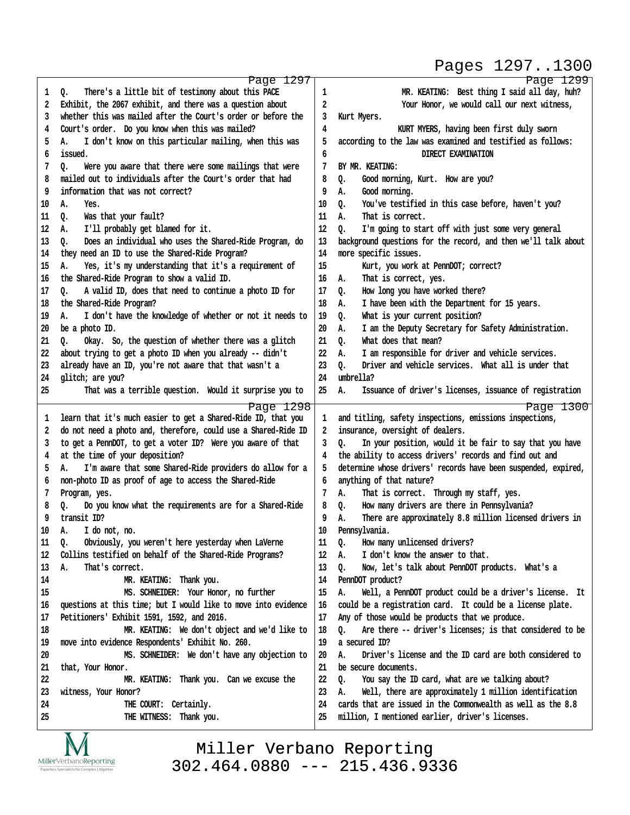## Pages 1297..1300

http://www.yeslaw.net/help

www.yeslaw.net/help

|    | Page 1297                                                      |    | Page 1299                                                      |
|----|----------------------------------------------------------------|----|----------------------------------------------------------------|
| 1  | There's a little bit of testimony about this PACE<br>Q.        | 1  | MR. KEATING: Best thing I said all day, huh?                   |
| 2  | Exhibit, the 2067 exhibit, and there was a question about      | 2  | Your Honor, we would call our next witness,                    |
| 3  | whether this was mailed after the Court's order or before the  | 3  | Kurt Myers.                                                    |
| 4  | Court's order. Do you know when this was mailed?               | 4  | KURT MYERS, having been first duly sworn                       |
| 5  | I don't know on this particular mailing, when this was<br>А.   | 5  | according to the law was examined and testified as follows:    |
| 6  | issued.                                                        | 6  | DIRECT EXAMINATION                                             |
| 7  | Were you aware that there were some mailings that were<br>Q.   | 7  | BY MR. KEATING:                                                |
| 8  | mailed out to individuals after the Court's order that had     | 8  | Good morning, Kurt. How are you?<br>Q.                         |
| 9  | information that was not correct?                              | 9  | Good morning.<br>А.                                            |
| 10 | А.<br>Yes.                                                     | 10 | You've testified in this case before, haven't you?<br>Q.       |
|    | Was that your fault?                                           | 11 | That is correct.<br>А.                                         |
| 11 | Q.                                                             | 12 |                                                                |
| 12 | I'll probably get blamed for it.<br>А.                         |    | Q.<br>I'm going to start off with just some very general       |
| 13 | Does an individual who uses the Shared-Ride Program, do<br>Q.  | 13 | background questions for the record, and then we'll talk about |
| 14 | they need an ID to use the Shared-Ride Program?                | 14 | more specific issues.                                          |
| 15 | Yes, it's my understanding that it's a requirement of<br>А.    | 15 | Kurt, you work at PennDOT; correct?                            |
| 16 | the Shared-Ride Program to show a valid ID.                    | 16 | That is correct, yes.<br>А.                                    |
| 17 | A valid ID, does that need to continue a photo ID for<br>Q.    | 17 | How long you have worked there?<br>Q.                          |
| 18 | the Shared-Ride Program?                                       | 18 | I have been with the Department for 15 years.<br>А.            |
| 19 | I don't have the knowledge of whether or not it needs to<br>А. | 19 | What is your current position?<br>Q.                           |
| 20 | be a photo ID.                                                 | 20 | I am the Deputy Secretary for Safety Administration.<br>А.     |
| 21 | Okay. So, the question of whether there was a glitch<br>o.     | 21 | What does that mean?<br>Q.                                     |
| 22 | about trying to get a photo ID when you already -- didn't      | 22 | I am responsible for driver and vehicle services.<br>А.        |
| 23 | already have an ID, you're not aware that that wasn't a        | 23 | Driver and vehicle services. What all is under that<br>Q.      |
| 24 | glitch; are you?                                               | 24 | umbrella?                                                      |
| 25 | That was a terrible question. Would it surprise you to         | 25 | Issuance of driver's licenses, issuance of registration<br>А.  |
|    | Page 1298                                                      |    | Page 1300                                                      |
| ı  | learn that it's much easier to get a Shared-Ride ID, that you  | 1  | and titling, safety inspections, emissions inspections,        |
| 2  | do not need a photo and, therefore, could use a Shared-Ride ID | 2  | insurance, oversight of dealers.                               |
| 3  | to get a PennDOT, to get a voter ID? Were you aware of that    | 3  | In your position, would it be fair to say that you have<br>o.  |
| 4  | at the time of your deposition?                                | 4  | the ability to access drivers' records and find out and        |
| 5  | I'm aware that some Shared-Ride providers do allow for a<br>А. | 5  | determine whose drivers' records have been suspended, expired, |
| 6  | non-photo ID as proof of age to access the Shared-Ride         | 6  | anything of that nature?                                       |
| 7  | Program, yes.                                                  | 7  | That is correct. Through my staff, yes.<br>А.                  |
| 8  | Do you know what the requirements are for a Shared-Ride<br>o.  | 8  | How many drivers are there in Pennsylvania?<br>Q.              |
| 9  | transit ID?                                                    | 9  | There are approximately 8.8 million licensed drivers in<br>А.  |
| 10 | А.<br>I do not, no.                                            | 10 | Pennsylvania.                                                  |
| 11 | Obviously, you weren't here yesterday when LaVerne<br>Q.       | 11 | How many unlicensed drivers?<br>Q.                             |
| 12 | Collins testified on behalf of the Shared-Ride Programs?       | 12 | I don't know the answer to that.<br>А.                         |
| 13 | That's correct.<br>А.                                          | 13 | Q.<br>Now, let's talk about PennDOT products. What's a         |
| 14 | MR. KEATING: Thank you.                                        | 14 | PennDOT product?                                               |
|    | MS. SCHNEIDER: Your Honor, no further                          |    |                                                                |
| 15 |                                                                | 15 | Well, a PennDOT product could be a driver's license. It<br>А.  |
| 16 | questions at this time; but I would like to move into evidence | 16 | could be a registration card. It could be a license plate.     |
| 17 | Petitioners' Exhibit 1591, 1592, and 2016.                     | 17 | Any of those would be products that we produce.                |
| 18 | MR. KEATING: We don't object and we'd like to                  | 18 | Are there -- driver's licenses; is that considered to be<br>o. |
| 19 | move into evidence Respondents' Exhibit No. 260.               | 19 | a secured ID?                                                  |
| 20 | MS. SCHNEIDER: We don't have any objection to                  | 20 | Driver's license and the ID card are both considered to<br>А.  |
| 21 | that, Your Honor.                                              | 21 | be secure documents.                                           |
| 22 | MR. KEATING: Thank you. Can we excuse the                      | 22 | You say the ID card, what are we talking about?<br>o.          |
| 23 | witness, Your Honor?                                           | 23 | Well, there are approximately 1 million identification<br>А.   |
| 24 | THE COURT: Certainly.                                          | 24 | cards that are issued in the Commonwealth as well as the 8.8   |
| 25 | THE WITNESS: Thank you.                                        | 25 | million, I mentioned earlier, driver's licenses.               |
|    |                                                                |    |                                                                |

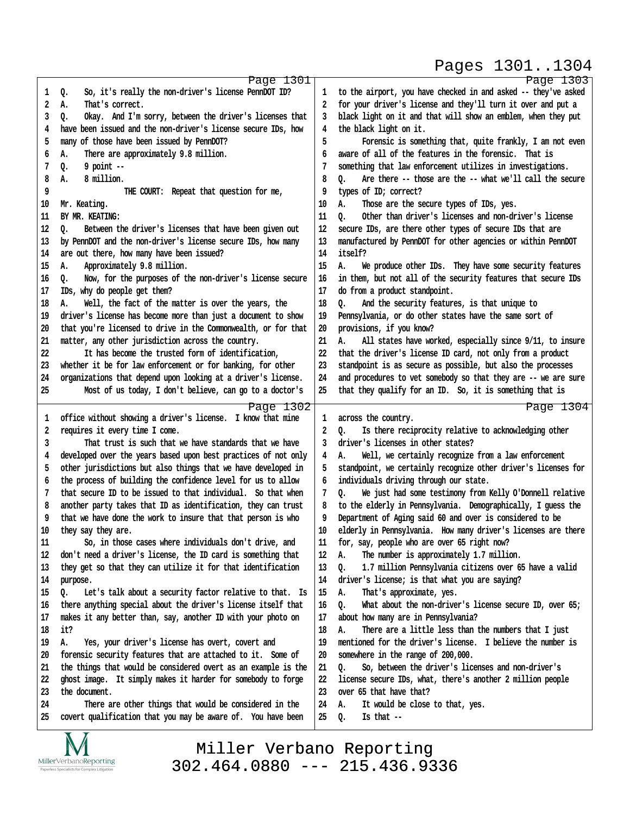## Pages 1301..1304

http://www.yeslaw.net/help

|    | Page 1301                                                      |    | Page 1303                                                        |
|----|----------------------------------------------------------------|----|------------------------------------------------------------------|
| 1  | So, it's really the non-driver's license PennDOT ID?<br>Q.     | 1  | to the airport, you have checked in and asked -- they've asked   |
| 2  | That's correct.<br>А.                                          | 2  | for your driver's license and they'll turn it over and put a     |
| 3  | Okay. And I'm sorry, between the driver's licenses that<br>Q.  | 3  | black light on it and that will show an emblem, when they put    |
| 4  | have been issued and the non-driver's license secure IDs, how  | 4  | the black light on it.                                           |
| 5  | many of those have been issued by PennDOT?                     | 5  | Forensic is something that, quite frankly, I am not even         |
| 6  | There are approximately 9.8 million.<br>А.                     | 6  | aware of all of the features in the forensic. That is            |
| 7  | $9$ point $-$<br>Q.                                            |    | something that law enforcement utilizes in investigations.       |
| 8  | 8 million.<br>А.                                               | 8  | Are there -- those are the -- what we'll call the secure<br>Q.   |
| 9  | THE COURT: Repeat that question for me,                        | 9  | types of ID; correct?                                            |
| 10 | Mr. Keating.                                                   | 10 | Α.<br>Those are the secure types of IDs, yes.                    |
| 11 | BY MR. KEATING:                                                | 11 | Other than driver's licenses and non-driver's license<br>Q.      |
| 12 | Between the driver's licenses that have been given out<br>Q.   | 12 | secure IDs, are there other types of secure IDs that are         |
| 13 | by PennDOT and the non-driver's license secure IDs, how many   | 13 | manufactured by PennDOT for other agencies or within PennDOT     |
| 14 | are out there, how many have been issued?                      | 14 | itself?                                                          |
| 15 | Approximately 9.8 million.<br>А.                               | 15 | А.<br>We produce other IDs. They have some security features     |
| 16 | Now, for the purposes of the non-driver's license secure<br>0. | 16 | in them, but not all of the security features that secure IDs    |
| 17 | IDs, why do people get them?                                   | 17 | do from a product standpoint.                                    |
| 18 | Well, the fact of the matter is over the years, the<br>А.      | 18 | And the security features, is that unique to<br>Q.               |
| 19 | driver's license has become more than just a document to show  | 19 | Pennsylvania, or do other states have the same sort of           |
| 20 | that you're licensed to drive in the Commonwealth, or for that | 20 | provisions, if you know?                                         |
| 21 | matter, any other jurisdiction across the country.             | 21 | А.<br>All states have worked, especially since 9/11, to insure   |
| 22 | It has become the trusted form of identification,              | 22 | that the driver's license ID card, not only from a product       |
| 23 | whether it be for law enforcement or for banking, for other    | 23 | standpoint is as secure as possible, but also the processes      |
|    |                                                                | 24 |                                                                  |
| 24 | organizations that depend upon looking at a driver's license.  |    | and procedures to vet somebody so that they are -- we are sure   |
| 25 | Most of us today, I don't believe, can go to a doctor's        | 25 | that they qualify for an ID. So, it is something that is         |
|    | Page 1302                                                      |    | Page 1304                                                        |
| 1  | office without showing a driver's license. I know that mine    | 1  | across the country.                                              |
| 2  | requires it every time I come.                                 | 2  | Is there reciprocity relative to acknowledging other<br>o.       |
| 3  | That trust is such that we have standards that we have         | 3  | driver's licenses in other states?                               |
| 4  | developed over the years based upon best practices of not only | 4  | Well, we certainly recognize from a law enforcement<br>А.        |
| 5  | other jurisdictions but also things that we have developed in  | 5  | standpoint, we certainly recognize other driver's licenses for   |
| 6  | the process of building the confidence level for us to allow   | 6  | individuals driving through our state.                           |
| 7  | that secure ID to be issued to that individual. So that when   | 7  | We just had some testimony from Kelly O'Donnell relative<br>Q.   |
|    |                                                                |    |                                                                  |
| 8  | another party takes that ID as identification, they can trust  | 8  | to the elderly in Pennsylvania. Demographically, I guess the     |
| 9  | that we have done the work to insure that that person is who   | 9  | Department of Aging said 60 and over is considered to be         |
| 10 | they say they are.                                             | 10 | elderly in Pennsylvania. How many driver's licenses are there    |
| 11 | So, in those cases where individuals don't drive, and          | 11 | for, say, people who are over 65 right now?                      |
| 12 | don't need a driver's license, the ID card is something that   | 12 | Α.<br>The number is approximately 1.7 million.                   |
| 13 | they get so that they can utilize it for that identification   | 13 | 1.7 million Pennsylvania citizens over 65 have a valid<br>Q.     |
| 14 | purpose.                                                       | 14 | driver's license; is that what you are saying?                   |
| 15 | Let's talk about a security factor relative to that. Is<br>Q.  | 15 | That's approximate, yes.<br>А.                                   |
| 16 | there anything special about the driver's license itself that  | 16 | What about the non-driver's license secure ID, over $65$ ;<br>Q. |
| 17 | makes it any better than, say, another ID with your photo on   | 17 | about how many are in Pennsylvania?                              |
| 18 | it?                                                            | 18 | There are a little less than the numbers that I just<br>А.       |
| 19 | Yes, your driver's license has overt, covert and<br>Α.         | 19 | mentioned for the driver's license. I believe the number is      |
| 20 | forensic security features that are attached to it. Some of    | 20 | somewhere in the range of 200,000.                               |
| 21 | the things that would be considered overt as an example is the | 21 | So, between the driver's licenses and non-driver's<br>Q.         |
| 22 | ghost image. It simply makes it harder for somebody to forge   | 22 | license secure IDs, what, there's another 2 million people       |
| 23 | the document.                                                  | 23 | over 65 that have that?                                          |
| 24 | There are other things that would be considered in the         | 24 | It would be close to that, yes.<br>А.                            |
| 25 | covert qualification that you may be aware of. You have been   | 25 | Is that --<br>Q.                                                 |

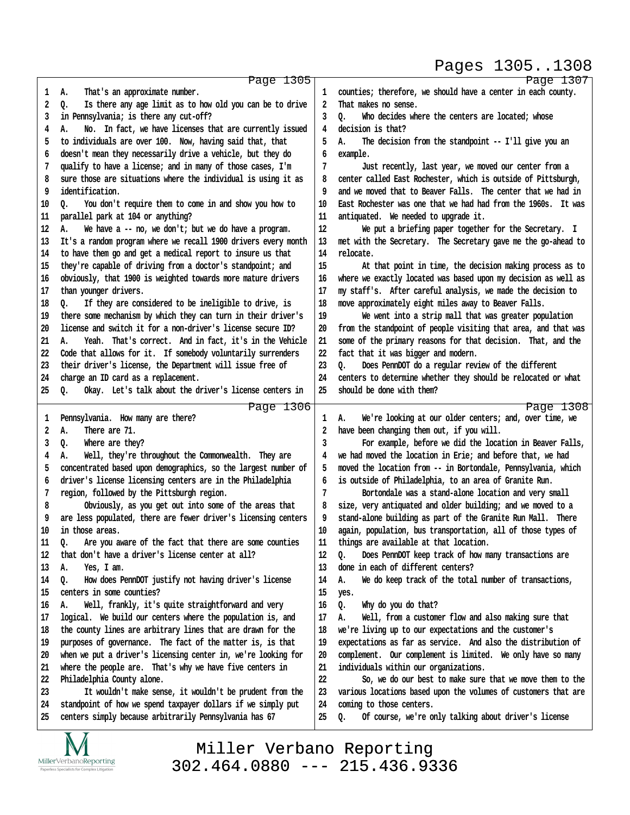### Pages 1305..1308

| 1  | Page 1305<br>That's an approximate number.<br>А.               | 1  | Page 1307<br>counties; therefore, we should have a center in each county. |
|----|----------------------------------------------------------------|----|---------------------------------------------------------------------------|
| 2  | Is there any age limit as to how old you can be to drive<br>Q. | 2  | That makes no sense.                                                      |
| 3  | in Pennsylvania; is there any cut-off?                         | 3  | Who decides where the centers are located; whose<br>٥.                    |
| 4  | No. In fact, we have licenses that are currently issued<br>А.  | 4  | decision is that?                                                         |
| 5  | to individuals are over 100. Now, having said that, that       | 5  | The decision from the standpoint -- I'll give you an<br>А.                |
|    |                                                                |    |                                                                           |
| 6  | doesn't mean they necessarily drive a vehicle, but they do     | 6  | example.                                                                  |
| 7  | qualify to have a license; and in many of those cases, I'm     | 7  | Just recently, last year, we moved our center from a                      |
| 8  | sure those are situations where the individual is using it as  | 8  | center called East Rochester, which is outside of Pittsburgh,             |
| 9  | identification.                                                | 9  | and we moved that to Beaver Falls. The center that we had in              |
| 10 | You don't require them to come in and show you how to<br>0.    | 10 | East Rochester was one that we had had from the 1960s. It was             |
| 11 | parallel park at 104 or anything?                              | 11 | antiquated. We needed to upgrade it.                                      |
| 12 | We have a -- no, we don't; but we do have a program.<br>А.     | 12 | We put a briefing paper together for the Secretary. I                     |
| 13 | It's a random program where we recall 1900 drivers every month | 13 | met with the Secretary. The Secretary gave me the go-ahead to             |
| 14 | to have them go and get a medical report to insure us that     | 14 | relocate.                                                                 |
| 15 | they're capable of driving from a doctor's standpoint; and     | 15 | At that point in time, the decision making process as to                  |
| 16 | obviously, that 1900 is weighted towards more mature drivers   | 16 | where we exactly located was based upon my decision as well as            |
| 17 | than younger drivers.                                          | 17 | my staff's. After careful analysis, we made the decision to               |
| 18 | If they are considered to be ineligible to drive, is<br>o.     | 18 | move approximately eight miles away to Beaver Falls.                      |
| 19 | there some mechanism by which they can turn in their driver's  | 19 | We went into a strip mall that was greater population                     |
| 20 | license and switch it for a non-driver's license secure ID?    | 20 | from the standpoint of people visiting that area, and that was            |
| 21 | Yeah. That's correct. And in fact, it's in the Vehicle<br>А.   | 21 | some of the primary reasons for that decision. That, and the              |
| 22 | Code that allows for it. If somebody voluntarily surrenders    | 22 | fact that it was bigger and modern.                                       |
| 23 | their driver's license, the Department will issue free of      | 23 | Does PennDOT do a regular review of the different<br>o.                   |
|    |                                                                |    |                                                                           |
| 24 | charge an ID card as a replacement.                            | 24 | centers to determine whether they should be relocated or what             |
| 25 | Q.<br>Okay. Let's talk about the driver's license centers in   | 25 | should be done with them?                                                 |
|    |                                                                |    |                                                                           |
|    | Page 1306                                                      |    | Page 1308                                                                 |
| 1  | Pennsylvania. How many are there?                              | 1  | We're looking at our older centers; and, over time, we<br>А.              |
| 2  | А.<br>There are 71.                                            | 2  | have been changing them out, if you will.                                 |
| 3  | Where are they?<br>Q.                                          | 3  | For example, before we did the location in Beaver Falls,                  |
| 4  | Well, they're throughout the Commonwealth. They are<br>А.      |    | we had moved the location in Erie; and before that, we had                |
| 5  | concentrated based upon demographics, so the largest number of | 5  | moved the location from -- in Bortondale, Pennsylvania, which             |
| 6  | driver's license licensing centers are in the Philadelphia     | 6  | is outside of Philadelphia, to an area of Granite Run.                    |
| 7  | region, followed by the Pittsburgh region.                     | 7  | Bortondale was a stand-alone location and very small                      |
| 8  |                                                                | 8  |                                                                           |
| 9  | Obviously, as you get out into some of the areas that          |    | size, very antiquated and older building; and we moved to a               |
|    | are less populated, there are fewer driver's licensing centers |    | stand-alone building as part of the Granite Run Mall. There               |
| 10 | in those areas.                                                | 10 | again, population, bus transportation, all of those types of              |
| 11 | Q.<br>Are you aware of the fact that there are some counties   | 11 | things are available at that location.                                    |
| 12 | don't have a driver's license center at all?<br>that           | 12 | Does PennDOT keep track of how many transactions are<br>Q.                |
| 13 | Yes, I am.<br>А.                                               | 13 | in each of different centers?<br>done                                     |
| 14 | How does PennDOT justify not having driver's license<br>o.     | 14 | We do keep track of the total number of transactions,<br>А.               |
| 15 | centers in some counties?                                      | 15 | yes.                                                                      |
| 16 | Well, frankly, it's quite straightforward and very<br>А.       | 16 | Why do you do that?<br>Q.                                                 |
| 17 | logical. We build our centers where the population is, and     | 17 | Well, from a customer flow and also making sure that<br>А.                |
| 18 | the county lines are arbitrary lines that are drawn for the    | 18 | we're living up to our expectations and the customer's                    |
| 19 | purposes of governance. The fact of the matter is, is that     | 19 | expectations as far as service. And also the distribution of              |
| 20 | when we put a driver's licensing center in, we're looking for  | 20 | complement. Our complement is limited. We only have so many               |
| 21 | where the people are. That's why we have five centers in       | 21 | individuals within our organizations.                                     |
| 22 | Philadelphia County alone.                                     | 22 | So, we do our best to make sure that we move them to the                  |
| 23 | It wouldn't make sense, it wouldn't be prudent from the        | 23 | various locations based upon the volumes of customers that are            |
| 24 | standpoint of how we spend taxpayer dollars if we simply put   | 24 | coming to those centers.                                                  |
| 25 | centers simply because arbitrarily Pennsylvania has 67         | 25 | Of course, we're only talking about driver's license<br>Q.                |

Miller Verbano Reporting [302.464.0880 --- 215.436.9336](http://www.miller-verbano.com)

IVI  $\underset{\text{Paperless Specialists for Complex Litigation}}{\text{MillerVerbanoReporting}}$  http://www.yeslaw.net/help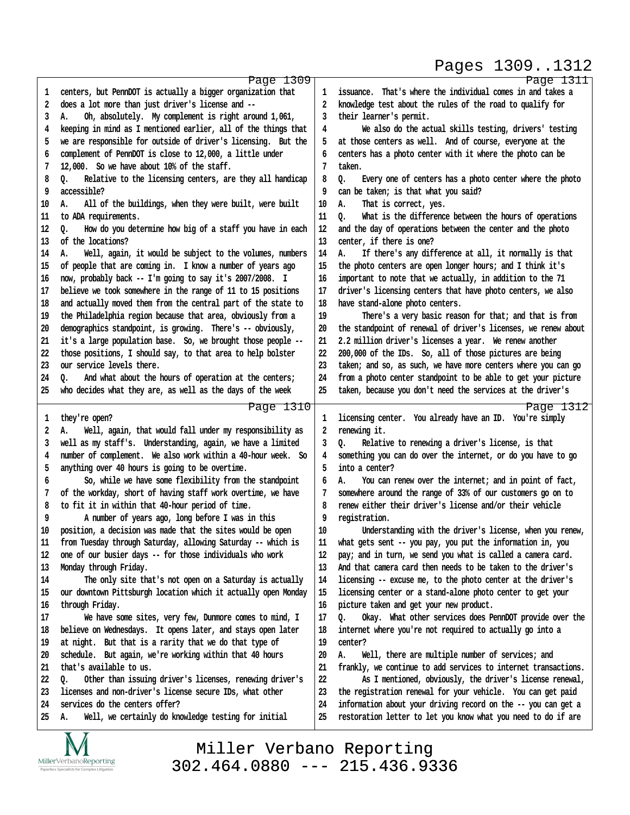### Pages 1309..1312

| 1  | Page 1309<br>centers, but PennDOT is actually a bigger organization that | 1      | Page 1311<br>issuance. That's where the individual comes in and takes a |
|----|--------------------------------------------------------------------------|--------|-------------------------------------------------------------------------|
| 2  | does a lot more than just driver's license and --                        | 2      | knowledge test about the rules of the road to qualify for               |
| 3  | Oh, absolutely. My complement is right around 1,061,                     | 3      | their learner's permit.                                                 |
|    | А.                                                                       |        |                                                                         |
| 4  | keeping in mind as I mentioned earlier, all of the things that           | 4      | We also do the actual skills testing, drivers' testing                  |
| 5  | we are responsible for outside of driver's licensing. But the            | 5      | at those centers as well. And of course, everyone at the                |
| 6  | complement of PennDOT is close to 12,000, a little under                 | 6      | centers has a photo center with it where the photo can be               |
| 7  | 12,000. So we have about 10% of the staff.                               | 7      | taken.                                                                  |
| 8  | Relative to the licensing centers, are they all handicap<br>Q.           | 8      | Every one of centers has a photo center where the photo<br>o.           |
| 9  | accessible?                                                              | 9      | can be taken; is that what you said?                                    |
| 10 | All of the buildings, when they were built, were built<br>А.             | 10     | Α.<br>That is correct, yes.                                             |
| 11 | to ADA requirements.                                                     | 11     | What is the difference between the hours of operations<br>o.            |
| 12 | How do you determine how big of a staff you have in each<br>o.           | 12     | and the day of operations between the center and the photo              |
| 13 | of the locations?                                                        | 13     | center, if there is one?                                                |
| 14 | Well, again, it would be subject to the volumes, numbers<br>А.           | 14     | If there's any difference at all, it normally is that<br>А.             |
| 15 | of people that are coming in. I know a number of years ago               | 15     | the photo centers are open longer hours; and I think it's               |
| 16 | now, probably back -- I'm going to say it's 2007/2008. I                 | 16     | important to note that we actually, in addition to the 71               |
| 17 | believe we took somewhere in the range of 11 to 15 positions             | 17     | driver's licensing centers that have photo centers, we also             |
| 18 | and actually moved them from the central part of the state to            | 18     | have stand-alone photo centers.                                         |
| 19 | the Philadelphia region because that area, obviously from a              | 19     | There's a very basic reason for that; and that is from                  |
| 20 | demographics standpoint, is growing. There's -- obviously,               | 20     | the standpoint of renewal of driver's licenses, we renew about          |
| 21 | it's a large population base. So, we brought those people --             | 21     | 2.2 million driver's licenses a year. We renew another                  |
| 22 | those positions, I should say, to that area to help bolster              | 22     | 200,000 of the IDs. So, all of those pictures are being                 |
| 23 | our service levels there.                                                | 23     | taken; and so, as such, we have more centers where you can go           |
| 24 | And what about the hours of operation at the centers;<br>0.              | 24     | from a photo center standpoint to be able to get your picture           |
| 25 | who decides what they are, as well as the days of the week               | 25     | taken, because you don't need the services at the driver's              |
|    | Page 1310                                                                |        | Page 1312                                                               |
| 1  | they're open?                                                            | 1      | licensing center. You already have an ID. You're simply                 |
| 2  | Well, again, that would fall under my responsibility as<br>А.            | 2      | renewing it.                                                            |
| 3  | well as my staff's. Understanding, again, we have a limited              | 3      | Relative to renewing a driver's license, is that<br>o.                  |
| 4  | number of complement. We also work within a 40-hour week. So             | 4      | something you can do over the internet, or do you have to go            |
| 5  | anything over 40 hours is going to be overtime.                          | 5      | into a center?                                                          |
| 6  | So, while we have some flexibility from the standpoint                   | 6      | You can renew over the internet; and in point of fact,<br>А.            |
| 7  | of the workday, short of having staff work overtime, we have             |        | somewhere around the range of 33% of our customers go on to             |
| 8  | to fit it in within that 40-hour period of time.                         | 8      | renew either their driver's license and/or their vehicle                |
| 9  | A number of years ago, long before I was in this                         | 9      | registration.                                                           |
| 10 | position, a decision was made that the sites would be open               | $10\,$ | Understanding with the driver's license, when you renew,                |
| 11 | from Tuesday through Saturday, allowing Saturday -- which is             | 11     | what gets sent -- you pay, you put the information in, you              |
| 12 | one of our busier days -- for those individuals who work                 | 12     | pay; and in turn, we send you what is called a camera card.             |
| 13 | Monday through Friday.                                                   | 13     | And that camera card then needs to be taken to the driver's             |
| 14 | The only site that's not open on a Saturday is actually                  | 14     | licensing -- excuse me, to the photo center at the driver's             |
| 15 |                                                                          | 15     | licensing center or a stand-alone photo center to get your              |
|    | our downtown Pittsburgh location which it actually open Monday           |        |                                                                         |
| 16 | through Friday.                                                          | 16     | picture taken and get your new product.                                 |
| 17 | We have some sites, very few, Dunmore comes to mind, I                   | 17     | Okay. What other services does PennDOT provide over the<br>о.           |
| 18 | believe on Wednesdays. It opens later, and stays open later              | 18     | internet where you're not required to actually go into a                |
| 19 | at night. But that is a rarity that we do that type of                   | 19     | center?                                                                 |
| 20 | schedule. But again, we're working within that 40 hours                  | 20     | Well, there are multiple number of services; and<br>А.                  |
| 21 | that's available to us.                                                  | 21     | frankly, we continue to add services to internet transactions.          |
| 22 | Other than issuing driver's licenses, renewing driver's<br>Q.            | 22     | As I mentioned, obviously, the driver's license renewal,                |
| 23 | licenses and non-driver's license secure IDs, what other                 | 23     | the registration renewal for your vehicle. You can get paid             |
| 24 | services do the centers offer?                                           | 24     | information about your driving record on the -- you can get a           |
| 25 | Well, we certainly do knowledge testing for initial<br>А.                | 25     | restoration letter to let you know what you need to do if are           |
|    | $\sqrt{ }$<br>$\mathbf v$                                                |        |                                                                         |

http://www.yeslaw.net/help

IVI  $\underset{\text{Paperless Specialists for Complex Litigation}}{\text{MillerVerbanoReporting}}$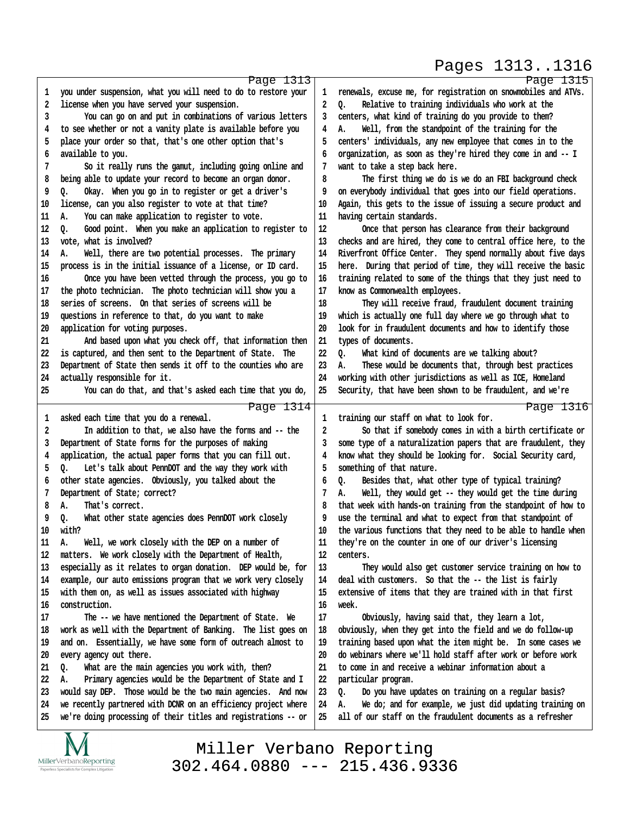#### Pages 1313..1316

http://www.yeslaw.net/help

|        | Page 1313                                                      |                         | Page 1315                                                                                                                    |
|--------|----------------------------------------------------------------|-------------------------|------------------------------------------------------------------------------------------------------------------------------|
| 1      | you under suspension, what you will need to do to restore your | 1                       | renewals, excuse me, for registration on snowmobiles and ATVs.                                                               |
| 2      | license when you have served your suspension.                  | 2                       | 0.<br>Relative to training individuals who work at the                                                                       |
| 3      | You can go on and put in combinations of various letters       | 3                       | centers, what kind of training do you provide to them?                                                                       |
| 4      | to see whether or not a vanity plate is available before you   | 4                       | Well, from the standpoint of the training for the<br>А.                                                                      |
| 5      | place your order so that, that's one other option that's       | 5                       | centers' individuals, any new employee that comes in to the                                                                  |
| 6      | available to you.                                              | 6                       | organization, as soon as they're hired they come in and -- I                                                                 |
| 7      | So it really runs the gamut, including going online and        | 7                       | want to take a step back here.                                                                                               |
| 8      | being able to update your record to become an organ donor.     | 8                       | The first thing we do is we do an FBI background check                                                                       |
| 9      | Q.<br>Okay. When you go in to register or get a driver's       | 9                       | on everybody individual that goes into our field operations.                                                                 |
| 10     | license, can you also register to vote at that time?           | 10                      | Again, this gets to the issue of issuing a secure product and                                                                |
|        |                                                                |                         |                                                                                                                              |
| 11     | You can make application to register to vote.<br>А.            | 11                      | having certain standards.                                                                                                    |
| 12     | Good point. When you make an application to register to<br>o.  | 12                      | Once that person has clearance from their background                                                                         |
| 13     | vote, what is involved?                                        | 13                      | checks and are hired, they come to central office here, to the                                                               |
| 14     | Well, there are two potential processes. The primary<br>А.     | 14                      | Riverfront Office Center. They spend normally about five days                                                                |
| 15     | process is in the initial issuance of a license, or ID card.   | 15                      | here. During that period of time, they will receive the basic                                                                |
| 16     | Once you have been vetted through the process, you go to       | 16                      | training related to some of the things that they just need to                                                                |
| 17     | the photo technician. The photo technician will show you a     | 17                      | know as Commonwealth employees.                                                                                              |
| 18     | series of screens. On that series of screens will be           | 18                      | They will receive fraud, fraudulent document training                                                                        |
| 19     | questions in reference to that, do you want to make            | 19                      | which is actually one full day where we go through what to                                                                   |
| 20     | application for voting purposes.                               | 20                      | look for in fraudulent documents and how to identify those                                                                   |
| 21     | And based upon what you check off, that information then       | 21                      | types of documents.                                                                                                          |
| 22     | is captured, and then sent to the Department of State. The     | 22                      | $Q_{\bullet}$<br>What kind of documents are we talking about?                                                                |
| 23     | Department of State then sends it off to the counties who are  | 23                      | These would be documents that, through best practices<br>А.                                                                  |
| 24     | actually responsible for it.                                   | 24                      | working with other jurisdictions as well as ICE, Homeland                                                                    |
| 25     | You can do that, and that's asked each time that you do,       | 25                      | Security, that have been shown to be fraudulent, and we're                                                                   |
|        | Page 1314                                                      |                         | Page 1316                                                                                                                    |
| 1      | asked each time that you do a renewal.                         | 1                       | training our staff on what to look for.                                                                                      |
| 2      | In addition to that, we also have the forms and -- the         | $\overline{\mathbf{2}}$ | So that if somebody comes in with a birth certificate or                                                                     |
| 3      | Department of State forms for the purposes of making           | 3                       | some type of a naturalization papers that are fraudulent, they                                                               |
| 4      | application, the actual paper forms that you can fill out.     | 4                       | know what they should be looking for. Social Security card,                                                                  |
| 5      | o.<br>Let's talk about PennDOT and the way they work with      | 5                       | something of that nature.                                                                                                    |
| 6      | other state agencies. Obviously, you talked about the          | 6                       | Besides that, what other type of typical training?<br>o.                                                                     |
| 7      | Department of State; correct?                                  | 7                       | Well, they would get -- they would get the time during<br>А.                                                                 |
| 8      | А.<br>That's correct.                                          | 8                       | that week with hands-on training from the standpoint of how to                                                               |
| 9      | What other state agencies does PennDOT work closely<br>Q.      | 9                       | use the terminal and what to expect from that standpoint of                                                                  |
| 10     | with?                                                          | 10                      | the various functions that they need to be able to handle when                                                               |
| $11\,$ | Well, we work closely with the DEP on a number of<br>А.        | 11                      | they're on the counter in one of our driver's licensing                                                                      |
| 12     | matters. We work closely with the Department of Health,        | 12                      | centers.                                                                                                                     |
| 13     | especially as it relates to organ donation. DEP would be, for  | 13                      | They would also get customer service training on how to                                                                      |
| 14     | example, our auto emissions program that we work very closely  | 14                      | deal with customers. So that the -- the list is fairly                                                                       |
| 15     | with them on, as well as issues associated with highway        | 15                      | extensive of items that they are trained with in that first                                                                  |
| 16     | construction.                                                  | 16                      | week.                                                                                                                        |
| 17     | The -- we have mentioned the Department of State. We           | 17                      | Obviously, having said that, they learn a lot,                                                                               |
| 18     | work as well with the Department of Banking. The list goes on  | 18                      | obviously, when they get into the field and we do follow-up                                                                  |
|        |                                                                | 19                      |                                                                                                                              |
| 19     | and on. Essentially, we have some form of outreach almost to   | 20                      | training based upon what the item might be. In some cases we<br>do webinars where we'll hold staff after work or before work |
| 20     | every agency out there.                                        |                         |                                                                                                                              |
| 21     | What are the main agencies you work with, then?<br>Q.          | 21                      | to come in and receive a webinar information about a                                                                         |
| 22     | Primary agencies would be the Department of State and I<br>А.  | 22                      | particular program.                                                                                                          |
| 23     | would say DEP. Those would be the two main agencies. And now   | 23                      | Do you have updates on training on a regular basis?<br>Q.                                                                    |
| 24     | we recently partnered with DCNR on an efficiency project where | 24                      | We do; and for example, we just did updating training on<br>А.                                                               |
| 25     | we're doing processing of their titles and registrations -- or | 25                      | all of our staff on the fraudulent documents as a refresher                                                                  |
|        |                                                                |                         |                                                                                                                              |

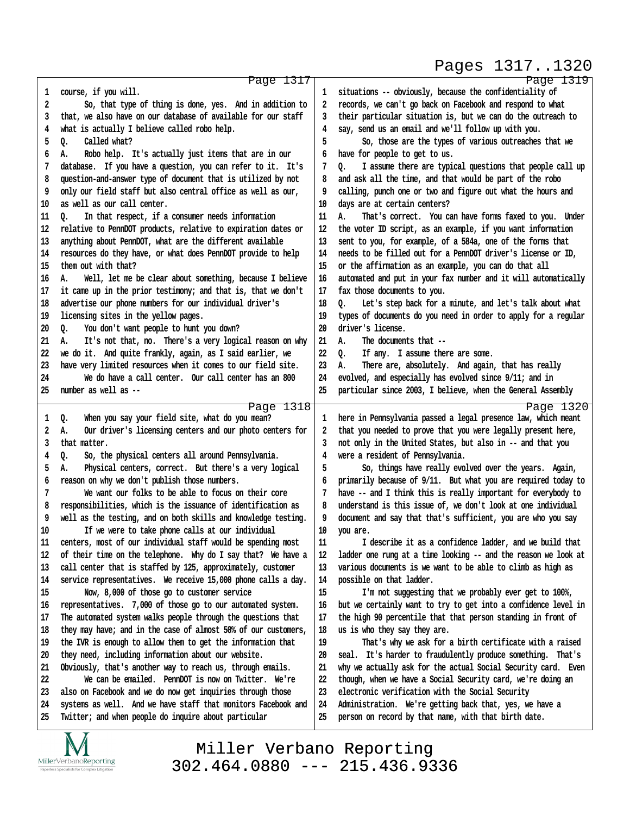### Pages 1317..1320

http://www.yeslaw.net/help

|    | Page 1317                                                      |    | Page 1319                                                      |
|----|----------------------------------------------------------------|----|----------------------------------------------------------------|
| 1  | course, if you will.                                           | 1  | situations -- obviously, because the confidentiality of        |
| 2  | So, that type of thing is done, yes. And in addition to        | 2  | records, we can't go back on Facebook and respond to what      |
| 3  | that, we also have on our database of available for our staff  | 3  | their particular situation is, but we can do the outreach to   |
| 4  | what is actually I believe called robo help.                   | 4  | say, send us an email and we'll follow up with you.            |
| 5  | Q.<br>Called what?                                             | 5  | So, those are the types of various outreaches that we          |
| 6  | Robo help. It's actually just items that are in our<br>А.      | 6  | have for people to get to us.                                  |
| 7  | database. If you have a question, you can refer to it. It's    | 7  | o.<br>I assume there are typical questions that people call up |
| 8  | question-and-answer type of document that is utilized by not   | 8  | and ask all the time, and that would be part of the robo       |
| 9  | only our field staff but also central office as well as our,   | 9  | calling, punch one or two and figure out what the hours and    |
| 10 | as well as our call center.                                    | 10 | days are at certain centers?                                   |
| 11 | ٥.<br>In that respect, if a consumer needs information         | 11 | А.<br>That's correct. You can have forms faxed to you. Under   |
| 12 | relative to PennDOT products, relative to expiration dates or  | 12 | the voter ID script, as an example, if you want information    |
| 13 | anything about PennDOT, what are the different available       | 13 | sent to you, for example, of a 584a, one of the forms that     |
| 14 | resources do they have, or what does PennDOT provide to help   | 14 | needs to be filled out for a PennDOT driver's license or ID,   |
| 15 | them out with that?                                            | 15 | or the affirmation as an example, you can do that all          |
| 16 | Well, let me be clear about something, because I believe<br>А. | 16 | automated and put in your fax number and it will automatically |
| 17 | it came up in the prior testimony; and that is, that we don't  | 17 | fax those documents to you.                                    |
| 18 | advertise our phone numbers for our individual driver's        | 18 | Let's step back for a minute, and let's talk about what<br>0.  |
| 19 | licensing sites in the yellow pages.                           | 19 | types of documents do you need in order to apply for a regular |
| 20 | You don't want people to hunt you down?<br>Q.                  | 20 | driver's license.                                              |
| 21 | It's not that, no. There's a very logical reason on why<br>А.  | 21 | А.<br>The documents that --                                    |
| 22 | we do it. And quite frankly, again, as I said earlier, we      | 22 | o.<br>If any. I assume there are some.                         |
| 23 | have very limited resources when it comes to our field site.   | 23 | А.<br>There are, absolutely. And again, that has really        |
| 24 | We do have a call center. Our call center has an 800           | 24 | evolved, and especially has evolved since 9/11; and in         |
| 25 | number as well as --                                           | 25 | particular since 2003, I believe, when the General Assembly    |
|    |                                                                |    |                                                                |
|    | Page 1318                                                      |    | Page 1320                                                      |
| 1  | When you say your field site, what do you mean?<br>Q.          | 1  | here in Pennsylvania passed a legal presence law, which meant  |
| 2  | Our driver's licensing centers and our photo centers for<br>А. | 2  | that you needed to prove that you were legally present here,   |
| 3  | that matter.                                                   | 3  | not only in the United States, but also in -- and that you     |
| 4  | So, the physical centers all around Pennsylvania.<br>Q.        | 4  | were a resident of Pennsylvania.                               |
| 5  | А.<br>Physical centers, correct. But there's a very logical    | 5  | So, things have really evolved over the years. Again,          |
| 6  | reason on why we don't publish those numbers.                  | 6  | primarily because of 9/11. But what you are required today to  |
| 7  | We want our folks to be able to focus on their core            |    | have -- and I think this is really important for everybody to  |
| 8  | responsibilities, which is the issuance of identification as   | 8  | understand is this issue of, we don't look at one individual   |
| 9  | well as the testing, and on both skills and knowledge testing. | 9  | document and say that that's sufficient, you are who you say   |
| 10 | If we were to take phone calls at our individual               | 10 | you are.                                                       |
| 11 | centers, most of our individual staff would be spending most   | 11 | I describe it as a confidence ladder, and we build that        |
| 12 | of their time on the telephone. Why do I say that? We have a   | 12 | ladder one rung at a time looking -- and the reason we look at |
| 13 | call center that is staffed by 125, approximately, customer    | 13 | various documents is we want to be able to climb as high as    |
| 14 | service representatives. We receive 15,000 phone calls a day.  | 14 | possible on that ladder.                                       |
| 15 | Now, 8,000 of those go to customer service                     | 15 | I'm not suggesting that we probably ever get to 100%,          |
| 16 | representatives. 7,000 of those go to our automated system.    | 16 | but we certainly want to try to get into a confidence level in |
| 17 | The automated system walks people through the questions that   | 17 | the high 90 percentile that that person standing in front of   |
| 18 | they may have; and in the case of almost 50% of our customers, | 18 | us is who they say they are.                                   |
| 19 | the IVR is enough to allow them to get the information that    | 19 | That's why we ask for a birth certificate with a raised        |
| 20 | they need, including information about our website.            | 20 | seal. It's harder to fraudulently produce something. That's    |
| 21 | Obviously, that's another way to reach us, through emails.     | 21 | why we actually ask for the actual Social Security card. Even  |
| 22 | We can be emailed. PennDOT is now on Twitter. We're            | 22 | though, when we have a Social Security card, we're doing an    |
| 23 | also on Facebook and we do now get inquiries through those     | 23 | electronic verification with the Social Security               |
| 24 | systems as well. And we have staff that monitors Facebook and  | 24 | Administration. We're getting back that, yes, we have a        |
| 25 | Twitter; and when people do inquire about particular           | 25 | person on record by that name, with that birth date.           |
|    |                                                                |    |                                                                |

IVI  $\underset{\text{Paperless Specialists for Complex Litigation}}{\text{MillerVerbanoReporting}}$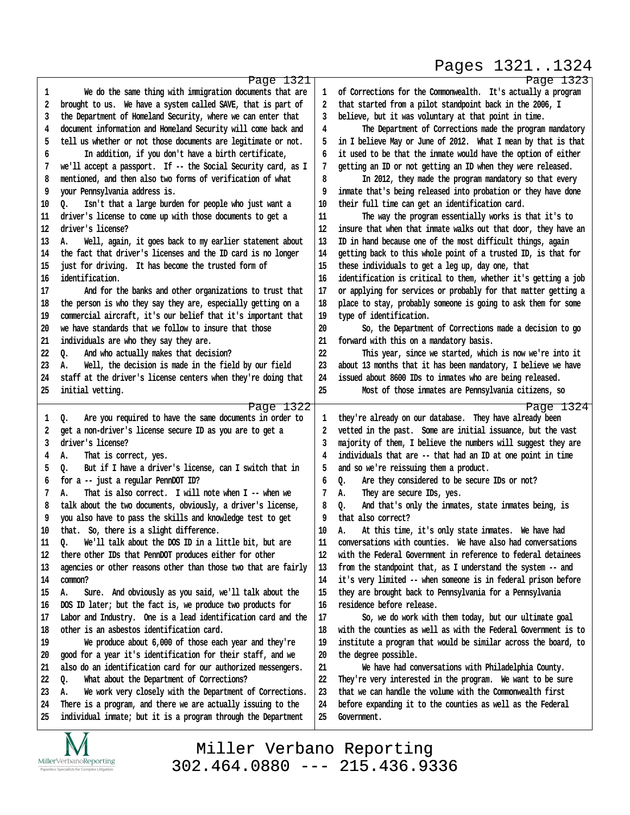# Pages 1321..1324

http://www.yeslaw.net/help

|    | Page 1321                                                      |    | Page 1323                                                      |
|----|----------------------------------------------------------------|----|----------------------------------------------------------------|
| 1  | We do the same thing with immigration documents that are       | 1  | of Corrections for the Commonwealth. It's actually a program   |
| 2  | brought to us. We have a system called SAVE, that is part of   | 2  | that started from a pilot standpoint back in the 2006, I       |
| 3  | the Department of Homeland Security, where we can enter that   | 3  | believe, but it was voluntary at that point in time.           |
| 4  | document information and Homeland Security will come back and  | 4  | The Department of Corrections made the program mandatory       |
| 5  | tell us whether or not those documents are legitimate or not.  | 5  | in I believe May or June of 2012. What I mean by that is that  |
| 6  | In addition, if you don't have a birth certificate,            | 6  | it used to be that the inmate would have the option of either  |
| 7  | we'll accept a passport. If -- the Social Security card, as I  | 7  | getting an ID or not getting an ID when they were released.    |
| 8  | mentioned, and then also two forms of verification of what     | 8  | In 2012, they made the program mandatory so that every         |
| 9  | your Pennsylvania address is.                                  | 9  | inmate that's being released into probation or they have done  |
| 10 | Isn't that a large burden for people who just want a<br>Q.     | 10 | their full time can get an identification card.                |
| 11 | driver's license to come up with those documents to get a      | 11 | The way the program essentially works is that it's to          |
| 12 | driver's license?                                              | 12 | insure that when that inmate walks out that door, they have an |
|    |                                                                |    |                                                                |
| 13 | Well, again, it goes back to my earlier statement about<br>Α.  | 13 | ID in hand because one of the most difficult things, again     |
| 14 | the fact that driver's licenses and the ID card is no longer   | 14 | getting back to this whole point of a trusted ID, is that for  |
| 15 | just for driving. It has become the trusted form of            | 15 | these individuals to get a leg up, day one, that               |
| 16 | identification.                                                | 16 | identification is critical to them, whether it's getting a job |
| 17 | And for the banks and other organizations to trust that        | 17 | or applying for services or probably for that matter getting a |
| 18 | the person is who they say they are, especially getting on a   | 18 | place to stay, probably someone is going to ask them for some  |
| 19 | commercial aircraft, it's our belief that it's important that  | 19 | type of identification.                                        |
| 20 | we have standards that we follow to insure that those          | 20 | So, the Department of Corrections made a decision to go        |
| 21 | individuals are who they say they are.                         | 21 | forward with this on a mandatory basis.                        |
| 22 | And who actually makes that decision?<br>o.                    | 22 | This year, since we started, which is now we're into it        |
| 23 | Well, the decision is made in the field by our field<br>А.     | 23 | about 13 months that it has been mandatory, I believe we have  |
| 24 | staff at the driver's license centers when they're doing that  | 24 | issued about 8600 IDs to inmates who are being released.       |
| 25 | initial vetting.                                               | 25 | Most of those inmates are Pennsylvania citizens, so            |
|    | Page 1322                                                      |    | Page 1324                                                      |
| 1  | Are you required to have the same documents in order to<br>o.  | 1  | they're already on our database. They have already been        |
| 2  | get a non-driver's license secure ID as you are to get a       | 2  | vetted in the past. Some are initial issuance, but the vast    |
| 3  | driver's license?                                              | 3  | majority of them, I believe the numbers will suggest they are  |
| 4  | А.<br>That is correct, yes.                                    | 4  | individuals that are -- that had an ID at one point in time    |
| 5  | But if I have a driver's license, can I switch that in<br>o.   | 5  | and so we're reissuing them a product.                         |
| 6  | for a -- just a regular PennDOT ID?                            | 6  | Are they considered to be secure IDs or not?<br>Q.             |
| 7  | That is also correct. I will note when I -- when we<br>А.      | 7  | They are secure IDs, yes.<br>А.                                |
| 8  | talk about the two documents, obviously, a driver's license,   | 8  | And that's only the inmates, state inmates being, is<br>o.     |
| 9  | you also have to pass the skills and knowledge test to get     | 9  | that also correct?                                             |
| 10 | that. So, there is a slight difference.                        | 10 | At this time, it's only state inmates. We have had<br>А.       |
| 11 | We'll talk about the DOS ID in a little bit, but are<br>Q.     | 11 | conversations with counties. We have also had conversations    |
| 12 | there other IDs that PennDOT produces either for other         | 12 | with the Federal Government in reference to federal detainees  |
| 13 | agencies or other reasons other than those two that are fairly | 13 | from the standpoint that, as I understand the system -- and    |
| 14 | common?                                                        | 14 | it's very limited -- when someone is in federal prison before  |
| 15 | Sure. And obviously as you said, we'll talk about the<br>А.    | 15 | they are brought back to Pennsylvania for a Pennsylvania       |
| 16 | DOS ID later; but the fact is, we produce two products for     | 16 | residence before release.                                      |
| 17 | Labor and Industry. One is a lead identification card and the  | 17 | So, we do work with them today, but our ultimate goal          |
| 18 | other is an asbestos identification card.                      | 18 | with the counties as well as with the Federal Government is to |
| 19 | We produce about 6,000 of those each year and they're          | 19 | institute a program that would be similar across the board, to |
| 20 | good for a year it's identification for their staff, and we    | 20 | the degree possible.                                           |
| 21 | also do an identification card for our authorized messengers.  | 21 | We have had conversations with Philadelphia County.            |
| 22 | What about the Department of Corrections?<br>Q.                | 22 | They're very interested in the program. We want to be sure     |
| 23 | We work very closely with the Department of Corrections.<br>А. | 23 | that we can handle the volume with the Commonwealth first      |
| 24 | There is a program, and there we are actually issuing to the   | 24 | before expanding it to the counties as well as the Federal     |
| 25 | individual inmate; but it is a program through the Department  | 25 | Government.                                                    |
|    |                                                                |    |                                                                |

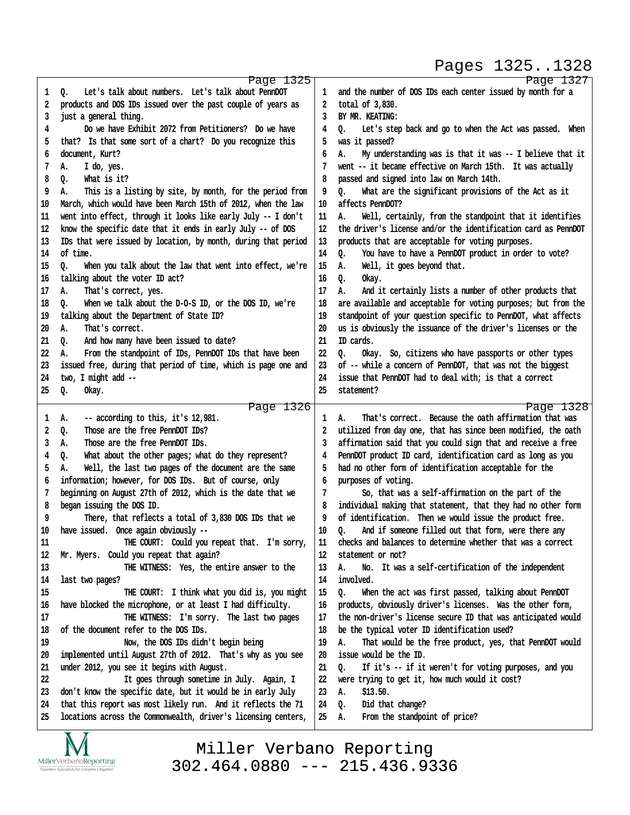#### Pages 1325..1328

http://www.yeslaw.net/help

www.yeslaw.net/help

|    | Page 1325                                                      |        | Page 1327                                                      |
|----|----------------------------------------------------------------|--------|----------------------------------------------------------------|
| 1  | Let's talk about numbers. Let's talk about PennDOT<br>Q.       | 1      | and the number of DOS IDs each center issued by month for a    |
| 2  | products and DOS IDs issued over the past couple of years as   | 2      | total of 3,830.                                                |
| 3  | just a general thing.                                          | 3      | BY MR. KEATING:                                                |
| 4  | Do we have Exhibit 2072 from Petitioners? Do we have           | 4      | 0.<br>Let's step back and go to when the Act was passed. When  |
| 5  | that? Is that some sort of a chart? Do you recognize this      | 5      | was it passed?                                                 |
|    | document, Kurt?                                                |        |                                                                |
| 6  |                                                                | 6<br>7 | My understanding was is that it was -- I believe that it<br>А. |
| 7  | I do, yes.<br>А.                                               |        | went -- it became effective on March 15th. It was actually     |
| 8  | What is it?<br>Q.                                              | 8      | passed and signed into law on March 14th.                      |
| 9  | This is a listing by site, by month, for the period from<br>А. | 9      | What are the significant provisions of the Act as it<br>٥.     |
| 10 | March, which would have been March 15th of 2012, when the law  | 10     | affects PennDOT?                                               |
| 11 | went into effect, through it looks like early July -- I don't  | 11     | Well, certainly, from the standpoint that it identifies<br>А.  |
| 12 | know the specific date that it ends in early July -- of DOS    | 12     | the driver's license and/or the identification card as PennDOT |
| 13 | IDs that were issued by location, by month, during that period | 13     | products that are acceptable for voting purposes.              |
| 14 | of time.                                                       | 14     | You have to have a PennDOT product in order to vote?<br>Q.     |
| 15 | When you talk about the law that went into effect, we're<br>Q. | 15     | А.<br>Well, it goes beyond that.                               |
| 16 | talking about the voter ID act?                                | 16     | Q.<br>0kay.                                                    |
| 17 | That's correct, yes.<br>А.                                     | 17     | А.<br>And it certainly lists a number of other products that   |
| 18 | When we talk about the D-O-S ID, or the DOS ID, we're<br>o.    | 18     | are available and acceptable for voting purposes; but from the |
| 19 | talking about the Department of State ID?                      | 19     | standpoint of your question specific to PennDOT, what affects  |
| 20 | That's correct.<br>А.                                          | 20     | us is obviously the issuance of the driver's licenses or the   |
| 21 | And how many have been issued to date?<br>0.                   | 21     | ID cards.                                                      |
| 22 | From the standpoint of IDs, PennDOT IDs that have been<br>А.   | 22     | Okay. So, citizens who have passports or other types<br>٥.     |
| 23 | issued free, during that period of time, which is page one and | 23     | of -- while a concern of PennDOT, that was not the biggest     |
| 24 | two, I might add --                                            | 24     | issue that PennDOT had to deal with; is that a correct         |
| 25 | Okay.<br>Q.                                                    | 25     | statement?                                                     |
|    |                                                                |        |                                                                |
|    | Page 1326                                                      |        | Page 1328                                                      |
| 1  | -- according to this, it's 12,981.<br>А.                       | 1      | That's correct. Because the oath affirmation that was<br>А.    |
| 2  | Those are the free PennDOT IDs?<br>Q.                          | 2      | utilized from day one, that has since been modified, the oath  |
| 3  | Those are the free PennDOT IDs.<br>А.                          | 3      | affirmation said that you could sign that and receive a free   |
| 4  | Q.<br>What about the other pages; what do they represent?      | 4      | PennDOT product ID card, identification card as long as you    |
| 5  | А.<br>Well, the last two pages of the document are the same    | 5      | had no other form of identification acceptable for the         |
| 6  | information; however, for DOS IDs. But of course, only         | 6      | purposes of voting.                                            |
| 7  | beginning on August 27th of 2012, which is the date that we    | 7      | So, that was a self-affirmation on the part of the             |
| 8  | began issuing the DOS ID.                                      | 8      | individual making that statement, that they had no other form  |
| 9  | There, that reflects a total of 3,830 DOS IDs that we          | 9      | of identification. Then we would issue the product free.       |
| 10 | have issued. Once again obviously --                           | 10     | And if someone filled out that form, were there any<br>Q.      |
| 11 | THE COURT: Could you repeat that. I'm sorry,                   | 11     | checks and balances to determine whether that was a correct    |
| 12 | Mr. Myers. Could you repeat that again?                        | 12     | statement or not?                                              |
| 13 | THE WITNESS: Yes, the entire answer to the                     | 13     | No. It was a self-certification of the independent<br>А.       |
| 14 | last two pages?                                                | 14     | involved.                                                      |
| 15 | THE COURT: I think what you did is, you might                  | 15     | 0.<br>When the act was first passed, talking about PennDOT     |
| 16 | have blocked the microphone, or at least I had difficulty.     | 16     | products, obviously driver's licenses. Was the other form,     |
| 17 | THE WITNESS: I'm sorry. The last two pages                     | 17     | the non-driver's license secure ID that was anticipated would  |
| 18 | of the document refer to the DOS IDs.                          | 18     | be the typical voter ID identification used?                   |
| 19 | Now, the DOS IDs didn't begin being                            | 19     | А.<br>That would be the free product, yes, that PennDOT would  |
| 20 | implemented until August 27th of 2012. That's why as you see   | 20     | issue would be the ID.                                         |
| 21 | under 2012, you see it begins with August.                     | 21     | Q.<br>If it's -- if it weren't for voting purposes, and you    |
| 22 | It goes through sometime in July. Again, I                     | 22     | were trying to get it, how much would it cost?                 |
| 23 | don't know the specific date, but it would be in early July    | 23     | \$13.50.<br>А.                                                 |
| 24 | that this report was most likely run. And it reflects the 71   | 24     | Did that change?<br>Q.                                         |
| 25 | locations across the Commonwealth, driver's licensing centers, | 25     | From the standpoint of price?<br>А.                            |
|    |                                                                |        |                                                                |
|    | $\sqrt{2}$                                                     |        |                                                                |

IVI  $\underset{\text{Paperless Specialists for Complex Litigation}}{\text{MillerVerbanoReporting}}$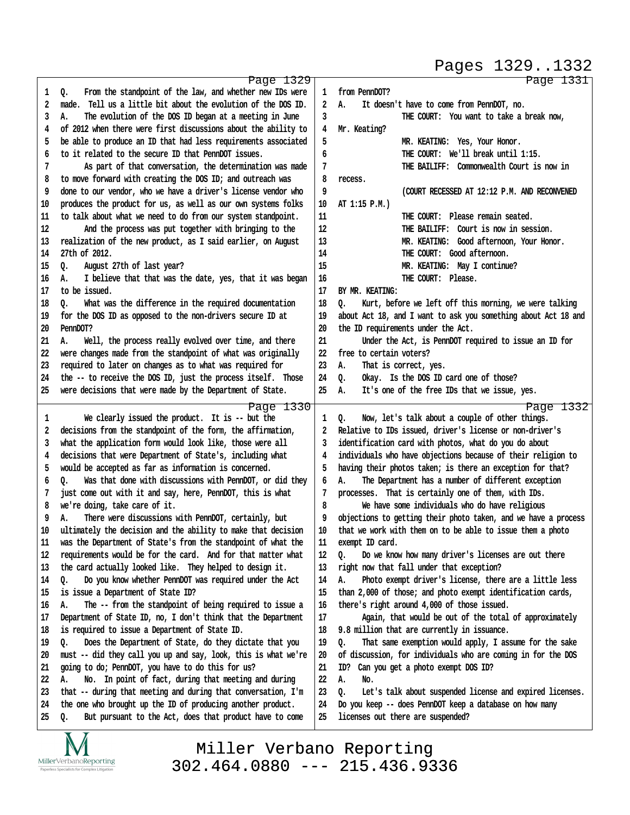#### Pages 1329..1332

http://www.yeslaw.net/help

http://www.yeslaw.net/help

|    | Page 1329                                                        |    | Page 1331                                                        |
|----|------------------------------------------------------------------|----|------------------------------------------------------------------|
| 1  | From the standpoint of the law, and whether new IDs were<br>Q.   | 1  | from PennDOT?                                                    |
| 2  | Tell us a little bit about the evolution of the DOS ID.<br>made. | 2  | А.<br>It doesn't have to come from PennDOT, no.                  |
| 3  | А.<br>The evolution of the DOS ID began at a meeting in June     | 3  | THE COURT: You want to take a break now,                         |
| 4  | of 2012 when there were first discussions about the ability to   | 4  | Mr. Keating?                                                     |
| 5  | be able to produce an ID that had less requirements associated   | 5  | MR. KEATING: Yes, Your Honor.                                    |
| 6  | to it related to the secure ID that PennDOT issues.              | 6  | THE COURT: We'll break until 1:15.                               |
| 7  | As part of that conversation, the determination was made         | 7  | THE BAILIFF: Commonwealth Court is now in                        |
| 8  | to move forward with creating the DOS ID; and outreach was       | 8  | recess.                                                          |
| 9  | done to our vendor, who we have a driver's license vendor who    | 9  | (COURT RECESSED AT 12:12 P.M. AND RECONVENED                     |
| 10 | produces the product for us, as well as our own systems folks    | 10 | AT 1:15 P.M.)                                                    |
| 11 | to talk about what we need to do from our system standpoint.     | 11 | THE COURT: Please remain seated.                                 |
| 12 | And the process was put together with bringing to the            | 12 | THE BAILIFF: Court is now in session.                            |
|    |                                                                  |    |                                                                  |
| 13 | realization of the new product, as I said earlier, on August     | 13 | MR. KEATING: Good afternoon, Your Honor.                         |
| 14 | 27th of 2012.                                                    | 14 | THE COURT: Good afternoon.                                       |
| 15 | August 27th of last year?<br>o.                                  | 15 | MR. KEATING: May I continue?                                     |
| 16 | I believe that that was the date, yes, that it was began<br>А.   | 16 | THE COURT: Please.                                               |
| 17 | to be issued.                                                    | 17 | BY MR. KEATING:                                                  |
| 18 | What was the difference in the required documentation<br>٥.      | 18 | Kurt, before we left off this morning, we were talking<br>o.     |
| 19 | for the DOS ID as opposed to the non-drivers secure ID at        | 19 | about Act 18, and I want to ask you something about Act 18 and   |
| 20 | PennDOT?                                                         | 20 | the ID requirements under the Act.                               |
| 21 | Well, the process really evolved over time, and there<br>А.      | 21 | Under the Act, is PennDOT required to issue an ID for            |
| 22 | were changes made from the standpoint of what was originally     | 22 | free to certain voters?                                          |
| 23 | required to later on changes as to what was required for         | 23 | That is correct, yes.<br>А.                                      |
| 24 | the -- to receive the DOS ID, just the process itself. Those     | 24 | Okay. Is the DOS ID card one of those?<br>Q.                     |
| 25 | were decisions that were made by the Department of State.        | 25 | It's one of the free IDs that we issue, yes.<br>А.               |
|    | Page 1330                                                        |    | Page 1332                                                        |
| 1  | We clearly issued the product. It is -- but the                  | 1  | $Q_{\bullet}$<br>Now, let's talk about a couple of other things. |
| 2  | decisions from the standpoint of the form, the affirmation,      | 2  | Relative to IDs issued, driver's license or non-driver's         |
| 3  | what the application form would look like, those were all        | 3  | identification card with photos, what do you do about            |
| 4  | decisions that were Department of State's, including what        | 4  | individuals who have objections because of their religion to     |
| 5  | would be accepted as far as information is concerned.            | 5  | having their photos taken; is there an exception for that?       |
| 6  | Was that done with discussions with PennDOT, or did they<br>٥.   | 6  | The Department has a number of different exception<br>А.         |
| 7  | just come out with it and say, here, PennDOT, this is what       | 7  | processes. That is certainly one of them, with IDs.              |
| 8  | we're doing, take care of it.                                    | 8  | We have some individuals who do have religious                   |
| 9  | There were discussions with PennDOT, certainly, but<br>А.        | 9  | objections to getting their photo taken, and we have a process   |
| 10 | ultimately the decision and the ability to make that decision    | 10 | that we work with them on to be able to issue them a photo       |
| 11 | was the Department of State's from the standpoint of what the    | 11 | exempt ID card.                                                  |
| 12 | requirements would be for the card. And for that matter what     | 12 | Do we know how many driver's licenses are out there<br>o.        |
| 13 | the card actually looked like. They helped to design it.         | 13 | right now that fall under that exception?                        |
| 14 | Do you know whether PennDOT was required under the Act<br>o.     | 14 | Photo exempt driver's license, there are a little less<br>А.     |
| 15 | is issue a Department of State ID?                               | 15 | than 2,000 of those; and photo exempt identification cards,      |
| 16 | The -- from the standpoint of being required to issue a<br>А.    | 16 | there's right around 4,000 of those issued.                      |
| 17 | Department of State ID, no, I don't think that the Department    | 17 | Again, that would be out of the total of approximately           |
| 18 | is required to issue a Department of State ID.                   | 18 | 9.8 million that are currently in issuance.                      |
| 19 | Does the Department of State, do they dictate that you<br>Q.     | 19 | That same exemption would apply, I assume for the sake<br>Q.     |
| 20 | must -- did they call you up and say, look, this is what we're   | 20 | of discussion, for individuals who are coming in for the DOS     |
| 21 | going to do; PennDOT, you have to do this for us?                | 21 | Can you get a photo exempt DOS ID?<br>ID?                        |
| 22 | No. In point of fact, during that meeting and during<br>А.       | 22 | А.<br>No.                                                        |
| 23 | that -- during that meeting and during that conversation, I'm    | 23 | Let's talk about suspended license and expired licenses.<br>Q.   |
| 24 | the one who brought up the ID of producing another product.      | 24 | Do you keep -- does PennDOT keep a database on how many          |
| 25 | But pursuant to the Act, does that product have to come<br>Q.    | 25 | licenses out there are suspended?                                |
|    | $\overline{\mathbf{M}}$<br>$\mathbf{r}$                          |    |                                                                  |

IVI MillerVerbanoReporting Paperless Specialists for Complex Litigation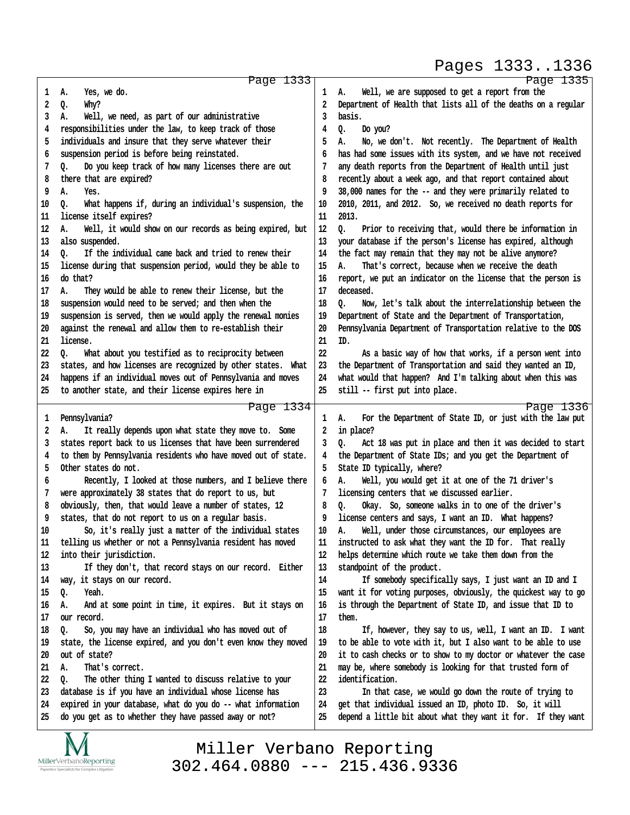Pages 1333..1336

http://www.yeslaw.net/help

|    | Page 1333                                                      |    | Page 1335                                                      |
|----|----------------------------------------------------------------|----|----------------------------------------------------------------|
| 1  | Yes, we do.<br>А.                                              | 1  | Well, we are supposed to get a report from the<br>А.           |
| 2  | Q.<br>Why?                                                     | 2  | Department of Health that lists all of the deaths on a regular |
| 3  | Well, we need, as part of our administrative<br>А.             | 3  | basis.                                                         |
| 4  | responsibilities under the law, to keep track of those         | 4  | Q.<br>Do you?                                                  |
| 5  | individuals and insure that they serve whatever their          | 5  | А.<br>No, we don't. Not recently. The Department of Health     |
| 6  | suspension period is before being reinstated.                  | 6  | has had some issues with its system, and we have not received  |
| 7  | Do you keep track of how many licenses there are out<br>Q.     |    | any death reports from the Department of Health until just     |
| 8  | there that are expired?                                        | 8  | recently about a week ago, and that report contained about     |
| 9  | А.<br>Yes.                                                     | 9  | 38,000 names for the -- and they were primarily related to     |
| 10 | What happens if, during an individual's suspension, the        |    |                                                                |
|    | 0.                                                             | 10 | 2010, 2011, and 2012. So, we received no death reports for     |
| 11 | license itself expires?                                        | 11 | 2013.                                                          |
| 12 | Well, it would show on our records as being expired, but<br>А. | 12 | 0.<br>Prior to receiving that, would there be information in   |
| 13 | also suspended.                                                | 13 | your database if the person's license has expired, although    |
| 14 | If the individual came back and tried to renew their<br>٥.     | 14 | the fact may remain that they may not be alive anymore?        |
| 15 | license during that suspension period, would they be able to   | 15 | А.<br>That's correct, because when we receive the death        |
| 16 | do that?                                                       | 16 | report, we put an indicator on the license that the person is  |
| 17 | They would be able to renew their license, but the<br>А.       | 17 | deceased.                                                      |
| 18 | suspension would need to be served; and then when the          | 18 | Now, let's talk about the interrelationship between the<br>٥.  |
| 19 | suspension is served, then we would apply the renewal monies   | 19 | Department of State and the Department of Transportation,      |
| 20 | against the renewal and allow them to re-establish their       | 20 | Pennsylvania Department of Transportation relative to the DOS  |
| 21 | license.                                                       | 21 | ID.                                                            |
| 22 | What about you testified as to reciprocity between<br>o.       | 22 | As a basic way of how that works, if a person went into        |
| 23 | states, and how licenses are recognized by other states. What  | 23 | the Department of Transportation and said they wanted an ID,   |
| 24 | happens if an individual moves out of Pennsylvania and moves   | 24 | what would that happen? And I'm talking about when this was    |
| 25 | to another state, and their license expires here in            | 25 | still -- first put into place.                                 |
|    | Page 1334                                                      |    | Page 1336                                                      |
| 1  | Pennsylvania?                                                  | 1  | А.<br>For the Department of State ID, or just with the law put |
| 2  | It really depends upon what state they move to. Some<br>Α.     | 2  | in place?                                                      |
|    |                                                                |    |                                                                |
|    |                                                                |    |                                                                |
| 3  | states report back to us licenses that have been surrendered   | 3  | Act 18 was put in place and then it was decided to start<br>o. |
| 4  | to them by Pennsylvania residents who have moved out of state. | 4  | the Department of State IDs; and you get the Department of     |
| 5  | Other states do not.                                           | 5  | State ID typically, where?                                     |
| 6  | Recently, I looked at those numbers, and I believe there       | 6  | Well, you would get it at one of the 71 driver's<br>А.         |
| 7  | were approximately 38 states that do report to us, but         |    | licensing centers that we discussed earlier.                   |
| 8  | obviously, then, that would leave a number of states, 12       | 8  | Q.<br>Okay. So, someone walks in to one of the driver's        |
| 9  | states, that do not report to us on a regular basis.           | 9  | license centers and says, I want an ID. What happens?          |
| 10 | So, it's really just a matter of the individual states         | 10 | Well, under those circumstances, our employees are<br>Α.       |
| 11 | telling us whether or not a Pennsylvania resident has moved    | 11 | instructed to ask what they want the ID for. That really       |
| 12 | into their jurisdiction.                                       | 12 | helps determine which route we take them down from the         |
| 13 | If they don't, that record stays on our record. Either         | 13 | standpoint of the product.                                     |
| 14 | way, it stays on our record.                                   | 14 | If somebody specifically says, I just want an ID and I         |
| 15 | Q.<br>Yeah.                                                    | 15 | want it for voting purposes, obviously, the quickest way to go |
| 16 | And at some point in time, it expires. But it stays on<br>А.   | 16 | is through the Department of State ID, and issue that ID to    |
| 17 | our record.                                                    | 17 | them.                                                          |
| 18 | So, you may have an individual who has moved out of<br>0.      | 18 | If, however, they say to us, well, I want an ID. I want        |
| 19 | state, the license expired, and you don't even know they moved | 19 | to be able to vote with it, but I also want to be able to use  |
| 20 | out of state?                                                  | 20 | it to cash checks or to show to my doctor or whatever the case |
| 21 | That's correct.<br>А.                                          | 21 | may be, where somebody is looking for that trusted form of     |
| 22 | The other thing I wanted to discuss relative to your<br>0.     | 22 | identification.                                                |
| 23 | database is if you have an individual whose license has        | 23 | In that case, we would go down the route of trying to          |
| 24 | expired in your database, what do you do -- what information   | 24 | get that individual issued an ID, photo ID. So, it will        |
| 25 | do you get as to whether they have passed away or not?         | 25 | depend a little bit about what they want it for. If they want  |

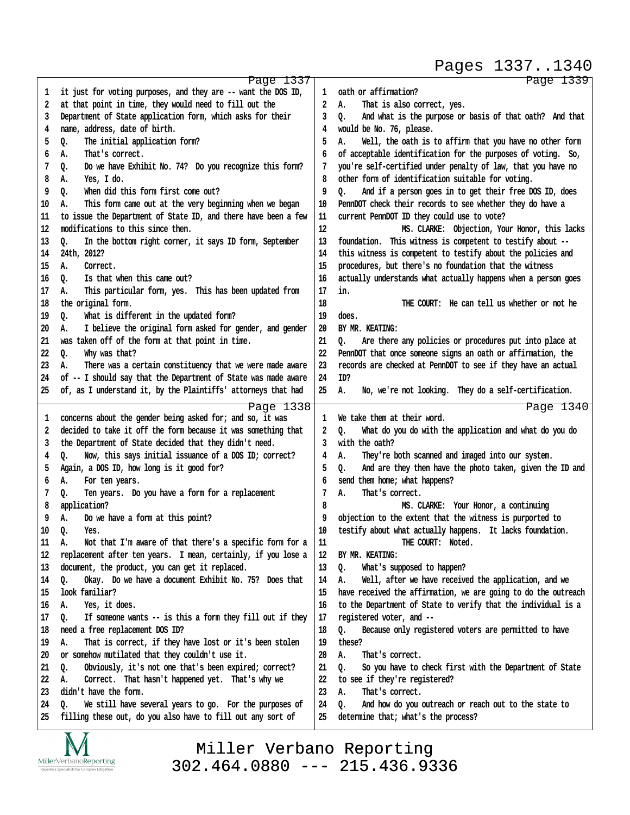Pages 1337..1340

http://www.yeslaw.net/help

www.yeslaw.net/help

|        | Page 1337                                                                                                                  |    | Page 1339                                                                |
|--------|----------------------------------------------------------------------------------------------------------------------------|----|--------------------------------------------------------------------------|
| 1      | it just for voting purposes, and they are -- want the DOS ID,                                                              | 1  | oath or affirmation?                                                     |
| 2      | at that point in time, they would need to fill out the                                                                     | 2  | That is also correct, yes.<br>А.                                         |
| 3      | Department of State application form, which asks for their                                                                 | 3  | And what is the purpose or basis of that oath? And that<br>o.            |
| 4      | name, address, date of birth.                                                                                              | 4  | would be No. 76, please.                                                 |
| 5      | The initial application form?<br>Q.                                                                                        | 5  | Well, the oath is to affirm that you have no other form<br>А.            |
| 6      | That's correct.<br>А.                                                                                                      | 6  | of acceptable identification for the purposes of voting. So,             |
| 7      | Do we have Exhibit No. 74? Do you recognize this form?<br>Q.                                                               | 7  | you're self-certified under penalty of law, that you have no             |
| 8      | Yes, I do.<br>А.                                                                                                           | 8  | other form of identification suitable for voting.                        |
| 9      | When did this form first come out?<br>Q.                                                                                   | 9  | And if a person goes in to get their free DOS ID, does<br>o.             |
| 10     | This form came out at the very beginning when we began<br>А.                                                               | 10 | PennDOT check their records to see whether they do have a                |
| 11     | to issue the Department of State ID, and there have been a few                                                             | 11 | current PennDOT ID they could use to vote?                               |
| 12     | modifications to this since then.                                                                                          | 12 | MS. CLARKE: Objection, Your Honor, this lacks                            |
| 13     | In the bottom right corner, it says ID form, September<br>о.                                                               | 13 | foundation. This witness is competent to testify about --                |
| 14     | 24th, 2012?                                                                                                                | 14 | this witness is competent to testify about the policies and              |
| 15     | Correct.<br>А.                                                                                                             | 15 | procedures, but there's no foundation that the witness                   |
| 16     | Is that when this came out?<br>Q.                                                                                          | 16 | actually understands what actually happens when a person goes            |
| 17     | This particular form, yes. This has been updated from<br>А.                                                                | 17 | in.                                                                      |
| 18     | the original form.                                                                                                         | 18 | THE COURT: He can tell us whether or not he                              |
| 19     | What is different in the updated form?<br>Q.                                                                               | 19 | does.                                                                    |
| 20     | I believe the original form asked for gender, and gender<br>А.                                                             | 20 | BY MR. KEATING:                                                          |
| 21     | was taken off of the form at that point in time.                                                                           | 21 | Q.<br>Are there any policies or procedures put into place at             |
| 22     | Why was that?<br>o.                                                                                                        | 22 | PennDOT that once someone signs an oath or affirmation, the              |
| 23     | There was a certain constituency that we were made aware<br>А.                                                             | 23 | records are checked at PennDOT to see if they have an actual             |
| 24     | of -- I should say that the Department of State was made aware                                                             | 24 | ID?                                                                      |
| 25     | of, as I understand it, by the Plaintiffs' attorneys that had                                                              | 25 | No, we're not looking. They do a self-certification.<br>А.               |
|        |                                                                                                                            |    |                                                                          |
|        | Page 1338                                                                                                                  | 1  | Page 1340<br>We take them at their word.                                 |
| ı<br>2 | concerns about the gender being asked for; and so, it was<br>decided to take it off the form because it was something that | 2  | o.                                                                       |
| 3      | the Department of State decided that they didn't need.                                                                     | 3  | What do you do with the application and what do you do<br>with the oath? |
| 4      | Now, this says initial issuance of a DOS ID; correct?<br>Q.                                                                | 4  | They're both scanned and imaged into our system.<br>А.                   |
| 5      | Again, a DOS ID, how long is it good for?                                                                                  | 5  | And are they then have the photo taken, given the ID and<br>Q.           |
| 6      | А.                                                                                                                         | 6  | send them home; what happens?                                            |
| 7      | For ten years.<br>Q.                                                                                                       | 7  | That's correct.<br>Α.                                                    |
| 8      | Ten years. Do you have a form for a replacement<br>application?                                                            | 8  | MS. CLARKE: Your Honor, a continuing                                     |
| 9      | А.                                                                                                                         | 9  | objection to the extent that the witness is purported to                 |
|        | Do we have a form at this point?                                                                                           |    |                                                                          |
| 10     | Q.<br>Yes.                                                                                                                 | 10 | testify about what actually happens. It lacks foundation.                |
| 11     | Not that I'm aware of that there's a specific form for a<br>А.                                                             | 11 | THE COURT: Noted.                                                        |
| 12     | replacement after ten years. I mean, certainly, if you lose a                                                              | 12 | BY MR. KEATING:                                                          |
| 13     | document, the product, you can get it replaced.                                                                            | 13 | Q.<br>What's supposed to happen?                                         |
| 14     | Okay. Do we have a document Exhibit No. 75? Does that<br>Q.                                                                | 14 | Well, after we have received the application, and we<br>А.               |
| 15     | look familiar?                                                                                                             | 15 | have received the affirmation, we are going to do the outreach           |
| 16     | Yes, it does.<br>А.                                                                                                        | 16 | to the Department of State to verify that the individual is a            |
| 17     | If someone wants -- is this a form they fill out if they<br>Q.                                                             | 17 | registered voter, and --                                                 |
| 18     | need a free replacement DOS ID?                                                                                            | 18 | Because only registered voters are permitted to have<br>Q.               |
| 19     | That is correct, if they have lost or it's been stolen<br>А.                                                               | 19 | these?                                                                   |
| 20     | or somehow mutilated that they couldn't use it.                                                                            | 20 | А.<br>That's correct.                                                    |
| 21     | Obviously, it's not one that's been expired; correct?<br>Q.                                                                | 21 | Q.<br>So you have to check first with the Department of State            |
| 22     | Correct. That hasn't happened yet. That's why we<br>А.                                                                     | 22 | to see if they're registered?                                            |
| 23     | didn't have the form.                                                                                                      | 23 | А.<br>That's correct.                                                    |
| 24     | We still have several years to go. For the purposes of<br>о.                                                               | 24 | And how do you outreach or reach out to the state to<br>Q.               |
| 25     | filling these out, do you also have to fill out any sort of                                                                | 25 | determine that; what's the process?                                      |

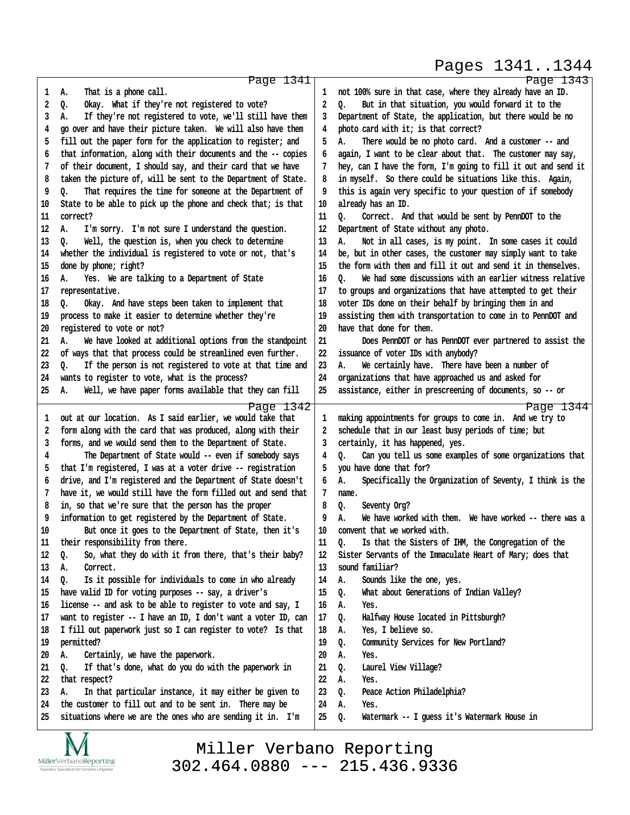#### Pages 1341..1344

http://www.yeslaw.net/help

|    | Page 1341                                                      |    | Page 1343                                                      |
|----|----------------------------------------------------------------|----|----------------------------------------------------------------|
| 1  | That is a phone call.<br>А.                                    | 1  | not 100% sure in that case, where they already have an ID.     |
| 2  | Okay. What if they're not registered to vote?<br>Q.            | 2  | But in that situation, you would forward it to the<br>0.       |
| 3  | If they're not registered to vote, we'll still have them<br>А. | 3  | Department of State, the application, but there would be no    |
| 4  | go over and have their picture taken. We will also have them   | 4  | photo card with it; is that correct?                           |
| 5  | fill out the paper form for the application to register; and   | 5  | Α.<br>There would be no photo card. And a customer -- and      |
| 6  | that information, along with their documents and the -- copies | 6  | again, I want to be clear about that. The customer may say,    |
| 7  | of their document, I should say, and their card that we have   | 7  | hey, can I have the form, I'm going to fill it out and send it |
| 8  | taken the picture of, will be sent to the Department of State. | 8  | in myself. So there could be situations like this. Again,      |
| 9  | That requires the time for someone at the Department of<br>Q.  | 9  | this is again very specific to your question of if somebody    |
| 10 | State to be able to pick up the phone and check that; is that  | 10 | already has an ID.                                             |
| 11 | correct?                                                       | 11 | ٥.<br>Correct. And that would be sent by PennDOT to the        |
| 12 | А.<br>I'm sorry. I'm not sure I understand the question.       | 12 | Department of State without any photo.                         |
| 13 | Well, the question is, when you check to determine<br>Q.       | 13 | Not in all cases, is my point. In some cases it could<br>А.    |
| 14 | whether the individual is registered to vote or not, that's    | 14 | be, but in other cases, the customer may simply want to take   |
| 15 | done by phone; right?                                          | 15 | the form with them and fill it out and send it in themselves.  |
| 16 | Yes. We are talking to a Department of State<br>А.             | 16 | We had some discussions with an earlier witness relative<br>0. |
| 17 | representative.                                                | 17 | to groups and organizations that have attempted to get their   |
| 18 | Okay. And have steps been taken to implement that<br>o.        | 18 | voter IDs done on their behalf by bringing them in and         |
| 19 | process to make it easier to determine whether they're         | 19 | assisting them with transportation to come in to PennDOT and   |
| 20 | registered to vote or not?                                     | 20 | have that done for them.                                       |
| 21 | We have looked at additional options from the standpoint<br>А. | 21 | Does PennDOT or has PennDOT ever partnered to assist the       |
| 22 | of ways that that process could be streamlined even further.   | 22 | issuance of voter IDs with anybody?                            |
| 23 | If the person is not registered to vote at that time and<br>о. | 23 | We certainly have. There have been a number of<br>А.           |
| 24 | wants to register to vote, what is the process?                | 24 | organizations that have approached us and asked for            |
| 25 | Well, we have paper forms available that they can fill<br>А.   | 25 | assistance, either in prescreening of documents, so -- or      |
|    | Page 1342                                                      |    | Page 1344                                                      |
| 1  | out at our location. As I said earlier, we would take that     | 1  | making appointments for groups to come in. And we try to       |
| 2  | form along with the card that was produced, along with their   | 2  | schedule that in our least busy periods of time; but           |
| 3  | forms, and we would send them to the Department of State.      | 3  | certainly, it has happened, yes.                               |
| 4  | The Department of State would -- even if somebody says         | 4  | Can you tell us some examples of some organizations that<br>o. |
| 5  | that I'm registered, I was at a voter drive -- registration    | 5  | you have done that for?                                        |
| 6  | drive, and I'm registered and the Department of State doesn't  | 6  | Specifically the Organization of Seventy, I think is the<br>Α. |
| 7  | have it, we would still have the form filled out and send that | 7  | name.                                                          |
| 8  | in, so that we're sure that the person has the proper          | 8  | $Q_{\bullet}$<br>Seventy Org?                                  |
| 9  | information to get registered by the Department of State.      | 9  | We have worked with them. We have worked -- there was a<br>Α.  |
| 10 | But once it goes to the Department of State, then it's         | 10 | convent that we worked with.                                   |
| 11 | their responsibility from there.                               | 11 | Is that the Sisters of IHM, the Congregation of the<br>Q.      |
| 12 | So, what they do with it from there, that's their baby?<br>Q.  | 12 | Sister Servants of the Immaculate Heart of Mary; does that     |
| 13 | Correct.<br>А.                                                 | 13 | sound familiar?                                                |
| 14 | Is it possible for individuals to come in who already<br>o.    | 14 | Sounds like the one, yes.<br>А.                                |
| 15 | have valid ID for voting purposes -- say, a driver's           | 15 | What about Generations of Indian Valley?<br>Q.                 |
| 16 | license -- and ask to be able to register to vote and say, I   | 16 | А.<br>Yes.                                                     |
| 17 | want to register -- I have an ID, I don't want a voter ID, can | 17 | Halfway House located in Pittsburgh?<br>Q.                     |
| 18 | I fill out paperwork just so I can register to vote? Is that   | 18 | Yes, I believe so.<br>А.                                       |
| 19 | permitted?                                                     | 19 | Community Services for New Portland?<br>Q.                     |
| 20 | Certainly, we have the paperwork.<br>А.                        | 20 | А.<br>Yes.                                                     |
| 21 | If that's done, what do you do with the paperwork in<br>o.     | 21 | Laurel View Village?<br>Q.                                     |
| 22 | that respect?                                                  | 22 | А.<br>Yes.                                                     |
| 23 | In that particular instance, it may either be given to<br>А.   | 23 | Peace Action Philadelphia?<br>Q.                               |
| 24 | the customer to fill out and to be sent in. There may be       | 24 | А.<br>Yes.                                                     |
| 25 | situations where we are the ones who are sending it in. I'm    | 25 | Watermark -- I guess it's Watermark House in<br>Q.             |
|    |                                                                |    |                                                                |

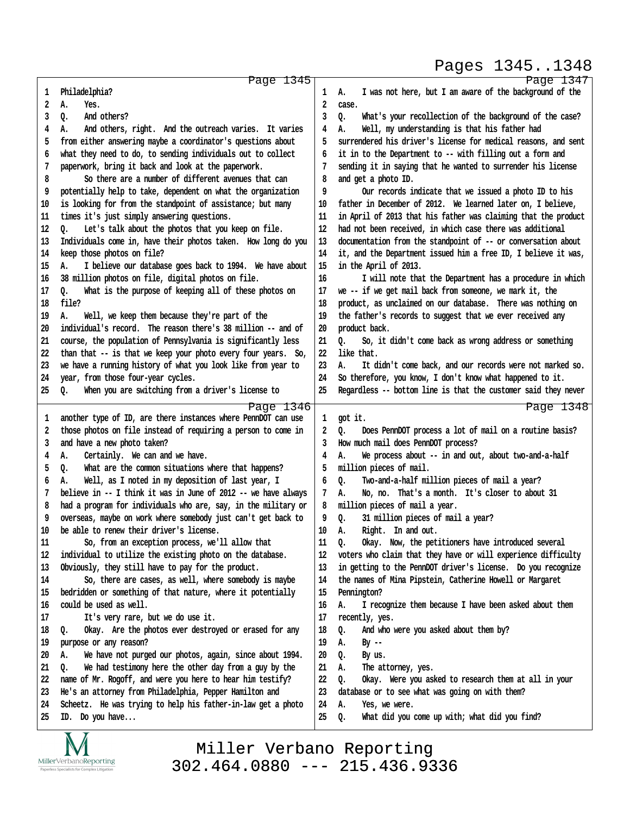#### Pages 1345..1348

http://www.yeslaw.net/help

| 1        | Page 1345<br>Philadelphia?                                                      | 1        | Page 1347<br>I was not here, but I am aware of the background of the<br>А.     |
|----------|---------------------------------------------------------------------------------|----------|--------------------------------------------------------------------------------|
| 2        | А.<br>Yes.                                                                      | 2        | case.                                                                          |
| 3        | And others?<br>Q.                                                               | 3        | What's your recollection of the background of the case?<br>Q.                  |
| 4        | And others, right. And the outreach varies. It varies<br>А.                     | 4        | Well, my understanding is that his father had<br>А.                            |
| 5        | from either answering maybe a coordinator's questions about                     | 5        | surrendered his driver's license for medical reasons, and sent                 |
| 6        | what they need to do, to sending individuals out to collect                     | 6        | it in to the Department to -- with filling out a form and                      |
| 7        | paperwork, bring it back and look at the paperwork.                             | 7        | sending it in saying that he wanted to surrender his license                   |
| 8        | So there are a number of different avenues that can                             | 8        | and get a photo ID.                                                            |
| 9        | potentially help to take, dependent on what the organization                    | 9        | Our records indicate that we issued a photo ID to his                          |
| 10       | is looking for from the standpoint of assistance; but many                      | 10       | father in December of 2012. We learned later on, I believe,                    |
| 11       | times it's just simply answering questions.                                     | 11       | in April of 2013 that his father was claiming that the product                 |
| 12       |                                                                                 | 12       |                                                                                |
|          | Let's talk about the photos that you keep on file.<br>Q.                        |          | had not been received, in which case there was additional                      |
| 13       | Individuals come in, have their photos taken. How long do you                   | 13       | documentation from the standpoint of -- or conversation about                  |
| 14       | keep those photos on file?                                                      | 14       | it, and the Department issued him a free ID, I believe it was,                 |
| 15       | I believe our database goes back to 1994. We have about<br>А.                   | 15       | in the April of 2013.                                                          |
| 16       | 38 million photos on file, digital photos on file.                              | 16       | I will note that the Department has a procedure in which                       |
| 17       | What is the purpose of keeping all of these photos on<br>0.                     | 17       | we -- if we get mail back from someone, we mark it, the                        |
| 18       | file?                                                                           | 18       | product, as unclaimed on our database. There was nothing on                    |
| 19       | Well, we keep them because they're part of the<br>А.                            | 19       | the father's records to suggest that we ever received any                      |
| 20       | individual's record. The reason there's 38 million -- and of                    | 20       | product back.                                                                  |
| 21       | course, the population of Pennsylvania is significantly less                    | 21       | Q.<br>So, it didn't come back as wrong address or something                    |
| 22       | than that -- is that we keep your photo every four years. So,                   | 22       | like that.                                                                     |
| 23       | we have a running history of what you look like from year to                    | 23       | А.<br>It didn't come back, and our records were not marked so.                 |
| 24       | year, from those four-year cycles.                                              | 24       | So therefore, you know, I don't know what happened to it.                      |
| 25       | When you are switching from a driver's license to<br>Q.                         | 25       | Regardless -- bottom line is that the customer said they never                 |
|          |                                                                                 |          |                                                                                |
|          | Page 1346                                                                       |          | Page 1348                                                                      |
| 1        | another type of ID, are there instances where PennDOT can use                   | 1        | got it.                                                                        |
| 2        | those photos on file instead of requiring a person to come in                   | 2        | Does PennDOT process a lot of mail on a routine basis?<br>Q.                   |
| 3        | and have a new photo taken?                                                     | 3        | How much mail does PennDOT process?                                            |
| 4        | Certainly. We can and we have.<br>А.                                            | 4        | We process about -- in and out, about two-and-a-half<br>А.                     |
| 5        | What are the common situations where that happens?<br>Q.                        | 5        | million pieces of mail.                                                        |
| 6        | Well, as I noted in my deposition of last year, I<br>А.                         | 6        | Two-and-a-half million pieces of mail a year?<br>Q.                            |
| 7        | believe in -- I think it was in June of 2012 -- we have always                  | 7        | No, no. That's a month. It's closer to about 31<br>А.                          |
| 8        | had a program for individuals who are, say, in the military or                  | 8        | million pieces of mail a year.                                                 |
| 9        | overseas, maybe on work where somebody just can't get back to                   | 9        | Q.<br>31 million pieces of mail a year?                                        |
| 10       | be able to renew their driver's license.                                        | 10       | А.                                                                             |
| 11       | So, from an exception process, we'll allow that                                 | 11       | Right. In and out.<br>Okay. Now, the petitioners have introduced several<br>Q. |
| 12       | individual to utilize the existing photo on the database.                       | 12       | voters who claim that they have or will experience difficulty                  |
| 13       |                                                                                 | 13       |                                                                                |
|          | Obviously, they still have to pay for the product.                              |          | in getting to the PennDOT driver's license. Do you recognize                   |
| 14       | So, there are cases, as well, where somebody is maybe                           | 14       | the names of Mina Pipstein, Catherine Howell or Margaret                       |
| 15       | bedridden or something of that nature, where it potentially                     | 15       | Pennington?                                                                    |
| 16       | could be used as well.                                                          | 16       | А.<br>I recognize them because I have been asked about them                    |
| 17       | It's very rare, but we do use it.                                               | 17       | recently, yes.                                                                 |
| 18       | Okay. Are the photos ever destroyed or erased for any<br>Q.                     | 18       | And who were you asked about them by?<br>Q.                                    |
| 19       | purpose or any reason?                                                          | 19       | А.<br>By --                                                                    |
| 20       | We have not purged our photos, again, since about 1994.<br>А.                   | 20       | Q.<br>By us.                                                                   |
| 21       | We had testimony here the other day from a guy by the<br>о.                     | 21       | А.<br>The attorney, yes.                                                       |
| 22       | name of Mr. Rogoff, and were you here to hear him testify?                      | 22       | Q.<br>Okay. Were you asked to research them at all in your                     |
| 23       | He's an attorney from Philadelphia, Pepper Hamilton and                         | 23       | database or to see what was going on with them?                                |
| 24<br>25 | Scheetz. He was trying to help his father-in-law get a photo<br>ID. Do you have | 24<br>25 | Yes, we were.<br>А.<br>What did you come up with; what did you find?<br>Q.     |

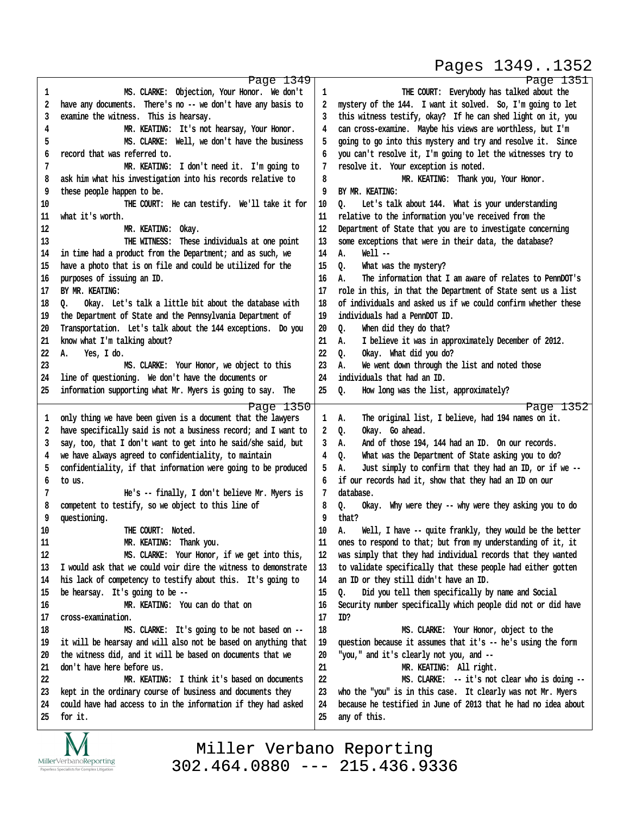## Pages 1349..1352

http://www.yeslaw.net/help

|          | Page 1349                                                                |          | Page 1351                                                                      |
|----------|--------------------------------------------------------------------------|----------|--------------------------------------------------------------------------------|
| 1        | MS. CLARKE: Objection, Your Honor. We don't                              | 1        | THE COURT: Everybody has talked about the                                      |
| 2        | have any documents. There's no -- we don't have any basis to             | 2        | mystery of the 144. I want it solved. So, I'm going to let                     |
| 3        | examine the witness. This is hearsay.                                    | 3        | this witness testify, okay? If he can shed light on it, you                    |
| 4        | MR. KEATING: It's not hearsay, Your Honor.                               | 4        | can cross-examine. Maybe his views are worthless, but I'm                      |
| 5        | MS. CLARKE: Well, we don't have the business                             | 5        | going to go into this mystery and try and resolve it. Since                    |
| 6        | record that was referred to.                                             | 6        | you can't resolve it, I'm going to let the witnesses try to                    |
| 7        | MR. KEATING: I don't need it. I'm going to                               | 7        | resolve it. Your exception is noted.                                           |
| 8        | ask him what his investigation into his records relative to              | 8        | MR. KEATING: Thank you, Your Honor.                                            |
| 9        | these people happen to be.                                               | 9        | BY MR. KEATING:                                                                |
| 10       | THE COURT: He can testify. We'll take it for                             | 10       | Let's talk about 144. What is your understanding<br>0.                         |
| 11       | what it's worth.                                                         | 11       | relative to the information you've received from the                           |
| 12       | MR. KEATING: Okay.                                                       | 12       | Department of State that you are to investigate concerning                     |
|          |                                                                          |          |                                                                                |
| 13       | THE WITNESS: These individuals at one point                              | 13       | some exceptions that were in their data, the database?                         |
| 14       | in time had a product from the Department; and as such, we               | 14       | $Well -$<br>Α.                                                                 |
| 15       | have a photo that is on file and could be utilized for the               | 15       | What was the mystery?<br>Q.                                                    |
| 16       | purposes of issuing an ID.                                               | 16       | The information that I am aware of relates to PennDOT's<br>А.                  |
| 17       | BY MR. KEATING:                                                          | 17       | role in this, in that the Department of State sent us a list                   |
| 18       | Okay. Let's talk a little bit about the database with<br>0.              | 18       | of individuals and asked us if we could confirm whether these                  |
| 19       | the Department of State and the Pennsylvania Department of               | 19       | individuals had a PennDOT ID.                                                  |
| 20       | Transportation. Let's talk about the 144 exceptions. Do you              | 20       | When did they do that?<br>Q.                                                   |
| 21       | know what I'm talking about?                                             | 21       | I believe it was in approximately December of 2012.<br>А.                      |
| 22       | А.<br>Yes, I do.                                                         | 22       | $Q_{\bullet}$<br>Okay. What did you do?                                        |
| 23       | MS. CLARKE: Your Honor, we object to this                                | 23       | We went down through the list and noted those<br>А.                            |
| 24       | line of questioning. We don't have the documents or                      | 24       | individuals that had an ID.                                                    |
| 25       | information supporting what Mr. Myers is going to say. The               | 25       | Q.<br>How long was the list, approximately?                                    |
|          |                                                                          |          |                                                                                |
|          |                                                                          |          |                                                                                |
|          | Page 1350                                                                |          | Page 1352                                                                      |
| 1        | only thing we have been given is a document that the lawyers             | 1        | The original list, I believe, had 194 names on it.<br>А.                       |
| 2        | have specifically said is not a business record; and I want to           | 2        | Okay. Go ahead.<br>Q.                                                          |
| 3        | say, too, that I don't want to get into he said/she said, but            | 3        | And of those 194, 144 had an ID. On our records.<br>А.                         |
| 4        | we have always agreed to confidentiality, to maintain                    | 4        | Q.<br>What was the Department of State asking you to do?                       |
| 5        | confidentiality, if that information were going to be produced           | 5        | А.<br>Just simply to confirm that they had an ID, or if we --                  |
| 6        | to us.                                                                   | 6        | if our records had it, show that they had an ID on our                         |
| 7        | He's -- finally, I don't believe Mr. Myers is                            | 7        | database.                                                                      |
| 8        | competent to testify, so we object to this line of                       | 8        | Okay. Why were they -- why were they asking you to do<br>0.                    |
| 9        | questioning.                                                             | 9        | that?                                                                          |
| 10       | THE COURT: Noted.                                                        | 10       | Well, I have -- quite frankly, they would be the better<br>А.                  |
| 11       | MR. KEATING: Thank you.                                                  | 11       | ones to respond to that; but from my understanding of it, it                   |
| 12       | MS. CLARKE: Your Honor, if we get into this,                             | 12       | was simply that they had individual records that they wanted                   |
| 13       | I would ask that we could voir dire the witness to demonstrate           | 13       | to validate specifically that these people had either gotten                   |
| 14       | his lack of competency to testify about this. It's going to              | 14       | an ID or they still didn't have an ID.                                         |
| 15       | be hearsay. It's going to be --                                          | 15       | Did you tell them specifically by name and Social<br>0.                        |
| 16       | MR. KEATING: You can do that on                                          | 16       | Security number specifically which people did not or did have                  |
| 17       | cross-examination.                                                       | 17       | ID?                                                                            |
| 18       | MS. CLARKE: It's going to be not based on --                             | 18       | MS. CLARKE: Your Honor, object to the                                          |
| 19       | it will be hearsay and will also not be based on anything that           | 19       | question because it assumes that it's -- he's using the form                   |
| 20       | the witness did, and it will be based on documents that we               | 20       | "you," and it's clearly not you, and --                                        |
| 21       | don't have here before us.                                               | $21\,$   | MR. KEATING: All right.                                                        |
| 22       | MR. KEATING: I think it's based on documents                             |          |                                                                                |
|          |                                                                          | 22       | MS. CLARKE: -- it's not clear who is doing --                                  |
| 23       | kept in the ordinary course of business and documents they               | 23       | who the "you" is in this case. It clearly was not Mr. Myers                    |
| 24<br>25 | could have had access to in the information if they had asked<br>for it. | 24<br>25 | because he testified in June of 2013 that he had no idea about<br>any of this. |

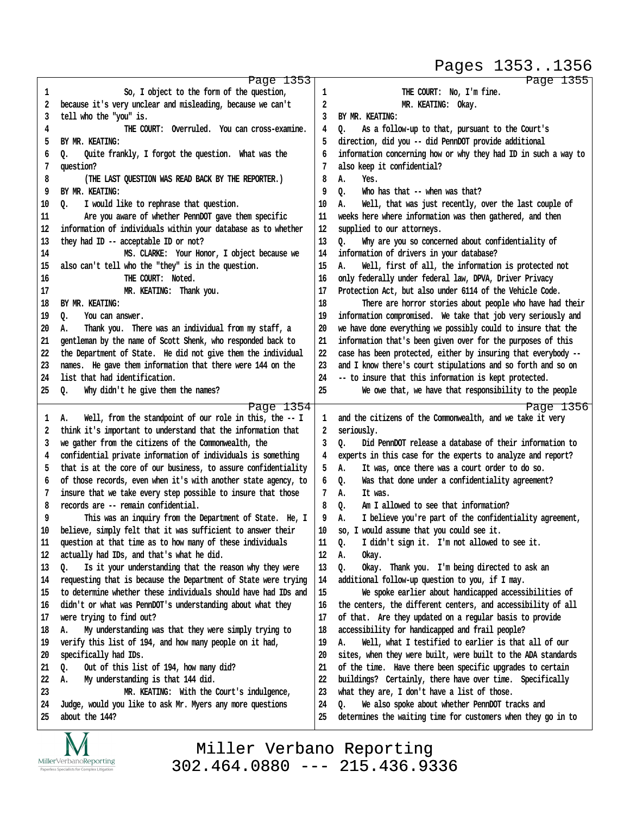#### Pages 1353..1356

|    | Page 1353                                                      |    | Page 1355                                                      |
|----|----------------------------------------------------------------|----|----------------------------------------------------------------|
| 1  | So, I object to the form of the question,                      | 1  | THE COURT: No, I'm fine.                                       |
| 2  | because it's very unclear and misleading, because we can't     | 2  | MR. KEATING: Okay.                                             |
| 3  | tell who the "you" is.                                         | 3  | BY MR. KEATING:                                                |
| 4  | THE COURT: Overruled. You can cross-examine.                   | 4  | ٥.<br>As a follow-up to that, pursuant to the Court's          |
| 5  | BY MR. KEATING:                                                | 5  | direction, did you -- did PennDOT provide additional           |
|    |                                                                |    |                                                                |
| 6  | Quite frankly, I forgot the question. What was the<br>o.       | 6  | information concerning how or why they had ID in such a way to |
| 7  | question?                                                      | 7  | also keep it confidential?                                     |
| 8  | (THE LAST QUESTION WAS READ BACK BY THE REPORTER.)             | 8  | А.<br>Yes.                                                     |
| 9  | BY MR. KEATING:                                                | 9  | Who has that -- when was that?<br>٥.                           |
| 10 | I would like to rephrase that question.<br>٥.                  | 10 | Well, that was just recently, over the last couple of<br>А.    |
| 11 | Are you aware of whether PennDOT gave them specific            | 11 | weeks here where information was then gathered, and then       |
| 12 | information of individuals within your database as to whether  | 12 | supplied to our attorneys.                                     |
| 13 | they had ID -- acceptable ID or not?                           | 13 | Why are you so concerned about confidentiality of<br>٥.        |
| 14 | MS. CLARKE: Your Honor, I object because we                    | 14 | information of drivers in your database?                       |
| 15 | also can't tell who the "they" is in the question.             | 15 | А.<br>Well, first of all, the information is protected not     |
| 16 | THE COURT: Noted.                                              | 16 | only federally under federal law, DPVA, Driver Privacy         |
| 17 | MR. KEATING: Thank you.                                        | 17 | Protection Act, but also under 6114 of the Vehicle Code.       |
| 18 | BY MR. KEATING:                                                | 18 | There are horror stories about people who have had their       |
| 19 | Q.<br>You can answer.                                          | 19 | information compromised. We take that job very seriously and   |
| 20 | Thank you. There was an individual from my staff, a<br>А.      | 20 | we have done everything we possibly could to insure that the   |
| 21 | gentleman by the name of Scott Shenk, who responded back to    | 21 |                                                                |
|    |                                                                |    | information that's been given over for the purposes of this    |
| 22 | the Department of State. He did not give them the individual   | 22 | case has been protected, either by insuring that everybody --  |
| 23 | names. He gave them information that there were 144 on the     | 23 | and I know there's court stipulations and so forth and so on   |
| 24 | list that had identification.                                  | 24 | -- to insure that this information is kept protected.          |
| 25 | Why didn't he give them the names?<br>0.                       | 25 | We owe that, we have that responsibility to the people         |
|    | Page 1354                                                      |    | Page 1356                                                      |
| 1  | Well, from the standpoint of our role in this, the -- I<br>Α.  | 1  | and the citizens of the Commonwealth, and we take it very      |
| 2  | think it's important to understand that the information that   | 2  | seriously.                                                     |
| 3  | we gather from the citizens of the Commonwealth, the           | 3  | Did PennDOT release a database of their information to<br>0.   |
| 4  | confidential private information of individuals is something   | 4  | experts in this case for the experts to analyze and report?    |
| 5  | that is at the core of our business, to assure confidentiality | 5  | It was, once there was a court order to do so.<br>А.           |
| 6  | of those records, even when it's with another state agency, to | 6  | Was that done under a confidentiality agreement?<br>o.         |
| 7  | insure that we take every step possible to insure that those   | 7  | А.<br>It was.                                                  |
| 8  | records are -- remain confidential.                            | 8  | Am I allowed to see that information?<br>o.                    |
| 9  | This was an inquiry from the Department of State. He, I        | 9  | I believe you're part of the confidentiality agreement,<br>А.  |
| 10 | believe, simply felt that it was sufficient to answer their    | 10 | so, I would assume that you could see it.                      |
| 11 | question at that time as to how many of these individuals      | 11 | I didn't sign it. I'm not allowed to see it.<br>Q.             |
| 12 | actually had IDs, and that's what he did.                      | 12 | Α.<br>Okay.                                                    |
|    |                                                                |    |                                                                |
| 13 | Is it your understanding that the reason why they were<br>Q.   | 13 | Okay. Thank you. I'm being directed to ask an<br>Q.            |
| 14 | requesting that is because the Department of State were trying | 14 | additional follow-up question to you, if I may.                |
| 15 | to determine whether these individuals should have had IDs and | 15 | We spoke earlier about handicapped accessibilities of          |
| 16 | didn't or what was PennDOT's understanding about what they     | 16 | the centers, the different centers, and accessibility of all   |
| 17 | were trying to find out?                                       | 17 | of that. Are they updated on a regular basis to provide        |
| 18 | My understanding was that they were simply trying to<br>А.     | 18 | accessibility for handicapped and frail people?                |
| 19 | verify this list of 194, and how many people on it had,        | 19 | Well, what I testified to earlier is that all of our<br>А.     |
| 20 | specifically had IDs.                                          | 20 | sites, when they were built, were built to the ADA standards   |
| 21 | Out of this list of 194, how many did?<br>Q.                   | 21 | of the time. Have there been specific upgrades to certain      |
| 22 | My understanding is that 144 did.<br>А.                        | 22 | buildings? Certainly, there have over time. Specifically       |
| 23 | MR. KEATING: With the Court's indulgence,                      | 23 | what they are, I don't have a list of those.                   |
| 24 | Judge, would you like to ask Mr. Myers any more questions      | 24 | We also spoke about whether PennDOT tracks and<br>٥.           |
| 25 | about the 144?                                                 | 25 | determines the waiting time for customers when they go in to   |
|    |                                                                |    |                                                                |

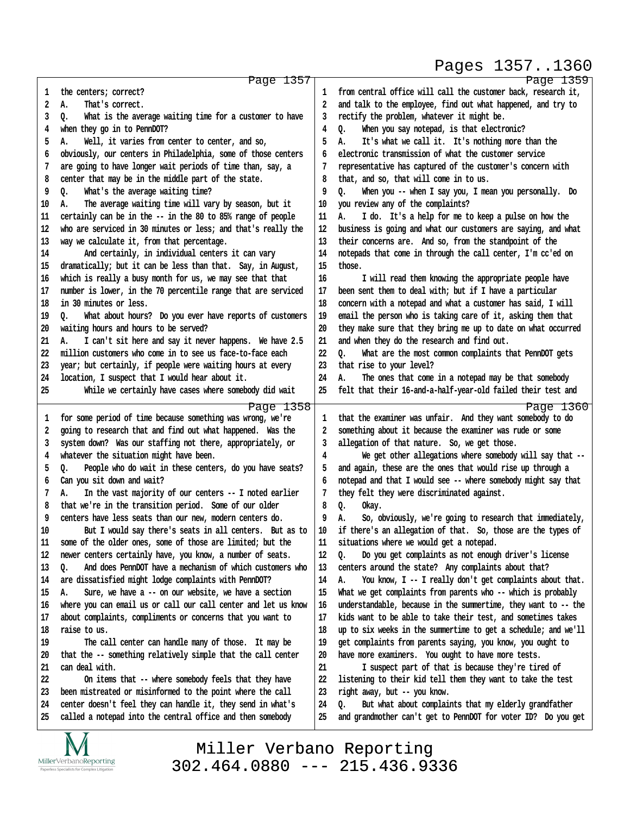#### Pages 1357..1360

|    | Page 1357                                                      |    | Page 1359                                                      |
|----|----------------------------------------------------------------|----|----------------------------------------------------------------|
| 1  | the centers; correct?                                          | 1  | from central office will call the customer back, research it,  |
| 2  | А.<br>That's correct.                                          | 2  | and talk to the employee, find out what happened, and try to   |
| 3  | What is the average waiting time for a customer to have<br>Q.  | 3  | rectify the problem, whatever it might be.                     |
| 4  | when they go in to PennDOT?                                    | 4  | When you say notepad, is that electronic?<br>Q.                |
| 5  | Α.<br>Well, it varies from center to center, and so,           | 5  | It's what we call it. It's nothing more than the<br>А.         |
| 6  | obviously, our centers in Philadelphia, some of those centers  | 6  | electronic transmission of what the customer service           |
| 7  | are going to have longer wait periods of time than, say, a     |    | representative has captured of the customer's concern with     |
| 8  | center that may be in the middle part of the state.            | 8  | that, and so, that will come in to us.                         |
| 9  | What's the average waiting time?<br>Q.                         | 9  | When you -- when I say you, I mean you personally. Do<br>Q.    |
| 10 | The average waiting time will vary by season, but it<br>А.     | 10 | you review any of the complaints?                              |
| 11 | certainly can be in the -- in the 80 to 85% range of people    | 11 | А.<br>I do. It's a help for me to keep a pulse on how the      |
| 12 | who are serviced in 30 minutes or less; and that's really the  | 12 | business is going and what our customers are saying, and what  |
| 13 | way we calculate it, from that percentage.                     | 13 | their concerns are. And so, from the standpoint of the         |
| 14 | And certainly, in individual centers it can vary               | 14 | notepads that come in through the call center, I'm cc'ed on    |
| 15 | dramatically; but it can be less than that. Say, in August,    | 15 | those.                                                         |
| 16 | which is really a busy month for us, we may see that that      | 16 | I will read them knowing the appropriate people have           |
| 17 | number is lower, in the 70 percentile range that are serviced  | 17 | been sent them to deal with; but if I have a particular        |
| 18 | in 30 minutes or less.                                         | 18 | concern with a notepad and what a customer has said, I will    |
| 19 | What about hours? Do you ever have reports of customers<br>٥.  | 19 | email the person who is taking care of it, asking them that    |
| 20 | waiting hours and hours to be served?                          | 20 | they make sure that they bring me up to date on what occurred  |
| 21 | А.<br>I can't sit here and say it never happens. We have 2.5   | 21 | and when they do the research and find out.                    |
| 22 | million customers who come in to see us face-to-face each      | 22 | What are the most common complaints that PennDOT gets<br>0.    |
| 23 | year; but certainly, if people were waiting hours at every     | 23 | that rise to your level?                                       |
| 24 | location, I suspect that I would hear about it.                | 24 | А.<br>The ones that come in a notepad may be that somebody     |
| 25 | While we certainly have cases where somebody did wait          | 25 | felt that their 16-and-a-half-year-old failed their test and   |
|    | Page 1358                                                      |    | Page 1360                                                      |
| 1  | for some period of time because something was wrong, we're     | 1  | that the examiner was unfair. And they want somebody to do     |
| 2  | going to research that and find out what happened. Was the     | 2  | something about it because the examiner was rude or some       |
| 3  | system down? Was our staffing not there, appropriately, or     | 3  | allegation of that nature. So, we get those.                   |
| 4  | whatever the situation might have been.                        | 4  | We get other allegations where somebody will say that --       |
| 5  | Q.<br>People who do wait in these centers, do you have seats?  | 5  | and again, these are the ones that would rise up through a     |
| 6  | Can you sit down and wait?                                     | 6  | notepad and that I would see -- where somebody might say that  |
| 7  | In the vast majority of our centers -- I noted earlier<br>А.   |    | they felt they were discriminated against.                     |
| 8  | that we're in the transition period. Some of our older         | 8  | Q.<br>Okay.                                                    |
| 9  | centers have less seats than our new, modern centers do.       | 9  | So, obviously, we're going to research that immediately,<br>А. |
| 10 | But I would say there's seats in all centers. But as to        | 10 | if there's an allegation of that. So, those are the types of   |
| 11 | some of the older ones, some of those are limited; but the     | 11 | situations where we would get a notepad.                       |
| 12 | newer centers certainly have, you know, a number of seats.     | 12 | Q.<br>Do you get complaints as not enough driver's license     |
| 13 | And does PennDOT have a mechanism of which customers who<br>o. | 13 | centers around the state? Any complaints about that?           |
| 14 | are dissatisfied might lodge complaints with PennDOT?          | 14 | You know, I -- I really don't get complaints about that.<br>А. |
| 15 | Sure, we have a -- on our website, we have a section<br>А.     | 15 | What we get complaints from parents who -- which is probably   |
| 16 | where you can email us or call our call center and let us know | 16 | understandable, because in the summertime, they want to -- the |
| 17 | about complaints, compliments or concerns that you want to     | 17 | kids want to be able to take their test, and sometimes takes   |
| 18 | raise to us.                                                   | 18 | up to six weeks in the summertime to get a schedule; and we'll |
| 19 | The call center can handle many of those. It may be            | 19 | get complaints from parents saying, you know, you ought to     |
| 20 | that the -- something relatively simple that the call center   | 20 | have more examiners. You ought to have more tests.             |
| 21 | can deal with.                                                 | 21 | I suspect part of that is because they're tired of             |
| 22 | On items that -- where somebody feels that they have           | 22 | listening to their kid tell them they want to take the test    |
| 23 | been mistreated or misinformed to the point where the call     | 23 | right away, but -- you know.                                   |
| 24 | center doesn't feel they can handle it, they send in what's    | 24 | But what about complaints that my elderly grandfather<br>Q.    |
| 25 | called a notepad into the central office and then somebody     | 25 | and grandmother can't get to PennDOT for voter ID? Do you get  |
|    |                                                                |    |                                                                |

 $\underset{\text{Paperless Specialists for Complex Litigation}}{\text{MillerVerbanoReporting}}$ 

TAT

Miller Verbano Reporting [302.464.0880 --- 215.436.9336](http://www.miller-verbano.com) http://www.yeslaw.net/help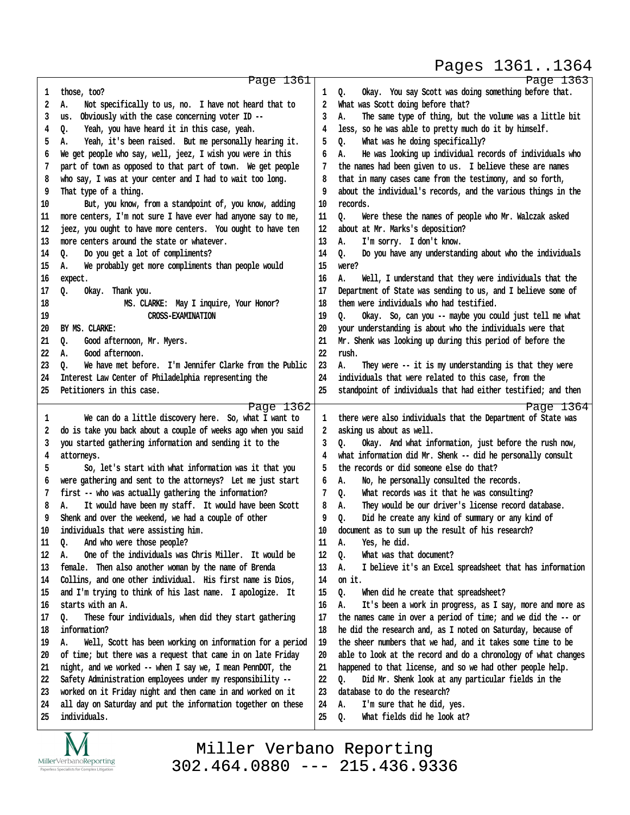#### Pages 1361..1364

|    | Page 1361                                                      |    | Page 1363                                                      |
|----|----------------------------------------------------------------|----|----------------------------------------------------------------|
| 1  | those, too?                                                    | 1  | Okay. You say Scott was doing something before that.<br>Q.     |
| 2  | Not specifically to us, no. I have not heard that to<br>А.     | 2  | What was Scott doing before that?                              |
| 3  | Obviously with the case concerning voter ID --<br>us.          | 3  | The same type of thing, but the volume was a little bit<br>А.  |
| 4  | Yeah, you have heard it in this case, yeah.<br>Q.              | 4  | less, so he was able to pretty much do it by himself.          |
| 5  | Yeah, it's been raised. But me personally hearing it.<br>А.    | 5  | What was he doing specifically?<br>o.                          |
| 6  | We get people who say, well, jeez, I wish you were in this     | 6  | He was looking up individual records of individuals who<br>А.  |
| 7  | part of town as opposed to that part of town. We get people    | 7  | the names had been given to us. I believe these are names      |
| 8  | who say, I was at your center and I had to wait too long.      | 8  | that in many cases came from the testimony, and so forth,      |
| 9  | That type of a thing.                                          | 9  | about the individual's records, and the various things in the  |
| 10 | But, you know, from a standpoint of, you know, adding          | 10 | records.                                                       |
| 11 | more centers, I'm not sure I have ever had anyone say to me,   | 11 | o.<br>Were these the names of people who Mr. Walczak asked     |
| 12 | jeez, you ought to have more centers. You ought to have ten    | 12 | about at Mr. Marks's deposition?                               |
| 13 | more centers around the state or whatever.                     | 13 | I'm sorry. I don't know.<br>А.                                 |
| 14 | 0.<br>Do you get a lot of compliments?                         | 14 | Do you have any understanding about who the individuals<br>o.  |
| 15 | We probably get more compliments than people would<br>А.       | 15 | were?                                                          |
| 16 | expect.                                                        | 16 | А.<br>Well, I understand that they were individuals that the   |
| 17 | Q.<br>Thank you.<br>0kay.                                      | 17 | Department of State was sending to us, and I believe some of   |
| 18 | MS. CLARKE: May I inquire, Your Honor?                         | 18 | them were individuals who had testified.                       |
| 19 | <b>CROSS-EXAMINATION</b>                                       | 19 | Okay. So, can you -- maybe you could just tell me what<br>٥.   |
| 20 | BY MS. CLARKE:                                                 | 20 | your understanding is about who the individuals were that      |
| 21 | Good afternoon, Mr. Myers.<br>0.                               | 21 | Mr. Shenk was looking up during this period of before the      |
| 22 | Good afternoon.<br>А.                                          | 22 | rush.                                                          |
| 23 | We have met before. I'm Jennifer Clarke from the Public<br>٥.  | 23 | They were -- it is my understanding is that they were<br>А.    |
| 24 | Interest Law Center of Philadelphia representing the           | 24 | individuals that were related to this case, from the           |
| 25 | Petitioners in this case.                                      | 25 | standpoint of individuals that had either testified; and then  |
|    | Page 1362                                                      |    | Page 1364                                                      |
| 1  | We can do a little discovery here. So, what I want to          | 1  | there were also individuals that the Department of State was   |
| 2  | do is take you back about a couple of weeks ago when you said  | 2  | asking us about as well.                                       |
| 3  | you started gathering information and sending it to the        | 3  | Okay. And what information, just before the rush now,<br>o.    |
| 4  | attorneys.                                                     | 4  | what information did Mr. Shenk -- did he personally consult    |
| 5  | So, let's start with what information was it that you          | 5  | the records or did someone else do that?                       |
| 6  | were gathering and sent to the attorneys? Let me just start    | 6  | No, he personally consulted the records.<br>А.                 |
| 7  | first -- who was actually gathering the information?           | 7  | What records was it that he was consulting?<br>Q.              |
| 8  | It would have been my staff. It would have been Scott<br>А.    | 8  | They would be our driver's license record database.<br>А.      |
| 9  | Shenk and over the weekend, we had a couple of other           | 9  | Did he create any kind of summary or any kind of<br>Q.         |
| 10 | individuals that were assisting him.                           | 10 | document as to sum up the result of his research?              |
| 11 | Q.<br>And who were those people?                               | 11 | Yes, he did.<br>А.                                             |
| 12 | One of the individuals was Chris Miller. It would be<br>А.     | 12 | Q.<br>What was that document?                                  |
| 13 | female. Then also another woman by the name of Brenda          | 13 | I believe it's an Excel spreadsheet that has information<br>А. |
| 14 | Collins, and one other individual. His first name is Dios,     | 14 | on it.                                                         |
| 15 | and I'm trying to think of his last name. I apologize. It      | 15 | Q.<br>When did he create that spreadsheet?                     |
| 16 | starts with an A.                                              | 16 | It's been a work in progress, as I say, more and more as<br>А. |
| 17 | These four individuals, when did they start gathering<br>Q.    | 17 | the names came in over a period of time; and we did the -- or  |
| 18 | information?                                                   | 18 | he did the research and, as I noted on Saturday, because of    |
| 19 | Well, Scott has been working on information for a period<br>А. | 19 | the sheer numbers that we had, and it takes some time to be    |
| 20 | of time; but there was a request that came in on late Friday   | 20 | able to look at the record and do a chronology of what changes |
| 21 | night, and we worked -- when I say we, I mean PennDOT, the     | 21 | happened to that license, and so we had other people help.     |
| 22 | Safety Administration employees under my responsibility --     | 22 | Did Mr. Shenk look at any particular fields in the<br>Q.       |
| 23 | worked on it Friday night and then came in and worked on it    | 23 | database to do the research?                                   |
| 24 | all day on Saturday and put the information together on these  | 24 | I'm sure that he did, yes.<br>А.                               |
| 25 | individuals.                                                   | 25 | What fields did he look at?<br>Q.                              |
|    |                                                                |    |                                                                |



Miller Verbano Reporting [302.464.0880 --- 215.436.9336](http://www.miller-verbano.com) www.yeslaw.net/help http://www.yeslaw.net/help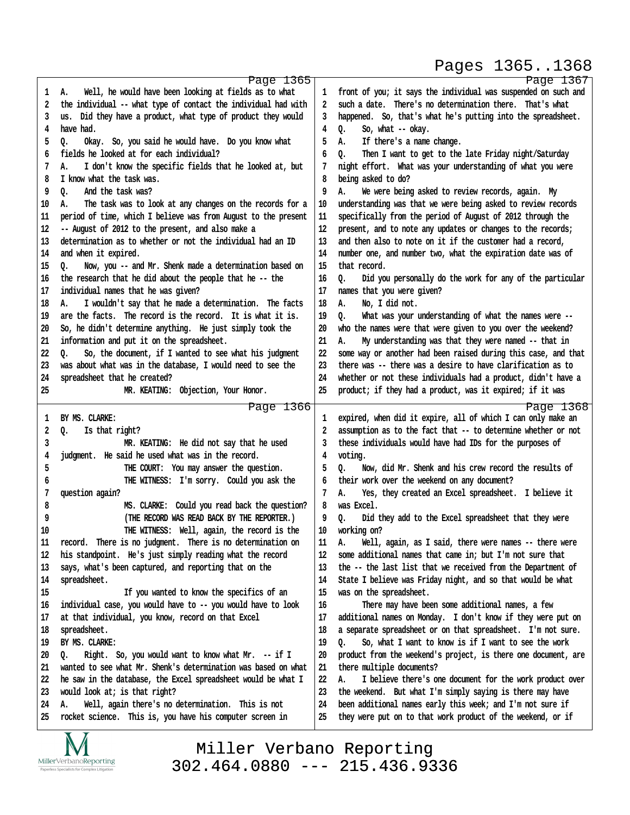#### Pages 1365..1368

http://www.yeslaw.net/help

|          | Page 1365                                                                                                                      |          | Page 1367                                                                                                                  |
|----------|--------------------------------------------------------------------------------------------------------------------------------|----------|----------------------------------------------------------------------------------------------------------------------------|
| 1        | Well, he would have been looking at fields as to what<br>А.                                                                    | 1        | front of you; it says the individual was suspended on such and<br>such a date. There's no determination there. That's what |
| 2<br>3   | the individual -- what type of contact the individual had with<br>us. Did they have a product, what type of product they would | 2<br>3   | happened. So, that's what he's putting into the spreadsheet.                                                               |
| 4        | have had.                                                                                                                      | 4        | Q.<br>So, what -- okay.                                                                                                    |
| 5        | Q.<br>Okay. So, you said he would have. Do you know what                                                                       | 5        | If there's a name change.<br>Α.                                                                                            |
| 6        | fields he looked at for each individual?                                                                                       | 6        | Then I want to get to the late Friday night/Saturday<br>٥.                                                                 |
| 7        | I don't know the specific fields that he looked at, but<br>Α.                                                                  |          | night effort. What was your understanding of what you were                                                                 |
| 8        | I know what the task was.                                                                                                      | 8        | being asked to do?                                                                                                         |
| 9        | And the task was?<br>٥.                                                                                                        | 9        | А.<br>We were being asked to review records, again. My                                                                     |
| 10       | The task was to look at any changes on the records for a<br>А.                                                                 | 10       | understanding was that we were being asked to review records                                                               |
| 11       | period of time, which I believe was from August to the present                                                                 | 11       | specifically from the period of August of 2012 through the                                                                 |
| 12       | -- August of 2012 to the present, and also make a                                                                              | 12       | present, and to note any updates or changes to the records;                                                                |
| 13       | determination as to whether or not the individual had an ID                                                                    | 13       | and then also to note on it if the customer had a record,                                                                  |
| 14       | and when it expired.                                                                                                           | 14       | number one, and number two, what the expiration date was of                                                                |
| 15       | Now, you -- and Mr. Shenk made a determination based on<br>Q.                                                                  | 15       | that record.                                                                                                               |
| 16       | the research that he did about the people that he -- the                                                                       | 16       | Did you personally do the work for any of the particular<br>Q.                                                             |
| 17       | individual names that he was given?                                                                                            | 17       | names that you were given?                                                                                                 |
| 18       | I wouldn't say that he made a determination. The facts<br>А.                                                                   | 18       | No, I did not.<br>А.                                                                                                       |
| 19       | are the facts. The record is the record. It is what it is.                                                                     | 19       | Q.<br>What was your understanding of what the names were --                                                                |
| 20       | So, he didn't determine anything. He just simply took the                                                                      | 20       | who the names were that were given to you over the weekend?                                                                |
| 21       | information and put it on the spreadsheet.                                                                                     | 21       | My understanding was that they were named -- that in<br>А.                                                                 |
| 22       | So, the document, if I wanted to see what his judgment<br>Q.                                                                   | 22       | some way or another had been raised during this case, and that                                                             |
| 23       | was about what was in the database, I would need to see the                                                                    | 23       | there was -- there was a desire to have clarification as to                                                                |
| 24       | spreadsheet that he created?                                                                                                   | 24       | whether or not these individuals had a product, didn't have a                                                              |
| 25       | MR. KEATING: Objection, Your Honor.                                                                                            | 25       | product; if they had a product, was it expired; if it was                                                                  |
|          | Page 1366                                                                                                                      |          | Page 1368                                                                                                                  |
| 1        | BY MS. CLARKE:                                                                                                                 | 1        | expired, when did it expire, all of which I can only make an                                                               |
| 2        | Q.<br>Is that right?                                                                                                           | 2        | assumption as to the fact that -- to determine whether or not                                                              |
| 3        | MR. KEATING: He did not say that he used                                                                                       | 3        | these individuals would have had IDs for the purposes of                                                                   |
| 4        | judgment. He said he used what was in the record.                                                                              | 4        | voting.                                                                                                                    |
| 5        | THE COURT: You may answer the question.                                                                                        | 5        | Now, did Mr. Shenk and his crew record the results of<br>о.                                                                |
| 6        | THE WITNESS: I'm sorry. Could you ask the                                                                                      | 6        | their work over the weekend on any document?                                                                               |
| 7        | question again?                                                                                                                | 7        | Yes, they created an Excel spreadsheet. I believe it<br>Α.                                                                 |
| 8        | MS. CLARKE: Could you read back the question?                                                                                  | 8        | was Excel.                                                                                                                 |
| 9        | (THE RECORD WAS READ BACK BY THE REPORTER.)                                                                                    | 9        | Did they add to the Excel spreadsheet that they were<br>о.                                                                 |
| 10       | THE WITNESS: Well, again, the record is the                                                                                    | 10       | working on?                                                                                                                |
| 11<br>12 | record. There is no judgment. There is no determination on                                                                     | 11<br>12 | Well, again, as I said, there were names -- there were<br>А.<br>some additional names that came in; but I'm not sure that  |
| 13       | his standpoint. He's just simply reading what the record<br>says, what's been captured, and reporting that on the              | 13       | the -- the last list that we received from the Department of                                                               |
| 14       | spreadsheet.                                                                                                                   | 14       | State I believe was Friday night, and so that would be what                                                                |
| 15       | If you wanted to know the specifics of an                                                                                      | 15       | was on the spreadsheet.                                                                                                    |
| 16       | individual case, you would have to -- you would have to look                                                                   | 16       | There may have been some additional names, a few                                                                           |
| 17       | at that individual, you know, record on that Excel                                                                             | 17       | additional names on Monday. I don't know if they were put on                                                               |
| 18       | spreadsheet.                                                                                                                   | 18       | a separate spreadsheet or on that spreadsheet. I'm not sure.                                                               |
| 19       | BY MS. CLARKE:                                                                                                                 | 19       | So, what I want to know is if I want to see the work<br>٥.                                                                 |
| 20       | Right. So, you would want to know what Mr. -- if I<br>o.                                                                       | 20       | product from the weekend's project, is there one document, are                                                             |
| 21       | wanted to see what Mr. Shenk's determination was based on what                                                                 | 21       | there multiple documents?                                                                                                  |
| 22       | he saw in the database, the Excel spreadsheet would be what I                                                                  | 22       | I believe there's one document for the work product over<br>Α.                                                             |
| 23       | would look at; is that right?                                                                                                  | 23       | the weekend. But what I'm simply saying is there may have                                                                  |
| 24       | Well, again there's no determination. This is not<br>А.                                                                        | 24       | been additional names early this week; and I'm not sure if                                                                 |
| 25       | rocket science. This is, you have his computer screen in                                                                       | 25       | they were put on to that work product of the weekend, or if                                                                |
|          | $\overline{\phantom{a}}$                                                                                                       |          |                                                                                                                            |

IVI  $\underset{\text{Paperless Specialists for Complex Litigation}}{\text{MillerVerbanoReporting}}$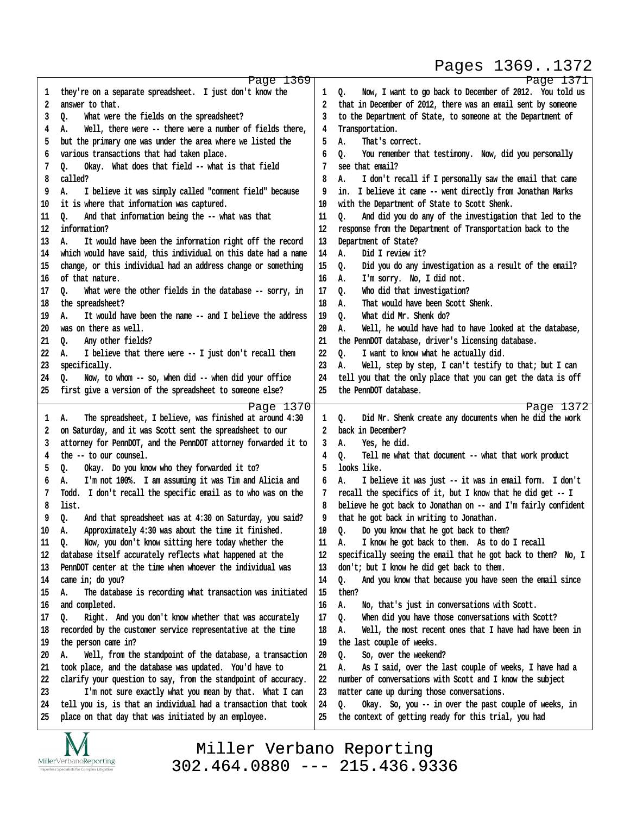#### Pages 1369..1372

http://www.yeslaw.net/help

www.yeslaw.net/help

|          | Page 1369                                                                                                              |          | Page 1371                                                                                                           |
|----------|------------------------------------------------------------------------------------------------------------------------|----------|---------------------------------------------------------------------------------------------------------------------|
| ı        | they're on a separate spreadsheet. I just don't know the                                                               | 1        | Now, I want to go back to December of 2012. You told us<br>Q.                                                       |
| 2        | answer to that.                                                                                                        | 2        | that in December of 2012, there was an email sent by someone                                                        |
| 3        | What were the fields on the spreadsheet?<br>Q.                                                                         | 3        | to the Department of State, to someone at the Department of                                                         |
| 4        | Well, there were -- there were a number of fields there,<br>А.                                                         | 4        | Transportation.                                                                                                     |
| 5        | but the primary one was under the area where we listed the                                                             | 5        | That's correct.<br>А.                                                                                               |
|          |                                                                                                                        |          |                                                                                                                     |
| 6        | various transactions that had taken place.                                                                             | 6        | You remember that testimony. Now, did you personally<br>Q.                                                          |
| 7        | Okay. What does that field -- what is that field<br>o.                                                                 | 7        | see that email?                                                                                                     |
| 8        | called?                                                                                                                | 8        | I don't recall if I personally saw the email that came<br>А.                                                        |
| 9        | I believe it was simply called "comment field" because<br>А.                                                           | 9        | in. I believe it came -- went directly from Jonathan Marks                                                          |
| 10       | it is where that information was captured.                                                                             | 10       | with the Department of State to Scott Shenk.                                                                        |
| 11       | And that information being the -- what was that<br>٥.                                                                  | 11       | And did you do any of the investigation that led to the<br>o.                                                       |
| 12       | information?                                                                                                           | 12       | response from the Department of Transportation back to the                                                          |
| 13       | It would have been the information right off the record<br>А.                                                          | 13       | Department of State?                                                                                                |
| 14       | which would have said, this individual on this date had a name                                                         | 14       | Did I review it?<br>А.                                                                                              |
| 15       | change, or this individual had an address change or something                                                          | 15       | Did you do any investigation as a result of the email?<br>Q.                                                        |
| 16       | of that nature.                                                                                                        | 16       | I'm sorry. No, I did not.<br>А.                                                                                     |
| 17       | What were the other fields in the database -- sorry, in<br>o.                                                          | 17       | Who did that investigation?<br>0.                                                                                   |
| 18       | the spreadsheet?                                                                                                       | 18       | That would have been Scott Shenk.<br>А.                                                                             |
| 19       | It would have been the name -- and I believe the address<br>А.                                                         | 19       | What did Mr. Shenk do?<br>o.                                                                                        |
| 20       | was on there as well.                                                                                                  | 20       | Well, he would have had to have looked at the database,<br>А.                                                       |
| 21       | Any other fields?<br>o.                                                                                                | 21       | the PennDOT database, driver's licensing database.                                                                  |
| 22       | I believe that there were -- I just don't recall them<br>А.                                                            | 22       | I want to know what he actually did.<br>o.                                                                          |
| 23       | specifically.                                                                                                          | 23       | Well, step by step, I can't testify to that; but I can<br>А.                                                        |
| 24       | Now, to whom -- so, when did -- when did your office<br>Q.                                                             | 24       | tell you that the only place that you can get the data is off                                                       |
| 25       | first give a version of the spreadsheet to someone else?                                                               | 25       | the PennDOT database.                                                                                               |
|          |                                                                                                                        |          |                                                                                                                     |
|          | Page 1370                                                                                                              |          | Page 1372                                                                                                           |
| 1        | The spreadsheet, I believe, was finished at around 4:30<br>А.                                                          | 1        | Did Mr. Shenk create any documents when he did the work<br>0.                                                       |
| 2        | on Saturday, and it was Scott sent the spreadsheet to our                                                              | 2        | back in December?                                                                                                   |
|          | attorney for PennDOT, and the PennDOT attorney forwarded it to                                                         |          |                                                                                                                     |
| 3        |                                                                                                                        | 3        | Yes, he did.<br>А.                                                                                                  |
| 4        | the -- to our counsel.                                                                                                 | 4        | Tell me what that document -- what that work product<br>Q.                                                          |
| 5        | Q.<br>Okay. Do you know who they forwarded it to?                                                                      | 5        | looks like.                                                                                                         |
| 6        | I'm not 100%. I am assuming it was Tim and Alicia and<br>А.                                                            | 6        | I believe it was just -- it was in email form. I don't<br>А.                                                        |
| 7        | Todd. I don't recall the specific email as to who was on the                                                           | 7        | recall the specifics of it, but I know that he did get -- I                                                         |
| 8        | list.                                                                                                                  | 8        | believe he got back to Jonathan on -- and I'm fairly confident                                                      |
| 9        | Q.<br>And that spreadsheet was at 4:30 on Saturday, you said?                                                          | 9        | that he got back in writing to Jonathan.                                                                            |
| 10       | Approximately 4:30 was about the time it finished.<br>А.                                                               | 10       | Do you know that he got back to them?<br>о.                                                                         |
| 11       | Now, you don't know sitting here today whether the<br>Q.                                                               | 11       | I know he got back to them. As to do I recall<br>А.                                                                 |
| 12       | database itself accurately reflects what happened at the                                                               | 12       | specifically seeing the email that he got back to them? No, I                                                       |
| 13       | PennDOT center at the time when whoever the individual was                                                             | 13       | don't; but I know he did get back to them.                                                                          |
| 14       | came in; do you?                                                                                                       | 14       | And you know that because you have seen the email since                                                             |
|          | А.                                                                                                                     |          | Q.<br>then?                                                                                                         |
| 15       | The database is recording what transaction was initiated                                                               | 15       |                                                                                                                     |
| 16       | and completed.                                                                                                         | 16       | No, that's just in conversations with Scott.<br>А.                                                                  |
| 17       | Right. And you don't know whether that was accurately<br>o.                                                            | 17       | When did you have those conversations with Scott?<br>Q.                                                             |
| 18       | recorded by the customer service representative at the time                                                            | 18       | Well, the most recent ones that I have had have been in<br>А.                                                       |
| 19       | the person came in?                                                                                                    | 19       | the last couple of weeks.                                                                                           |
| 20       | Well, from the standpoint of the database, a transaction<br>А.                                                         | 20       | So, over the weekend?<br>Q.                                                                                         |
| 21       | took place, and the database was updated. You'd have to                                                                | 21       | As I said, over the last couple of weeks, I have had a<br>А.                                                        |
| 22       | clarify your question to say, from the standpoint of accuracy.                                                         | 22       | number of conversations with Scott and I know the subject                                                           |
| 23       | I'm not sure exactly what you mean by that. What I can                                                                 | 23       | matter came up during those conversations.                                                                          |
| 24<br>25 | tell you is, is that an individual had a transaction that took<br>place on that day that was initiated by an employee. | 24<br>25 | Okay. So, you -- in over the past couple of weeks, in<br>Q.<br>the context of getting ready for this trial, you had |

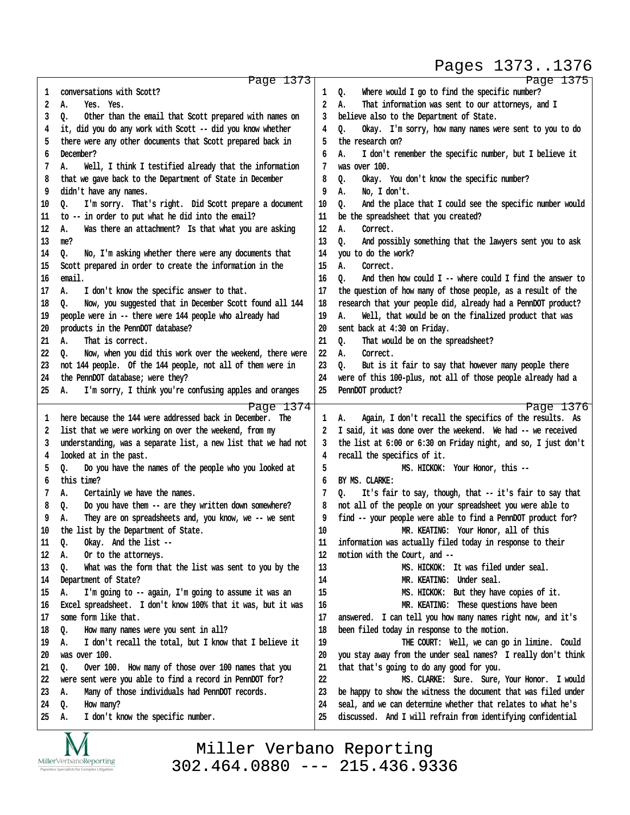#### Pages 1373..1376

http://www.yeslaw.net/help

/www.yeslaw.net/help

| conversations with Scott?<br>Where would I go to find the specific number?<br>Q.<br>1<br>1<br>2<br>That information was sent to our attorneys, and I<br>2<br>А.<br>А.<br>Yes. Yes.<br>3<br>Other than the email that Scott prepared with names on<br>believe also to the Department of State.<br>o.<br>3<br>it, did you do any work with Scott -- did you know whether<br>Okay. I'm sorry, how many names were sent to you to do<br>4<br>4<br>o.<br>there were any other documents that Scott prepared back in<br>the research on?<br>5<br>5<br>December?<br>6<br>6<br>I don't remember the specific number, but I believe it<br>А.<br>was over 100.<br>7<br>Well, I think I testified already that the information<br>А.<br>7<br>8<br>that we gave back to the Department of State in December<br>8<br>Okay. You don't know the specific number?<br>Q.<br>didn't have any names.<br>No, I don't.<br>9<br>9<br>А.<br>10<br>I'm sorry. That's right. Did Scott prepare a document<br>10<br>And the place that I could see the specific number would<br>Q.<br>0.<br>to -- in order to put what he did into the email?<br>11<br>be the spreadsheet that you created?<br>11<br>Correct.<br>12<br>Was there an attachment? Is that what you are asking<br>12<br>А.<br>А.<br>13<br>13<br>And possibly something that the lawyers sent you to ask<br>me?<br>o.<br>you to do the work?<br>14<br>No, I'm asking whether there were any documents that<br>14<br>o.<br>15<br>Scott prepared in order to create the information in the<br>15<br>А.<br>Correct.<br>email.<br>And then how could I -- where could I find the answer to<br>16<br>16<br>o.<br>17<br>the question of how many of those people, as a result of the<br>17<br>I don't know the specific answer to that.<br>А.<br>Now, you suggested that in December Scott found all 144<br>research that your people did, already had a PennDOT product?<br>18<br>18<br>o.<br>people were in -- there were 144 people who already had<br>19<br>Well, that would be on the finalized product that was<br>19<br>А.<br>sent back at 4:30 on Friday.<br>20<br>products in the PennDOT database?<br>20<br>21<br>That is correct.<br>21<br>That would be on the spreadsheet?<br>А.<br>Q.<br>22<br>22<br>Now, when you did this work over the weekend, there were<br>А.<br>Correct.<br>o.<br>23<br>not 144 people. Of the 144 people, not all of them were in<br>23<br>But is it fair to say that however many people there<br>Q.<br>24<br>the PennDOT database; were they?<br>24<br>were of this 100-plus, not all of those people already had a<br>25<br>25<br>PennDOT product?<br>I'm sorry, I think you're confusing apples and oranges<br>А.<br>Page 1376<br>Page 1374<br>here because the 144 were addressed back in December. The<br>Again, I don't recall the specifics of the results. As<br>А.<br>1<br>1<br>list that we were working on over the weekend, from my<br>I said, it was done over the weekend. We had -- we received<br>2<br>2<br>understanding, was a separate list, a new list that we had not<br>the list at 6:00 or 6:30 on Friday night, and so, I just don't<br>3<br>3<br>looked at in the past.<br>recall the specifics of it.<br>4<br>4<br>5<br>5<br>Do you have the names of the people who you looked at<br>MS. HICKOK: Your Honor, this --<br>Q.<br>this time?<br>6<br>6<br>BY MS. CLARKE:<br>Certainly we have the names.<br>It's fair to say, though, that -- it's fair to say that<br>7<br>А.<br>7<br>Q.<br>8<br>Do you have them -- are they written down somewhere?<br>not all of the people on your spreadsheet you were able to<br>8<br>Q.<br>They are on spreadsheets and, you know, we -- we sent<br>find -- your people were able to find a PennDOT product for?<br>9<br>А.<br>9<br>10<br>10<br>the list by the Department of State.<br>MR. KEATING: Your Honor, all of this<br>11<br>Okay. And the list --<br>information was actually filed today in response to their<br>Q.<br>11<br>12<br>12<br>motion with the Court, and --<br>А.<br>Or to the attorneys.<br>13<br>13<br>What was the form that the list was sent to you by the<br>MS. HICKOK: It was filed under seal.<br>Q.<br>14<br>Department of State?<br>MR. KEATING: Under seal.<br>14<br>15<br>I'm going to -- again, I'm going to assume it was an<br>MS. HICKOK: But they have copies of it.<br>15<br>Α.<br>16<br>MR. KEATING: These questions have been<br>16<br>Excel spreadsheet. I don't know 100% that it was, but it was<br>17<br>some form like that.<br>answered. I can tell you how many names right now, and it's<br>17<br>18<br>been filed today in response to the motion.<br>18<br>How many names were you sent in all?<br>Q.<br>19<br>I don't recall the total, but I know that I believe it<br>19<br>THE COURT: Well, we can go in limine. Could<br>А.<br>was over 100.<br>20<br>you stay away from the under seal names? I really don't think<br>20<br>Over 100. How many of those over 100 names that you<br>21<br>that that's going to do any good for you.<br>21<br>Q.<br>22<br>sent were you able to find a record in PennDOT for?<br>MS. CLARKE: Sure. Sure, Your Honor. I would<br>22<br>were<br>23<br>Many of those individuals had PennDOT records.<br>be happy to show the witness the document that was filed under<br>23<br>А.<br>seal, and we can determine whether that relates to what he's<br>24<br>24<br>How many?<br>Q.<br>I don't know the specific number.<br>25<br>discussed. And I will refrain from identifying confidential<br>25<br>А. | Page 1373 | Page 1375 |
|----------------------------------------------------------------------------------------------------------------------------------------------------------------------------------------------------------------------------------------------------------------------------------------------------------------------------------------------------------------------------------------------------------------------------------------------------------------------------------------------------------------------------------------------------------------------------------------------------------------------------------------------------------------------------------------------------------------------------------------------------------------------------------------------------------------------------------------------------------------------------------------------------------------------------------------------------------------------------------------------------------------------------------------------------------------------------------------------------------------------------------------------------------------------------------------------------------------------------------------------------------------------------------------------------------------------------------------------------------------------------------------------------------------------------------------------------------------------------------------------------------------------------------------------------------------------------------------------------------------------------------------------------------------------------------------------------------------------------------------------------------------------------------------------------------------------------------------------------------------------------------------------------------------------------------------------------------------------------------------------------------------------------------------------------------------------------------------------------------------------------------------------------------------------------------------------------------------------------------------------------------------------------------------------------------------------------------------------------------------------------------------------------------------------------------------------------------------------------------------------------------------------------------------------------------------------------------------------------------------------------------------------------------------------------------------------------------------------------------------------------------------------------------------------------------------------------------------------------------------------------------------------------------------------------------------------------------------------------------------------------------------------------------------------------------------------------------------------------------------------------------------------------------------------------------------------------------------------------------------------------------------------------------------------------------------------------------------------------------------------------------------------------------------------------------------------------------------------------------------------------------------------------------------------------------------------------------------------------------------------------------------------------------------------------------------------------------------------------------------------------------------------------------------------------------------------------------------------------------------------------------------------------------------------------------------------------------------------------------------------------------------------------------------------------------------------------------------------------------------------------------------------------------------------------------------------------------------------------------------------------------------------------------------------------------------------------------------------------------------------------------------------------------------------------------------------------------------------------------------------------------------------------------------------------------------------------------------------------------------------------------------------------------------------------------------------------------------------------------------------------------------------------------------------------------------------------------------------------------------------------------------------------------------------------------------------------------------------------------------------------------------------------------------------------------------------------------------------------------------------------------------------------------------------------------------------------------------------------------------------------------------------------------------------------------------------------------------------------------------------------------------------------------------------------------------------------------------------------------------------------------------------------------|-----------|-----------|
|                                                                                                                                                                                                                                                                                                                                                                                                                                                                                                                                                                                                                                                                                                                                                                                                                                                                                                                                                                                                                                                                                                                                                                                                                                                                                                                                                                                                                                                                                                                                                                                                                                                                                                                                                                                                                                                                                                                                                                                                                                                                                                                                                                                                                                                                                                                                                                                                                                                                                                                                                                                                                                                                                                                                                                                                                                                                                                                                                                                                                                                                                                                                                                                                                                                                                                                                                                                                                                                                                                                                                                                                                                                                                                                                                                                                                                                                                                                                                                                                                                                                                                                                                                                                                                                                                                                                                                                                                                                                                                                                                                                                                                                                                                                                                                                                                                                                                                                                                                                                                                                                                                                                                                                                                                                                                                                                                                                                                                                                                                                                  |           |           |
|                                                                                                                                                                                                                                                                                                                                                                                                                                                                                                                                                                                                                                                                                                                                                                                                                                                                                                                                                                                                                                                                                                                                                                                                                                                                                                                                                                                                                                                                                                                                                                                                                                                                                                                                                                                                                                                                                                                                                                                                                                                                                                                                                                                                                                                                                                                                                                                                                                                                                                                                                                                                                                                                                                                                                                                                                                                                                                                                                                                                                                                                                                                                                                                                                                                                                                                                                                                                                                                                                                                                                                                                                                                                                                                                                                                                                                                                                                                                                                                                                                                                                                                                                                                                                                                                                                                                                                                                                                                                                                                                                                                                                                                                                                                                                                                                                                                                                                                                                                                                                                                                                                                                                                                                                                                                                                                                                                                                                                                                                                                                  |           |           |
|                                                                                                                                                                                                                                                                                                                                                                                                                                                                                                                                                                                                                                                                                                                                                                                                                                                                                                                                                                                                                                                                                                                                                                                                                                                                                                                                                                                                                                                                                                                                                                                                                                                                                                                                                                                                                                                                                                                                                                                                                                                                                                                                                                                                                                                                                                                                                                                                                                                                                                                                                                                                                                                                                                                                                                                                                                                                                                                                                                                                                                                                                                                                                                                                                                                                                                                                                                                                                                                                                                                                                                                                                                                                                                                                                                                                                                                                                                                                                                                                                                                                                                                                                                                                                                                                                                                                                                                                                                                                                                                                                                                                                                                                                                                                                                                                                                                                                                                                                                                                                                                                                                                                                                                                                                                                                                                                                                                                                                                                                                                                  |           |           |
|                                                                                                                                                                                                                                                                                                                                                                                                                                                                                                                                                                                                                                                                                                                                                                                                                                                                                                                                                                                                                                                                                                                                                                                                                                                                                                                                                                                                                                                                                                                                                                                                                                                                                                                                                                                                                                                                                                                                                                                                                                                                                                                                                                                                                                                                                                                                                                                                                                                                                                                                                                                                                                                                                                                                                                                                                                                                                                                                                                                                                                                                                                                                                                                                                                                                                                                                                                                                                                                                                                                                                                                                                                                                                                                                                                                                                                                                                                                                                                                                                                                                                                                                                                                                                                                                                                                                                                                                                                                                                                                                                                                                                                                                                                                                                                                                                                                                                                                                                                                                                                                                                                                                                                                                                                                                                                                                                                                                                                                                                                                                  |           |           |
|                                                                                                                                                                                                                                                                                                                                                                                                                                                                                                                                                                                                                                                                                                                                                                                                                                                                                                                                                                                                                                                                                                                                                                                                                                                                                                                                                                                                                                                                                                                                                                                                                                                                                                                                                                                                                                                                                                                                                                                                                                                                                                                                                                                                                                                                                                                                                                                                                                                                                                                                                                                                                                                                                                                                                                                                                                                                                                                                                                                                                                                                                                                                                                                                                                                                                                                                                                                                                                                                                                                                                                                                                                                                                                                                                                                                                                                                                                                                                                                                                                                                                                                                                                                                                                                                                                                                                                                                                                                                                                                                                                                                                                                                                                                                                                                                                                                                                                                                                                                                                                                                                                                                                                                                                                                                                                                                                                                                                                                                                                                                  |           |           |
|                                                                                                                                                                                                                                                                                                                                                                                                                                                                                                                                                                                                                                                                                                                                                                                                                                                                                                                                                                                                                                                                                                                                                                                                                                                                                                                                                                                                                                                                                                                                                                                                                                                                                                                                                                                                                                                                                                                                                                                                                                                                                                                                                                                                                                                                                                                                                                                                                                                                                                                                                                                                                                                                                                                                                                                                                                                                                                                                                                                                                                                                                                                                                                                                                                                                                                                                                                                                                                                                                                                                                                                                                                                                                                                                                                                                                                                                                                                                                                                                                                                                                                                                                                                                                                                                                                                                                                                                                                                                                                                                                                                                                                                                                                                                                                                                                                                                                                                                                                                                                                                                                                                                                                                                                                                                                                                                                                                                                                                                                                                                  |           |           |
|                                                                                                                                                                                                                                                                                                                                                                                                                                                                                                                                                                                                                                                                                                                                                                                                                                                                                                                                                                                                                                                                                                                                                                                                                                                                                                                                                                                                                                                                                                                                                                                                                                                                                                                                                                                                                                                                                                                                                                                                                                                                                                                                                                                                                                                                                                                                                                                                                                                                                                                                                                                                                                                                                                                                                                                                                                                                                                                                                                                                                                                                                                                                                                                                                                                                                                                                                                                                                                                                                                                                                                                                                                                                                                                                                                                                                                                                                                                                                                                                                                                                                                                                                                                                                                                                                                                                                                                                                                                                                                                                                                                                                                                                                                                                                                                                                                                                                                                                                                                                                                                                                                                                                                                                                                                                                                                                                                                                                                                                                                                                  |           |           |
|                                                                                                                                                                                                                                                                                                                                                                                                                                                                                                                                                                                                                                                                                                                                                                                                                                                                                                                                                                                                                                                                                                                                                                                                                                                                                                                                                                                                                                                                                                                                                                                                                                                                                                                                                                                                                                                                                                                                                                                                                                                                                                                                                                                                                                                                                                                                                                                                                                                                                                                                                                                                                                                                                                                                                                                                                                                                                                                                                                                                                                                                                                                                                                                                                                                                                                                                                                                                                                                                                                                                                                                                                                                                                                                                                                                                                                                                                                                                                                                                                                                                                                                                                                                                                                                                                                                                                                                                                                                                                                                                                                                                                                                                                                                                                                                                                                                                                                                                                                                                                                                                                                                                                                                                                                                                                                                                                                                                                                                                                                                                  |           |           |
|                                                                                                                                                                                                                                                                                                                                                                                                                                                                                                                                                                                                                                                                                                                                                                                                                                                                                                                                                                                                                                                                                                                                                                                                                                                                                                                                                                                                                                                                                                                                                                                                                                                                                                                                                                                                                                                                                                                                                                                                                                                                                                                                                                                                                                                                                                                                                                                                                                                                                                                                                                                                                                                                                                                                                                                                                                                                                                                                                                                                                                                                                                                                                                                                                                                                                                                                                                                                                                                                                                                                                                                                                                                                                                                                                                                                                                                                                                                                                                                                                                                                                                                                                                                                                                                                                                                                                                                                                                                                                                                                                                                                                                                                                                                                                                                                                                                                                                                                                                                                                                                                                                                                                                                                                                                                                                                                                                                                                                                                                                                                  |           |           |
|                                                                                                                                                                                                                                                                                                                                                                                                                                                                                                                                                                                                                                                                                                                                                                                                                                                                                                                                                                                                                                                                                                                                                                                                                                                                                                                                                                                                                                                                                                                                                                                                                                                                                                                                                                                                                                                                                                                                                                                                                                                                                                                                                                                                                                                                                                                                                                                                                                                                                                                                                                                                                                                                                                                                                                                                                                                                                                                                                                                                                                                                                                                                                                                                                                                                                                                                                                                                                                                                                                                                                                                                                                                                                                                                                                                                                                                                                                                                                                                                                                                                                                                                                                                                                                                                                                                                                                                                                                                                                                                                                                                                                                                                                                                                                                                                                                                                                                                                                                                                                                                                                                                                                                                                                                                                                                                                                                                                                                                                                                                                  |           |           |
|                                                                                                                                                                                                                                                                                                                                                                                                                                                                                                                                                                                                                                                                                                                                                                                                                                                                                                                                                                                                                                                                                                                                                                                                                                                                                                                                                                                                                                                                                                                                                                                                                                                                                                                                                                                                                                                                                                                                                                                                                                                                                                                                                                                                                                                                                                                                                                                                                                                                                                                                                                                                                                                                                                                                                                                                                                                                                                                                                                                                                                                                                                                                                                                                                                                                                                                                                                                                                                                                                                                                                                                                                                                                                                                                                                                                                                                                                                                                                                                                                                                                                                                                                                                                                                                                                                                                                                                                                                                                                                                                                                                                                                                                                                                                                                                                                                                                                                                                                                                                                                                                                                                                                                                                                                                                                                                                                                                                                                                                                                                                  |           |           |
|                                                                                                                                                                                                                                                                                                                                                                                                                                                                                                                                                                                                                                                                                                                                                                                                                                                                                                                                                                                                                                                                                                                                                                                                                                                                                                                                                                                                                                                                                                                                                                                                                                                                                                                                                                                                                                                                                                                                                                                                                                                                                                                                                                                                                                                                                                                                                                                                                                                                                                                                                                                                                                                                                                                                                                                                                                                                                                                                                                                                                                                                                                                                                                                                                                                                                                                                                                                                                                                                                                                                                                                                                                                                                                                                                                                                                                                                                                                                                                                                                                                                                                                                                                                                                                                                                                                                                                                                                                                                                                                                                                                                                                                                                                                                                                                                                                                                                                                                                                                                                                                                                                                                                                                                                                                                                                                                                                                                                                                                                                                                  |           |           |
|                                                                                                                                                                                                                                                                                                                                                                                                                                                                                                                                                                                                                                                                                                                                                                                                                                                                                                                                                                                                                                                                                                                                                                                                                                                                                                                                                                                                                                                                                                                                                                                                                                                                                                                                                                                                                                                                                                                                                                                                                                                                                                                                                                                                                                                                                                                                                                                                                                                                                                                                                                                                                                                                                                                                                                                                                                                                                                                                                                                                                                                                                                                                                                                                                                                                                                                                                                                                                                                                                                                                                                                                                                                                                                                                                                                                                                                                                                                                                                                                                                                                                                                                                                                                                                                                                                                                                                                                                                                                                                                                                                                                                                                                                                                                                                                                                                                                                                                                                                                                                                                                                                                                                                                                                                                                                                                                                                                                                                                                                                                                  |           |           |
|                                                                                                                                                                                                                                                                                                                                                                                                                                                                                                                                                                                                                                                                                                                                                                                                                                                                                                                                                                                                                                                                                                                                                                                                                                                                                                                                                                                                                                                                                                                                                                                                                                                                                                                                                                                                                                                                                                                                                                                                                                                                                                                                                                                                                                                                                                                                                                                                                                                                                                                                                                                                                                                                                                                                                                                                                                                                                                                                                                                                                                                                                                                                                                                                                                                                                                                                                                                                                                                                                                                                                                                                                                                                                                                                                                                                                                                                                                                                                                                                                                                                                                                                                                                                                                                                                                                                                                                                                                                                                                                                                                                                                                                                                                                                                                                                                                                                                                                                                                                                                                                                                                                                                                                                                                                                                                                                                                                                                                                                                                                                  |           |           |
|                                                                                                                                                                                                                                                                                                                                                                                                                                                                                                                                                                                                                                                                                                                                                                                                                                                                                                                                                                                                                                                                                                                                                                                                                                                                                                                                                                                                                                                                                                                                                                                                                                                                                                                                                                                                                                                                                                                                                                                                                                                                                                                                                                                                                                                                                                                                                                                                                                                                                                                                                                                                                                                                                                                                                                                                                                                                                                                                                                                                                                                                                                                                                                                                                                                                                                                                                                                                                                                                                                                                                                                                                                                                                                                                                                                                                                                                                                                                                                                                                                                                                                                                                                                                                                                                                                                                                                                                                                                                                                                                                                                                                                                                                                                                                                                                                                                                                                                                                                                                                                                                                                                                                                                                                                                                                                                                                                                                                                                                                                                                  |           |           |
|                                                                                                                                                                                                                                                                                                                                                                                                                                                                                                                                                                                                                                                                                                                                                                                                                                                                                                                                                                                                                                                                                                                                                                                                                                                                                                                                                                                                                                                                                                                                                                                                                                                                                                                                                                                                                                                                                                                                                                                                                                                                                                                                                                                                                                                                                                                                                                                                                                                                                                                                                                                                                                                                                                                                                                                                                                                                                                                                                                                                                                                                                                                                                                                                                                                                                                                                                                                                                                                                                                                                                                                                                                                                                                                                                                                                                                                                                                                                                                                                                                                                                                                                                                                                                                                                                                                                                                                                                                                                                                                                                                                                                                                                                                                                                                                                                                                                                                                                                                                                                                                                                                                                                                                                                                                                                                                                                                                                                                                                                                                                  |           |           |
|                                                                                                                                                                                                                                                                                                                                                                                                                                                                                                                                                                                                                                                                                                                                                                                                                                                                                                                                                                                                                                                                                                                                                                                                                                                                                                                                                                                                                                                                                                                                                                                                                                                                                                                                                                                                                                                                                                                                                                                                                                                                                                                                                                                                                                                                                                                                                                                                                                                                                                                                                                                                                                                                                                                                                                                                                                                                                                                                                                                                                                                                                                                                                                                                                                                                                                                                                                                                                                                                                                                                                                                                                                                                                                                                                                                                                                                                                                                                                                                                                                                                                                                                                                                                                                                                                                                                                                                                                                                                                                                                                                                                                                                                                                                                                                                                                                                                                                                                                                                                                                                                                                                                                                                                                                                                                                                                                                                                                                                                                                                                  |           |           |
|                                                                                                                                                                                                                                                                                                                                                                                                                                                                                                                                                                                                                                                                                                                                                                                                                                                                                                                                                                                                                                                                                                                                                                                                                                                                                                                                                                                                                                                                                                                                                                                                                                                                                                                                                                                                                                                                                                                                                                                                                                                                                                                                                                                                                                                                                                                                                                                                                                                                                                                                                                                                                                                                                                                                                                                                                                                                                                                                                                                                                                                                                                                                                                                                                                                                                                                                                                                                                                                                                                                                                                                                                                                                                                                                                                                                                                                                                                                                                                                                                                                                                                                                                                                                                                                                                                                                                                                                                                                                                                                                                                                                                                                                                                                                                                                                                                                                                                                                                                                                                                                                                                                                                                                                                                                                                                                                                                                                                                                                                                                                  |           |           |
|                                                                                                                                                                                                                                                                                                                                                                                                                                                                                                                                                                                                                                                                                                                                                                                                                                                                                                                                                                                                                                                                                                                                                                                                                                                                                                                                                                                                                                                                                                                                                                                                                                                                                                                                                                                                                                                                                                                                                                                                                                                                                                                                                                                                                                                                                                                                                                                                                                                                                                                                                                                                                                                                                                                                                                                                                                                                                                                                                                                                                                                                                                                                                                                                                                                                                                                                                                                                                                                                                                                                                                                                                                                                                                                                                                                                                                                                                                                                                                                                                                                                                                                                                                                                                                                                                                                                                                                                                                                                                                                                                                                                                                                                                                                                                                                                                                                                                                                                                                                                                                                                                                                                                                                                                                                                                                                                                                                                                                                                                                                                  |           |           |
|                                                                                                                                                                                                                                                                                                                                                                                                                                                                                                                                                                                                                                                                                                                                                                                                                                                                                                                                                                                                                                                                                                                                                                                                                                                                                                                                                                                                                                                                                                                                                                                                                                                                                                                                                                                                                                                                                                                                                                                                                                                                                                                                                                                                                                                                                                                                                                                                                                                                                                                                                                                                                                                                                                                                                                                                                                                                                                                                                                                                                                                                                                                                                                                                                                                                                                                                                                                                                                                                                                                                                                                                                                                                                                                                                                                                                                                                                                                                                                                                                                                                                                                                                                                                                                                                                                                                                                                                                                                                                                                                                                                                                                                                                                                                                                                                                                                                                                                                                                                                                                                                                                                                                                                                                                                                                                                                                                                                                                                                                                                                  |           |           |
|                                                                                                                                                                                                                                                                                                                                                                                                                                                                                                                                                                                                                                                                                                                                                                                                                                                                                                                                                                                                                                                                                                                                                                                                                                                                                                                                                                                                                                                                                                                                                                                                                                                                                                                                                                                                                                                                                                                                                                                                                                                                                                                                                                                                                                                                                                                                                                                                                                                                                                                                                                                                                                                                                                                                                                                                                                                                                                                                                                                                                                                                                                                                                                                                                                                                                                                                                                                                                                                                                                                                                                                                                                                                                                                                                                                                                                                                                                                                                                                                                                                                                                                                                                                                                                                                                                                                                                                                                                                                                                                                                                                                                                                                                                                                                                                                                                                                                                                                                                                                                                                                                                                                                                                                                                                                                                                                                                                                                                                                                                                                  |           |           |
|                                                                                                                                                                                                                                                                                                                                                                                                                                                                                                                                                                                                                                                                                                                                                                                                                                                                                                                                                                                                                                                                                                                                                                                                                                                                                                                                                                                                                                                                                                                                                                                                                                                                                                                                                                                                                                                                                                                                                                                                                                                                                                                                                                                                                                                                                                                                                                                                                                                                                                                                                                                                                                                                                                                                                                                                                                                                                                                                                                                                                                                                                                                                                                                                                                                                                                                                                                                                                                                                                                                                                                                                                                                                                                                                                                                                                                                                                                                                                                                                                                                                                                                                                                                                                                                                                                                                                                                                                                                                                                                                                                                                                                                                                                                                                                                                                                                                                                                                                                                                                                                                                                                                                                                                                                                                                                                                                                                                                                                                                                                                  |           |           |
|                                                                                                                                                                                                                                                                                                                                                                                                                                                                                                                                                                                                                                                                                                                                                                                                                                                                                                                                                                                                                                                                                                                                                                                                                                                                                                                                                                                                                                                                                                                                                                                                                                                                                                                                                                                                                                                                                                                                                                                                                                                                                                                                                                                                                                                                                                                                                                                                                                                                                                                                                                                                                                                                                                                                                                                                                                                                                                                                                                                                                                                                                                                                                                                                                                                                                                                                                                                                                                                                                                                                                                                                                                                                                                                                                                                                                                                                                                                                                                                                                                                                                                                                                                                                                                                                                                                                                                                                                                                                                                                                                                                                                                                                                                                                                                                                                                                                                                                                                                                                                                                                                                                                                                                                                                                                                                                                                                                                                                                                                                                                  |           |           |
|                                                                                                                                                                                                                                                                                                                                                                                                                                                                                                                                                                                                                                                                                                                                                                                                                                                                                                                                                                                                                                                                                                                                                                                                                                                                                                                                                                                                                                                                                                                                                                                                                                                                                                                                                                                                                                                                                                                                                                                                                                                                                                                                                                                                                                                                                                                                                                                                                                                                                                                                                                                                                                                                                                                                                                                                                                                                                                                                                                                                                                                                                                                                                                                                                                                                                                                                                                                                                                                                                                                                                                                                                                                                                                                                                                                                                                                                                                                                                                                                                                                                                                                                                                                                                                                                                                                                                                                                                                                                                                                                                                                                                                                                                                                                                                                                                                                                                                                                                                                                                                                                                                                                                                                                                                                                                                                                                                                                                                                                                                                                  |           |           |
|                                                                                                                                                                                                                                                                                                                                                                                                                                                                                                                                                                                                                                                                                                                                                                                                                                                                                                                                                                                                                                                                                                                                                                                                                                                                                                                                                                                                                                                                                                                                                                                                                                                                                                                                                                                                                                                                                                                                                                                                                                                                                                                                                                                                                                                                                                                                                                                                                                                                                                                                                                                                                                                                                                                                                                                                                                                                                                                                                                                                                                                                                                                                                                                                                                                                                                                                                                                                                                                                                                                                                                                                                                                                                                                                                                                                                                                                                                                                                                                                                                                                                                                                                                                                                                                                                                                                                                                                                                                                                                                                                                                                                                                                                                                                                                                                                                                                                                                                                                                                                                                                                                                                                                                                                                                                                                                                                                                                                                                                                                                                  |           |           |
|                                                                                                                                                                                                                                                                                                                                                                                                                                                                                                                                                                                                                                                                                                                                                                                                                                                                                                                                                                                                                                                                                                                                                                                                                                                                                                                                                                                                                                                                                                                                                                                                                                                                                                                                                                                                                                                                                                                                                                                                                                                                                                                                                                                                                                                                                                                                                                                                                                                                                                                                                                                                                                                                                                                                                                                                                                                                                                                                                                                                                                                                                                                                                                                                                                                                                                                                                                                                                                                                                                                                                                                                                                                                                                                                                                                                                                                                                                                                                                                                                                                                                                                                                                                                                                                                                                                                                                                                                                                                                                                                                                                                                                                                                                                                                                                                                                                                                                                                                                                                                                                                                                                                                                                                                                                                                                                                                                                                                                                                                                                                  |           |           |
|                                                                                                                                                                                                                                                                                                                                                                                                                                                                                                                                                                                                                                                                                                                                                                                                                                                                                                                                                                                                                                                                                                                                                                                                                                                                                                                                                                                                                                                                                                                                                                                                                                                                                                                                                                                                                                                                                                                                                                                                                                                                                                                                                                                                                                                                                                                                                                                                                                                                                                                                                                                                                                                                                                                                                                                                                                                                                                                                                                                                                                                                                                                                                                                                                                                                                                                                                                                                                                                                                                                                                                                                                                                                                                                                                                                                                                                                                                                                                                                                                                                                                                                                                                                                                                                                                                                                                                                                                                                                                                                                                                                                                                                                                                                                                                                                                                                                                                                                                                                                                                                                                                                                                                                                                                                                                                                                                                                                                                                                                                                                  |           |           |
|                                                                                                                                                                                                                                                                                                                                                                                                                                                                                                                                                                                                                                                                                                                                                                                                                                                                                                                                                                                                                                                                                                                                                                                                                                                                                                                                                                                                                                                                                                                                                                                                                                                                                                                                                                                                                                                                                                                                                                                                                                                                                                                                                                                                                                                                                                                                                                                                                                                                                                                                                                                                                                                                                                                                                                                                                                                                                                                                                                                                                                                                                                                                                                                                                                                                                                                                                                                                                                                                                                                                                                                                                                                                                                                                                                                                                                                                                                                                                                                                                                                                                                                                                                                                                                                                                                                                                                                                                                                                                                                                                                                                                                                                                                                                                                                                                                                                                                                                                                                                                                                                                                                                                                                                                                                                                                                                                                                                                                                                                                                                  |           |           |
|                                                                                                                                                                                                                                                                                                                                                                                                                                                                                                                                                                                                                                                                                                                                                                                                                                                                                                                                                                                                                                                                                                                                                                                                                                                                                                                                                                                                                                                                                                                                                                                                                                                                                                                                                                                                                                                                                                                                                                                                                                                                                                                                                                                                                                                                                                                                                                                                                                                                                                                                                                                                                                                                                                                                                                                                                                                                                                                                                                                                                                                                                                                                                                                                                                                                                                                                                                                                                                                                                                                                                                                                                                                                                                                                                                                                                                                                                                                                                                                                                                                                                                                                                                                                                                                                                                                                                                                                                                                                                                                                                                                                                                                                                                                                                                                                                                                                                                                                                                                                                                                                                                                                                                                                                                                                                                                                                                                                                                                                                                                                  |           |           |
|                                                                                                                                                                                                                                                                                                                                                                                                                                                                                                                                                                                                                                                                                                                                                                                                                                                                                                                                                                                                                                                                                                                                                                                                                                                                                                                                                                                                                                                                                                                                                                                                                                                                                                                                                                                                                                                                                                                                                                                                                                                                                                                                                                                                                                                                                                                                                                                                                                                                                                                                                                                                                                                                                                                                                                                                                                                                                                                                                                                                                                                                                                                                                                                                                                                                                                                                                                                                                                                                                                                                                                                                                                                                                                                                                                                                                                                                                                                                                                                                                                                                                                                                                                                                                                                                                                                                                                                                                                                                                                                                                                                                                                                                                                                                                                                                                                                                                                                                                                                                                                                                                                                                                                                                                                                                                                                                                                                                                                                                                                                                  |           |           |
|                                                                                                                                                                                                                                                                                                                                                                                                                                                                                                                                                                                                                                                                                                                                                                                                                                                                                                                                                                                                                                                                                                                                                                                                                                                                                                                                                                                                                                                                                                                                                                                                                                                                                                                                                                                                                                                                                                                                                                                                                                                                                                                                                                                                                                                                                                                                                                                                                                                                                                                                                                                                                                                                                                                                                                                                                                                                                                                                                                                                                                                                                                                                                                                                                                                                                                                                                                                                                                                                                                                                                                                                                                                                                                                                                                                                                                                                                                                                                                                                                                                                                                                                                                                                                                                                                                                                                                                                                                                                                                                                                                                                                                                                                                                                                                                                                                                                                                                                                                                                                                                                                                                                                                                                                                                                                                                                                                                                                                                                                                                                  |           |           |
|                                                                                                                                                                                                                                                                                                                                                                                                                                                                                                                                                                                                                                                                                                                                                                                                                                                                                                                                                                                                                                                                                                                                                                                                                                                                                                                                                                                                                                                                                                                                                                                                                                                                                                                                                                                                                                                                                                                                                                                                                                                                                                                                                                                                                                                                                                                                                                                                                                                                                                                                                                                                                                                                                                                                                                                                                                                                                                                                                                                                                                                                                                                                                                                                                                                                                                                                                                                                                                                                                                                                                                                                                                                                                                                                                                                                                                                                                                                                                                                                                                                                                                                                                                                                                                                                                                                                                                                                                                                                                                                                                                                                                                                                                                                                                                                                                                                                                                                                                                                                                                                                                                                                                                                                                                                                                                                                                                                                                                                                                                                                  |           |           |
|                                                                                                                                                                                                                                                                                                                                                                                                                                                                                                                                                                                                                                                                                                                                                                                                                                                                                                                                                                                                                                                                                                                                                                                                                                                                                                                                                                                                                                                                                                                                                                                                                                                                                                                                                                                                                                                                                                                                                                                                                                                                                                                                                                                                                                                                                                                                                                                                                                                                                                                                                                                                                                                                                                                                                                                                                                                                                                                                                                                                                                                                                                                                                                                                                                                                                                                                                                                                                                                                                                                                                                                                                                                                                                                                                                                                                                                                                                                                                                                                                                                                                                                                                                                                                                                                                                                                                                                                                                                                                                                                                                                                                                                                                                                                                                                                                                                                                                                                                                                                                                                                                                                                                                                                                                                                                                                                                                                                                                                                                                                                  |           |           |
|                                                                                                                                                                                                                                                                                                                                                                                                                                                                                                                                                                                                                                                                                                                                                                                                                                                                                                                                                                                                                                                                                                                                                                                                                                                                                                                                                                                                                                                                                                                                                                                                                                                                                                                                                                                                                                                                                                                                                                                                                                                                                                                                                                                                                                                                                                                                                                                                                                                                                                                                                                                                                                                                                                                                                                                                                                                                                                                                                                                                                                                                                                                                                                                                                                                                                                                                                                                                                                                                                                                                                                                                                                                                                                                                                                                                                                                                                                                                                                                                                                                                                                                                                                                                                                                                                                                                                                                                                                                                                                                                                                                                                                                                                                                                                                                                                                                                                                                                                                                                                                                                                                                                                                                                                                                                                                                                                                                                                                                                                                                                  |           |           |
|                                                                                                                                                                                                                                                                                                                                                                                                                                                                                                                                                                                                                                                                                                                                                                                                                                                                                                                                                                                                                                                                                                                                                                                                                                                                                                                                                                                                                                                                                                                                                                                                                                                                                                                                                                                                                                                                                                                                                                                                                                                                                                                                                                                                                                                                                                                                                                                                                                                                                                                                                                                                                                                                                                                                                                                                                                                                                                                                                                                                                                                                                                                                                                                                                                                                                                                                                                                                                                                                                                                                                                                                                                                                                                                                                                                                                                                                                                                                                                                                                                                                                                                                                                                                                                                                                                                                                                                                                                                                                                                                                                                                                                                                                                                                                                                                                                                                                                                                                                                                                                                                                                                                                                                                                                                                                                                                                                                                                                                                                                                                  |           |           |
|                                                                                                                                                                                                                                                                                                                                                                                                                                                                                                                                                                                                                                                                                                                                                                                                                                                                                                                                                                                                                                                                                                                                                                                                                                                                                                                                                                                                                                                                                                                                                                                                                                                                                                                                                                                                                                                                                                                                                                                                                                                                                                                                                                                                                                                                                                                                                                                                                                                                                                                                                                                                                                                                                                                                                                                                                                                                                                                                                                                                                                                                                                                                                                                                                                                                                                                                                                                                                                                                                                                                                                                                                                                                                                                                                                                                                                                                                                                                                                                                                                                                                                                                                                                                                                                                                                                                                                                                                                                                                                                                                                                                                                                                                                                                                                                                                                                                                                                                                                                                                                                                                                                                                                                                                                                                                                                                                                                                                                                                                                                                  |           |           |
|                                                                                                                                                                                                                                                                                                                                                                                                                                                                                                                                                                                                                                                                                                                                                                                                                                                                                                                                                                                                                                                                                                                                                                                                                                                                                                                                                                                                                                                                                                                                                                                                                                                                                                                                                                                                                                                                                                                                                                                                                                                                                                                                                                                                                                                                                                                                                                                                                                                                                                                                                                                                                                                                                                                                                                                                                                                                                                                                                                                                                                                                                                                                                                                                                                                                                                                                                                                                                                                                                                                                                                                                                                                                                                                                                                                                                                                                                                                                                                                                                                                                                                                                                                                                                                                                                                                                                                                                                                                                                                                                                                                                                                                                                                                                                                                                                                                                                                                                                                                                                                                                                                                                                                                                                                                                                                                                                                                                                                                                                                                                  |           |           |
|                                                                                                                                                                                                                                                                                                                                                                                                                                                                                                                                                                                                                                                                                                                                                                                                                                                                                                                                                                                                                                                                                                                                                                                                                                                                                                                                                                                                                                                                                                                                                                                                                                                                                                                                                                                                                                                                                                                                                                                                                                                                                                                                                                                                                                                                                                                                                                                                                                                                                                                                                                                                                                                                                                                                                                                                                                                                                                                                                                                                                                                                                                                                                                                                                                                                                                                                                                                                                                                                                                                                                                                                                                                                                                                                                                                                                                                                                                                                                                                                                                                                                                                                                                                                                                                                                                                                                                                                                                                                                                                                                                                                                                                                                                                                                                                                                                                                                                                                                                                                                                                                                                                                                                                                                                                                                                                                                                                                                                                                                                                                  |           |           |
|                                                                                                                                                                                                                                                                                                                                                                                                                                                                                                                                                                                                                                                                                                                                                                                                                                                                                                                                                                                                                                                                                                                                                                                                                                                                                                                                                                                                                                                                                                                                                                                                                                                                                                                                                                                                                                                                                                                                                                                                                                                                                                                                                                                                                                                                                                                                                                                                                                                                                                                                                                                                                                                                                                                                                                                                                                                                                                                                                                                                                                                                                                                                                                                                                                                                                                                                                                                                                                                                                                                                                                                                                                                                                                                                                                                                                                                                                                                                                                                                                                                                                                                                                                                                                                                                                                                                                                                                                                                                                                                                                                                                                                                                                                                                                                                                                                                                                                                                                                                                                                                                                                                                                                                                                                                                                                                                                                                                                                                                                                                                  |           |           |
|                                                                                                                                                                                                                                                                                                                                                                                                                                                                                                                                                                                                                                                                                                                                                                                                                                                                                                                                                                                                                                                                                                                                                                                                                                                                                                                                                                                                                                                                                                                                                                                                                                                                                                                                                                                                                                                                                                                                                                                                                                                                                                                                                                                                                                                                                                                                                                                                                                                                                                                                                                                                                                                                                                                                                                                                                                                                                                                                                                                                                                                                                                                                                                                                                                                                                                                                                                                                                                                                                                                                                                                                                                                                                                                                                                                                                                                                                                                                                                                                                                                                                                                                                                                                                                                                                                                                                                                                                                                                                                                                                                                                                                                                                                                                                                                                                                                                                                                                                                                                                                                                                                                                                                                                                                                                                                                                                                                                                                                                                                                                  |           |           |
|                                                                                                                                                                                                                                                                                                                                                                                                                                                                                                                                                                                                                                                                                                                                                                                                                                                                                                                                                                                                                                                                                                                                                                                                                                                                                                                                                                                                                                                                                                                                                                                                                                                                                                                                                                                                                                                                                                                                                                                                                                                                                                                                                                                                                                                                                                                                                                                                                                                                                                                                                                                                                                                                                                                                                                                                                                                                                                                                                                                                                                                                                                                                                                                                                                                                                                                                                                                                                                                                                                                                                                                                                                                                                                                                                                                                                                                                                                                                                                                                                                                                                                                                                                                                                                                                                                                                                                                                                                                                                                                                                                                                                                                                                                                                                                                                                                                                                                                                                                                                                                                                                                                                                                                                                                                                                                                                                                                                                                                                                                                                  |           |           |
|                                                                                                                                                                                                                                                                                                                                                                                                                                                                                                                                                                                                                                                                                                                                                                                                                                                                                                                                                                                                                                                                                                                                                                                                                                                                                                                                                                                                                                                                                                                                                                                                                                                                                                                                                                                                                                                                                                                                                                                                                                                                                                                                                                                                                                                                                                                                                                                                                                                                                                                                                                                                                                                                                                                                                                                                                                                                                                                                                                                                                                                                                                                                                                                                                                                                                                                                                                                                                                                                                                                                                                                                                                                                                                                                                                                                                                                                                                                                                                                                                                                                                                                                                                                                                                                                                                                                                                                                                                                                                                                                                                                                                                                                                                                                                                                                                                                                                                                                                                                                                                                                                                                                                                                                                                                                                                                                                                                                                                                                                                                                  |           |           |
|                                                                                                                                                                                                                                                                                                                                                                                                                                                                                                                                                                                                                                                                                                                                                                                                                                                                                                                                                                                                                                                                                                                                                                                                                                                                                                                                                                                                                                                                                                                                                                                                                                                                                                                                                                                                                                                                                                                                                                                                                                                                                                                                                                                                                                                                                                                                                                                                                                                                                                                                                                                                                                                                                                                                                                                                                                                                                                                                                                                                                                                                                                                                                                                                                                                                                                                                                                                                                                                                                                                                                                                                                                                                                                                                                                                                                                                                                                                                                                                                                                                                                                                                                                                                                                                                                                                                                                                                                                                                                                                                                                                                                                                                                                                                                                                                                                                                                                                                                                                                                                                                                                                                                                                                                                                                                                                                                                                                                                                                                                                                  |           |           |
|                                                                                                                                                                                                                                                                                                                                                                                                                                                                                                                                                                                                                                                                                                                                                                                                                                                                                                                                                                                                                                                                                                                                                                                                                                                                                                                                                                                                                                                                                                                                                                                                                                                                                                                                                                                                                                                                                                                                                                                                                                                                                                                                                                                                                                                                                                                                                                                                                                                                                                                                                                                                                                                                                                                                                                                                                                                                                                                                                                                                                                                                                                                                                                                                                                                                                                                                                                                                                                                                                                                                                                                                                                                                                                                                                                                                                                                                                                                                                                                                                                                                                                                                                                                                                                                                                                                                                                                                                                                                                                                                                                                                                                                                                                                                                                                                                                                                                                                                                                                                                                                                                                                                                                                                                                                                                                                                                                                                                                                                                                                                  |           |           |
|                                                                                                                                                                                                                                                                                                                                                                                                                                                                                                                                                                                                                                                                                                                                                                                                                                                                                                                                                                                                                                                                                                                                                                                                                                                                                                                                                                                                                                                                                                                                                                                                                                                                                                                                                                                                                                                                                                                                                                                                                                                                                                                                                                                                                                                                                                                                                                                                                                                                                                                                                                                                                                                                                                                                                                                                                                                                                                                                                                                                                                                                                                                                                                                                                                                                                                                                                                                                                                                                                                                                                                                                                                                                                                                                                                                                                                                                                                                                                                                                                                                                                                                                                                                                                                                                                                                                                                                                                                                                                                                                                                                                                                                                                                                                                                                                                                                                                                                                                                                                                                                                                                                                                                                                                                                                                                                                                                                                                                                                                                                                  |           |           |
|                                                                                                                                                                                                                                                                                                                                                                                                                                                                                                                                                                                                                                                                                                                                                                                                                                                                                                                                                                                                                                                                                                                                                                                                                                                                                                                                                                                                                                                                                                                                                                                                                                                                                                                                                                                                                                                                                                                                                                                                                                                                                                                                                                                                                                                                                                                                                                                                                                                                                                                                                                                                                                                                                                                                                                                                                                                                                                                                                                                                                                                                                                                                                                                                                                                                                                                                                                                                                                                                                                                                                                                                                                                                                                                                                                                                                                                                                                                                                                                                                                                                                                                                                                                                                                                                                                                                                                                                                                                                                                                                                                                                                                                                                                                                                                                                                                                                                                                                                                                                                                                                                                                                                                                                                                                                                                                                                                                                                                                                                                                                  |           |           |
|                                                                                                                                                                                                                                                                                                                                                                                                                                                                                                                                                                                                                                                                                                                                                                                                                                                                                                                                                                                                                                                                                                                                                                                                                                                                                                                                                                                                                                                                                                                                                                                                                                                                                                                                                                                                                                                                                                                                                                                                                                                                                                                                                                                                                                                                                                                                                                                                                                                                                                                                                                                                                                                                                                                                                                                                                                                                                                                                                                                                                                                                                                                                                                                                                                                                                                                                                                                                                                                                                                                                                                                                                                                                                                                                                                                                                                                                                                                                                                                                                                                                                                                                                                                                                                                                                                                                                                                                                                                                                                                                                                                                                                                                                                                                                                                                                                                                                                                                                                                                                                                                                                                                                                                                                                                                                                                                                                                                                                                                                                                                  |           |           |
|                                                                                                                                                                                                                                                                                                                                                                                                                                                                                                                                                                                                                                                                                                                                                                                                                                                                                                                                                                                                                                                                                                                                                                                                                                                                                                                                                                                                                                                                                                                                                                                                                                                                                                                                                                                                                                                                                                                                                                                                                                                                                                                                                                                                                                                                                                                                                                                                                                                                                                                                                                                                                                                                                                                                                                                                                                                                                                                                                                                                                                                                                                                                                                                                                                                                                                                                                                                                                                                                                                                                                                                                                                                                                                                                                                                                                                                                                                                                                                                                                                                                                                                                                                                                                                                                                                                                                                                                                                                                                                                                                                                                                                                                                                                                                                                                                                                                                                                                                                                                                                                                                                                                                                                                                                                                                                                                                                                                                                                                                                                                  |           |           |
|                                                                                                                                                                                                                                                                                                                                                                                                                                                                                                                                                                                                                                                                                                                                                                                                                                                                                                                                                                                                                                                                                                                                                                                                                                                                                                                                                                                                                                                                                                                                                                                                                                                                                                                                                                                                                                                                                                                                                                                                                                                                                                                                                                                                                                                                                                                                                                                                                                                                                                                                                                                                                                                                                                                                                                                                                                                                                                                                                                                                                                                                                                                                                                                                                                                                                                                                                                                                                                                                                                                                                                                                                                                                                                                                                                                                                                                                                                                                                                                                                                                                                                                                                                                                                                                                                                                                                                                                                                                                                                                                                                                                                                                                                                                                                                                                                                                                                                                                                                                                                                                                                                                                                                                                                                                                                                                                                                                                                                                                                                                                  |           |           |
|                                                                                                                                                                                                                                                                                                                                                                                                                                                                                                                                                                                                                                                                                                                                                                                                                                                                                                                                                                                                                                                                                                                                                                                                                                                                                                                                                                                                                                                                                                                                                                                                                                                                                                                                                                                                                                                                                                                                                                                                                                                                                                                                                                                                                                                                                                                                                                                                                                                                                                                                                                                                                                                                                                                                                                                                                                                                                                                                                                                                                                                                                                                                                                                                                                                                                                                                                                                                                                                                                                                                                                                                                                                                                                                                                                                                                                                                                                                                                                                                                                                                                                                                                                                                                                                                                                                                                                                                                                                                                                                                                                                                                                                                                                                                                                                                                                                                                                                                                                                                                                                                                                                                                                                                                                                                                                                                                                                                                                                                                                                                  |           |           |
|                                                                                                                                                                                                                                                                                                                                                                                                                                                                                                                                                                                                                                                                                                                                                                                                                                                                                                                                                                                                                                                                                                                                                                                                                                                                                                                                                                                                                                                                                                                                                                                                                                                                                                                                                                                                                                                                                                                                                                                                                                                                                                                                                                                                                                                                                                                                                                                                                                                                                                                                                                                                                                                                                                                                                                                                                                                                                                                                                                                                                                                                                                                                                                                                                                                                                                                                                                                                                                                                                                                                                                                                                                                                                                                                                                                                                                                                                                                                                                                                                                                                                                                                                                                                                                                                                                                                                                                                                                                                                                                                                                                                                                                                                                                                                                                                                                                                                                                                                                                                                                                                                                                                                                                                                                                                                                                                                                                                                                                                                                                                  |           |           |
|                                                                                                                                                                                                                                                                                                                                                                                                                                                                                                                                                                                                                                                                                                                                                                                                                                                                                                                                                                                                                                                                                                                                                                                                                                                                                                                                                                                                                                                                                                                                                                                                                                                                                                                                                                                                                                                                                                                                                                                                                                                                                                                                                                                                                                                                                                                                                                                                                                                                                                                                                                                                                                                                                                                                                                                                                                                                                                                                                                                                                                                                                                                                                                                                                                                                                                                                                                                                                                                                                                                                                                                                                                                                                                                                                                                                                                                                                                                                                                                                                                                                                                                                                                                                                                                                                                                                                                                                                                                                                                                                                                                                                                                                                                                                                                                                                                                                                                                                                                                                                                                                                                                                                                                                                                                                                                                                                                                                                                                                                                                                  |           |           |
|                                                                                                                                                                                                                                                                                                                                                                                                                                                                                                                                                                                                                                                                                                                                                                                                                                                                                                                                                                                                                                                                                                                                                                                                                                                                                                                                                                                                                                                                                                                                                                                                                                                                                                                                                                                                                                                                                                                                                                                                                                                                                                                                                                                                                                                                                                                                                                                                                                                                                                                                                                                                                                                                                                                                                                                                                                                                                                                                                                                                                                                                                                                                                                                                                                                                                                                                                                                                                                                                                                                                                                                                                                                                                                                                                                                                                                                                                                                                                                                                                                                                                                                                                                                                                                                                                                                                                                                                                                                                                                                                                                                                                                                                                                                                                                                                                                                                                                                                                                                                                                                                                                                                                                                                                                                                                                                                                                                                                                                                                                                                  |           |           |
|                                                                                                                                                                                                                                                                                                                                                                                                                                                                                                                                                                                                                                                                                                                                                                                                                                                                                                                                                                                                                                                                                                                                                                                                                                                                                                                                                                                                                                                                                                                                                                                                                                                                                                                                                                                                                                                                                                                                                                                                                                                                                                                                                                                                                                                                                                                                                                                                                                                                                                                                                                                                                                                                                                                                                                                                                                                                                                                                                                                                                                                                                                                                                                                                                                                                                                                                                                                                                                                                                                                                                                                                                                                                                                                                                                                                                                                                                                                                                                                                                                                                                                                                                                                                                                                                                                                                                                                                                                                                                                                                                                                                                                                                                                                                                                                                                                                                                                                                                                                                                                                                                                                                                                                                                                                                                                                                                                                                                                                                                                                                  |           |           |
|                                                                                                                                                                                                                                                                                                                                                                                                                                                                                                                                                                                                                                                                                                                                                                                                                                                                                                                                                                                                                                                                                                                                                                                                                                                                                                                                                                                                                                                                                                                                                                                                                                                                                                                                                                                                                                                                                                                                                                                                                                                                                                                                                                                                                                                                                                                                                                                                                                                                                                                                                                                                                                                                                                                                                                                                                                                                                                                                                                                                                                                                                                                                                                                                                                                                                                                                                                                                                                                                                                                                                                                                                                                                                                                                                                                                                                                                                                                                                                                                                                                                                                                                                                                                                                                                                                                                                                                                                                                                                                                                                                                                                                                                                                                                                                                                                                                                                                                                                                                                                                                                                                                                                                                                                                                                                                                                                                                                                                                                                                                                  |           |           |
|                                                                                                                                                                                                                                                                                                                                                                                                                                                                                                                                                                                                                                                                                                                                                                                                                                                                                                                                                                                                                                                                                                                                                                                                                                                                                                                                                                                                                                                                                                                                                                                                                                                                                                                                                                                                                                                                                                                                                                                                                                                                                                                                                                                                                                                                                                                                                                                                                                                                                                                                                                                                                                                                                                                                                                                                                                                                                                                                                                                                                                                                                                                                                                                                                                                                                                                                                                                                                                                                                                                                                                                                                                                                                                                                                                                                                                                                                                                                                                                                                                                                                                                                                                                                                                                                                                                                                                                                                                                                                                                                                                                                                                                                                                                                                                                                                                                                                                                                                                                                                                                                                                                                                                                                                                                                                                                                                                                                                                                                                                                                  |           |           |

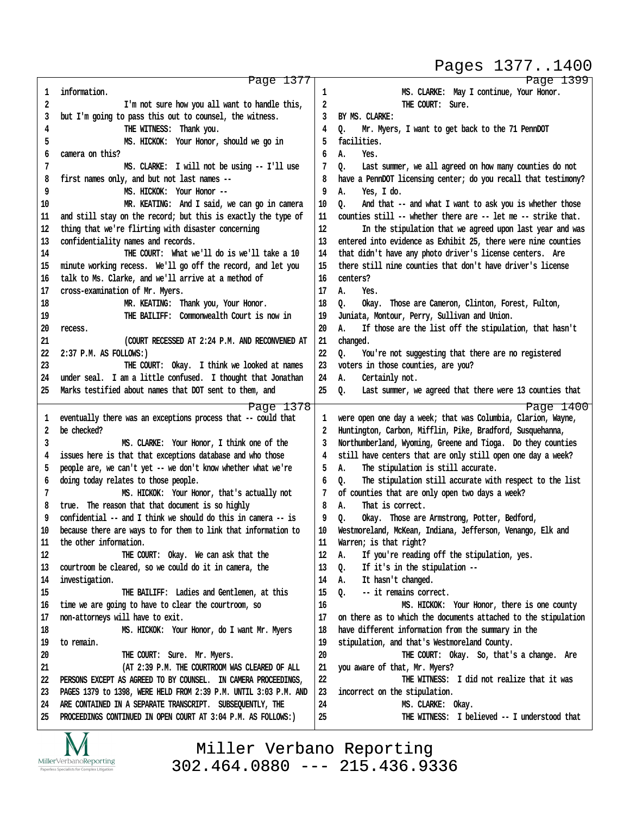#### Pages 1377..1400

http://www.yeslaw.net/help

|          | Page 1377                                                                                                                  |          | Page 1399                                                         |
|----------|----------------------------------------------------------------------------------------------------------------------------|----------|-------------------------------------------------------------------|
| 1        | information.                                                                                                               | 1        | MS. CLARKE: May I continue, Your Honor.                           |
| 2        | I'm not sure how you all want to handle this,                                                                              | 2        | THE COURT: Sure.                                                  |
| 3        | but I'm going to pass this out to counsel, the witness.                                                                    | 3        | BY MS. CLARKE:                                                    |
| 4        | THE WITNESS: Thank you.                                                                                                    | 4        | Mr. Myers, I want to get back to the 71 PennDOT<br>o.             |
| 5        | MS. HICKOK: Your Honor, should we go in                                                                                    | 5        | facilities.                                                       |
| 6        | camera on this?                                                                                                            | 6        | Α.<br>Yes.                                                        |
| 7        | MS. CLARKE: I will not be using -- I'll use                                                                                | 7        | Last summer, we all agreed on how many counties do not<br>o.      |
| 8        | first names only, and but not last names --                                                                                | 8        | have a PennDOT licensing center; do you recall that testimony?    |
| 9        | MS. HICKOK: Your Honor --                                                                                                  | 9        | Α.<br>Yes, I do.                                                  |
| 10       | MR. KEATING: And I said, we can go in camera                                                                               | 10       | And that -- and what I want to ask you is whether those<br>o.     |
| 11       | and still stay on the record; but this is exactly the type of                                                              | 11       | counties still -- whether there are -- let me -- strike that.     |
| 12       | thing that we're flirting with disaster concerning                                                                         | 12       | In the stipulation that we agreed upon last year and was          |
| 13       | confidentiality names and records.                                                                                         | 13       | entered into evidence as Exhibit 25, there were nine counties     |
| 14       | THE COURT: What we'll do is we'll take a 10                                                                                | 14       | that didn't have any photo driver's license centers. Are          |
| 15       | minute working recess. We'll go off the record, and let you                                                                | 15       | there still nine counties that don't have driver's license        |
| 16       | talk to Ms. Clarke, and we'll arrive at a method of                                                                        | 16       | centers?                                                          |
| 17       | cross-examination of Mr. Myers.                                                                                            | 17       | А.<br>Yes.                                                        |
| 18       | MR. KEATING: Thank you, Your Honor.                                                                                        | 18       | 0.<br>Okay. Those are Cameron, Clinton, Forest, Fulton,           |
| 19       | THE BAILIFF: Commonwealth Court is now in                                                                                  | 19       | Juniata, Montour, Perry, Sullivan and Union.                      |
| 20       | recess.                                                                                                                    | 20       | If those are the list off the stipulation, that hasn't<br>А.      |
| 21       | (COURT RECESSED AT 2:24 P.M. AND RECONVENED AT                                                                             | 21       | changed.                                                          |
| 22       | 2:37 P.M. AS FOLLOWS:)                                                                                                     | 22       | You're not suggesting that there are no registered<br>0.          |
| 23       | THE COURT: Okay. I think we looked at names                                                                                | 23       | voters in those counties, are you?                                |
| 24       | under seal. I am a little confused. I thought that Jonathan                                                                | 24       | Certainly not.<br>А.                                              |
| 25       | Marks testified about names that DOT sent to them, and                                                                     | 25       | Q.<br>Last summer, we agreed that there were 13 counties that     |
|          |                                                                                                                            |          |                                                                   |
|          |                                                                                                                            |          |                                                                   |
|          | Page 1378                                                                                                                  |          | Page 1400                                                         |
| 1        | eventually there was an exceptions process that -- could that                                                              | 1        | were open one day a week; that was Columbia, Clarion, Wayne,      |
| 2        | be checked?                                                                                                                | 2        | Huntington, Carbon, Mifflin, Pike, Bradford, Susquehanna,         |
| 3        | MS. CLARKE: Your Honor, I think one of the                                                                                 | 3        | Northumberland, Wyoming, Greene and Tioga. Do they counties       |
| 4        | issues here is that that exceptions database and who those                                                                 | 4        | still have centers that are only still open one day a week?       |
| 5        | people are, we can't yet -- we don't know whether what we're                                                               | 5        | The stipulation is still accurate.<br>А.                          |
| 6        | doing today relates to those people.                                                                                       | 6        | The stipulation still accurate with respect to the list<br>o.     |
| 7        | MS. HICKOK: Your Honor, that's actually not                                                                                |          | of counties that are only open two days a week?                   |
| 8        | true. The reason that that document is so highly                                                                           | 8        | That is correct.<br>А.                                            |
| 9        | confidential -- and I think we should do this in camera -- is                                                              | 9        | o.<br>Okay. Those are Armstrong, Potter, Bedford,                 |
| 10       | because there are ways to for them to link that information to                                                             | 10       | Westmoreland, McKean, Indiana, Jefferson, Venango, Elk and        |
| 11       | the other information.                                                                                                     | 11       | Warren; is that right?                                            |
| 12       | THE COURT: Okay. We can ask that the                                                                                       | 12       | If you're reading off the stipulation, yes.<br>Α.                 |
| 13       | courtroom be cleared, so we could do it in camera, the                                                                     | 13       | If it's in the stipulation --<br>Q.                               |
| 14       | investigation.                                                                                                             | 14       | Α.<br>It hasn't changed.                                          |
| 15       | THE BAILIFF: Ladies and Gentlemen, at this                                                                                 | 15       | $Q_{\bullet}$<br>-- it remains correct.                           |
| 16       | time we are going to have to clear the courtroom, so                                                                       | 16       | MS. HICKOK: Your Honor, there is one county                       |
| 17       | non-attorneys will have to exit.                                                                                           | 17       | on there as to which the documents attached to the stipulation    |
| 18       | MS. HICKOK: Your Honor, do I want Mr. Myers                                                                                | 18       | have different information from the summary in the                |
| 19       | to remain.                                                                                                                 | 19       | stipulation, and that's Westmoreland County.                      |
| 20       | THE COURT: Sure. Mr. Myers.                                                                                                | 20       | THE COURT: Okay. So, that's a change. Are                         |
| 21       | (AT 2:39 P.M. THE COURTROOM WAS CLEARED OF ALL                                                                             | 21       | you aware of that, Mr. Myers?                                     |
| 22       | PERSONS EXCEPT AS AGREED TO BY COUNSEL. IN CAMERA PROCEEDINGS,                                                             | 22       | THE WITNESS: I did not realize that it was                        |
| 23       | PAGES 1379 to 1398, WERE HELD FROM 2:39 P.M. UNTIL 3:03 P.M. AND                                                           | 23       | incorrect on the stipulation.                                     |
| 24<br>25 | ARE CONTAINED IN A SEPARATE TRANSCRIPT. SUBSEQUENTLY, THE<br>PROCEEDINGS CONTINUED IN OPEN COURT AT 3:04 P.M. AS FOLLOWS:) | 24<br>25 | MS. CLARKE: Okay.<br>THE WITNESS: I believed -- I understood that |

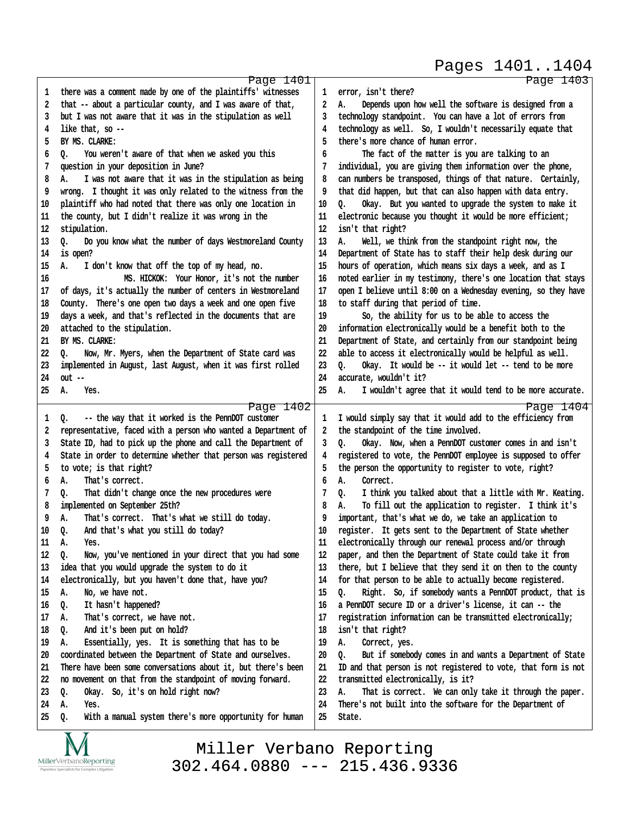Page 1401 **·1· ·there was a comment made by one of the plaintiffs' witnesses ·2· ·that -- about a particular county, and I was aware of that, ·3· ·but I was not aware that it was in the stipulation as well ·4· ·like that, so -- ·5· ·BY MS. CLARKE: ·6· ·Q.· · You weren't aware of that when we asked you this ·7· ·question in your deposition in June? ·8· ·A.· · I was not aware that it was in the stipulation as being ·9· ·wrong.· I thought it was only related to the witness from the 10· ·plaintiff who had noted that there was only one location in 11· ·the county, but I didn't realize it was wrong in the** 12 stipulation. 13 Q. Do you know what the number of days Westmoreland County **14· ·is open?** 15 A. I don't know that off the top of my head, no. **16· · · · · · · · · ·MS. HICKOK:· Your Honor, it's not the number 17· ·of days, it's actually the number of centers in Westmoreland** 18 County. There's one open two days a week and one open five **19· ·days a week, and that's reflected in the documents that are** 20 attached to the stipulation. 21 BY MS. CLARKE: 22 Q. Now, Mr. Myers, when the Department of State card was **23· ·implemented in August, last August, when it was first rolled 24· ·out -- 25· ·A.· · Yes.** Page 1402 1 0. -- the way that it worked is the PennDOT customer **·2· ·representative, faced with a person who wanted a Department of ·3· ·State ID, had to pick up the phone and call the Department of ·4· ·State in order to determine whether that person was registered ·5· ·to vote; is that right? ·6· ·A.· · That's correct.** 7 Q. That didn't change once the new procedures were **·8· ·implemented on September 25th? ·9· ·A.· · That's correct.· That's what we still do today.** 10 Q. And that's what you still do today? 11 A. Yes. 12 Q. Now, you've mentioned in your direct that you had some **13· ·idea that you would upgrade the system to do it** 14 electronically, but you haven't done that, have you? 15 A. No, we have not. 16 Q. It hasn't happened? 17 A. That's correct, we have not. 18 Q. And it's been put on hold? 19 A. Essentially, yes. It is something that has to be **20· ·coordinated between the Department of State and ourselves. 21· ·There have been some conversations about it, but there's been 22· ·no movement on that from the standpoint of moving forward.** 23 Q. Okay. So, it's on hold right now? **24· ·A.· · Yes.** 25 Q. With a manual system there's more opportunity for human Page 1403 1 error, isn't there? **·2· ·A.· · Depends upon how well the software is designed from a ·3· ·technology standpoint.· You can have a lot of errors from ·4· ·technology as well.· So, I wouldn't necessarily equate that ·5· ·there's more chance of human error. ·6· · · · ·The fact of the matter is you are talking to an ·7· ·individual, you are giving them information over the phone,** 8 can numbers be transposed, things of that nature. Certainly, **·9· ·that did happen, but that can also happen with data entry.** 10 Q. Okay. But you wanted to upgrade the system to make it 11 electronic because you thought it would be more efficient; **12· ·isn't that right?** 13 A. Well, we think from the standpoint right now, the 14 Department of State has to staff their help desk during our **15· ·hours of operation, which means six days a week, and as I 16· ·noted earlier in my testimony, there's one location that stays 17· ·open I believe until 8:00 on a Wednesday evening, so they have 18· ·to staff during that period of time. 19· · · · ·So, the ability for us to be able to access the 20· ·information electronically would be a benefit both to the 21· ·Department of State, and certainly from our standpoint being 22· ·able to access it electronically would be helpful as well.** 23 Q. Okay. It would be -- it would let -- tend to be more 24 accurate, wouldn't it? 25 A. I wouldn't agree that it would tend to be more accurate. Page 1404 **·1· ·I would simply say that it would add to the efficiency from ·2· ·the standpoint of the time involved. ·3· ·Q.· · Okay.· Now, when a PennDOT customer comes in and isn't ·4· ·registered to vote, the PennDOT employee is supposed to offer ·5· ·the person the opportunity to register to vote, right? ·6· ·A.· · Correct. ·7· ·Q.· · I think you talked about that a little with Mr. Keating. ·8· ·A.· · To fill out the application to register.· I think it's ·9· ·important, that's what we do, we take an application to** 10 register. It gets sent to the Department of State whether 11 electronically through our renewal process and/or through 12 **paper, and then the Department of State could take it from 13· ·there, but I believe that they send it on then to the county** 14 for that person to be able to actually become registered. 15 Q. Right. So, if somebody wants a PennDOT product, that is **16· ·a PennDOT secure ID or a driver's license, it can -- the 17· ·registration information can be transmitted electronically; 18· ·isn't that right?** 19 A. Correct, yes. 20 **Q.** But if somebody comes in and wants a Department of State **21· ·ID and that person is not registered to vote, that form is not** 22 transmitted electronically, is it? 23 A. That is correct. We can only take it through the paper. **24· ·There's not built into the software for the Department of** 25 State. Pages 1401..1404

MillerVerbanoReporting

Miller Verbano Reporting [302.464.0880 --- 215.436.9336](http://www.miller-verbano.com) http://www.yeslaw.net/help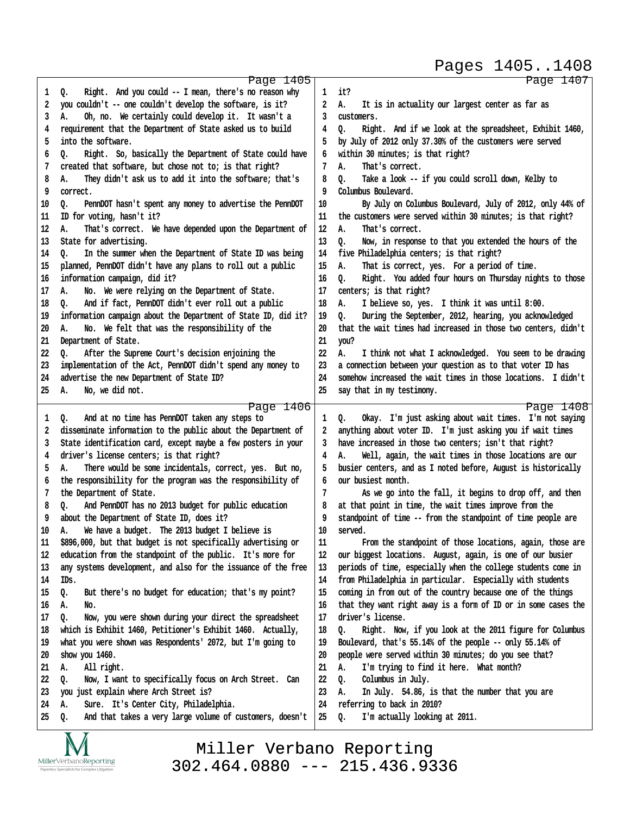Pages 1405..1408

http://www.yeslaw.net/help

/www.yeslaw.net/help

|        | Page 1405                                                      |              | Page 1407                                                      |
|--------|----------------------------------------------------------------|--------------|----------------------------------------------------------------|
| 1      | Right. And you could -- I mean, there's no reason why<br>Q.    | $\mathbf{1}$ | it?                                                            |
| 2      | you couldn't -- one couldn't develop the software, is it?      | 2            | Α.<br>It is in actuality our largest center as far as          |
| 3      | Oh, no. We certainly could develop it. It wasn't a<br>А.       | 3            | customers.                                                     |
| 4      | requirement that the Department of State asked us to build     | 4            | Right. And if we look at the spreadsheet, Exhibit 1460,<br>Q.  |
| 5      | into the software.                                             | 5            | by July of 2012 only 37.30% of the customers were served       |
| 6      | Right. So, basically the Department of State could have<br>o.  | 6            | within 30 minutes; is that right?                              |
| 7      | created that software, but chose not to; is that right?        | 7            | That's correct.<br>А.                                          |
| 8      | They didn't ask us to add it into the software; that's<br>А.   | 8            | Take a look -- if you could scroll down, Kelby to<br>o.        |
| 9      | correct.                                                       | 9            | Columbus Boulevard.                                            |
| 10     | Q.<br>PennDOT hasn't spent any money to advertise the PennDOT  | 10           | By July on Columbus Boulevard, July of 2012, only 44% of       |
| 11     | ID for voting, hasn't it?                                      | 11           | the customers were served within 30 minutes; is that right?    |
| 12     | А.<br>That's correct. We have depended upon the Department of  | 12           | That's correct.<br>А.                                          |
|        |                                                                |              |                                                                |
| 13     | State for advertising.                                         | 13           | o.<br>Now, in response to that you extended the hours of the   |
| 14     | In the summer when the Department of State ID was being<br>٥.  | 14           | five Philadelphia centers; is that right?                      |
| 15     | planned, PennDOT didn't have any plans to roll out a public    | 15           | Α.<br>That is correct, yes. For a period of time.              |
| 16     | information campaign, did it?                                  | 16           | Right. You added four hours on Thursday nights to those<br>o.  |
| 17     | No. We were relying on the Department of State.<br>А.          | 17           | centers; is that right?                                        |
| 18     | And if fact, PennDOT didn't ever roll out a public<br>o.       | 18           | I believe so, yes. I think it was until 8:00.<br>А.            |
| 19     | information campaign about the Department of State ID, did it? | 19           | During the September, 2012, hearing, you acknowledged<br>o.    |
| 20     | No. We felt that was the responsibility of the<br>А.           | 20           | that the wait times had increased in those two centers, didn't |
| 21     | Department of State.                                           | 21           | you?                                                           |
| 22     | After the Supreme Court's decision enjoining the<br>o.         | 22           | А.<br>I think not what I acknowledged. You seem to be drawing  |
| 23     | implementation of the Act, PennDOT didn't spend any money to   | 23           | a connection between your question as to that voter ID has     |
| 24     | advertise the new Department of State ID?                      | 24           | somehow increased the wait times in those locations. I didn't  |
| 25     | No, we did not.<br>А.                                          | 25           | say that in my testimony.                                      |
|        | Page 1406                                                      |              | Page 1408                                                      |
| 1      | And at no time has PennDOT taken any steps to<br>Q.            | $\mathbf{1}$ | Okay. I'm just asking about wait times. I'm not saying<br>Q.   |
| 2      | disseminate information to the public about the Department of  | 2            | anything about voter ID. I'm just asking you if wait times     |
| 3      | State identification card, except maybe a few posters in your  | 3            | have increased in those two centers; isn't that right?         |
| 4      | driver's license centers; is that right?                       | 4            | Well, again, the wait times in those locations are our<br>А.   |
| 5      | There would be some incidentals, correct, yes. But no,<br>А.   | 5            | busier centers, and as I noted before, August is historically  |
| 6      | the responsibility for the program was the responsibility of   | 6            | our busiest month.                                             |
| 7      | the Department of State.                                       | 7            | As we go into the fall, it begins to drop off, and then        |
| 8      | And PennDOT has no 2013 budget for public education<br>Q.      | 8            | at that point in time, the wait times improve from the         |
| 9      | about the Department of State ID, does it?                     | 9            | standpoint of time -- from the standpoint of time people are   |
| 10     | We have a budget. The 2013 budget I believe is<br>Α.           | 10           | served.                                                        |
| $11\,$ | \$896,000, but that budget is not specifically advertising or  | 11           | From the standpoint of those locations, again, those are       |
|        |                                                                | 12           |                                                                |
| 12     | education from the standpoint of the public. It's more for     |              | our biggest locations. August, again, is one of our busier     |
| 13     | any systems development, and also for the issuance of the free | 13           | periods of time, especially when the college students come in  |
| 14     | IDs.                                                           | 14           | from Philadelphia in particular. Especially with students      |
| 15     | Q.<br>But there's no budget for education; that's my point?    | 15           | coming in from out of the country because one of the things    |
| 16     | А.<br>No.                                                      | 16           | that they want right away is a form of ID or in some cases the |
| 17     | Now, you were shown during your direct the spreadsheet<br>Q.   | 17           | driver's license.                                              |
| 18     | which is Exhibit 1460, Petitioner's Exhibit 1460. Actually,    | 18           | Right. Now, if you look at the 2011 figure for Columbus<br>Q.  |
| 19     | what you were shown was Respondents' 2072, but I'm going to    | 19           | Boulevard, that's 55.14% of the people -- only 55.14% of       |
| 20     | show you 1460.                                                 | 20           | people were served within 30 minutes; do you see that?         |
| 21     | All right.<br>А.                                               | 21           | I'm trying to find it here. What month?<br>А.                  |
| 22     | Now, I want to specifically focus on Arch Street. Can<br>Q.    | 22           | Columbus in July.<br>Q.                                        |
| 23     | just explain where Arch Street is?<br>you                      | 23           | А.<br>In July. 54.86, is that the number that you are          |
| 24     | Sure. It's Center City, Philadelphia.<br>А.                    | 24           | referring to back in 2010?                                     |
| 25     | And that takes a very large volume of customers, doesn't<br>Q. | 25           | I'm actually looking at 2011.<br>0.                            |
|        | $\overline{\mathbf{X}}$<br>$\mathbf{v}$                        |              |                                                                |

IVI  $\underset{\text{Paperless Specialists for Complex Litigation}}{\text{MillerVerbanoReporting}}$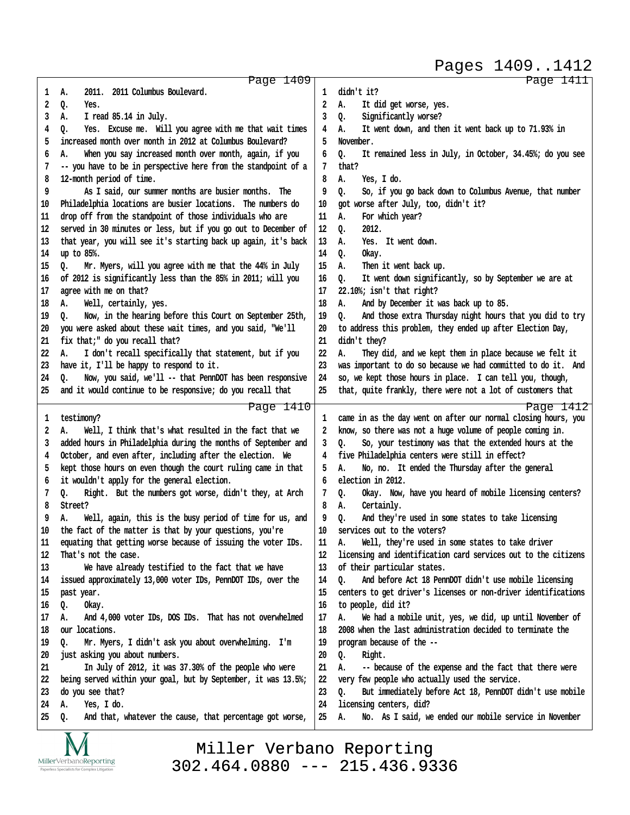Pages 1409..1412

http://www.yeslaw.net/help

http://www.yeslaw.net/help

|    | Page 1409                                                      |    | Page 1411                                                      |
|----|----------------------------------------------------------------|----|----------------------------------------------------------------|
| 1  | 2011. 2011 Columbus Boulevard.<br>А.                           | 1  | didn't it?                                                     |
| 2  | Q.<br>Yes.                                                     | 2  | It did get worse, yes.<br>А.                                   |
| 3  | I read 85.14 in July.<br>А.                                    | 3  | Significantly worse?<br>Q.                                     |
| 4  | Q.<br>Yes. Excuse me. Will you agree with me that wait times   | 4  | It went down, and then it went back up to 71.93% in<br>А.      |
| 5  | increased month over month in 2012 at Columbus Boulevard?      | 5  | November.                                                      |
|    |                                                                |    |                                                                |
| 6  | When you say increased month over month, again, if you<br>А.   | 6  | It remained less in July, in October, 34.45%; do you see<br>о. |
| 7  | -- you have to be in perspective here from the standpoint of a | 7  | that?                                                          |
| 8  | 12-month period of time.                                       | 8  | Yes, I do.<br>А.                                               |
| 9  | As I said, our summer months are busier months. The            | 9  | So, if you go back down to Columbus Avenue, that number<br>Q.  |
| 10 | Philadelphia locations are busier locations. The numbers do    | 10 | got worse after July, too, didn't it?                          |
| 11 | drop off from the standpoint of those individuals who are      | 11 | For which year?<br>А.                                          |
| 12 | served in 30 minutes or less, but if you go out to December of | 12 | 2012.<br>Q.                                                    |
| 13 | that year, you will see it's starting back up again, it's back | 13 | Yes. It went down.<br>А.                                       |
| 14 | up to 85%.                                                     | 14 | Q.<br>Okay.                                                    |
| 15 | Mr. Myers, will you agree with me that the 44% in July<br>Q.   | 15 | Then it went back up.<br>А.                                    |
| 16 | of 2012 is significantly less than the 85% in 2011; will you   | 16 | It went down significantly, so by September we are at<br>Q.    |
| 17 | agree with me on that?                                         | 17 | 22.10%; isn't that right?                                      |
| 18 | Well, certainly, yes.<br>А.                                    | 18 | And by December it was back up to 85.<br>А.                    |
| 19 |                                                                | 19 | And those extra Thursday night hours that you did to try       |
|    | Now, in the hearing before this Court on September 25th,<br>0. |    | o.                                                             |
| 20 | you were asked about these wait times, and you said, "We'll    | 20 | to address this problem, they ended up after Election Day,     |
| 21 | fix that;" do you recall that?                                 | 21 | didn't they?                                                   |
| 22 | I don't recall specifically that statement, but if you<br>А.   | 22 | А.<br>They did, and we kept them in place because we felt it   |
| 23 | have it, I'll be happy to respond to it.                       | 23 | was important to do so because we had committed to do it. And  |
| 24 | Now, you said, we'll -- that PennDOT has been responsive<br>0. | 24 | so, we kept those hours in place. I can tell you, though,      |
| 25 | and it would continue to be responsive; do you recall that     | 25 | that, quite frankly, there were not a lot of customers that    |
|    | Page 1410                                                      |    | Page 1412                                                      |
| 1  | testimony?                                                     | 1  | came in as the day went on after our normal closing hours, you |
| 2  | Well, I think that's what resulted in the fact that we<br>А.   | 2  | know, so there was not a huge volume of people coming in.      |
| 3  | added hours in Philadelphia during the months of September and | 3  | So, your testimony was that the extended hours at the<br>o.    |
| 4  | October, and even after, including after the election. We      | 4  | five Philadelphia centers were still in effect?                |
| 5  | kept those hours on even though the court ruling came in that  | 5  | No, no. It ended the Thursday after the general<br>А.          |
| 6  | it wouldn't apply for the general election.                    | 6  | election in 2012.                                              |
| 7  |                                                                | 7  | Okay. Now, have you heard of mobile licensing centers?         |
|    | Right. But the numbers got worse, didn't they, at Arch<br>Q.   |    | Q.                                                             |
| 8  | Street?                                                        | 8  | Certainly.<br>А.                                               |
| 9  | Well, again, this is the busy period of time for us, and<br>А. | 9  | And they're used in some states to take licensing<br>Q.        |
| 10 | the fact of the matter is that by your questions, you're       | 10 | services out to the voters?                                    |
| 11 | equating that getting worse because of issuing the voter IDs.  | 11 | Well, they're used in some states to take driver<br>А.         |
| 12 | That's not the case.                                           | 12 | licensing and identification card services out to the citizens |
| 13 | We have already testified to the fact that we have             | 13 | of their particular states.                                    |
| 14 | issued approximately 13,000 voter IDs, PennDOT IDs, over the   | 14 | And before Act 18 PennDOT didn't use mobile licensing<br>0.    |
| 15 | past year.                                                     | 15 | centers to get driver's licenses or non-driver identifications |
| 16 | Okay.<br>Q.                                                    | 16 | to people, did it?                                             |
| 17 | And 4,000 voter IDs, DOS IDs. That has not overwhelmed<br>А.   | 17 | We had a mobile unit, yes, we did, up until November of<br>А.  |
| 18 | our locations.                                                 | 18 | 2008 when the last administration decided to terminate the     |
| 19 | Mr. Myers, I didn't ask you about overwhelming. I'm<br>o.      | 19 | program because of the --                                      |
| 20 | just asking you about numbers.                                 | 20 | Right.<br>Q.                                                   |
| 21 | In July of 2012, it was 37.30% of the people who were          | 21 | -- because of the expense and the fact that there were<br>А.   |
| 22 | being served within your goal, but by September, it was 13.5%; | 22 | very few people who actually used the service.                 |
| 23 | do you see that?                                               | 23 | But immediately before Act 18, PennDOT didn't use mobile<br>0. |
| 24 | Yes, I do.<br>А.                                               | 24 | licensing centers, did?                                        |
| 25 | And that, whatever the cause, that percentage got worse,<br>Q. | 25 | No. As I said, we ended our mobile service in November<br>А.   |
|    |                                                                |    |                                                                |
|    | $\mathbf{X}$ $\mathbf{X}$                                      |    |                                                                |

IVI MillerVerbanoReporting ess Specialists for Cor Paperl x Litigation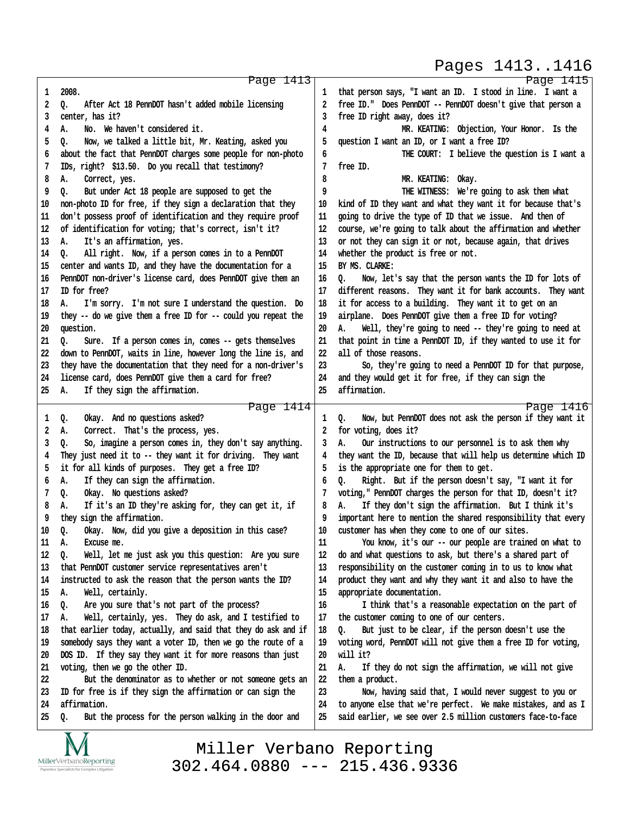#### Pages 1413..1416

http://www.yeslaw.net/help

|          | Page 1413                                                                   |          | Page 1415                                                                                                               |
|----------|-----------------------------------------------------------------------------|----------|-------------------------------------------------------------------------------------------------------------------------|
| 1        | 2008.                                                                       | ı        | that person says, "I want an ID. I stood in line. I want a                                                              |
| 2        | After Act 18 PennDOT hasn't added mobile licensing<br>Q.                    | 2        | free ID." Does PennDOT -- PennDOT doesn't give that person a                                                            |
| 3        | center, has it?                                                             |          | free ID right away, does it?                                                                                            |
| 4        | А.<br>No. We haven't considered it.                                         | 4        | MR. KEATING: Objection, Your Honor. Is the                                                                              |
| 5        | Now, we talked a little bit, Mr. Keating, asked you<br>o.                   | 5        | question I want an ID, or I want a free ID?                                                                             |
| 6        | about the fact that PennDOT charges some people for non-photo               | 6        | THE COURT: I believe the question is I want a                                                                           |
| 7        | IDs, right? \$13.50. Do you recall that testimony?                          | 7        | free ID.                                                                                                                |
| 8        | А.<br>Correct, yes.                                                         | 8        | MR. KEATING: Okay.                                                                                                      |
| 9        | But under Act 18 people are supposed to get the<br>o.                       | 9        | THE WITNESS: We're going to ask them what                                                                               |
| 10       | non-photo ID for free, if they sign a declaration that they                 | 10       | kind of ID they want and what they want it for because that's                                                           |
| 11       | don't possess proof of identification and they require proof                | 11       | going to drive the type of ID that we issue. And then of                                                                |
| 12       | of identification for voting; that's correct, isn't it?                     | 12       | course, we're going to talk about the affirmation and whether                                                           |
| 13       | It's an affirmation, yes.<br>А.                                             | 13       | or not they can sign it or not, because again, that drives                                                              |
| 14       | All right. Now, if a person comes in to a PennDOT<br>Q.                     | 14       | whether the product is free or not.                                                                                     |
|          |                                                                             |          | BY MS. CLARKE:                                                                                                          |
| 15       | center and wants ID, and they have the documentation for a                  | 15       |                                                                                                                         |
| 16       | PennDOT non-driver's license card, does PennDOT give them an                | 16       | Now, let's say that the person wants the ID for lots of<br>o.                                                           |
| 17       | ID for free?                                                                | 17       | different reasons. They want it for bank accounts. They want                                                            |
| 18       | I'm sorry. I'm not sure I understand the question. Do<br>А.                 | 18       | it for access to a building. They want it to get on an                                                                  |
| 19       | they -- do we give them a free ID for -- could you repeat the               | 19       | airplane. Does PennDOT give them a free ID for voting?                                                                  |
| 20       | question.                                                                   | 20       | Well, they're going to need -- they're going to need at<br>А.                                                           |
| 21       | Sure. If a person comes in, comes -- gets themselves<br>Q.                  | 21       | that point in time a PennDOT ID, if they wanted to use it for                                                           |
| 22       | down to PennDOT, waits in line, however long the line is, and               | 22       | all of those reasons.                                                                                                   |
| 23       | they have the documentation that they need for a non-driver's               | 23       | So, they're going to need a PennDOT ID for that purpose,                                                                |
| 24       | license card, does PennDOT give them a card for free?                       | 24       | and they would get it for free, if they can sign the                                                                    |
| 25       | If they sign the affirmation.<br>А.                                         | 25       | affirmation.                                                                                                            |
|          | Page 1414                                                                   |          | Page 1416                                                                                                               |
| 1        | Okay. And no questions asked?<br>Q.                                         | 1        | Now, but PennDOT does not ask the person if they want it<br>o.                                                          |
| 2        | А.<br>Correct. That's the process, yes.                                     | 2        | for voting, does it?                                                                                                    |
| 3        | So, imagine a person comes in, they don't say anything.<br>о.               | 3        | Our instructions to our personnel is to ask them why<br>А.                                                              |
| 4        | They just need it to -- they want it for driving. They want                 | 4        | they want the ID, because that will help us determine which ID                                                          |
| 5        | it for all kinds of purposes. They get a free ID?                           | 5        | is the appropriate one for them to get.                                                                                 |
| 6        | If they can sign the affirmation.<br>Α.                                     | 6        | Right. But if the person doesn't say, "I want it for<br>o.                                                              |
| 7        | Okay. No questions asked?<br>0.                                             |          | voting," PennDOT charges the person for that ID, doesn't it?                                                            |
| 8        | If it's an ID they're asking for, they can get it, if<br>А.                 | 8        | If they don't sign the affirmation. But I think it's<br>А.                                                              |
| 9        | they sign the affirmation.                                                  | 9        | important here to mention the shared responsibility that every                                                          |
| 10       | Okay. Now, did you give a deposition in this case?<br>Q.                    | 10       | customer has when they come to one of our sites.                                                                        |
| 11       | А.<br>Excuse me.                                                            | 11       | You know, it's our -- our people are trained on what to                                                                 |
| 12       | Well, let me just ask you this question: Are you sure<br>Q.                 | 12       | do and what questions to ask, but there's a shared part of                                                              |
| 13       | that PennDOT customer service representatives aren't                        | 13       | responsibility on the customer coming in to us to know what                                                             |
| 14       | instructed to ask the reason that the person wants the ID?                  | 14       | product they want and why they want it and also to have the                                                             |
| 15       | Well, certainly.<br>А.                                                      | 15       | appropriate documentation.                                                                                              |
| 16       | Are you sure that's not part of the process?<br>Q.                          | 16       | I think that's a reasonable expectation on the part of                                                                  |
| 17       | Well, certainly, yes. They do ask, and I testified to<br>А.                 | 17       | the customer coming to one of our centers.                                                                              |
| 18       | that earlier today, actually, and said that they do ask and if              | 18       | But just to be clear, if the person doesn't use the<br>Q.                                                               |
| 19       | somebody says they want a voter ID, then we go the route of a               | 19       | voting word, PennDOT will not give them a free ID for voting,                                                           |
| 20       | DOS ID. If they say they want it for more reasons than just                 | 20       | will it?                                                                                                                |
| 21       | voting, then we go the other ID.                                            | 21       | If they do not sign the affirmation, we will not give<br>А.                                                             |
| 22       | But the denominator as to whether or not someone gets an                    | 22       | them a product.                                                                                                         |
|          |                                                                             |          |                                                                                                                         |
| 23<br>24 | ID for free is if they sign the affirmation or can sign the<br>affirmation. | 23<br>24 | Now, having said that, I would never suggest to you or<br>to anyone else that we're perfect. We make mistakes, and as I |
| 25       | But the process for the person walking in the door and                      | 25       | said earlier, we see over 2.5 million customers face-to-face                                                            |
|          | Q.                                                                          |          |                                                                                                                         |
|          | N                                                                           |          |                                                                                                                         |

 $\underbrace{\hbox{MillerVerbanoReporting}}_{\hbox{\tiny Papeless Specilists for Complex Litigation}}$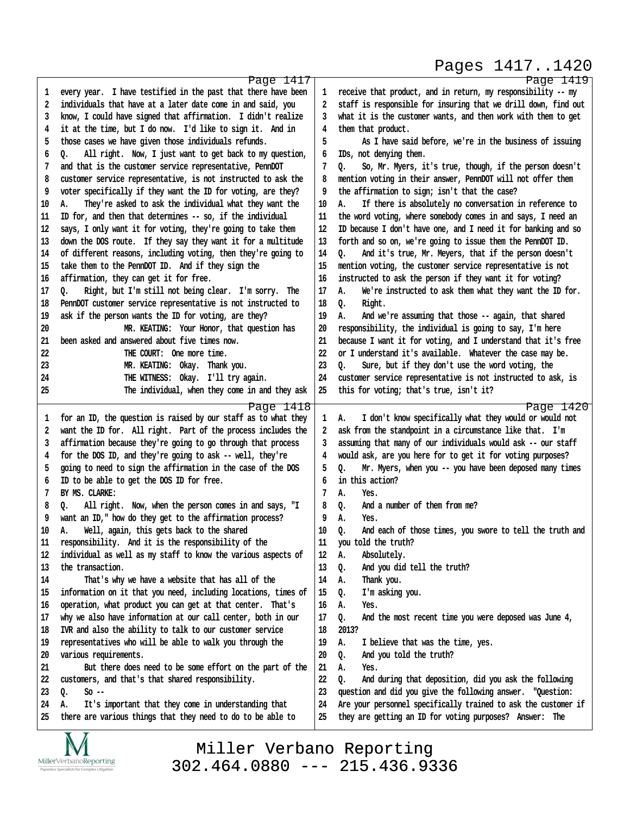#### Pages 1417..1420

http://www.yeslaw.net/help

```
Page 1417
1 every year. I have testified in the past that there have been
·2· ·individuals that have at a later date come in and said, you
·3· ·know, I could have signed that affirmation.· I didn't realize
·4· ·it at the time, but I do now.· I'd like to sign it.· And in
·5· ·those cases we have given those individuals refunds.
·6· ·Q.· · All right.· Now, I just want to get back to my question,
·7· ·and that is the customer service representative, PennDOT
·8· ·customer service representative, is not instructed to ask the
·9· ·voter specifically if they want the ID for voting, are they?
10 A. They're asked to ask the individual what they want the
11· ·ID for, and then that determines -- so, if the individual
12 says, I only want it for voting, they're going to take them
13 down the DOS route. If they say they want it for a multitude
14· ·of different reasons, including voting, then they're going to
15· ·take them to the PennDOT ID.· And if they sign the
16 affirmation, they can get it for free.
17 Q. Right, but I'm still not being clear. I'm sorry. The
18 PennDOT customer service representative is not instructed to
19 ask if the person wants the ID for voting, are they?
20· · · · · · · · · ·MR. KEATING:· Your Honor, that question has
21· ·been asked and answered about five times now.
22· · · · · · · · · ·THE COURT:· One more time.
23 MR. KEATING: Okay. Thank you.
24· · · · · · · · · ·THE WITNESS:· Okay.· I'll try again.
25· · · · · · · · · ·The individual, when they come in and they ask
                                                   Page 1418
·1· ·for an ID, the question is raised by our staff as to what they
2 want the ID for. All right. Part of the process includes the
·3· ·affirmation because they're going to go through that process
·4· ·for the DOS ID, and they're going to ask -- well, they're
·5· ·going to need to sign the affirmation in the case of the DOS
·6· ·ID to be able to get the DOS ID for free.
·7· ·BY MS. CLARKE:
·8· ·Q.· · All right.· Now, when the person comes in and says, "I
·9· ·want an ID," how do they get to the affirmation process?
10 A. Well, again, this gets back to the shared
11 responsibility. And it is the responsibility of the
12· ·individual as well as my staff to know the various aspects of
13 the transaction.
14· · · · ·That's why we have a website that has all of the
15· ·information on it that you need, including locations, times of
16 operation, what product you can get at that center. That's
17· ·why we also have information at our call center, both in our
18· ·IVR and also the ability to talk to our customer service
19· ·representatives who will be able to walk you through the
20· ·various requirements.
21· · · · ·But there does need to be some effort on the part of the
22 customers, and that's that shared responsibility.
23 Q. So --
24 A. It's important that they come in understanding that
25· ·there are various things that they need to do to be able to
                                                                                                                       Page 1419
                                                                     ·1· ·receive that product, and in return, my responsibility -- my
                                                                     ·2· ·staff is responsible for insuring that we drill down, find out
                                                                     ·3· ·what it is the customer wants, and then work with them to get
                                                                     ·4· ·them that product.
                                                                     ·5· · · · ·As I have said before, we're in the business of issuing
                                                                     ·6· ·IDs, not denying them.
                                                                     ·7· ·Q.· · So, Mr. Myers, it's true, though, if the person doesn't
                                                                     ·8· ·mention voting in their answer, PennDOT will not offer them
                                                                     ·9· ·the affirmation to sign; isn't that the case?
                                                                    10 A. If there is absolutely no conversation in reference to
                                                                    11· ·the word voting, where somebody comes in and says, I need an
                                                                    12· ·ID because I don't have one, and I need it for banking and so
                                                                    13 forth and so on, we're going to issue them the PennDOT ID.
                                                                    14 Q. And it's true, Mr. Meyers, that if the person doesn't
                                                                    15· ·mention voting, the customer service representative is not
                                                                    16· ·instructed to ask the person if they want it for voting?
                                                                    17 A. We're instructed to ask them what they want the ID for.
                                                                    18 0. Right.
                                                                    19 A. And we're assuming that those -- again, that shared
                                                                    20· ·responsibility, the individual is going to say, I'm here
                                                                    21· ·because I want it for voting, and I understand that it's free
                                                                    22 or I understand it's available. Whatever the case may be.
                                                                    23 Q. Sure, but if they don't use the word voting, the
                                                                    24 customer service representative is not instructed to ask, is
                                                                    25· ·this for voting; that's true, isn't it?
                                                                                                                       Page 1420
                                                                     1 A. I don't know specifically what they would or would not
                                                                     ·2· ·ask from the standpoint in a circumstance like that.· I'm
                                                                     ·3· ·assuming that many of our individuals would ask -- our staff
                                                                     ·4· ·would ask, are you here for to get it for voting purposes?
                                                                     ·5· ·Q.· · Mr. Myers, when you -- you have been deposed many times
                                                                     ·6· ·in this action?
                                                                     ·7· ·A.· · Yes.
                                                                     ·8· ·Q.· · And a number of them from me?
                                                                     ·9· ·A.· · Yes.
                                                                    10 0. And each of those times, you swore to tell the truth and
                                                                    11· ·you told the truth?
                                                                    12 A. Absolutely.
                                                                    13 0. And you did tell the truth?
                                                                    14 A. Thank you.
                                                                    15 Q. I'm asking you.
                                                                    16 A. Yes.
                                                                    17 Q. And the most recent time you were deposed was June 4,
                                                                    18· ·2013?
                                                                    19· ·A.· · I believe that was the time, yes.
                                                                    20 Q. And you told the truth?
                                                                    21· ·A.· · Yes.
                                                                    22 Q. And during that deposition, did you ask the following
                                                                    23 question and did you give the following answer. "Question:
                                                                    24· ·Are your personnel specifically trained to ask the customer if
                                                                    25 they are getting an ID for voting purposes? Answer: The
```
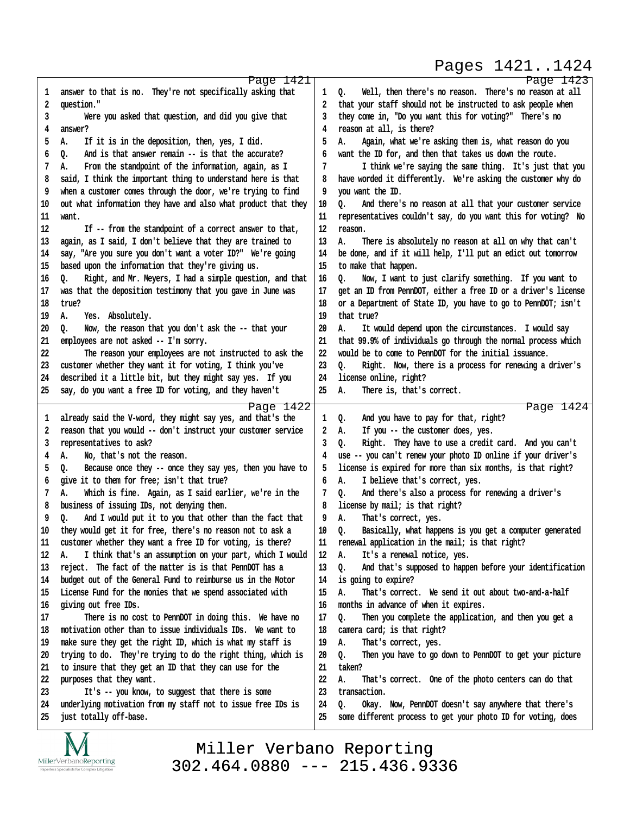### Pages 1421..1424

| ı  | Page 1421<br>answer to that is no. They're not specifically asking that                | 1  | Page 1423<br>Well, then there's no reason. There's no reason at all<br>Q. |
|----|----------------------------------------------------------------------------------------|----|---------------------------------------------------------------------------|
| 2  | question."                                                                             | 2  | that your staff should not be instructed to ask people when               |
| 3  | Were you asked that question, and did you give that                                    | 3  | they come in, "Do you want this for voting?" There's no                   |
| 4  | answer?                                                                                | 4  | reason at all, is there?                                                  |
| 5  | If it is in the deposition, then, yes, I did.<br>А.                                    | 5  | А.<br>Again, what we're asking them is, what reason do you                |
| 6  | And is that answer remain -- is that the accurate?<br>Q.                               | 6  | want the ID for, and then that takes us down the route.                   |
| 7  | From the standpoint of the information, again, as I<br>А.                              | 7  | I think we're saying the same thing. It's just that you                   |
| 8  | said, I think the important thing to understand here is that                           | 8  | have worded it differently. We're asking the customer why do              |
| 9  | when a customer comes through the door, we're trying to find                           | 9  | you want the ID.                                                          |
| 10 | out what information they have and also what product that they                         | 10 | o.<br>And there's no reason at all that your customer service             |
| 11 | want.                                                                                  | 11 | representatives couldn't say, do you want this for voting? No             |
| 12 | If -- from the standpoint of a correct answer to that,                                 | 12 | reason.                                                                   |
| 13 | again, as I said, I don't believe that they are trained to                             | 13 | А.<br>There is absolutely no reason at all on why that can't              |
| 14 | say, "Are you sure you don't want a voter ID?" We're going                             | 14 | be done, and if it will help, I'll put an edict out tomorrow              |
| 15 | based upon the information that they're giving us.                                     | 15 | to make that happen.                                                      |
| 16 | Right, and Mr. Meyers, I had a simple question, and that<br>o.                         | 16 | Now, I want to just clarify something. If you want to<br>0.               |
| 17 | was that the deposition testimony that you gave in June was                            | 17 | get an ID from PennDOT, either a free ID or a driver's license            |
| 18 | true?                                                                                  | 18 | or a Department of State ID, you have to go to PennDOT; isn't             |
| 19 | Yes. Absolutely.<br>А.                                                                 | 19 | that true?                                                                |
| 20 | Now, the reason that you don't ask the -- that your<br>o.                              | 20 | It would depend upon the circumstances. I would say<br>А.                 |
| 21 | employees are not asked -- I'm sorry.                                                  | 21 | that 99.9% of individuals go through the normal process which             |
| 22 | The reason your employees are not instructed to ask the                                | 22 | would be to come to PennDOT for the initial issuance.                     |
| 23 | customer whether they want it for voting, I think you've                               | 23 | Right. Now, there is a process for renewing a driver's<br>0.              |
| 24 | described it a little bit, but they might say yes. If you                              | 24 | license online, right?                                                    |
| 25 | say, do you want a free ID for voting, and they haven't                                | 25 | А.<br>There is, that's correct.                                           |
|    |                                                                                        |    | Page 1424                                                                 |
| 1  | Page 1422<br>already said the V-word, they might say yes, and that's the               | 1  | And you have to pay for that, right?<br>Q.                                |
| 2  | reason that you would -- don't instruct your customer service                          | 2  | If you -- the customer does, yes.<br>А.                                   |
| 3  | representatives to ask?                                                                | 3  | Right. They have to use a credit card. And you can't<br>Q.                |
| 4  | No, that's not the reason.<br>А.                                                       | 4  | use -- you can't renew your photo ID online if your driver's              |
| 5  | Because once they -- once they say yes, then you have to<br>o.                         | 5  | license is expired for more than six months, is that right?               |
| 6  | give it to them for free; isn't that true?                                             | 6  | I believe that's correct, yes.<br>А.                                      |
| 7  | Which is fine. Again, as I said earlier, we're in the<br>А.                            | 7  | And there's also a process for renewing a driver's<br>0.                  |
| 8  | business of issuing IDs, not denying them.                                             | 8  | license by mail; is that right?                                           |
| 9  | Q.<br>And I would put it to you that other than the fact that                          | 9  | That's correct, yes.<br>А.                                                |
| 10 | they would get it for free, there's no reason not to ask a                             | 10 | Basically, what happens is you get a computer generated<br>о.             |
| 11 | customer whether they want a free ID for voting, is there?                             | 11 | renewal application in the mail; is that right?                           |
| 12 | I think that's an assumption on your part, which I would<br>А.                         | 12 | It's a renewal notice, yes.<br>А.                                         |
| 13 | reject. The fact of the matter is is that PennDOT has a                                | 13 | And that's supposed to happen before your identification<br>0.            |
| 14 | budget out of the General Fund to reimburse us in the Motor                            | 14 | is going to expire?                                                       |
| 15 | License Fund for the monies that we spend associated with                              | 15 | That's correct. We send it out about two-and-a-half<br>А.                 |
| 16 | giving out free IDs.                                                                   | 16 | months in advance of when it expires.                                     |
| 17 | There is no cost to PennDOT in doing this. We have no                                  | 17 | Then you complete the application, and then you get a<br>Q.               |
| 18 | motivation other than to issue individuals IDs. We want to                             | 18 | camera card; is that right?                                               |
| 19 | make sure they get the right ID, which is what my staff is                             | 19 | That's correct, yes.<br>А.                                                |
| 20 | trying to do. They're trying to do the right thing, which is                           | 20 | Then you have to go down to PennDOT to get your picture<br>Q.             |
| 21 | to insure that they get an ID that they can use for the                                | 21 | taken?                                                                    |
| 22 | purposes that they want.                                                               | 22 | That's correct. One of the photo centers can do that<br>А.                |
|    |                                                                                        | 23 | transaction.                                                              |
| 23 |                                                                                        |    |                                                                           |
| 24 | It's -- you know, to suggest that there is some                                        | 24 | Okay. Now, PennDOT doesn't say anywhere that there's<br>0.                |
| 25 | underlying motivation from my staff not to issue free IDs is<br>just totally off-base. | 25 | some different process to get your photo ID for voting, does              |



Miller Verbano Reporting [302.464.0880 --- 215.436.9336](http://www.miller-verbano.com) http://www.yeslaw.net/help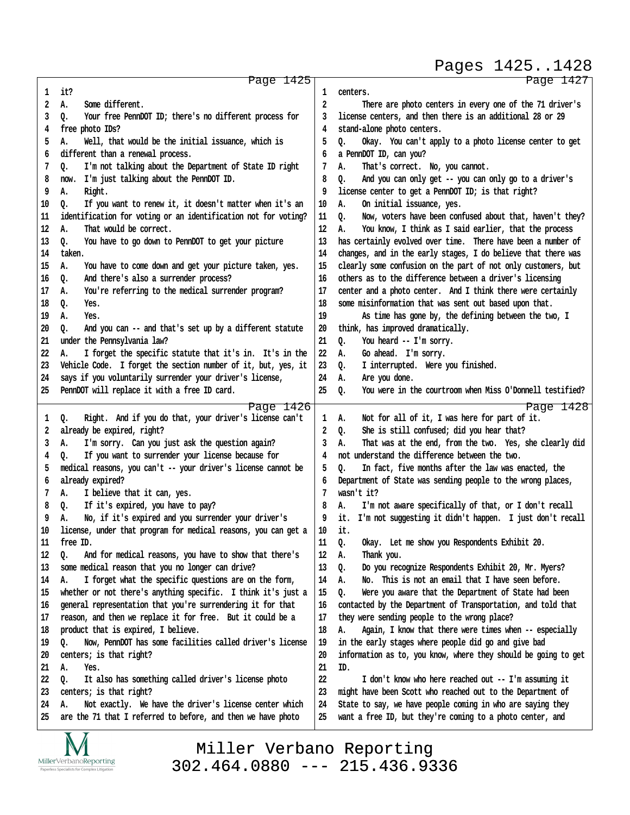|          |                                                                                                                                |          | Pages 14251428                                                                                                   |
|----------|--------------------------------------------------------------------------------------------------------------------------------|----------|------------------------------------------------------------------------------------------------------------------|
|          | Page 1425                                                                                                                      |          | Page 1427                                                                                                        |
| 1        | it?                                                                                                                            | 1        | centers.                                                                                                         |
| 2        | Some different.<br>А.                                                                                                          | 2        | There are photo centers in every one of the 71 driver's                                                          |
| 3        | Q.<br>Your free PennDOT ID; there's no different process for                                                                   | 3        | license centers, and then there is an additional 28 or 29                                                        |
| 4        | free photo IDs?                                                                                                                | 4        | stand-alone photo centers.                                                                                       |
| 5        | Well, that would be the initial issuance, which is<br>А.                                                                       | 5        | Okay. You can't apply to a photo license center to get<br>Q.                                                     |
| 6        | different than a renewal process.                                                                                              | 6        | a PennDOT ID, can you?                                                                                           |
| 7        | I'm not talking about the Department of State ID right<br>Q.                                                                   | 7        | А.<br>That's correct. No, you cannot.                                                                            |
| 8        | I'm just talking about the PennDOT ID.<br>now.                                                                                 | 8        | Q.<br>And you can only get -- you can only go to a driver's                                                      |
| 9        | А.<br>Right.                                                                                                                   | 9        | license center to get a PennDOT ID; is that right?                                                               |
| 10       | If you want to renew it, it doesn't matter when it's an<br>о.                                                                  | 10       | On initial issuance, yes.<br>А.                                                                                  |
| 11       | identification for voting or an identification not for voting?                                                                 | 11       | Now, voters have been confused about that, haven't they?<br>o.                                                   |
| 12       | That would be correct.<br>А.                                                                                                   | 12       | You know, I think as I said earlier, that the process<br>А.                                                      |
| 13       | You have to go down to PennDOT to get your picture<br>0.                                                                       | 13       | has certainly evolved over time. There have been a number of                                                     |
| 14       | taken.                                                                                                                         | 14       | changes, and in the early stages, I do believe that there was                                                    |
| 15       | You have to come down and get your picture taken, yes.<br>А.                                                                   | 15       | clearly some confusion on the part of not only customers, but                                                    |
| 16       | And there's also a surrender process?<br>Q.                                                                                    | 16       | others as to the difference between a driver's licensing                                                         |
| 17       | You're referring to the medical surrender program?<br>А.                                                                       | 17       | center and a photo center. And I think there were certainly                                                      |
| 18       | Q.<br>Yes.                                                                                                                     | 18       | some misinformation that was sent out based upon that.                                                           |
| 19       | А.<br>Yes.                                                                                                                     | 19       | As time has gone by, the defining between the two, I                                                             |
| 20       | And you can -- and that's set up by a different statute<br>0.<br>under the Pennsylvania law?                                   | 20       | think, has improved dramatically.<br>You heard -- I'm sorry.                                                     |
| 21<br>22 |                                                                                                                                | 21       | Q.<br>Go ahead. I'm sorry.                                                                                       |
| 23       | I forget the specific statute that it's in. It's in the<br>А.<br>Vehicle Code. I forget the section number of it, but, yes, it | 22<br>23 | А.<br>I interrupted. Were you finished.<br>Q.                                                                    |
| 24       | says if you voluntarily surrender your driver's license,                                                                       | 24       | Are you done.<br>А.                                                                                              |
| 25       | PennDOT will replace it with a free ID card.                                                                                   | 25       | You were in the courtroom when Miss O'Donnell testified?<br>o.                                                   |
|          |                                                                                                                                |          |                                                                                                                  |
|          | Page 1426                                                                                                                      |          | Page 1428                                                                                                        |
| 1        | Right. And if you do that, your driver's license can't<br>Q.                                                                   | 1        | Not for all of it, I was here for part of it.<br>А.                                                              |
| 2<br>3   | already be expired, right?<br>I'm sorry. Can you just ask the question again?<br>А.                                            | 2<br>3   | She is still confused; did you hear that?<br>Q.<br>That was at the end, from the two. Yes, she clearly did<br>А. |
| 4        | If you want to surrender your license because for<br>Q.                                                                        | 4        | not understand the difference between the two.                                                                   |
| 5        | medical reasons, you can't -- your driver's license cannot be                                                                  | 5        | In fact, five months after the law was enacted, the<br>o.                                                        |
| 6        | already expired?                                                                                                               | 6        | Department of State was sending people to the wrong places,                                                      |
| 7        | I believe that it can, yes.<br>А.                                                                                              | 7        | wasn't it?                                                                                                       |
| 8        | Q.<br>If it's expired, you have to pay?                                                                                        | 8        | I'm not aware specifically of that, or I don't recall<br>А.                                                      |
| ۹        | No, if it's expired and you surrender your driver's<br>А.                                                                      | q        | I'm not suggesting it didn't happen. I just don't recall<br>it.                                                  |
| 10       | license, under that program for medical reasons, you can get a                                                                 | 10       | it.                                                                                                              |
| 11       | free ID.                                                                                                                       | 11       | Q.<br>Okay. Let me show you Respondents Exhibit 20.                                                              |
| 12       | And for medical reasons, you have to show that there's<br>Q.                                                                   | 12       | Thank you.<br>А.                                                                                                 |
| 13       | some medical reason that you no longer can drive?                                                                              | 13       | Do you recognize Respondents Exhibit 20, Mr. Myers?<br>Q.                                                        |
| 14       | I forget what the specific questions are on the form,<br>А.                                                                    | 14       | This is not an email that I have seen before.<br>А.<br>No.                                                       |
| 15       | whether or not there's anything specific. I think it's just a                                                                  | 15       | Q.<br>Were you aware that the Department of State had been                                                       |
| 16       | general representation that you're surrendering it for that                                                                    | 16       | contacted by the Department of Transportation, and told that                                                     |
| 17       | reason, and then we replace it for free. But it could be a                                                                     | 17       | they were sending people to the wrong place?                                                                     |
| 18       | product that is expired, I believe.                                                                                            | 18       | Again, I know that there were times when -- especially<br>А.                                                     |
| 19       | Now, PennDOT has some facilities called driver's license<br>Q.                                                                 | 19       | in the early stages where people did go and give bad                                                             |
| 20       | centers; is that right?                                                                                                        | 20       | information as to, you know, where they should be going to get                                                   |
| 21       | А.<br>Yes.                                                                                                                     | 21       | ID.                                                                                                              |
| 22       | It also has something called driver's license photo<br>Q.                                                                      | 22       | I don't know who here reached out -- I'm assuming it                                                             |
| 23       | centers; is that right?                                                                                                        | 23       | might have been Scott who reached out to the Department of                                                       |
| 24       | Not exactly. We have the driver's license center which<br>А.                                                                   | 24       | State to say, we have people coming in who are saying they                                                       |
| 25       | are the 71 that I referred to before, and then we have photo                                                                   | 25       | want a free ID, but they're coming to a photo center, and                                                        |
|          |                                                                                                                                |          |                                                                                                                  |



Miller Verbano Reporting [302.464.0880 --- 215.436.9336](http://www.miller-verbano.com) http://www.yeslaw.net/help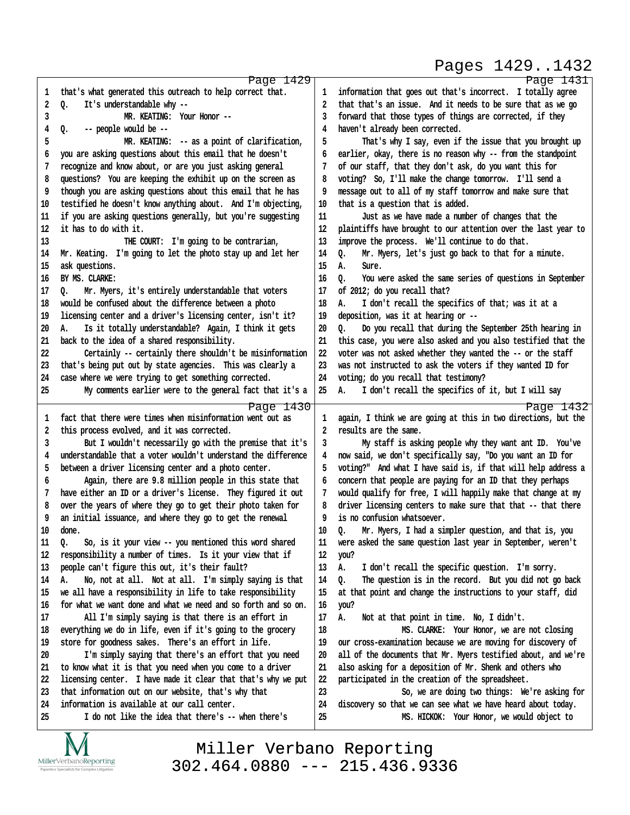# Pages 1429..1432

http://www.yeslaw.net/help

www.yeslaw.net/help

|    | Page 1429                                                      |    | Page 1431                                                      |
|----|----------------------------------------------------------------|----|----------------------------------------------------------------|
| 1  | that's what generated this outreach to help correct that.      | 1  | information that goes out that's incorrect. I totally agree    |
| 2  | Q.<br>It's understandable why --                               | 2  | that that's an issue. And it needs to be sure that as we go    |
| 3  | MR. KEATING: Your Honor --                                     | 3  | forward that those types of things are corrected, if they      |
| 4  | Q.<br>-- people would be --                                    | 4  | haven't already been corrected.                                |
| 5  | MR. KEATING: -- as a point of clarification,                   | 5  | That's why I say, even if the issue that you brought up        |
| 6  | you are asking questions about this email that he doesn't      | 6  | earlier, okay, there is no reason why -- from the standpoint   |
| 7  |                                                                |    |                                                                |
|    | recognize and know about, or are you just asking general       | 7  | of our staff, that they don't ask, do you want this for        |
| 8  | questions? You are keeping the exhibit up on the screen as     | 8  | voting? So, I'll make the change tomorrow. I'll send a         |
| 9  | though you are asking questions about this email that he has   | 9  | message out to all of my staff tomorrow and make sure that     |
| 10 | testified he doesn't know anything about. And I'm objecting,   | 10 | that is a question that is added.                              |
| 11 | if you are asking questions generally, but you're suggesting   | 11 | Just as we have made a number of changes that the              |
| 12 | it has to do with it.                                          | 12 | plaintiffs have brought to our attention over the last year to |
| 13 | THE COURT: I'm going to be contrarian,                         | 13 | improve the process. We'll continue to do that.                |
| 14 | Mr. Keating. I'm going to let the photo stay up and let her    | 14 | Mr. Myers, let's just go back to that for a minute.<br>o.      |
| 15 | ask questions.                                                 | 15 | А.<br>Sure.                                                    |
| 16 | BY MS. CLARKE:                                                 | 16 | You were asked the same series of questions in September<br>o. |
| 17 | Mr. Myers, it's entirely understandable that voters<br>٥.      | 17 | of 2012; do you recall that?                                   |
| 18 | would be confused about the difference between a photo         | 18 | I don't recall the specifics of that; was it at a<br>А.        |
| 19 | licensing center and a driver's licensing center, isn't it?    | 19 | deposition, was it at hearing or --                            |
| 20 | Is it totally understandable? Again, I think it gets<br>А.     | 20 | ٥.<br>Do you recall that during the September 25th hearing in  |
| 21 | back to the idea of a shared responsibility.                   | 21 | this case, you were also asked and you also testified that the |
| 22 | Certainly -- certainly there shouldn't be misinformation       | 22 | voter was not asked whether they wanted the -- or the staff    |
| 23 | that's being put out by state agencies. This was clearly a     | 23 | was not instructed to ask the voters if they wanted ID for     |
| 24 | case where we were trying to get something corrected.          | 24 | voting; do you recall that testimony?                          |
| 25 | My comments earlier were to the general fact that it's a       | 25 | I don't recall the specifics of it, but I will say<br>А.       |
|    |                                                                |    |                                                                |
|    | Page 1430                                                      |    | Page 1432                                                      |
| 1  | fact that there were times when misinformation went out as     | 1  | again, I think we are going at this in two directions, but the |
| 2  | this process evolved, and it was corrected.                    | 2  | results are the same.                                          |
| 3  | But I wouldn't necessarily go with the premise that it's       | 3  | My staff is asking people why they want ant ID. You've         |
| 4  | understandable that a voter wouldn't understand the difference | 4  | now said, we don't specifically say, "Do you want an ID for    |
| 5  | between a driver licensing center and a photo center.          | 5  | voting?" And what I have said is, if that will help address a  |
| 6  | Again, there are 9.8 million people in this state that         | 6  | concern that people are paying for an ID that they perhaps     |
| 7  | have either an ID or a driver's license. They figured it out   | 7  | would qualify for free, I will happily make that change at my  |
| 8  | over the years of where they go to get their photo taken for   | 8  | driver licensing centers to make sure that that -- that there  |
| 9  | an initial issuance, and where they go to get the renewal      | 9  | is no confusion whatsoever.                                    |
| 10 | done.                                                          | 10 | Mr. Myers, I had a simpler question, and that is, you<br>Q.    |
| 11 | So, is it your view -- you mentioned this word shared<br>Q.    | 11 | were asked the same question last year in September, weren't   |
| 12 | responsibility a number of times. Is it your view that if      | 12 | you?                                                           |
| 13 | people can't figure this out, it's their fault?                | 13 | Α.<br>I don't recall the specific question. I'm sorry.         |
| 14 | Α.<br>No, not at all. Not at all. I'm simply saying is that    | 14 | The question is in the record. But you did not go back<br>Q.   |
| 15 | we all have a responsibility in life to take responsibility    | 15 | at that point and change the instructions to your staff, did   |
| 16 | for what we want done and what we need and so forth and so on. | 16 | you?                                                           |
| 17 | All I'm simply saying is that there is an effort in            | 17 | Α.<br>Not at that point in time. No, I didn't.                 |
|    |                                                                | 18 |                                                                |
| 18 | everything we do in life, even if it's going to the grocery    | 19 | MS. CLARKE: Your Honor, we are not closing                     |
| 19 | store for goodness sakes. There's an effort in life.           |    | our cross-examination because we are moving for discovery of   |
| 20 | I'm simply saying that there's an effort that you need         | 20 | all of the documents that Mr. Myers testified about, and we're |
| 21 | to know what it is that you need when you come to a driver     | 21 | also asking for a deposition of Mr. Shenk and others who       |
| 22 | licensing center. I have made it clear that that's why we put  | 22 | participated in the creation of the spreadsheet.               |
| 23 | that information out on our website, that's why that           | 23 | So, we are doing two things: We're asking for                  |
| 24 | information is available at our call center.                   | 24 | discovery so that we can see what we have heard about today.   |
| 25 | I do not like the idea that there's -- when there's            | 25 | MS. HICKOK: Your Honor, we would object to                     |
|    |                                                                |    |                                                                |

IVI  $\underset{\text{Paperless Specialists for Complex Litigation}}{\text{MillerVerbanoReporting}}$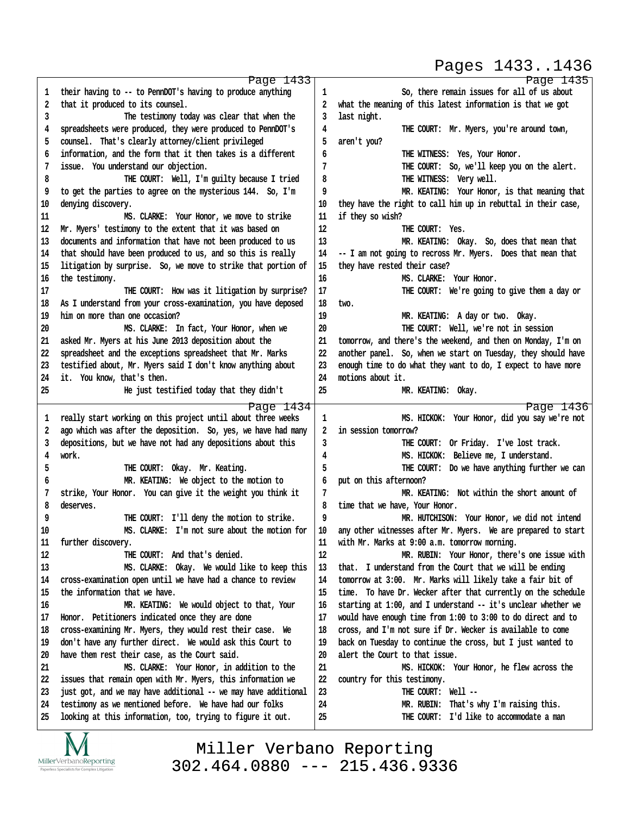#### Pages 1433..1436

http://www.yeslaw.net/help

/www.yeslaw.net/help

|    | Page 1433                                                      |        | Page 1435                                                     |
|----|----------------------------------------------------------------|--------|---------------------------------------------------------------|
| 1  | their having to -- to PennDOT's having to produce anything     | 1      | So, there remain issues for all of us about                   |
| 2  | that it produced to its counsel.                               | 2      | what the meaning of this latest information is that we got    |
| 3  | The testimony today was clear that when the                    | 3      | last night.                                                   |
| 4  | spreadsheets were produced, they were produced to PennDOT's    | 4      | THE COURT: Mr. Myers, you're around town,                     |
| 5  | counsel. That's clearly attorney/client privileged             | 5      | aren't you?                                                   |
| 6  | information, and the form that it then takes is a different    | 6      | THE WITNESS: Yes, Your Honor.                                 |
| 7  | issue. You understand our objection.                           | 7      | THE COURT: So, we'll keep you on the alert.                   |
| 8  | THE COURT: Well, I'm guilty because I tried                    | 8      | THE WITNESS: Very well.                                       |
| 9  | to get the parties to agree on the mysterious 144. So, I'm     | 9      | MR. KEATING: Your Honor, is that meaning that                 |
|    |                                                                |        |                                                               |
| 10 | denying discovery.                                             | 10     | they have the right to call him up in rebuttal in their case, |
| 11 | MS. CLARKE: Your Honor, we move to strike                      | 11     | if they so wish?                                              |
| 12 | Mr. Myers' testimony to the extent that it was based on        | 12     | THE COURT: Yes.                                               |
| 13 | documents and information that have not been produced to us    | 13     | MR. KEATING: Okay. So, does that mean that                    |
| 14 | that should have been produced to us, and so this is really    | 14     | -- I am not going to recross Mr. Myers. Does that mean that   |
| 15 | litigation by surprise. So, we move to strike that portion of  | 15     | they have rested their case?                                  |
| 16 | the testimony.                                                 | 16     | MS. CLARKE: Your Honor.                                       |
| 17 | THE COURT: How was it litigation by surprise?                  | 17     | THE COURT: We're going to give them a day or                  |
| 18 | As I understand from your cross-examination, you have deposed  | 18     | two.                                                          |
| 19 | him on more than one occasion?                                 | 19     | MR. KEATING: A day or two. Okay.                              |
| 20 | MS. CLARKE: In fact, Your Honor, when we                       | 20     | THE COURT: Well, we're not in session                         |
| 21 | asked Mr. Myers at his June 2013 deposition about the          | 21     | tomorrow, and there's the weekend, and then on Monday, I'm on |
| 22 | spreadsheet and the exceptions spreadsheet that Mr. Marks      | 22     | another panel. So, when we start on Tuesday, they should have |
| 23 | testified about, Mr. Myers said I don't know anything about    | 23     | enough time to do what they want to do, I expect to have more |
| 24 | it. You know, that's then.                                     | 24     | motions about it.                                             |
| 25 | He just testified today that they didn't                       | 25     | MR. KEATING: Okay.                                            |
|    |                                                                |        |                                                               |
|    | Page 1434                                                      |        | Page 1436                                                     |
| 1  | really start working on this project until about three weeks   | 1      | MS. HICKOK: Your Honor, did you say we're not                 |
| 2  | ago which was after the deposition. So, yes, we have had many  | 2      | in session tomorrow?                                          |
| 3  | depositions, but we have not had any depositions about this    | 3      | THE COURT: Or Friday. I've lost track.                        |
| 4  | work.                                                          | 4      | MS. HICKOK: Believe me, I understand.                         |
| 5  | THE COURT: Okay. Mr. Keating.                                  | 5      | THE COURT: Do we have anything further we can                 |
| 6  | MR. KEATING: We object to the motion to                        | 6      | put on this afternoon?                                        |
| 7  | strike, Your Honor. You can give it the weight you think it    | 7      | MR. KEATING: Not within the short amount of                   |
| 8  | deserves.                                                      | 8      | time that we have, Your Honor.                                |
| 9  | THE COURT: I'll deny the motion to strike.                     | 9      | MR. HUTCHISON: Your Honor, we did not intend                  |
| 10 | MS. CLARKE: I'm not sure about the motion for                  | 10     | any other witnesses after Mr. Myers. We are prepared to start |
| 11 | further discovery.                                             | 11     | with Mr. Marks at 9:00 a.m. tomorrow morning.                 |
| 12 | THE COURT: And that's denied.                                  | $12\,$ | MR. RUBIN: Your Honor, there's one issue with                 |
| 13 | MS. CLARKE: Okay. We would like to keep this                   | 13     | that. I understand from the Court that we will be ending      |
| 14 | cross-examination open until we have had a chance to review    | 14     | tomorrow at 3:00. Mr. Marks will likely take a fair bit of    |
| 15 | the information that we have.                                  | 15     | time. To have Dr. Wecker after that currently on the schedule |
| 16 | MR. KEATING: We would object to that, Your                     | 16     | starting at 1:00, and I understand -- it's unclear whether we |
| 17 | Honor. Petitioners indicated once they are done                | 17     | would have enough time from 1:00 to 3:00 to do direct and to  |
| 18 | cross-examining Mr. Myers, they would rest their case. We      | 18     | cross, and I'm not sure if Dr. Wecker is available to come    |
| 19 | don't have any further direct. We would ask this Court to      | 19     | back on Tuesday to continue the cross, but I just wanted to   |
| 20 | have them rest their case, as the Court said.                  | 20     | alert the Court to that issue.                                |
| 21 | MS. CLARKE: Your Honor, in addition to the                     | 21     | MS. HICKOK: Your Honor, he flew across the                    |
| 22 | issues that remain open with Mr. Myers, this information we    | 22     | country for this testimony.                                   |
| 23 | just got, and we may have additional -- we may have additional | 23     | THE COURT: Well --                                            |
| 24 | testimony as we mentioned before. We have had our folks        | 24     | That's why I'm raising this.<br>MR. RUBIN:                    |
| 25 | looking at this information, too, trying to figure it out.     | 25     | THE COURT: I'd like to accommodate a man                      |
|    |                                                                |        |                                                               |